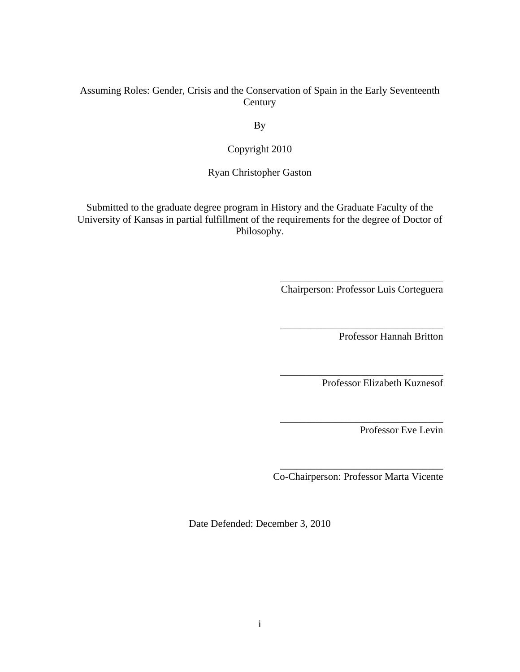## Assuming Roles: Gender, Crisis and the Conservation of Spain in the Early Seventeenth Century

By

Copyright 2010

Ryan Christopher Gaston

Submitted to the graduate degree program in History and the Graduate Faculty of the University of Kansas in partial fulfillment of the requirements for the degree of Doctor of Philosophy.

> \_\_\_\_\_\_\_\_\_\_\_\_\_\_\_\_\_\_\_\_\_\_\_\_\_\_\_\_\_\_\_\_ Chairperson: Professor Luis Corteguera

> \_\_\_\_\_\_\_\_\_\_\_\_\_\_\_\_\_\_\_\_\_\_\_\_\_\_\_\_\_\_\_\_

\_\_\_\_\_\_\_\_\_\_\_\_\_\_\_\_\_\_\_\_\_\_\_\_\_\_\_\_\_\_\_\_

\_\_\_\_\_\_\_\_\_\_\_\_\_\_\_\_\_\_\_\_\_\_\_\_\_\_\_\_\_\_\_\_

Professor Hannah Britton

Professor Elizabeth Kuznesof

Professor Eve Levin

\_\_\_\_\_\_\_\_\_\_\_\_\_\_\_\_\_\_\_\_\_\_\_\_\_\_\_\_\_\_\_\_ Co-Chairperson: Professor Marta Vicente

Date Defended: December 3, 2010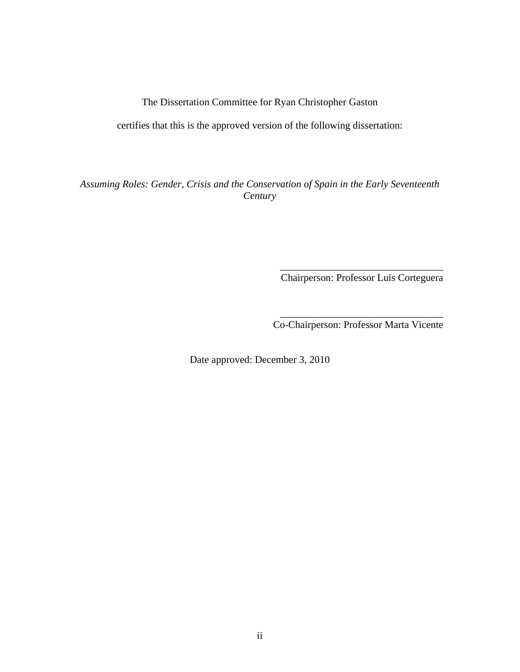## The Dissertation Committee for Ryan Christopher Gaston

certifies that this is the approved version of the following dissertation:

*Assuming Roles: Gender, Crisis and the Conservation of Spain in the Early Seventeenth Century*

Chairperson: Professor Luis Corteguera

 $\overline{\phantom{a}}$  ,  $\overline{\phantom{a}}$  ,  $\overline{\phantom{a}}$  ,  $\overline{\phantom{a}}$  ,  $\overline{\phantom{a}}$  ,  $\overline{\phantom{a}}$  ,  $\overline{\phantom{a}}$  ,  $\overline{\phantom{a}}$  ,  $\overline{\phantom{a}}$  ,  $\overline{\phantom{a}}$  ,  $\overline{\phantom{a}}$  ,  $\overline{\phantom{a}}$  ,  $\overline{\phantom{a}}$  ,  $\overline{\phantom{a}}$  ,  $\overline{\phantom{a}}$  ,  $\overline{\phantom{a}}$ 

\_\_\_\_\_\_\_\_\_\_\_\_\_\_\_\_\_\_\_\_\_\_\_\_\_\_\_\_\_\_\_\_ Co-Chairperson: Professor Marta Vicente

Date approved: December 3, 2010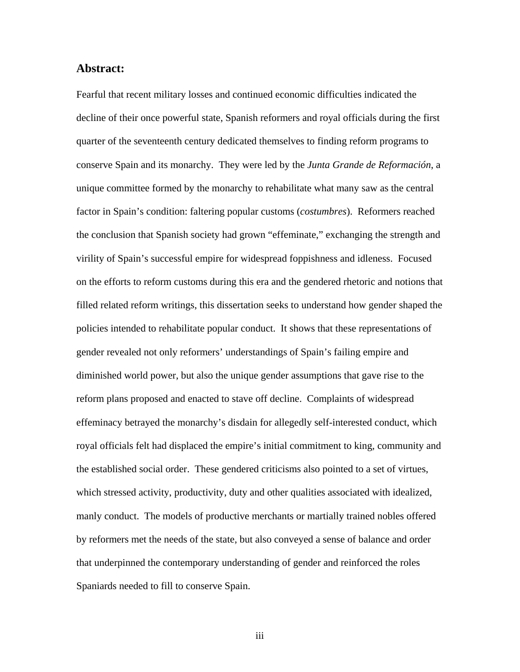### **Abstract:**

Fearful that recent military losses and continued economic difficulties indicated the decline of their once powerful state, Spanish reformers and royal officials during the first quarter of the seventeenth century dedicated themselves to finding reform programs to conserve Spain and its monarchy. They were led by the *Junta Grande de Reformación*, a unique committee formed by the monarchy to rehabilitate what many saw as the central factor in Spain's condition: faltering popular customs (*costumbres*). Reformers reached the conclusion that Spanish society had grown "effeminate," exchanging the strength and virility of Spain's successful empire for widespread foppishness and idleness. Focused on the efforts to reform customs during this era and the gendered rhetoric and notions that filled related reform writings, this dissertation seeks to understand how gender shaped the policies intended to rehabilitate popular conduct. It shows that these representations of gender revealed not only reformers' understandings of Spain's failing empire and diminished world power, but also the unique gender assumptions that gave rise to the reform plans proposed and enacted to stave off decline. Complaints of widespread effeminacy betrayed the monarchy's disdain for allegedly self-interested conduct, which royal officials felt had displaced the empire's initial commitment to king, community and the established social order. These gendered criticisms also pointed to a set of virtues, which stressed activity, productivity, duty and other qualities associated with idealized, manly conduct. The models of productive merchants or martially trained nobles offered by reformers met the needs of the state, but also conveyed a sense of balance and order that underpinned the contemporary understanding of gender and reinforced the roles Spaniards needed to fill to conserve Spain.

iii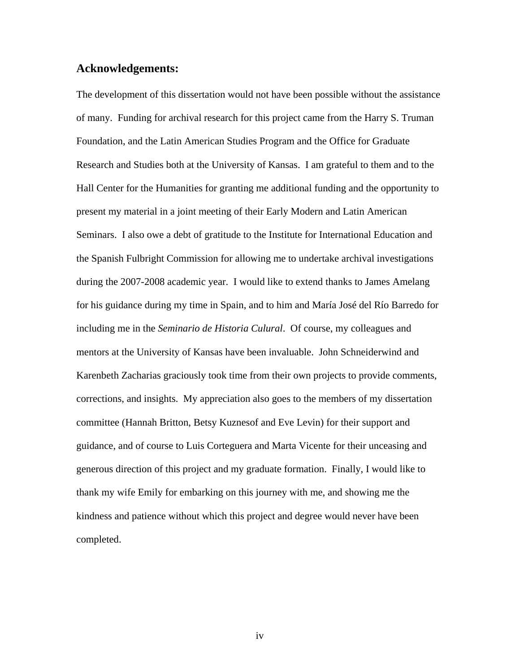### **Acknowledgements:**

The development of this dissertation would not have been possible without the assistance of many. Funding for archival research for this project came from the Harry S. Truman Foundation, and the Latin American Studies Program and the Office for Graduate Research and Studies both at the University of Kansas. I am grateful to them and to the Hall Center for the Humanities for granting me additional funding and the opportunity to present my material in a joint meeting of their Early Modern and Latin American Seminars. I also owe a debt of gratitude to the Institute for International Education and the Spanish Fulbright Commission for allowing me to undertake archival investigations during the 2007-2008 academic year. I would like to extend thanks to James Amelang for his guidance during my time in Spain, and to him and María José del Río Barredo for including me in the *Seminario de Historia Culural*. Of course, my colleagues and mentors at the University of Kansas have been invaluable. John Schneiderwind and Karenbeth Zacharias graciously took time from their own projects to provide comments, corrections, and insights. My appreciation also goes to the members of my dissertation committee (Hannah Britton, Betsy Kuznesof and Eve Levin) for their support and guidance, and of course to Luis Corteguera and Marta Vicente for their unceasing and generous direction of this project and my graduate formation. Finally, I would like to thank my wife Emily for embarking on this journey with me, and showing me the kindness and patience without which this project and degree would never have been completed.

iv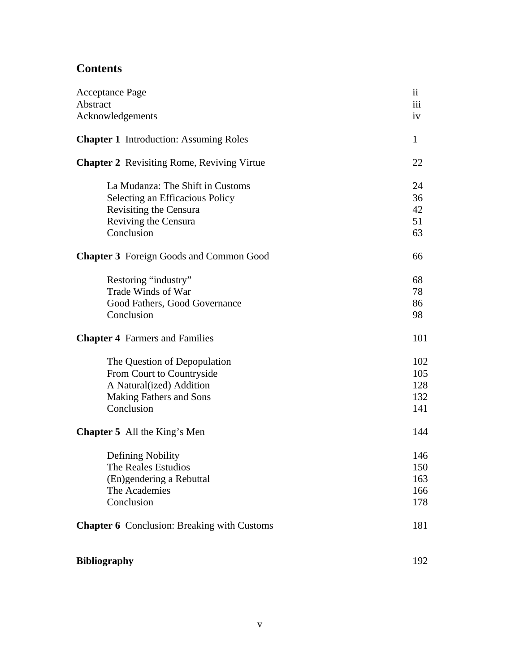# **Contents**

| <b>Acceptance Page</b>                             | $\ddot{\rm n}$ |
|----------------------------------------------------|----------------|
| Abstract<br>Acknowledgements                       | iii<br>iv      |
|                                                    |                |
| <b>Chapter 1</b> Introduction: Assuming Roles      | $\mathbf{1}$   |
| <b>Chapter 2</b> Revisiting Rome, Reviving Virtue  | 22             |
| La Mudanza: The Shift in Customs                   | 24             |
| Selecting an Efficacious Policy                    | 36             |
| <b>Revisiting the Censura</b>                      | 42             |
| Reviving the Censura                               | 51             |
| Conclusion                                         | 63             |
| <b>Chapter 3</b> Foreign Goods and Common Good     | 66             |
| Restoring "industry"                               | 68             |
| Trade Winds of War                                 | 78             |
| Good Fathers, Good Governance                      | 86             |
| Conclusion                                         | 98             |
| <b>Chapter 4</b> Farmers and Families              | 101            |
| The Question of Depopulation                       | 102            |
| From Court to Countryside                          | 105            |
| A Natural(ized) Addition                           | 128            |
| <b>Making Fathers and Sons</b>                     | 132            |
| Conclusion                                         | 141            |
| <b>Chapter 5</b> All the King's Men                | 144            |
| Defining Nobility                                  | 146            |
| The Reales Estudios                                | 150            |
| (En)gendering a Rebuttal                           | 163            |
| The Academies                                      | 166            |
| Conclusion                                         | 178            |
| <b>Chapter 6</b> Conclusion: Breaking with Customs | 181            |
| <b>Bibliography</b>                                | 192            |
|                                                    |                |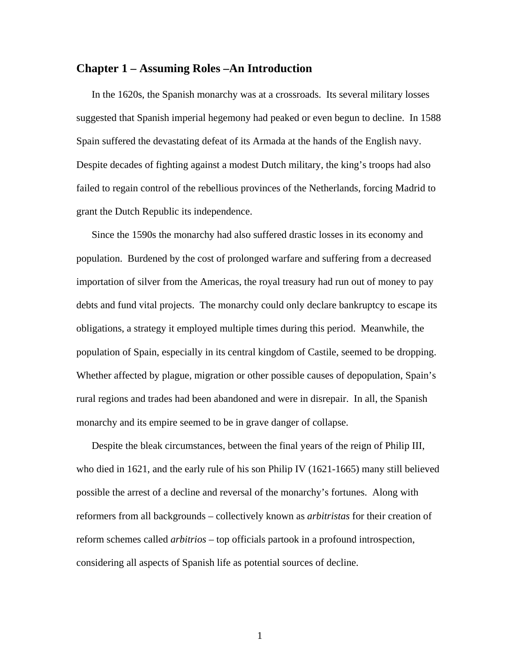### **Chapter 1 – Assuming Roles –An Introduction**

In the 1620s, the Spanish monarchy was at a crossroads. Its several military losses suggested that Spanish imperial hegemony had peaked or even begun to decline. In 1588 Spain suffered the devastating defeat of its Armada at the hands of the English navy. Despite decades of fighting against a modest Dutch military, the king's troops had also failed to regain control of the rebellious provinces of the Netherlands, forcing Madrid to grant the Dutch Republic its independence.

Since the 1590s the monarchy had also suffered drastic losses in its economy and population. Burdened by the cost of prolonged warfare and suffering from a decreased importation of silver from the Americas, the royal treasury had run out of money to pay debts and fund vital projects. The monarchy could only declare bankruptcy to escape its obligations, a strategy it employed multiple times during this period. Meanwhile, the population of Spain, especially in its central kingdom of Castile, seemed to be dropping. Whether affected by plague, migration or other possible causes of depopulation, Spain's rural regions and trades had been abandoned and were in disrepair. In all, the Spanish monarchy and its empire seemed to be in grave danger of collapse.

Despite the bleak circumstances, between the final years of the reign of Philip III, who died in 1621, and the early rule of his son Philip IV (1621-1665) many still believed possible the arrest of a decline and reversal of the monarchy's fortunes. Along with reformers from all backgrounds – collectively known as *arbitristas* for their creation of reform schemes called *arbitrios* – top officials partook in a profound introspection, considering all aspects of Spanish life as potential sources of decline.

1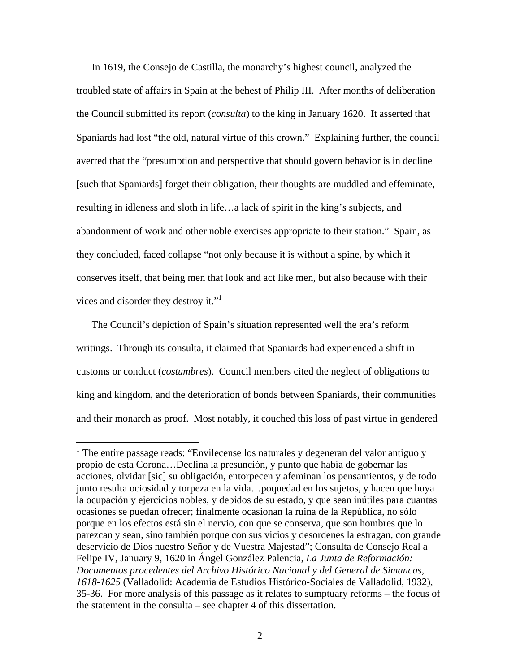In 1619, the Consejo de Castilla, the monarchy's highest council, analyzed the troubled state of affairs in Spain at the behest of Philip III. After months of deliberation the Council submitted its report (*consulta*) to the king in January 1620. It asserted that Spaniards had lost "the old, natural virtue of this crown." Explaining further, the council averred that the "presumption and perspective that should govern behavior is in decline [such that Spaniards] forget their obligation, their thoughts are muddled and effeminate, resulting in idleness and sloth in life…a lack of spirit in the king's subjects, and abandonment of work and other noble exercises appropriate to their station." Spain, as they concluded, faced collapse "not only because it is without a spine, by which it conserves itself, that being men that look and act like men, but also because with their vices and disorder they destroy it."<sup>1</sup>

The Council's depiction of Spain's situation represented well the era's reform writings. Through its consulta, it claimed that Spaniards had experienced a shift in customs or conduct (*costumbres*). Council members cited the neglect of obligations to king and kingdom, and the deterioration of bonds between Spaniards, their communities and their monarch as proof. Most notably, it couched this loss of past virtue in gendered

<sup>&</sup>lt;sup>1</sup> The entire passage reads: "Envilecense los naturales y degeneran del valor antiguo y propio de esta Corona…Declina la presunción, y punto que había de gobernar las acciones, olvidar [sic] su obligación, entorpecen y afeminan los pensamientos, y de todo junto resulta ociosidad y torpeza en la vida…poquedad en los sujetos, y hacen que huya la ocupación y ejercicios nobles, y debidos de su estado, y que sean inútiles para cuantas ocasiones se puedan ofrecer; finalmente ocasionan la ruina de la República, no sólo porque en los efectos está sin el nervio, con que se conserva, que son hombres que lo parezcan y sean, sino también porque con sus vicios y desordenes la estragan, con grande deservicio de Dios nuestro Señor y de Vuestra Majestad"; Consulta de Consejo Real a Felipe IV, January 9, 1620 in Ángel González Palencia, *La Junta de Reformación: Documentos procedentes del Archivo Histórico Nacional y del General de Simancas, 1618-1625* (Valladolid: Academia de Estudios Histórico-Sociales de Valladolid, 1932), 35-36. For more analysis of this passage as it relates to sumptuary reforms – the focus of the statement in the consulta – see chapter 4 of this dissertation.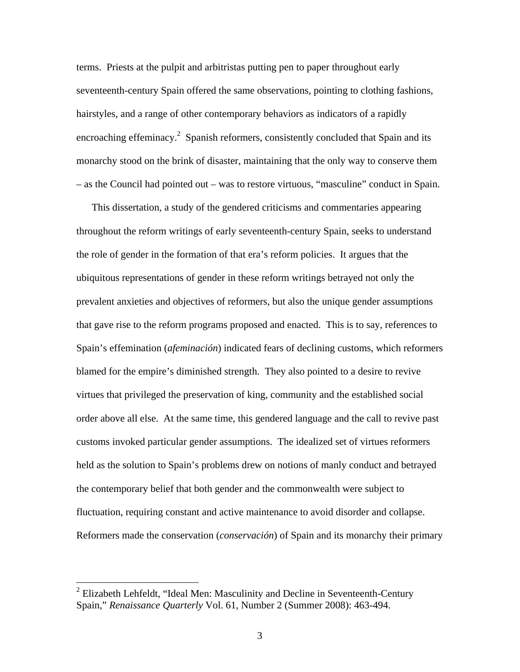terms. Priests at the pulpit and arbitristas putting pen to paper throughout early seventeenth-century Spain offered the same observations, pointing to clothing fashions, hairstyles, and a range of other contemporary behaviors as indicators of a rapidly encroaching effeminacy.<sup>2</sup> Spanish reformers, consistently concluded that Spain and its monarchy stood on the brink of disaster, maintaining that the only way to conserve them – as the Council had pointed out – was to restore virtuous, "masculine" conduct in Spain.

This dissertation, a study of the gendered criticisms and commentaries appearing throughout the reform writings of early seventeenth-century Spain, seeks to understand the role of gender in the formation of that era's reform policies. It argues that the ubiquitous representations of gender in these reform writings betrayed not only the prevalent anxieties and objectives of reformers, but also the unique gender assumptions that gave rise to the reform programs proposed and enacted. This is to say, references to Spain's effemination (*afeminación*) indicated fears of declining customs, which reformers blamed for the empire's diminished strength. They also pointed to a desire to revive virtues that privileged the preservation of king, community and the established social order above all else. At the same time, this gendered language and the call to revive past customs invoked particular gender assumptions. The idealized set of virtues reformers held as the solution to Spain's problems drew on notions of manly conduct and betrayed the contemporary belief that both gender and the commonwealth were subject to fluctuation, requiring constant and active maintenance to avoid disorder and collapse. Reformers made the conservation (*conservación*) of Spain and its monarchy their primary

 $2$  Elizabeth Lehfeldt, "Ideal Men: Masculinity and Decline in Seventeenth-Century Spain," *Renaissance Quarterly* Vol. 61, Number 2 (Summer 2008): 463-494.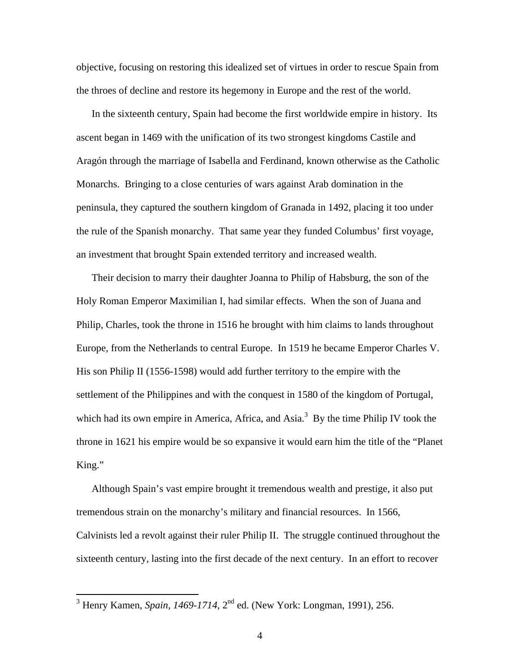objective, focusing on restoring this idealized set of virtues in order to rescue Spain from the throes of decline and restore its hegemony in Europe and the rest of the world.

In the sixteenth century, Spain had become the first worldwide empire in history. Its ascent began in 1469 with the unification of its two strongest kingdoms Castile and Aragón through the marriage of Isabella and Ferdinand, known otherwise as the Catholic Monarchs. Bringing to a close centuries of wars against Arab domination in the peninsula, they captured the southern kingdom of Granada in 1492, placing it too under the rule of the Spanish monarchy. That same year they funded Columbus' first voyage, an investment that brought Spain extended territory and increased wealth.

Their decision to marry their daughter Joanna to Philip of Habsburg, the son of the Holy Roman Emperor Maximilian I, had similar effects. When the son of Juana and Philip, Charles, took the throne in 1516 he brought with him claims to lands throughout Europe, from the Netherlands to central Europe. In 1519 he became Emperor Charles V. His son Philip II (1556-1598) would add further territory to the empire with the settlement of the Philippines and with the conquest in 1580 of the kingdom of Portugal, which had its own empire in America, Africa, and Asia.<sup>3</sup> By the time Philip IV took the throne in 1621 his empire would be so expansive it would earn him the title of the "Planet King."

Although Spain's vast empire brought it tremendous wealth and prestige, it also put tremendous strain on the monarchy's military and financial resources. In 1566, Calvinists led a revolt against their ruler Philip II. The struggle continued throughout the sixteenth century, lasting into the first decade of the next century. In an effort to recover

<sup>&</sup>lt;sup>3</sup> Henry Kamen, *Spain, 1469-1714*, 2<sup>nd</sup> ed. (New York: Longman, 1991), 256.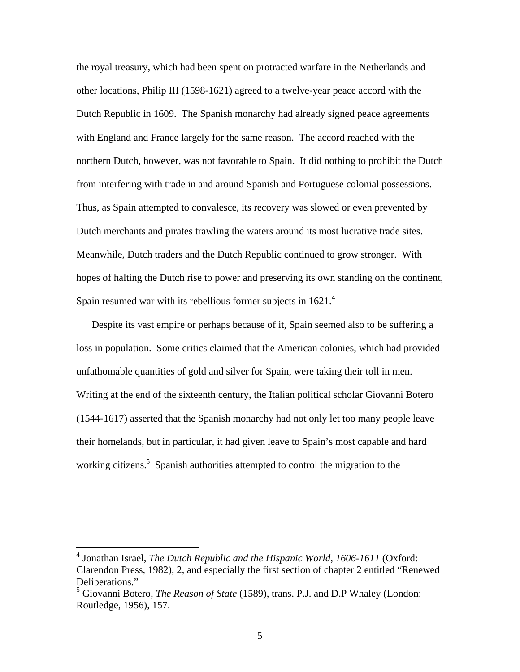the royal treasury, which had been spent on protracted warfare in the Netherlands and other locations, Philip III (1598-1621) agreed to a twelve-year peace accord with the Dutch Republic in 1609. The Spanish monarchy had already signed peace agreements with England and France largely for the same reason. The accord reached with the northern Dutch, however, was not favorable to Spain. It did nothing to prohibit the Dutch from interfering with trade in and around Spanish and Portuguese colonial possessions. Thus, as Spain attempted to convalesce, its recovery was slowed or even prevented by Dutch merchants and pirates trawling the waters around its most lucrative trade sites. Meanwhile, Dutch traders and the Dutch Republic continued to grow stronger. With hopes of halting the Dutch rise to power and preserving its own standing on the continent, Spain resumed war with its rebellious former subjects in  $1621<sup>4</sup>$ 

Despite its vast empire or perhaps because of it, Spain seemed also to be suffering a loss in population. Some critics claimed that the American colonies, which had provided unfathomable quantities of gold and silver for Spain, were taking their toll in men. Writing at the end of the sixteenth century, the Italian political scholar Giovanni Botero (1544-1617) asserted that the Spanish monarchy had not only let too many people leave their homelands, but in particular, it had given leave to Spain's most capable and hard working citizens.<sup>5</sup> Spanish authorities attempted to control the migration to the

 4 Jonathan Israel, *The Dutch Republic and the Hispanic World, 1606-1611* (Oxford: Clarendon Press, 1982), 2, and especially the first section of chapter 2 entitled "Renewed Deliberations."

<sup>5</sup> Giovanni Botero, *The Reason of State* (1589), trans. P.J. and D.P Whaley (London: Routledge, 1956), 157.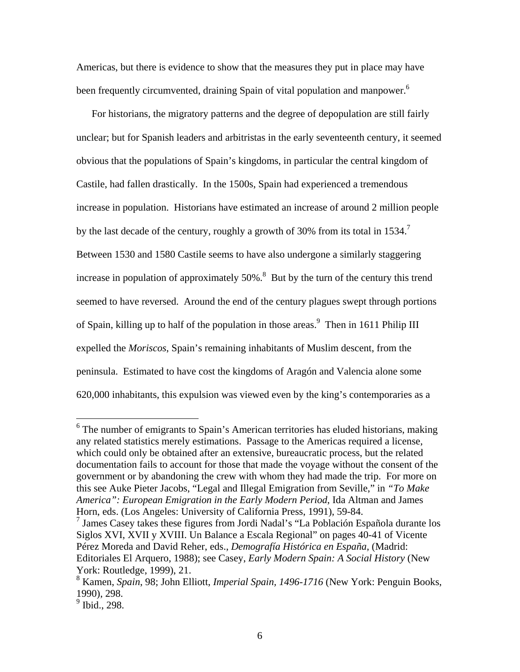Americas, but there is evidence to show that the measures they put in place may have been frequently circumvented, draining Spain of vital population and manpower.<sup>6</sup>

For historians, the migratory patterns and the degree of depopulation are still fairly unclear; but for Spanish leaders and arbitristas in the early seventeenth century, it seemed obvious that the populations of Spain's kingdoms, in particular the central kingdom of Castile, had fallen drastically. In the 1500s, Spain had experienced a tremendous increase in population. Historians have estimated an increase of around 2 million people by the last decade of the century, roughly a growth of 30% from its total in 1534.<sup>7</sup> Between 1530 and 1580 Castile seems to have also undergone a similarly staggering increase in population of approximately  $50\%$ .<sup>8</sup> But by the turn of the century this trend seemed to have reversed. Around the end of the century plagues swept through portions of Spain, killing up to half of the population in those areas.<sup>9</sup> Then in 1611 Philip III expelled the *Moriscos*, Spain's remaining inhabitants of Muslim descent, from the peninsula. Estimated to have cost the kingdoms of Aragón and Valencia alone some 620,000 inhabitants, this expulsion was viewed even by the king's contemporaries as a

 $6$  The number of emigrants to Spain's American territories has eluded historians, making any related statistics merely estimations. Passage to the Americas required a license, which could only be obtained after an extensive, bureaucratic process, but the related documentation fails to account for those that made the voyage without the consent of the government or by abandoning the crew with whom they had made the trip. For more on this see Auke Pieter Jacobs, "Legal and Illegal Emigration from Seville," in *"To Make America": European Emigration in the Early Modern Period*, Ida Altman and James Horn, eds. (Los Angeles: University of California Press, 1991), 59-84.

<sup>7</sup> James Casey takes these figures from Jordi Nadal's "La Población Española durante los Siglos XVI, XVII y XVIII. Un Balance a Escala Regional" on pages 40-41 of Vicente Pérez Moreda and David Reher, eds., *Demografía Histórica en España*, (Madrid: Editoriales El Arquero, 1988); see Casey, *Early Modern Spain: A Social History* (New York: Routledge, 1999), 21.

<sup>8</sup> Kamen, *Spain*, 98; John Elliott, *Imperial Spain, 1496-1716* (New York: Penguin Books, 1990), 298.

<sup>&</sup>lt;sup>9</sup> Ibid., 298.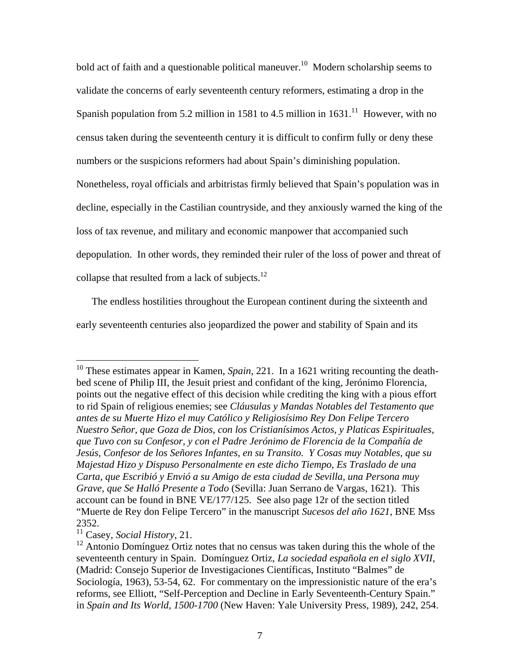bold act of faith and a questionable political maneuver.<sup>10</sup> Modern scholarship seems to validate the concerns of early seventeenth century reformers, estimating a drop in the Spanish population from 5.2 million in 1581 to 4.5 million in  $1631<sup>11</sup>$  However, with no census taken during the seventeenth century it is difficult to confirm fully or deny these numbers or the suspicions reformers had about Spain's diminishing population. Nonetheless, royal officials and arbitristas firmly believed that Spain's population was in decline, especially in the Castilian countryside, and they anxiously warned the king of the loss of tax revenue, and military and economic manpower that accompanied such

depopulation. In other words, they reminded their ruler of the loss of power and threat of

collapse that resulted from a lack of subjects.<sup>12</sup>

The endless hostilities throughout the European continent during the sixteenth and

early seventeenth centuries also jeopardized the power and stability of Spain and its

<u>.</u>

<sup>&</sup>lt;sup>10</sup> These estimates appear in Kamen, *Spain*, 221. In a 1621 writing recounting the deathbed scene of Philip III, the Jesuit priest and confidant of the king, Jerónimo Florencia, points out the negative effect of this decision while crediting the king with a pious effort to rid Spain of religious enemies; see *Cláusulas y Mandas Notables del Testamento que antes de su Muerte Hizo el muy Católico y Religiosísimo Rey Don Felipe Tercero Nuestro Señor, que Goza de Dios, con los Cristianísimos Actos, y Platicas Espirituales, que Tuvo con su Confesor, y con el Padre Jerónimo de Florencia de la Compañía de Jesús, Confesor de los Señores Infantes, en su Transito. Y Cosas muy Notables, que su Majestad Hizo y Dispuso Personalmente en este dicho Tiempo, Es Traslado de una Carta, que Escribió y Envió a su Amigo de esta ciudad de Sevilla, una Persona muy Grave, que Se Halló Presente a Todo* (Sevilla: Juan Serrano de Vargas, 1621). This account can be found in BNE VE/177/125. See also page 12r of the section titled "Muerte de Rey don Felipe Tercero" in the manuscript *Sucesos del año 1621*, BNE Mss 2352.

<sup>11</sup> Casey, *Social History*, 21.

 $12$  Antonio Domínguez Ortiz notes that no census was taken during this the whole of the seventeenth century in Spain. Domínguez Ortiz, *La sociedad española en el siglo XVII*, (Madrid: Consejo Superior de Investigaciones Científicas, Instituto "Balmes" de Sociología, 1963), 53-54, 62. For commentary on the impressionistic nature of the era's reforms, see Elliott, "Self-Perception and Decline in Early Seventeenth-Century Spain." in *Spain and Its World, 1500-1700* (New Haven: Yale University Press, 1989), 242, 254.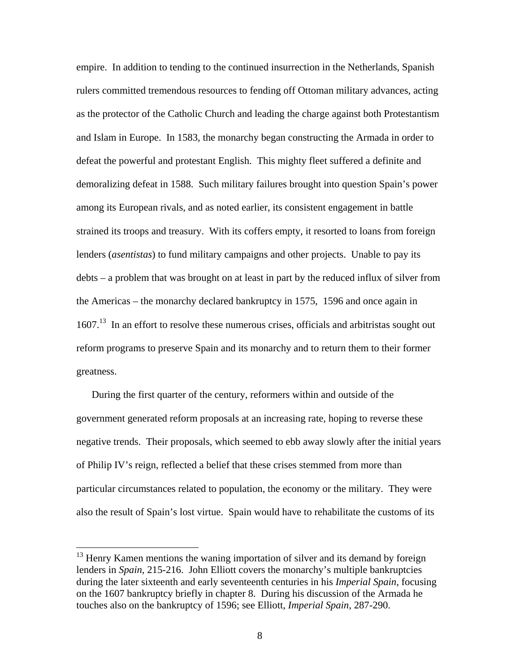empire. In addition to tending to the continued insurrection in the Netherlands, Spanish rulers committed tremendous resources to fending off Ottoman military advances, acting as the protector of the Catholic Church and leading the charge against both Protestantism and Islam in Europe. In 1583, the monarchy began constructing the Armada in order to defeat the powerful and protestant English. This mighty fleet suffered a definite and demoralizing defeat in 1588. Such military failures brought into question Spain's power among its European rivals, and as noted earlier, its consistent engagement in battle strained its troops and treasury. With its coffers empty, it resorted to loans from foreign lenders (*asentistas*) to fund military campaigns and other projects. Unable to pay its debts – a problem that was brought on at least in part by the reduced influx of silver from the Americas – the monarchy declared bankruptcy in 1575, 1596 and once again in 1607.<sup>13</sup> In an effort to resolve these numerous crises, officials and arbitristas sought out reform programs to preserve Spain and its monarchy and to return them to their former greatness.

During the first quarter of the century, reformers within and outside of the government generated reform proposals at an increasing rate, hoping to reverse these negative trends. Their proposals, which seemed to ebb away slowly after the initial years of Philip IV's reign, reflected a belief that these crises stemmed from more than particular circumstances related to population, the economy or the military. They were also the result of Spain's lost virtue. Spain would have to rehabilitate the customs of its

 $13$  Henry Kamen mentions the waning importation of silver and its demand by foreign lenders in *Spain,* 215-216. John Elliott covers the monarchy's multiple bankruptcies during the later sixteenth and early seventeenth centuries in his *Imperial Spain*, focusing on the 1607 bankruptcy briefly in chapter 8. During his discussion of the Armada he touches also on the bankruptcy of 1596; see Elliott, *Imperial Spain*, 287-290.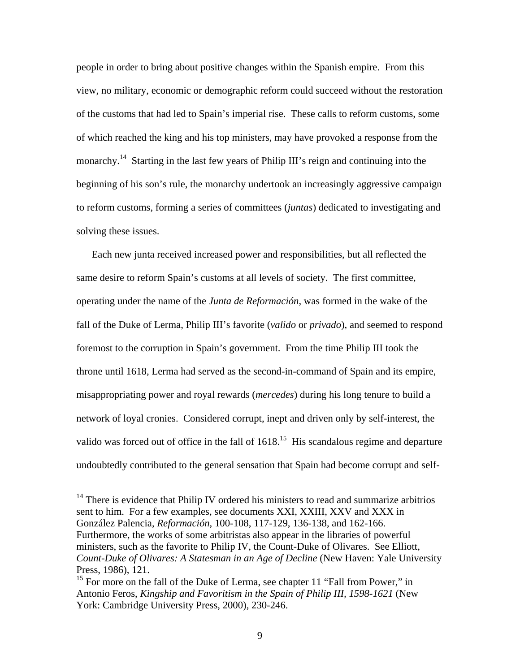people in order to bring about positive changes within the Spanish empire. From this view, no military, economic or demographic reform could succeed without the restoration of the customs that had led to Spain's imperial rise. These calls to reform customs, some of which reached the king and his top ministers, may have provoked a response from the monarchy.<sup>14</sup> Starting in the last few years of Philip III's reign and continuing into the beginning of his son's rule, the monarchy undertook an increasingly aggressive campaign to reform customs, forming a series of committees (*juntas*) dedicated to investigating and solving these issues.

Each new junta received increased power and responsibilities, but all reflected the same desire to reform Spain's customs at all levels of society. The first committee, operating under the name of the *Junta de Reformación*, was formed in the wake of the fall of the Duke of Lerma, Philip III's favorite (*valido* or *privado*), and seemed to respond foremost to the corruption in Spain's government. From the time Philip III took the throne until 1618, Lerma had served as the second-in-command of Spain and its empire, misappropriating power and royal rewards (*mercedes*) during his long tenure to build a network of loyal cronies. Considered corrupt, inept and driven only by self-interest, the valido was forced out of office in the fall of  $1618$ <sup>15</sup>. His scandalous regime and departure undoubtedly contributed to the general sensation that Spain had become corrupt and self-

 $14$  There is evidence that Philip IV ordered his ministers to read and summarize arbitrios sent to him. For a few examples, see documents XXI, XXIII, XXV and XXX in González Palencia, *Reformación*, 100-108, 117-129, 136-138, and 162-166. Furthermore, the works of some arbitristas also appear in the libraries of powerful ministers, such as the favorite to Philip IV, the Count-Duke of Olivares. See Elliott, *Count-Duke of Olivares: A Statesman in an Age of Decline* (New Haven: Yale University Press, 1986), 121.

<sup>&</sup>lt;sup>15</sup> For more on the fall of the Duke of Lerma, see chapter 11 "Fall from Power," in Antonio Feros, *Kingship and Favoritism in the Spain of Philip III, 1598-1621* (New York: Cambridge University Press, 2000), 230-246.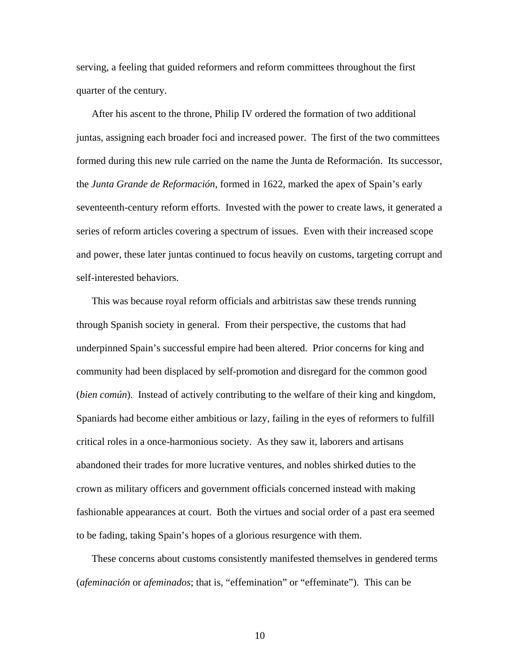serving, a feeling that guided reformers and reform committees throughout the first quarter of the century.

After his ascent to the throne, Philip IV ordered the formation of two additional juntas, assigning each broader foci and increased power. The first of the two committees formed during this new rule carried on the name the Junta de Reformación. Its successor, the *Junta Grande de Reformación*, formed in 1622, marked the apex of Spain's early seventeenth-century reform efforts. Invested with the power to create laws, it generated a series of reform articles covering a spectrum of issues. Even with their increased scope and power, these later juntas continued to focus heavily on customs, targeting corrupt and self-interested behaviors.

This was because royal reform officials and arbitristas saw these trends running through Spanish society in general. From their perspective, the customs that had underpinned Spain's successful empire had been altered. Prior concerns for king and community had been displaced by self-promotion and disregard for the common good (*bien común*). Instead of actively contributing to the welfare of their king and kingdom, Spaniards had become either ambitious or lazy, failing in the eyes of reformers to fulfill critical roles in a once-harmonious society. As they saw it, laborers and artisans abandoned their trades for more lucrative ventures, and nobles shirked duties to the crown as military officers and government officials concerned instead with making fashionable appearances at court. Both the virtues and social order of a past era seemed to be fading, taking Spain's hopes of a glorious resurgence with them.

These concerns about customs consistently manifested themselves in gendered terms (*afeminación* or *afeminados*; that is, "effemination" or "effeminate"). This can be

10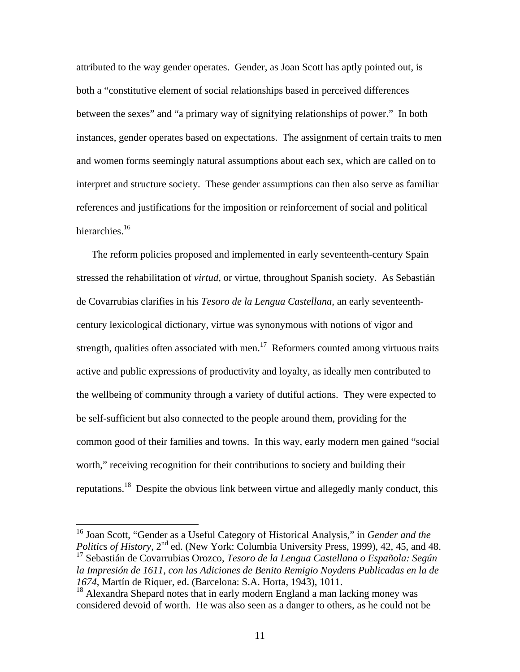attributed to the way gender operates. Gender, as Joan Scott has aptly pointed out, is both a "constitutive element of social relationships based in perceived differences between the sexes" and "a primary way of signifying relationships of power." In both instances, gender operates based on expectations. The assignment of certain traits to men and women forms seemingly natural assumptions about each sex, which are called on to interpret and structure society. These gender assumptions can then also serve as familiar references and justifications for the imposition or reinforcement of social and political hierarchies.<sup>16</sup>

The reform policies proposed and implemented in early seventeenth-century Spain stressed the rehabilitation of *virtud*, or virtue, throughout Spanish society. As Sebastián de Covarrubias clarifies in his *Tesoro de la Lengua Castellana*, an early seventeenthcentury lexicological dictionary, virtue was synonymous with notions of vigor and strength, qualities often associated with men.<sup>17</sup> Reformers counted among virtuous traits active and public expressions of productivity and loyalty, as ideally men contributed to the wellbeing of community through a variety of dutiful actions. They were expected to be self-sufficient but also connected to the people around them, providing for the common good of their families and towns. In this way, early modern men gained "social worth," receiving recognition for their contributions to society and building their reputations.18 Despite the obvious link between virtue and allegedly manly conduct, this

<sup>16</sup> Joan Scott, "Gender as a Useful Category of Historical Analysis," in *Gender and the Politics of History*, 2<sup>nd</sup> ed. (New York: Columbia University Press, 1999), 42, 45, and 48. 17 Sebastián de Covarrubias Orozco, *Tesoro de la Lengua Castellana o Española: Según la Impresión de 1611, con las Adiciones de Benito Remigio Noydens Publicadas en la de 1674*, Martín de Riquer, ed. (Barcelona: S.A. Horta, 1943), 1011.

 $18$  Alexandra Shepard notes that in early modern England a man lacking money was considered devoid of worth. He was also seen as a danger to others, as he could not be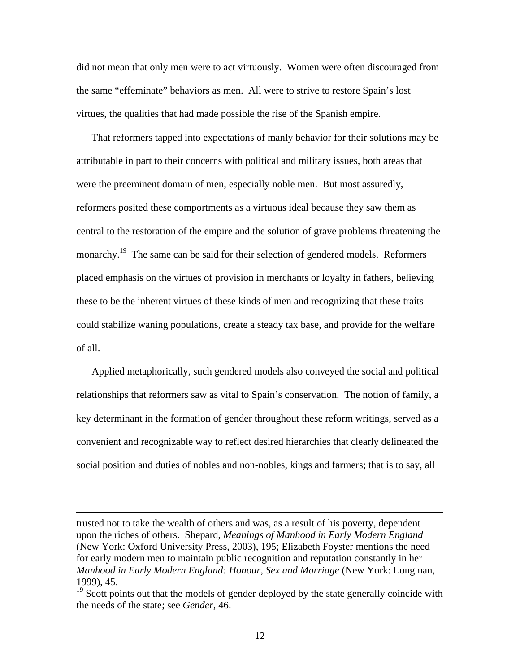did not mean that only men were to act virtuously. Women were often discouraged from the same "effeminate" behaviors as men. All were to strive to restore Spain's lost virtues, the qualities that had made possible the rise of the Spanish empire.

That reformers tapped into expectations of manly behavior for their solutions may be attributable in part to their concerns with political and military issues, both areas that were the preeminent domain of men, especially noble men. But most assuredly, reformers posited these comportments as a virtuous ideal because they saw them as central to the restoration of the empire and the solution of grave problems threatening the monarchy.<sup>19</sup> The same can be said for their selection of gendered models. Reformers placed emphasis on the virtues of provision in merchants or loyalty in fathers, believing these to be the inherent virtues of these kinds of men and recognizing that these traits could stabilize waning populations, create a steady tax base, and provide for the welfare of all.

Applied metaphorically, such gendered models also conveyed the social and political relationships that reformers saw as vital to Spain's conservation. The notion of family, a key determinant in the formation of gender throughout these reform writings, served as a convenient and recognizable way to reflect desired hierarchies that clearly delineated the social position and duties of nobles and non-nobles, kings and farmers; that is to say, all

trusted not to take the wealth of others and was, as a result of his poverty, dependent upon the riches of others. Shepard, *Meanings of Manhood in Early Modern England* (New York: Oxford University Press, 2003), 195; Elizabeth Foyster mentions the need for early modern men to maintain public recognition and reputation constantly in her *Manhood in Early Modern England: Honour, Sex and Marriage* (New York: Longman, 1999), 45.

<sup>&</sup>lt;sup>19</sup> Scott points out that the models of gender deployed by the state generally coincide with the needs of the state; see *Gender*, 46.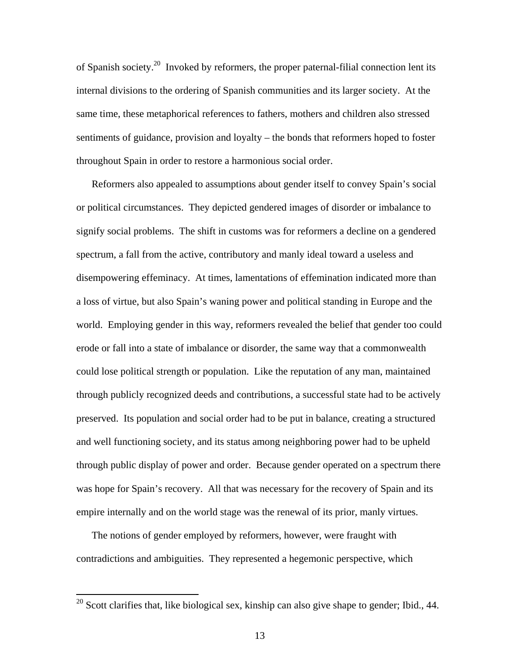of Spanish society.20 Invoked by reformers, the proper paternal-filial connection lent its internal divisions to the ordering of Spanish communities and its larger society. At the same time, these metaphorical references to fathers, mothers and children also stressed sentiments of guidance, provision and loyalty – the bonds that reformers hoped to foster throughout Spain in order to restore a harmonious social order.

Reformers also appealed to assumptions about gender itself to convey Spain's social or political circumstances. They depicted gendered images of disorder or imbalance to signify social problems. The shift in customs was for reformers a decline on a gendered spectrum, a fall from the active, contributory and manly ideal toward a useless and disempowering effeminacy. At times, lamentations of effemination indicated more than a loss of virtue, but also Spain's waning power and political standing in Europe and the world. Employing gender in this way, reformers revealed the belief that gender too could erode or fall into a state of imbalance or disorder, the same way that a commonwealth could lose political strength or population. Like the reputation of any man, maintained through publicly recognized deeds and contributions, a successful state had to be actively preserved. Its population and social order had to be put in balance, creating a structured and well functioning society, and its status among neighboring power had to be upheld through public display of power and order. Because gender operated on a spectrum there was hope for Spain's recovery. All that was necessary for the recovery of Spain and its empire internally and on the world stage was the renewal of its prior, manly virtues.

The notions of gender employed by reformers, however, were fraught with contradictions and ambiguities. They represented a hegemonic perspective, which

 $20$  Scott clarifies that, like biological sex, kinship can also give shape to gender; Ibid., 44.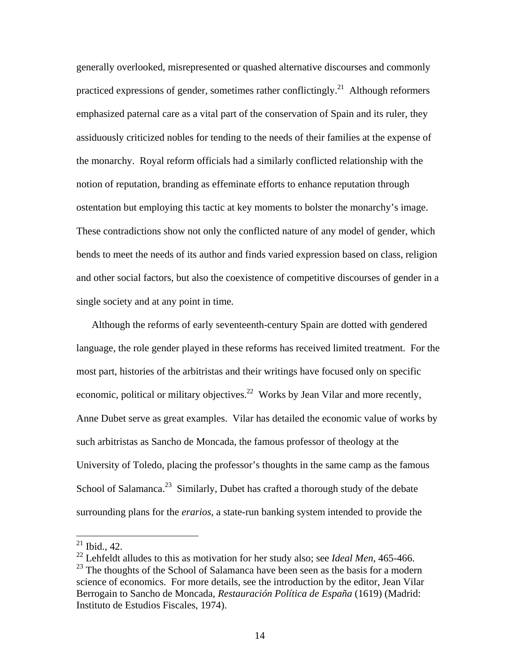generally overlooked, misrepresented or quashed alternative discourses and commonly practiced expressions of gender, sometimes rather conflictingly.<sup>21</sup> Although reformers emphasized paternal care as a vital part of the conservation of Spain and its ruler, they assiduously criticized nobles for tending to the needs of their families at the expense of the monarchy. Royal reform officials had a similarly conflicted relationship with the notion of reputation, branding as effeminate efforts to enhance reputation through ostentation but employing this tactic at key moments to bolster the monarchy's image. These contradictions show not only the conflicted nature of any model of gender, which bends to meet the needs of its author and finds varied expression based on class, religion and other social factors, but also the coexistence of competitive discourses of gender in a single society and at any point in time.

Although the reforms of early seventeenth-century Spain are dotted with gendered language, the role gender played in these reforms has received limited treatment. For the most part, histories of the arbitristas and their writings have focused only on specific economic, political or military objectives.<sup>22</sup> Works by Jean Vilar and more recently, Anne Dubet serve as great examples. Vilar has detailed the economic value of works by such arbitristas as Sancho de Moncada, the famous professor of theology at the University of Toledo, placing the professor's thoughts in the same camp as the famous School of Salamanca.<sup>23</sup> Similarly, Dubet has crafted a thorough study of the debate surrounding plans for the *erarios*, a state-run banking system intended to provide the

 $21$  Ibid., 42.

<sup>22</sup> Lehfeldt alludes to this as motivation for her study also; see *Ideal Men*, 465-466.  $^{23}$  The thoughts of the School of Salamanca have been seen as the basis for a modern science of economics. For more details, see the introduction by the editor, Jean Vilar Berrogain to Sancho de Moncada, *Restauración Política de España* (1619) (Madrid: Instituto de Estudios Fiscales, 1974).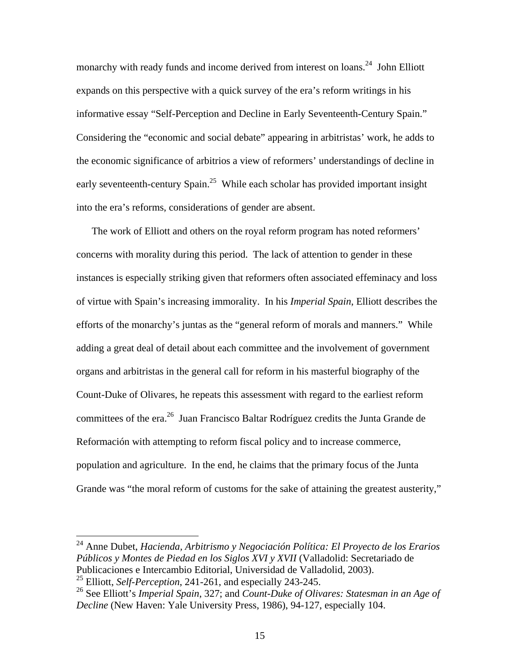monarchy with ready funds and income derived from interest on loans.<sup>24</sup> John Elliott expands on this perspective with a quick survey of the era's reform writings in his informative essay "Self-Perception and Decline in Early Seventeenth-Century Spain." Considering the "economic and social debate" appearing in arbitristas' work, he adds to the economic significance of arbitrios a view of reformers' understandings of decline in early seventeenth-century Spain.<sup>25</sup> While each scholar has provided important insight into the era's reforms, considerations of gender are absent.

The work of Elliott and others on the royal reform program has noted reformers' concerns with morality during this period. The lack of attention to gender in these instances is especially striking given that reformers often associated effeminacy and loss of virtue with Spain's increasing immorality. In his *Imperial Spain*, Elliott describes the efforts of the monarchy's juntas as the "general reform of morals and manners." While adding a great deal of detail about each committee and the involvement of government organs and arbitristas in the general call for reform in his masterful biography of the Count-Duke of Olivares, he repeats this assessment with regard to the earliest reform committees of the era.26 Juan Francisco Baltar Rodríguez credits the Junta Grande de Reformación with attempting to reform fiscal policy and to increase commerce, population and agriculture. In the end, he claims that the primary focus of the Junta Grande was "the moral reform of customs for the sake of attaining the greatest austerity,"

<sup>24</sup> Anne Dubet, *Hacienda, Arbitrismo y Negociación Política: El Proyecto de los Erarios Públicos y Montes de Piedad en los Siglos XVI y XVII* (Valladolid: Secretariado de Publicaciones e Intercambio Editorial, Universidad de Valladolid, 2003).

<sup>25</sup> Elliott, *Self-Perception*, 241-261, and especially 243-245.

<sup>26</sup> See Elliott's *Imperial Spain*, 327; and *Count-Duke of Olivares: Statesman in an Age of Decline* (New Haven: Yale University Press, 1986), 94-127, especially 104.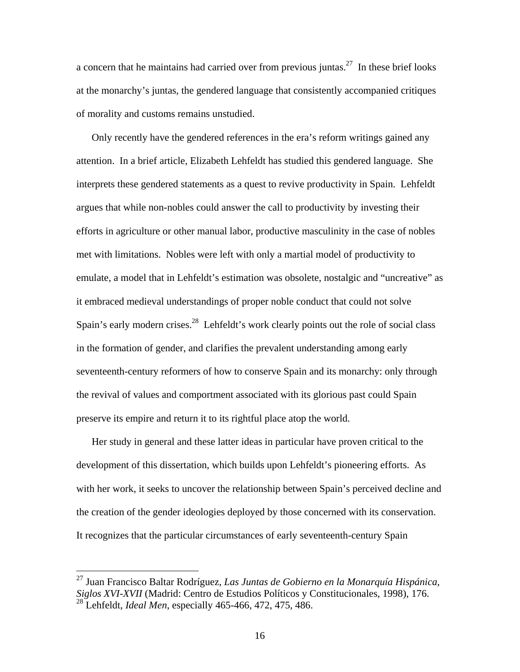a concern that he maintains had carried over from previous juntas.<sup>27</sup> In these brief looks at the monarchy's juntas, the gendered language that consistently accompanied critiques of morality and customs remains unstudied.

Only recently have the gendered references in the era's reform writings gained any attention. In a brief article, Elizabeth Lehfeldt has studied this gendered language. She interprets these gendered statements as a quest to revive productivity in Spain. Lehfeldt argues that while non-nobles could answer the call to productivity by investing their efforts in agriculture or other manual labor, productive masculinity in the case of nobles met with limitations. Nobles were left with only a martial model of productivity to emulate, a model that in Lehfeldt's estimation was obsolete, nostalgic and "uncreative" as it embraced medieval understandings of proper noble conduct that could not solve Spain's early modern crises.<sup>28</sup> Lehfeldt's work clearly points out the role of social class in the formation of gender, and clarifies the prevalent understanding among early seventeenth-century reformers of how to conserve Spain and its monarchy: only through the revival of values and comportment associated with its glorious past could Spain preserve its empire and return it to its rightful place atop the world.

Her study in general and these latter ideas in particular have proven critical to the development of this dissertation, which builds upon Lehfeldt's pioneering efforts. As with her work, it seeks to uncover the relationship between Spain's perceived decline and the creation of the gender ideologies deployed by those concerned with its conservation. It recognizes that the particular circumstances of early seventeenth-century Spain

<sup>27</sup> Juan Francisco Baltar Rodríguez, *Las Juntas de Gobierno en la Monarquía Hispánica, Siglos XVI-XVII* (Madrid: Centro de Estudios Políticos y Constitucionales, 1998), 176. 28 Lehfeldt, *Ideal Men*, especially 465-466, 472, 475, 486.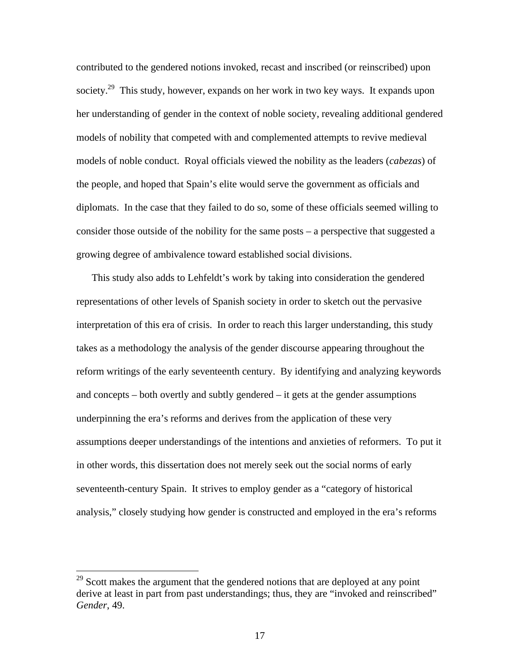contributed to the gendered notions invoked, recast and inscribed (or reinscribed) upon society.<sup>29</sup> This study, however, expands on her work in two key ways. It expands upon her understanding of gender in the context of noble society, revealing additional gendered models of nobility that competed with and complemented attempts to revive medieval models of noble conduct. Royal officials viewed the nobility as the leaders (*cabezas*) of the people, and hoped that Spain's elite would serve the government as officials and diplomats. In the case that they failed to do so, some of these officials seemed willing to consider those outside of the nobility for the same posts – a perspective that suggested a growing degree of ambivalence toward established social divisions.

This study also adds to Lehfeldt's work by taking into consideration the gendered representations of other levels of Spanish society in order to sketch out the pervasive interpretation of this era of crisis. In order to reach this larger understanding, this study takes as a methodology the analysis of the gender discourse appearing throughout the reform writings of the early seventeenth century. By identifying and analyzing keywords and concepts – both overtly and subtly gendered – it gets at the gender assumptions underpinning the era's reforms and derives from the application of these very assumptions deeper understandings of the intentions and anxieties of reformers. To put it in other words, this dissertation does not merely seek out the social norms of early seventeenth-century Spain. It strives to employ gender as a "category of historical analysis," closely studying how gender is constructed and employed in the era's reforms

 $29$  Scott makes the argument that the gendered notions that are deployed at any point derive at least in part from past understandings; thus, they are "invoked and reinscribed" *Gender*, 49.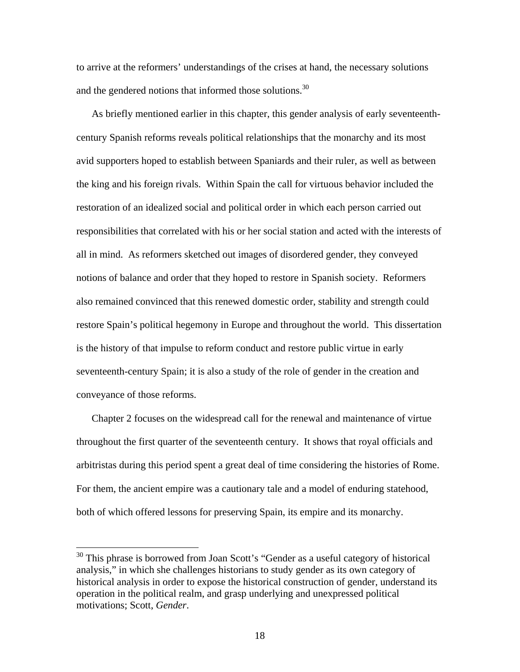to arrive at the reformers' understandings of the crises at hand, the necessary solutions and the gendered notions that informed those solutions.<sup>30</sup>

As briefly mentioned earlier in this chapter, this gender analysis of early seventeenthcentury Spanish reforms reveals political relationships that the monarchy and its most avid supporters hoped to establish between Spaniards and their ruler, as well as between the king and his foreign rivals. Within Spain the call for virtuous behavior included the restoration of an idealized social and political order in which each person carried out responsibilities that correlated with his or her social station and acted with the interests of all in mind. As reformers sketched out images of disordered gender, they conveyed notions of balance and order that they hoped to restore in Spanish society. Reformers also remained convinced that this renewed domestic order, stability and strength could restore Spain's political hegemony in Europe and throughout the world. This dissertation is the history of that impulse to reform conduct and restore public virtue in early seventeenth-century Spain; it is also a study of the role of gender in the creation and conveyance of those reforms.

Chapter 2 focuses on the widespread call for the renewal and maintenance of virtue throughout the first quarter of the seventeenth century. It shows that royal officials and arbitristas during this period spent a great deal of time considering the histories of Rome. For them, the ancient empire was a cautionary tale and a model of enduring statehood, both of which offered lessons for preserving Spain, its empire and its monarchy.

 $30$  This phrase is borrowed from Joan Scott's "Gender as a useful category of historical analysis," in which she challenges historians to study gender as its own category of historical analysis in order to expose the historical construction of gender, understand its operation in the political realm, and grasp underlying and unexpressed political motivations; Scott, *Gender*.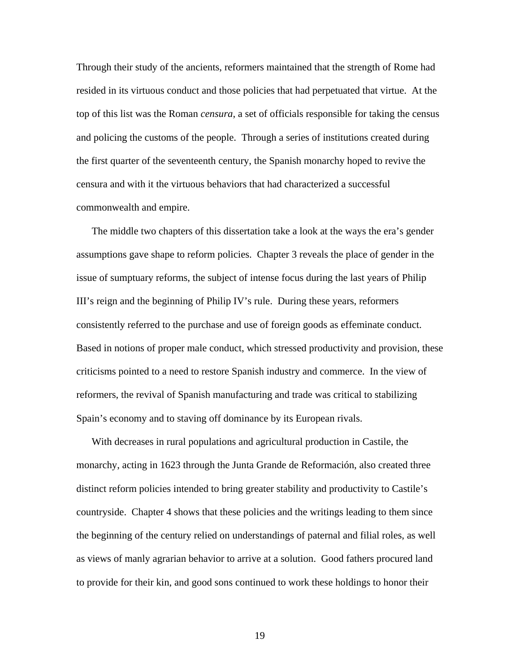Through their study of the ancients, reformers maintained that the strength of Rome had resided in its virtuous conduct and those policies that had perpetuated that virtue. At the top of this list was the Roman *censura*, a set of officials responsible for taking the census and policing the customs of the people. Through a series of institutions created during the first quarter of the seventeenth century, the Spanish monarchy hoped to revive the censura and with it the virtuous behaviors that had characterized a successful commonwealth and empire.

The middle two chapters of this dissertation take a look at the ways the era's gender assumptions gave shape to reform policies. Chapter 3 reveals the place of gender in the issue of sumptuary reforms, the subject of intense focus during the last years of Philip III's reign and the beginning of Philip IV's rule. During these years, reformers consistently referred to the purchase and use of foreign goods as effeminate conduct. Based in notions of proper male conduct, which stressed productivity and provision, these criticisms pointed to a need to restore Spanish industry and commerce. In the view of reformers, the revival of Spanish manufacturing and trade was critical to stabilizing Spain's economy and to staving off dominance by its European rivals.

With decreases in rural populations and agricultural production in Castile, the monarchy, acting in 1623 through the Junta Grande de Reformación, also created three distinct reform policies intended to bring greater stability and productivity to Castile's countryside. Chapter 4 shows that these policies and the writings leading to them since the beginning of the century relied on understandings of paternal and filial roles, as well as views of manly agrarian behavior to arrive at a solution. Good fathers procured land to provide for their kin, and good sons continued to work these holdings to honor their

19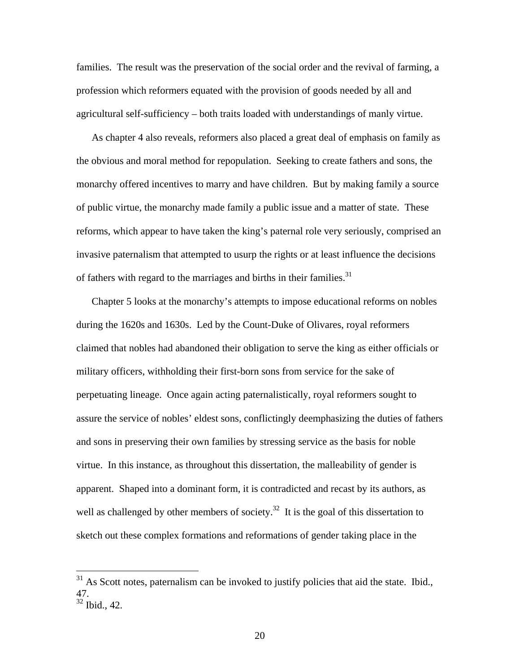families. The result was the preservation of the social order and the revival of farming, a profession which reformers equated with the provision of goods needed by all and agricultural self-sufficiency – both traits loaded with understandings of manly virtue.

As chapter 4 also reveals, reformers also placed a great deal of emphasis on family as the obvious and moral method for repopulation. Seeking to create fathers and sons, the monarchy offered incentives to marry and have children. But by making family a source of public virtue, the monarchy made family a public issue and a matter of state. These reforms, which appear to have taken the king's paternal role very seriously, comprised an invasive paternalism that attempted to usurp the rights or at least influence the decisions of fathers with regard to the marriages and births in their families.<sup>31</sup>

Chapter 5 looks at the monarchy's attempts to impose educational reforms on nobles during the 1620s and 1630s. Led by the Count-Duke of Olivares, royal reformers claimed that nobles had abandoned their obligation to serve the king as either officials or military officers, withholding their first-born sons from service for the sake of perpetuating lineage. Once again acting paternalistically, royal reformers sought to assure the service of nobles' eldest sons, conflictingly deemphasizing the duties of fathers and sons in preserving their own families by stressing service as the basis for noble virtue. In this instance, as throughout this dissertation, the malleability of gender is apparent. Shaped into a dominant form, it is contradicted and recast by its authors, as well as challenged by other members of society.<sup>32</sup> It is the goal of this dissertation to sketch out these complex formations and reformations of gender taking place in the

 $31$  As Scott notes, paternalism can be invoked to justify policies that aid the state. Ibid., 47.

 $32$  Ibid., 42.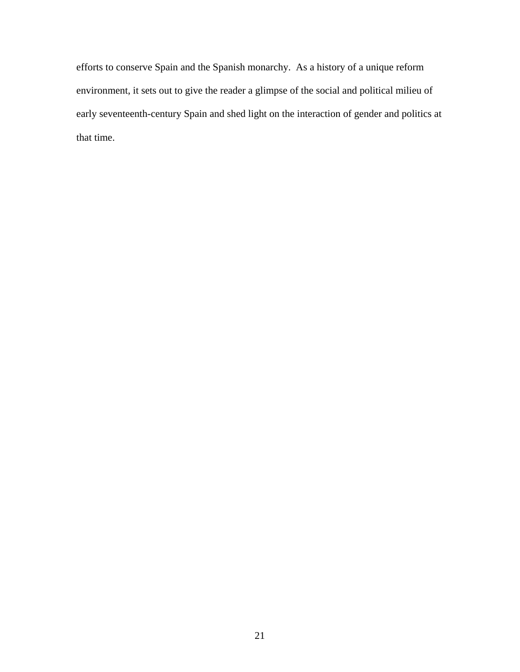efforts to conserve Spain and the Spanish monarchy. As a history of a unique reform environment, it sets out to give the reader a glimpse of the social and political milieu of early seventeenth-century Spain and shed light on the interaction of gender and politics at that time.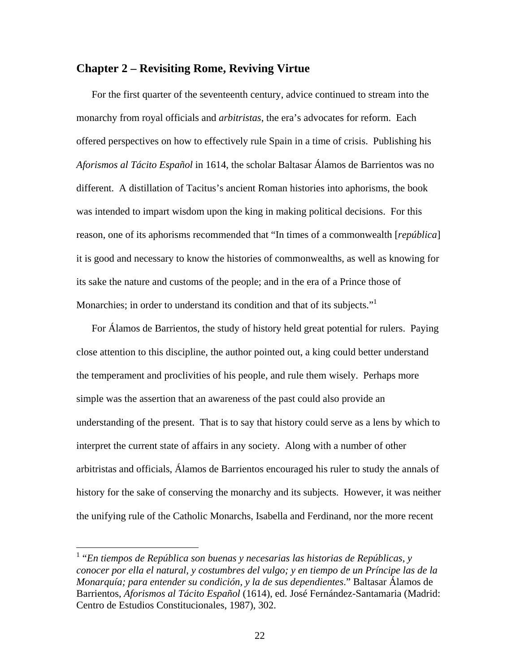### **Chapter 2 – Revisiting Rome, Reviving Virtue**

For the first quarter of the seventeenth century, advice continued to stream into the monarchy from royal officials and *arbitristas*, the era's advocates for reform. Each offered perspectives on how to effectively rule Spain in a time of crisis. Publishing his *Aforismos al Tácito Español* in 1614, the scholar Baltasar Álamos de Barrientos was no different. A distillation of Tacitus's ancient Roman histories into aphorisms, the book was intended to impart wisdom upon the king in making political decisions. For this reason, one of its aphorisms recommended that "In times of a commonwealth [*república*] it is good and necessary to know the histories of commonwealths, as well as knowing for its sake the nature and customs of the people; and in the era of a Prince those of Monarchies; in order to understand its condition and that of its subjects."<sup>1</sup>

For Álamos de Barrientos, the study of history held great potential for rulers. Paying close attention to this discipline, the author pointed out, a king could better understand the temperament and proclivities of his people, and rule them wisely. Perhaps more simple was the assertion that an awareness of the past could also provide an understanding of the present. That is to say that history could serve as a lens by which to interpret the current state of affairs in any society. Along with a number of other arbitristas and officials, Álamos de Barrientos encouraged his ruler to study the annals of history for the sake of conserving the monarchy and its subjects. However, it was neither the unifying rule of the Catholic Monarchs, Isabella and Ferdinand, nor the more recent

<sup>&</sup>lt;sup>1</sup> "En tiempos de República son buenas y necesarias las historias de Repúblicas, y *conocer por ella el natural, y costumbres del vulgo; y en tiempo de un Príncipe las de la Monarquía; para entender su condición, y la de sus dependientes*." Baltasar Álamos de Barrientos, *Aforismos al Tácito Español* (1614), ed. José Fernández-Santamaria (Madrid: Centro de Estudios Constitucionales, 1987), 302.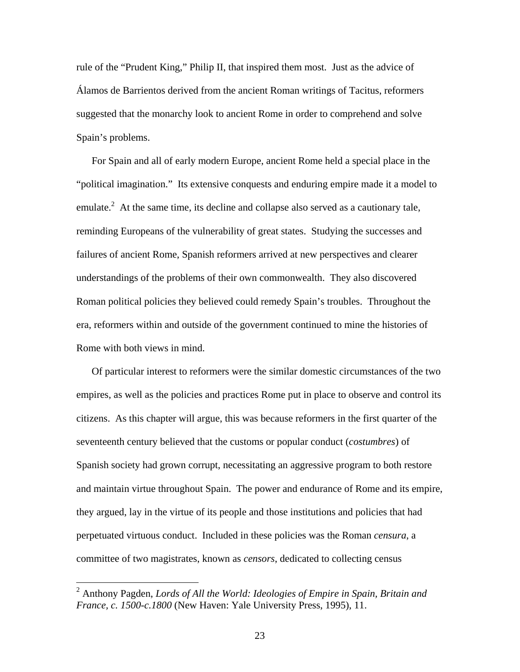rule of the "Prudent King," Philip II, that inspired them most. Just as the advice of Álamos de Barrientos derived from the ancient Roman writings of Tacitus, reformers suggested that the monarchy look to ancient Rome in order to comprehend and solve Spain's problems.

For Spain and all of early modern Europe, ancient Rome held a special place in the "political imagination." Its extensive conquests and enduring empire made it a model to emulate.<sup>2</sup> At the same time, its decline and collapse also served as a cautionary tale, reminding Europeans of the vulnerability of great states. Studying the successes and failures of ancient Rome, Spanish reformers arrived at new perspectives and clearer understandings of the problems of their own commonwealth. They also discovered Roman political policies they believed could remedy Spain's troubles. Throughout the era, reformers within and outside of the government continued to mine the histories of Rome with both views in mind.

Of particular interest to reformers were the similar domestic circumstances of the two empires, as well as the policies and practices Rome put in place to observe and control its citizens. As this chapter will argue, this was because reformers in the first quarter of the seventeenth century believed that the customs or popular conduct (*costumbres*) of Spanish society had grown corrupt, necessitating an aggressive program to both restore and maintain virtue throughout Spain. The power and endurance of Rome and its empire, they argued, lay in the virtue of its people and those institutions and policies that had perpetuated virtuous conduct. Included in these policies was the Roman *censura*, a committee of two magistrates, known as *censors*, dedicated to collecting census

<sup>2</sup> Anthony Pagden, *Lords of All the World: Ideologies of Empire in Spain, Britain and France, c. 1500-c.1800* (New Haven: Yale University Press, 1995), 11.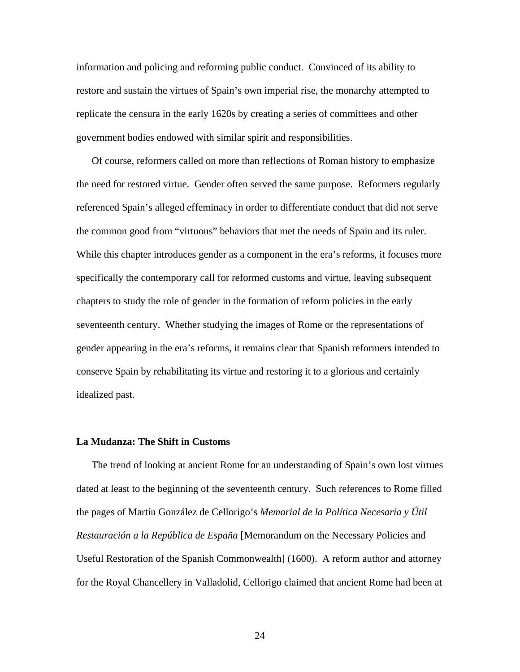information and policing and reforming public conduct. Convinced of its ability to restore and sustain the virtues of Spain's own imperial rise, the monarchy attempted to replicate the censura in the early 1620s by creating a series of committees and other government bodies endowed with similar spirit and responsibilities.

Of course, reformers called on more than reflections of Roman history to emphasize the need for restored virtue. Gender often served the same purpose. Reformers regularly referenced Spain's alleged effeminacy in order to differentiate conduct that did not serve the common good from "virtuous" behaviors that met the needs of Spain and its ruler. While this chapter introduces gender as a component in the era's reforms, it focuses more specifically the contemporary call for reformed customs and virtue, leaving subsequent chapters to study the role of gender in the formation of reform policies in the early seventeenth century. Whether studying the images of Rome or the representations of gender appearing in the era's reforms, it remains clear that Spanish reformers intended to conserve Spain by rehabilitating its virtue and restoring it to a glorious and certainly idealized past.

#### **La Mudanza: The Shift in Customs**

The trend of looking at ancient Rome for an understanding of Spain's own lost virtues dated at least to the beginning of the seventeenth century. Such references to Rome filled the pages of Martín González de Cellorigo's *Memorial de la Política Necesaria y Útil Restauración a la República de España* [Memorandum on the Necessary Policies and Useful Restoration of the Spanish Commonwealth] (1600). A reform author and attorney for the Royal Chancellery in Valladolid, Cellorigo claimed that ancient Rome had been at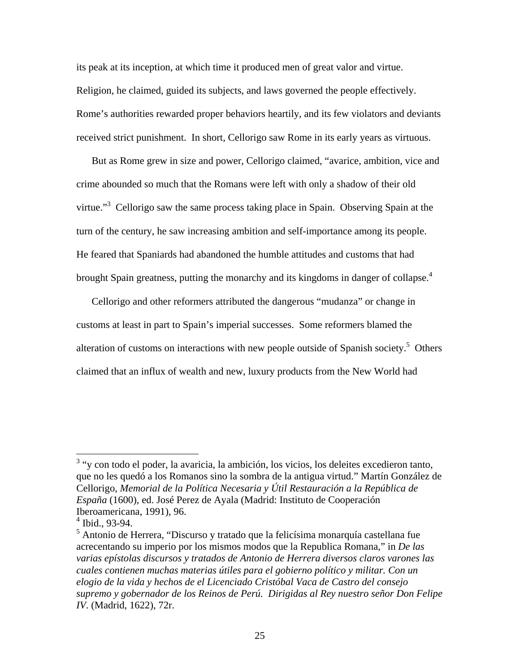its peak at its inception, at which time it produced men of great valor and virtue. Religion, he claimed, guided its subjects, and laws governed the people effectively. Rome's authorities rewarded proper behaviors heartily, and its few violators and deviants received strict punishment. In short, Cellorigo saw Rome in its early years as virtuous.

But as Rome grew in size and power, Cellorigo claimed, "avarice, ambition, vice and crime abounded so much that the Romans were left with only a shadow of their old virtue."<sup>3</sup> Cellorigo saw the same process taking place in Spain. Observing Spain at the turn of the century, he saw increasing ambition and self-importance among its people. He feared that Spaniards had abandoned the humble attitudes and customs that had brought Spain greatness, putting the monarchy and its kingdoms in danger of collapse.<sup>4</sup>

Cellorigo and other reformers attributed the dangerous "mudanza" or change in customs at least in part to Spain's imperial successes. Some reformers blamed the alteration of customs on interactions with new people outside of Spanish society.<sup>5</sup> Others claimed that an influx of wealth and new, luxury products from the New World had

<sup>&</sup>lt;sup>3</sup> "y con todo el poder, la avaricia, la ambición, los vicios, los deleites excedieron tanto, que no les quedó a los Romanos sino la sombra de la antigua virtud." Martín González de Cellorigo, *Memorial de la Política Necesaria y Útil Restauración a la República de España* (1600), ed. José Perez de Ayala (Madrid: Instituto de Cooperación Iberoamericana, 1991), 96.

 $4$  Ibid., 93-94.

<sup>&</sup>lt;sup>5</sup> Antonio de Herrera, "Discurso y tratado que la felicísima monarquía castellana fue acrecentando su imperio por los mismos modos que la Republica Romana," in *De las varias epístolas discursos y tratados de Antonio de Herrera diversos claros varones las cuales contienen muchas materias útiles para el gobierno político y militar. Con un elogio de la vida y hechos de el Licenciado Cristóbal Vaca de Castro del consejo supremo y gobernador de los Reinos de Perú. Dirigidas al Rey nuestro señor Don Felipe IV*. (Madrid, 1622), 72r.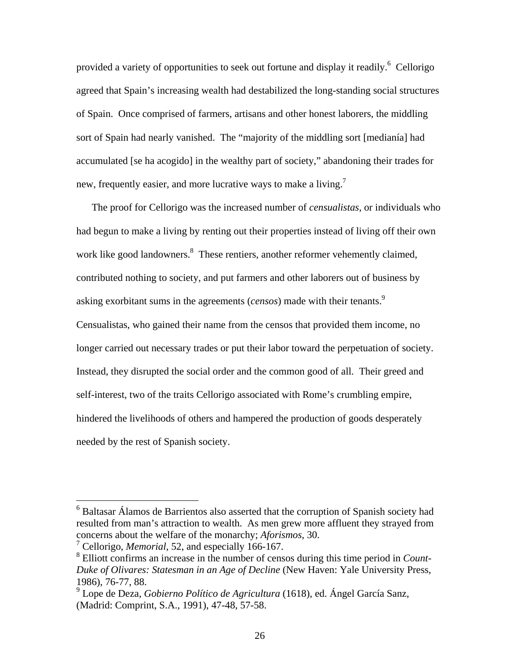provided a variety of opportunities to seek out fortune and display it readily.<sup>6</sup> Cellorigo agreed that Spain's increasing wealth had destabilized the long-standing social structures of Spain. Once comprised of farmers, artisans and other honest laborers, the middling sort of Spain had nearly vanished. The "majority of the middling sort [medianía] had accumulated [se ha acogido] in the wealthy part of society," abandoning their trades for new, frequently easier, and more lucrative ways to make a living.<sup>7</sup>

The proof for Cellorigo was the increased number of *censualistas*, or individuals who had begun to make a living by renting out their properties instead of living off their own work like good landowners.<sup>8</sup> These rentiers, another reformer vehemently claimed, contributed nothing to society, and put farmers and other laborers out of business by asking exorbitant sums in the agreements (*censos*) made with their tenants.9 Censualistas, who gained their name from the censos that provided them income, no longer carried out necessary trades or put their labor toward the perpetuation of society. Instead, they disrupted the social order and the common good of all. Their greed and self-interest, two of the traits Cellorigo associated with Rome's crumbling empire, hindered the livelihoods of others and hampered the production of goods desperately needed by the rest of Spanish society.

<sup>&</sup>lt;sup>6</sup> Baltasar Álamos de Barrientos also asserted that the corruption of Spanish society had resulted from man's attraction to wealth. As men grew more affluent they strayed from concerns about the welfare of the monarchy; *Aforismos*, 30.

<sup>7</sup> Cellorigo, *Memorial*, 52, and especially 166-167.

<sup>8</sup> Elliott confirms an increase in the number of censos during this time period in *Count-Duke of Olivares: Statesman in an Age of Decline* (New Haven: Yale University Press, 1986), 76-77, 88.

<sup>9</sup> Lope de Deza, *Gobierno Político de Agricultura* (1618), ed. Ángel García Sanz, (Madrid: Comprint, S.A., 1991), 47-48, 57-58.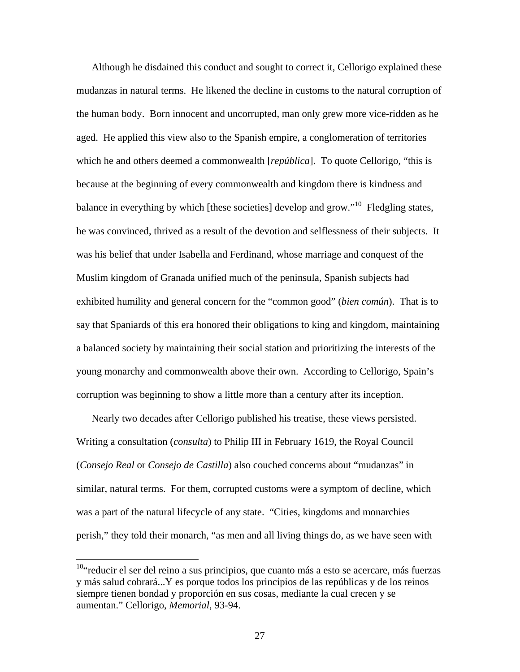Although he disdained this conduct and sought to correct it, Cellorigo explained these mudanzas in natural terms. He likened the decline in customs to the natural corruption of the human body. Born innocent and uncorrupted, man only grew more vice-ridden as he aged. He applied this view also to the Spanish empire, a conglomeration of territories which he and others deemed a commonwealth [*república*]. To quote Cellorigo, "this is because at the beginning of every commonwealth and kingdom there is kindness and balance in everything by which [these societies] develop and grow."<sup>10</sup> Fledgling states, he was convinced, thrived as a result of the devotion and selflessness of their subjects. It was his belief that under Isabella and Ferdinand, whose marriage and conquest of the Muslim kingdom of Granada unified much of the peninsula, Spanish subjects had exhibited humility and general concern for the "common good" (*bien común*). That is to say that Spaniards of this era honored their obligations to king and kingdom, maintaining a balanced society by maintaining their social station and prioritizing the interests of the young monarchy and commonwealth above their own. According to Cellorigo, Spain's corruption was beginning to show a little more than a century after its inception.

Nearly two decades after Cellorigo published his treatise, these views persisted. Writing a consultation (*consulta*) to Philip III in February 1619, the Royal Council (*Consejo Real* or *Consejo de Castilla*) also couched concerns about "mudanzas" in similar, natural terms. For them, corrupted customs were a symptom of decline, which was a part of the natural lifecycle of any state. "Cities, kingdoms and monarchies perish," they told their monarch, "as men and all living things do, as we have seen with

<sup>&</sup>lt;sup>10</sup>"reducir el ser del reino a sus principios, que cuanto más a esto se acercare, más fuerzas y más salud cobrará...Y es porque todos los principios de las repúblicas y de los reinos siempre tienen bondad y proporción en sus cosas, mediante la cual crecen y se aumentan." Cellorigo, *Memorial*, 93-94.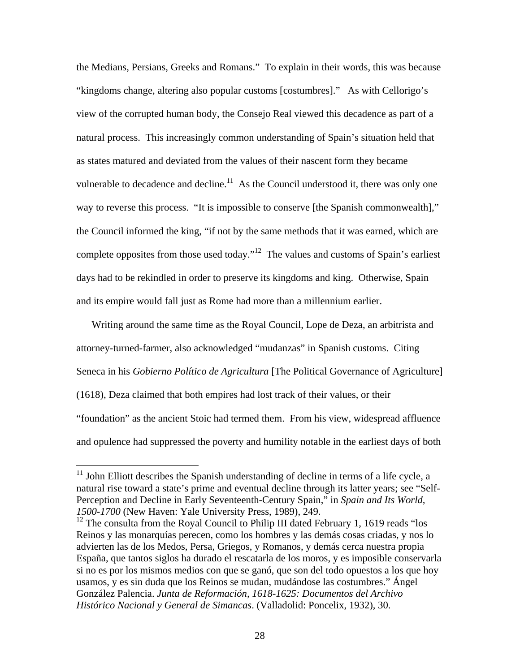the Medians, Persians, Greeks and Romans." To explain in their words, this was because "kingdoms change, altering also popular customs [costumbres]." As with Cellorigo's view of the corrupted human body, the Consejo Real viewed this decadence as part of a natural process. This increasingly common understanding of Spain's situation held that as states matured and deviated from the values of their nascent form they became vulnerable to decadence and decline.<sup>11</sup> As the Council understood it, there was only one way to reverse this process. "It is impossible to conserve [the Spanish commonwealth]," the Council informed the king, "if not by the same methods that it was earned, which are complete opposites from those used today."<sup>12</sup> The values and customs of Spain's earliest days had to be rekindled in order to preserve its kingdoms and king. Otherwise, Spain and its empire would fall just as Rome had more than a millennium earlier.

Writing around the same time as the Royal Council, Lope de Deza, an arbitrista and attorney-turned-farmer, also acknowledged "mudanzas" in Spanish customs. Citing Seneca in his *Gobierno Político de Agricultura* [The Political Governance of Agriculture] (1618), Deza claimed that both empires had lost track of their values, or their "foundation" as the ancient Stoic had termed them. From his view, widespread affluence and opulence had suppressed the poverty and humility notable in the earliest days of both

 $11$  John Elliott describes the Spanish understanding of decline in terms of a life cycle, a natural rise toward a state's prime and eventual decline through its latter years; see "Self-Perception and Decline in Early Seventeenth-Century Spain," in *Spain and Its World, 1500-1700* (New Haven: Yale University Press, 1989), 249.

 $12$  The consulta from the Royal Council to Philip III dated February 1, 1619 reads "los Reinos y las monarquías perecen, como los hombres y las demás cosas criadas, y nos lo advierten las de los Medos, Persa, Griegos, y Romanos, y demás cerca nuestra propia España, que tantos siglos ha durado el rescatarla de los moros, y es imposible conservarla si no es por los mismos medios con que se ganó, que son del todo opuestos a los que hoy usamos, y es sin duda que los Reinos se mudan, mudándose las costumbres." Ángel González Palencia. *Junta de Reformación, 1618-1625: Documentos del Archivo Histórico Nacional y General de Simancas*. (Valladolid: Poncelix, 1932), 30.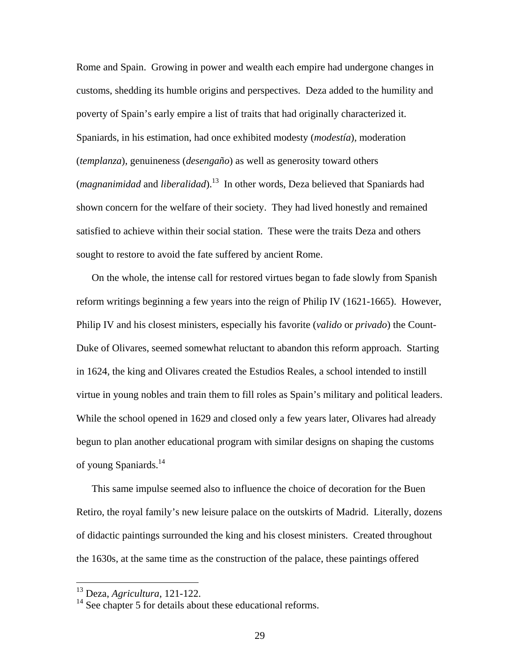Rome and Spain. Growing in power and wealth each empire had undergone changes in customs, shedding its humble origins and perspectives. Deza added to the humility and poverty of Spain's early empire a list of traits that had originally characterized it. Spaniards, in his estimation, had once exhibited modesty (*modestía*), moderation (*templanza*), genuineness (*desengaño*) as well as generosity toward others (*magnanimidad* and *liberalidad*).13 In other words, Deza believed that Spaniards had shown concern for the welfare of their society. They had lived honestly and remained satisfied to achieve within their social station. These were the traits Deza and others sought to restore to avoid the fate suffered by ancient Rome.

On the whole, the intense call for restored virtues began to fade slowly from Spanish reform writings beginning a few years into the reign of Philip IV (1621-1665). However, Philip IV and his closest ministers, especially his favorite (*valido* or *privado*) the Count-Duke of Olivares, seemed somewhat reluctant to abandon this reform approach. Starting in 1624, the king and Olivares created the Estudios Reales, a school intended to instill virtue in young nobles and train them to fill roles as Spain's military and political leaders. While the school opened in 1629 and closed only a few years later, Olivares had already begun to plan another educational program with similar designs on shaping the customs of young Spaniards.<sup>14</sup>

This same impulse seemed also to influence the choice of decoration for the Buen Retiro, the royal family's new leisure palace on the outskirts of Madrid. Literally, dozens of didactic paintings surrounded the king and his closest ministers. Created throughout the 1630s, at the same time as the construction of the palace, these paintings offered

<sup>13</sup> Deza, *Agricultura*, 121-122.

 $14$  See chapter 5 for details about these educational reforms.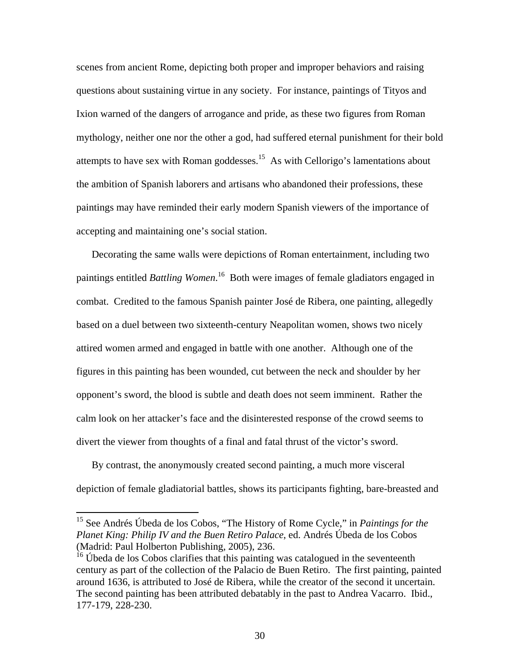scenes from ancient Rome, depicting both proper and improper behaviors and raising questions about sustaining virtue in any society. For instance, paintings of Tityos and Ixion warned of the dangers of arrogance and pride, as these two figures from Roman mythology, neither one nor the other a god, had suffered eternal punishment for their bold attempts to have sex with Roman goddesses.<sup>15</sup> As with Cellorigo's lamentations about the ambition of Spanish laborers and artisans who abandoned their professions, these paintings may have reminded their early modern Spanish viewers of the importance of accepting and maintaining one's social station.

Decorating the same walls were depictions of Roman entertainment, including two paintings entitled *Battling Women*. 16 Both were images of female gladiators engaged in combat. Credited to the famous Spanish painter José de Ribera, one painting, allegedly based on a duel between two sixteenth-century Neapolitan women, shows two nicely attired women armed and engaged in battle with one another. Although one of the figures in this painting has been wounded, cut between the neck and shoulder by her opponent's sword, the blood is subtle and death does not seem imminent. Rather the calm look on her attacker's face and the disinterested response of the crowd seems to divert the viewer from thoughts of a final and fatal thrust of the victor's sword.

By contrast, the anonymously created second painting, a much more visceral depiction of female gladiatorial battles, shows its participants fighting, bare-breasted and

1

<sup>15</sup> See Andrés Úbeda de los Cobos, "The History of Rome Cycle," in *Paintings for the Planet King: Philip IV and the Buen Retiro Palace*, ed. Andrés Úbeda de los Cobos (Madrid: Paul Holberton Publishing, 2005), 236.

<sup>&</sup>lt;sup>16</sup> Úbeda de los Cobos clarifies that this painting was catalogued in the seventeenth century as part of the collection of the Palacio de Buen Retiro. The first painting, painted around 1636, is attributed to José de Ribera, while the creator of the second it uncertain. The second painting has been attributed debatably in the past to Andrea Vacarro. Ibid., 177-179, 228-230.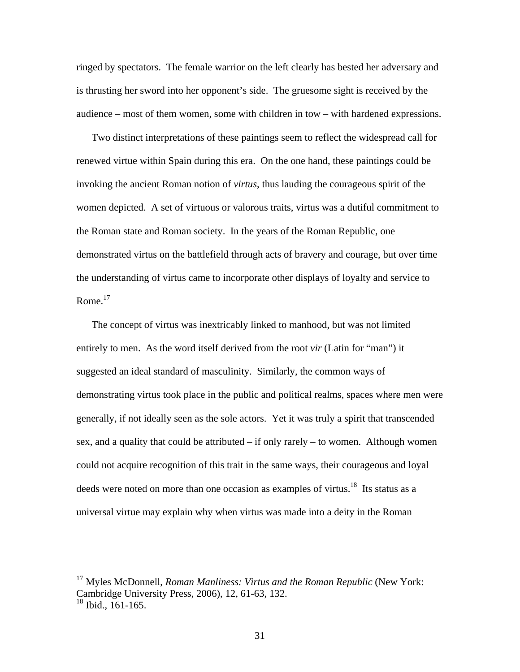ringed by spectators. The female warrior on the left clearly has bested her adversary and is thrusting her sword into her opponent's side. The gruesome sight is received by the audience – most of them women, some with children in tow – with hardened expressions.

Two distinct interpretations of these paintings seem to reflect the widespread call for renewed virtue within Spain during this era. On the one hand, these paintings could be invoking the ancient Roman notion of *virtus*, thus lauding the courageous spirit of the women depicted. A set of virtuous or valorous traits, virtus was a dutiful commitment to the Roman state and Roman society. In the years of the Roman Republic, one demonstrated virtus on the battlefield through acts of bravery and courage, but over time the understanding of virtus came to incorporate other displays of loyalty and service to Rome. $17$ 

The concept of virtus was inextricably linked to manhood, but was not limited entirely to men. As the word itself derived from the root *vir* (Latin for "man") it suggested an ideal standard of masculinity. Similarly, the common ways of demonstrating virtus took place in the public and political realms, spaces where men were generally, if not ideally seen as the sole actors. Yet it was truly a spirit that transcended sex, and a quality that could be attributed – if only rarely – to women. Although women could not acquire recognition of this trait in the same ways, their courageous and loyal deeds were noted on more than one occasion as examples of virtus.<sup>18</sup> Its status as a universal virtue may explain why when virtus was made into a deity in the Roman

<sup>17</sup> Myles McDonnell, *Roman Manliness: Virtus and the Roman Republic* (New York: Cambridge University Press, 2006), 12, 61-63, 132.

 $18$  Ibid., 161-165.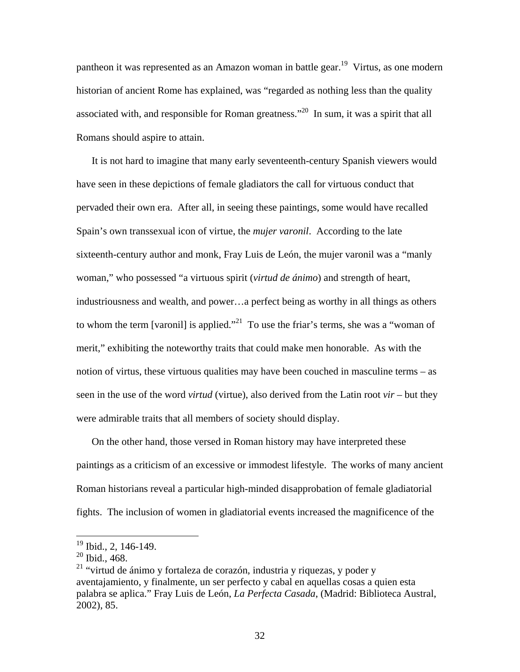pantheon it was represented as an Amazon woman in battle gear.<sup>19</sup> Virtus, as one modern historian of ancient Rome has explained, was "regarded as nothing less than the quality associated with, and responsible for Roman greatness."20 In sum, it was a spirit that all Romans should aspire to attain.

It is not hard to imagine that many early seventeenth-century Spanish viewers would have seen in these depictions of female gladiators the call for virtuous conduct that pervaded their own era. After all, in seeing these paintings, some would have recalled Spain's own transsexual icon of virtue, the *mujer varonil*. According to the late sixteenth-century author and monk, Fray Luis de León, the mujer varonil was a "manly woman," who possessed "a virtuous spirit (*virtud de ánimo*) and strength of heart, industriousness and wealth, and power…a perfect being as worthy in all things as others to whom the term [varonil] is applied."<sup>21</sup> To use the friar's terms, she was a "woman of merit," exhibiting the noteworthy traits that could make men honorable. As with the notion of virtus, these virtuous qualities may have been couched in masculine terms – as seen in the use of the word *virtud* (virtue), also derived from the Latin root *vir* – but they were admirable traits that all members of society should display.

On the other hand, those versed in Roman history may have interpreted these paintings as a criticism of an excessive or immodest lifestyle. The works of many ancient Roman historians reveal a particular high-minded disapprobation of female gladiatorial fights. The inclusion of women in gladiatorial events increased the magnificence of the

 $19$  Ibid., 2, 146-149.

<sup>20</sup> Ibid., 468.

 $21$  "virtud de ánimo y fortaleza de corazón, industria y riquezas, y poder y aventajamiento, y finalmente, un ser perfecto y cabal en aquellas cosas a quien esta palabra se aplica." Fray Luis de León, *La Perfecta Casada*, (Madrid: Biblioteca Austral, 2002), 85.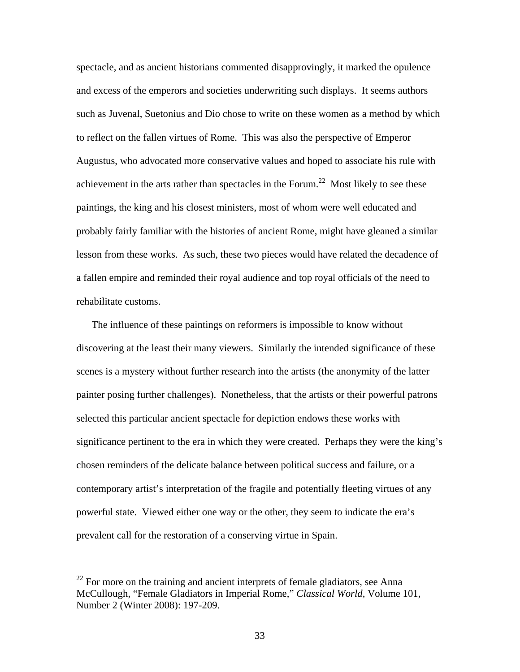spectacle, and as ancient historians commented disapprovingly, it marked the opulence and excess of the emperors and societies underwriting such displays. It seems authors such as Juvenal, Suetonius and Dio chose to write on these women as a method by which to reflect on the fallen virtues of Rome. This was also the perspective of Emperor Augustus, who advocated more conservative values and hoped to associate his rule with achievement in the arts rather than spectacles in the Forum.<sup>22</sup> Most likely to see these paintings, the king and his closest ministers, most of whom were well educated and probably fairly familiar with the histories of ancient Rome, might have gleaned a similar lesson from these works. As such, these two pieces would have related the decadence of a fallen empire and reminded their royal audience and top royal officials of the need to rehabilitate customs.

The influence of these paintings on reformers is impossible to know without discovering at the least their many viewers. Similarly the intended significance of these scenes is a mystery without further research into the artists (the anonymity of the latter painter posing further challenges). Nonetheless, that the artists or their powerful patrons selected this particular ancient spectacle for depiction endows these works with significance pertinent to the era in which they were created. Perhaps they were the king's chosen reminders of the delicate balance between political success and failure, or a contemporary artist's interpretation of the fragile and potentially fleeting virtues of any powerful state. Viewed either one way or the other, they seem to indicate the era's prevalent call for the restoration of a conserving virtue in Spain.

 $22$  For more on the training and ancient interprets of female gladiators, see Anna McCullough, "Female Gladiators in Imperial Rome," *Classical World*, Volume 101, Number 2 (Winter 2008): 197-209.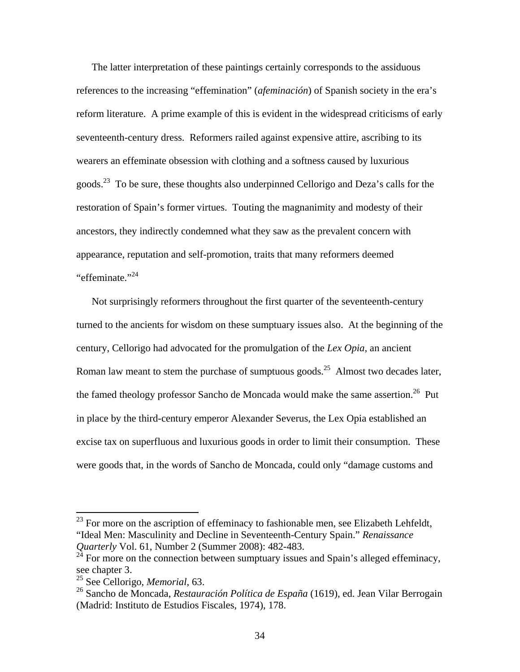The latter interpretation of these paintings certainly corresponds to the assiduous references to the increasing "effemination" (*afeminación*) of Spanish society in the era's reform literature. A prime example of this is evident in the widespread criticisms of early seventeenth-century dress. Reformers railed against expensive attire, ascribing to its wearers an effeminate obsession with clothing and a softness caused by luxurious goods.<sup>23</sup> To be sure, these thoughts also underpinned Cellorigo and Deza's calls for the restoration of Spain's former virtues. Touting the magnanimity and modesty of their ancestors, they indirectly condemned what they saw as the prevalent concern with appearance, reputation and self-promotion, traits that many reformers deemed "effeminate."<sup>24</sup>

Not surprisingly reformers throughout the first quarter of the seventeenth-century turned to the ancients for wisdom on these sumptuary issues also. At the beginning of the century, Cellorigo had advocated for the promulgation of the *Lex Opia*, an ancient Roman law meant to stem the purchase of sumptuous goods.<sup>25</sup> Almost two decades later, the famed theology professor Sancho de Moncada would make the same assertion.<sup>26</sup> Put in place by the third-century emperor Alexander Severus, the Lex Opia established an excise tax on superfluous and luxurious goods in order to limit their consumption. These were goods that, in the words of Sancho de Moncada, could only "damage customs and

 $23$  For more on the ascription of effeminacy to fashionable men, see Elizabeth Lehfeldt, "Ideal Men: Masculinity and Decline in Seventeenth-Century Spain." *Renaissance Quarterly* Vol. 61, Number 2 (Summer 2008): 482-483.

For more on the connection between sumptuary issues and Spain's alleged effeminacy, see chapter 3.

<sup>25</sup> See Cellorigo, *Memorial*, 63.

<sup>26</sup> Sancho de Moncada, *Restauración Política de España* (1619), ed. Jean Vilar Berrogain (Madrid: Instituto de Estudios Fiscales, 1974), 178.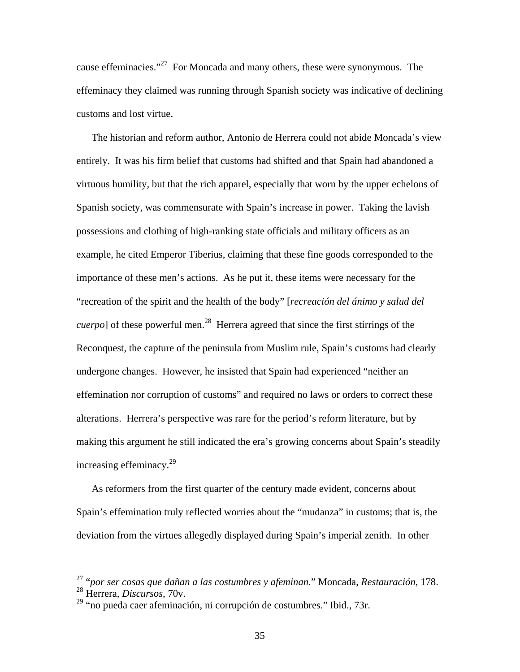cause effeminacies."<sup>27</sup> For Moncada and many others, these were synonymous. The effeminacy they claimed was running through Spanish society was indicative of declining customs and lost virtue.

The historian and reform author, Antonio de Herrera could not abide Moncada's view entirely. It was his firm belief that customs had shifted and that Spain had abandoned a virtuous humility, but that the rich apparel, especially that worn by the upper echelons of Spanish society, was commensurate with Spain's increase in power. Taking the lavish possessions and clothing of high-ranking state officials and military officers as an example, he cited Emperor Tiberius, claiming that these fine goods corresponded to the importance of these men's actions. As he put it, these items were necessary for the "recreation of the spirit and the health of the body" [*recreación del ánimo y salud del cuerpo*] of these powerful men.<sup>28</sup> Herrera agreed that since the first stirrings of the Reconquest, the capture of the peninsula from Muslim rule, Spain's customs had clearly undergone changes. However, he insisted that Spain had experienced "neither an effemination nor corruption of customs" and required no laws or orders to correct these alterations. Herrera's perspective was rare for the period's reform literature, but by making this argument he still indicated the era's growing concerns about Spain's steadily increasing effeminacy. $^{29}$ 

As reformers from the first quarter of the century made evident, concerns about Spain's effemination truly reflected worries about the "mudanza" in customs; that is, the deviation from the virtues allegedly displayed during Spain's imperial zenith. In other

<sup>27 &</sup>quot;*por ser cosas que dañan a las costumbres y afeminan*." Moncada, *Restauración*, 178.

<sup>28</sup> Herrera, *Discursos*, 70v.

 $29$  "no pueda caer afeminación, ni corrupción de costumbres." Ibid., 73r.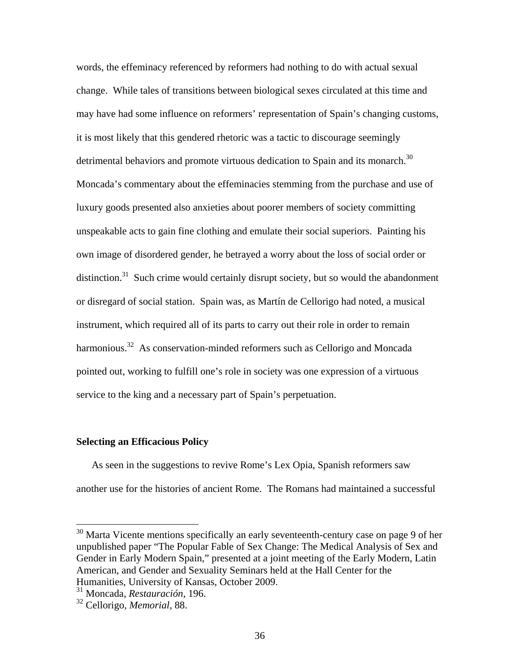words, the effeminacy referenced by reformers had nothing to do with actual sexual change. While tales of transitions between biological sexes circulated at this time and may have had some influence on reformers' representation of Spain's changing customs, it is most likely that this gendered rhetoric was a tactic to discourage seemingly detrimental behaviors and promote virtuous dedication to Spain and its monarch.<sup>30</sup> Moncada's commentary about the effeminacies stemming from the purchase and use of luxury goods presented also anxieties about poorer members of society committing unspeakable acts to gain fine clothing and emulate their social superiors. Painting his own image of disordered gender, he betrayed a worry about the loss of social order or distinction.<sup>31</sup> Such crime would certainly disrupt society, but so would the abandonment or disregard of social station. Spain was, as Martín de Cellorigo had noted, a musical instrument, which required all of its parts to carry out their role in order to remain harmonious.<sup>32</sup> As conservation-minded reformers such as Cellorigo and Moncada pointed out, working to fulfill one's role in society was one expression of a virtuous service to the king and a necessary part of Spain's perpetuation.

## **Selecting an Efficacious Policy**

As seen in the suggestions to revive Rome's Lex Opia, Spanish reformers saw another use for the histories of ancient Rome. The Romans had maintained a successful

 $30$  Marta Vicente mentions specifically an early seventeenth-century case on page 9 of her unpublished paper "The Popular Fable of Sex Change: The Medical Analysis of Sex and Gender in Early Modern Spain," presented at a joint meeting of the Early Modern, Latin American, and Gender and Sexuality Seminars held at the Hall Center for the Humanities, University of Kansas, October 2009.

<sup>31</sup> Moncada, *Restauración*, 196.

<sup>32</sup> Cellorigo, *Memorial*, 88.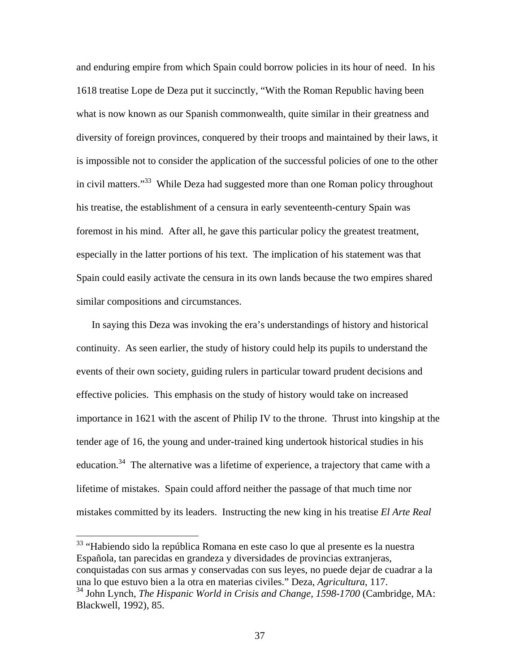and enduring empire from which Spain could borrow policies in its hour of need. In his 1618 treatise Lope de Deza put it succinctly, "With the Roman Republic having been what is now known as our Spanish commonwealth, quite similar in their greatness and diversity of foreign provinces, conquered by their troops and maintained by their laws, it is impossible not to consider the application of the successful policies of one to the other in civil matters."33 While Deza had suggested more than one Roman policy throughout his treatise, the establishment of a censura in early seventeenth-century Spain was foremost in his mind. After all, he gave this particular policy the greatest treatment, especially in the latter portions of his text. The implication of his statement was that Spain could easily activate the censura in its own lands because the two empires shared similar compositions and circumstances.

In saying this Deza was invoking the era's understandings of history and historical continuity. As seen earlier, the study of history could help its pupils to understand the events of their own society, guiding rulers in particular toward prudent decisions and effective policies. This emphasis on the study of history would take on increased importance in 1621 with the ascent of Philip IV to the throne. Thrust into kingship at the tender age of 16, the young and under-trained king undertook historical studies in his education.<sup>34</sup> The alternative was a lifetime of experience, a trajectory that came with a lifetime of mistakes. Spain could afford neither the passage of that much time nor mistakes committed by its leaders. Instructing the new king in his treatise *El Arte Real* 

<sup>&</sup>lt;sup>33</sup> "Habiendo sido la república Romana en este caso lo que al presente es la nuestra Española, tan parecidas en grandeza y diversidades de provincias extranjeras, conquistadas con sus armas y conservadas con sus leyes, no puede dejar de cuadrar a la una lo que estuvo bien a la otra en materias civiles." Deza, *Agricultura*, 117.

<sup>34</sup> John Lynch, *The Hispanic World in Crisis and Change, 1598-1700* (Cambridge, MA: Blackwell, 1992), 85.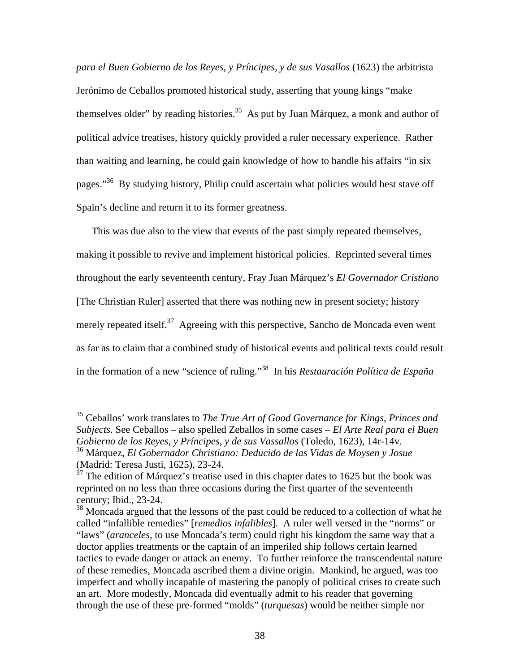*para el Buen Gobierno de los Reyes, y Príncipes, y de sus Vasallos* (1623) the arbitrista Jerónimo de Ceballos promoted historical study, asserting that young kings "make themselves older" by reading histories.<sup>35</sup> As put by Juan Márquez, a monk and author of political advice treatises, history quickly provided a ruler necessary experience. Rather than waiting and learning, he could gain knowledge of how to handle his affairs "in six pages."36 By studying history, Philip could ascertain what policies would best stave off Spain's decline and return it to its former greatness.

This was due also to the view that events of the past simply repeated themselves, making it possible to revive and implement historical policies. Reprinted several times throughout the early seventeenth century, Fray Juan Márquez's *El Governador Cristiano* [The Christian Ruler] asserted that there was nothing new in present society; history merely repeated itself.<sup>37</sup> Agreeing with this perspective, Sancho de Moncada even went as far as to claim that a combined study of historical events and political texts could result in the formation of a new "science of ruling."38 In his *Restauración Política de España*

<sup>35</sup> Ceballos' work translates to *The True Art of Good Governance for Kings, Princes and Subjects*. See Ceballos – also spelled Zeballos in some cases – *El Arte Real para el Buen Gobierno de los Reyes, y Príncipes, y de sus Vassallos* (Toledo, 1623), 14r-14v. 36 Márquez, *El Gobernador Christiano: Deducido de las Vidas de Moysen y Josue*

<sup>(</sup>Madrid: Teresa Justi, 1625), 23-24.

 $37$  The edition of Márquez's treatise used in this chapter dates to 1625 but the book was reprinted on no less than three occasions during the first quarter of the seventeenth century; Ibid., 23-24.

<sup>&</sup>lt;sup>38</sup> Moncada argued that the lessons of the past could be reduced to a collection of what he called "infallible remedies" [*remedios infalibles*]. A ruler well versed in the "norms" or "laws" (*aranceles*, to use Moncada's term) could right his kingdom the same way that a doctor applies treatments or the captain of an imperiled ship follows certain learned tactics to evade danger or attack an enemy. To further reinforce the transcendental nature of these remedies, Moncada ascribed them a divine origin. Mankind, he argued, was too imperfect and wholly incapable of mastering the panoply of political crises to create such an art. More modestly, Moncada did eventually admit to his reader that governing through the use of these pre-formed "molds" (*turquesas*) would be neither simple nor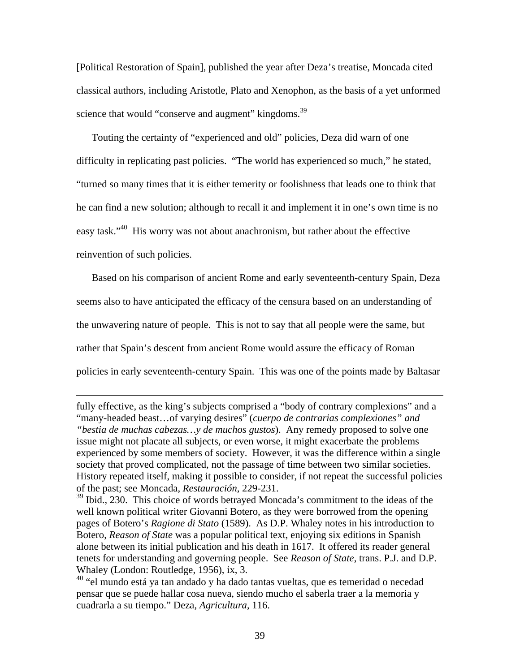[Political Restoration of Spain], published the year after Deza's treatise, Moncada cited classical authors, including Aristotle, Plato and Xenophon, as the basis of a yet unformed science that would "conserve and augment" kingdoms.<sup>39</sup>

Touting the certainty of "experienced and old" policies, Deza did warn of one difficulty in replicating past policies. "The world has experienced so much," he stated, "turned so many times that it is either temerity or foolishness that leads one to think that he can find a new solution; although to recall it and implement it in one's own time is no easy task."40 His worry was not about anachronism, but rather about the effective reinvention of such policies.

Based on his comparison of ancient Rome and early seventeenth-century Spain, Deza seems also to have anticipated the efficacy of the censura based on an understanding of the unwavering nature of people. This is not to say that all people were the same, but rather that Spain's descent from ancient Rome would assure the efficacy of Roman policies in early seventeenth-century Spain. This was one of the points made by Baltasar

fully effective, as the king's subjects comprised a "body of contrary complexions" and a "many-headed beast…of varying desires" (*cuerpo de contrarias complexiones" and "bestia de muchas cabezas…y de muchos gustos*). Any remedy proposed to solve one issue might not placate all subjects, or even worse, it might exacerbate the problems experienced by some members of society. However, it was the difference within a single society that proved complicated, not the passage of time between two similar societies. History repeated itself, making it possible to consider, if not repeat the successful policies of the past; see Moncada, *Restauración*, 229-231.

<sup>&</sup>lt;sup>39</sup> Ibid., 230. This choice of words betrayed Moncada's commitment to the ideas of the well known political writer Giovanni Botero, as they were borrowed from the opening pages of Botero's *Ragione di Stato* (1589). As D.P. Whaley notes in his introduction to Botero, *Reason of State* was a popular political text, enjoying six editions in Spanish alone between its initial publication and his death in 1617. It offered its reader general tenets for understanding and governing people. See *Reason of State*, trans. P.J. and D.P. Whaley (London: Routledge, 1956), ix, 3.

<sup>40 &</sup>quot;el mundo está ya tan andado y ha dado tantas vueltas, que es temeridad o necedad pensar que se puede hallar cosa nueva, siendo mucho el saberla traer a la memoria y cuadrarla a su tiempo." Deza, *Agricultura*, 116.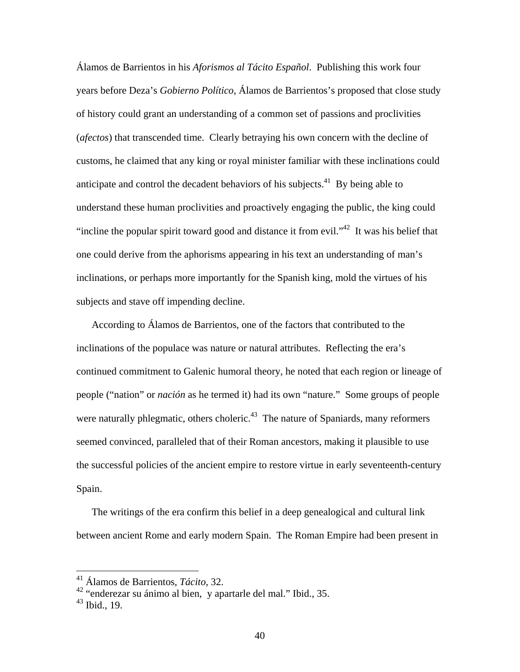Álamos de Barrientos in his *Aforismos al Tácito Español*. Publishing this work four years before Deza's *Gobierno Político*, Álamos de Barrientos's proposed that close study of history could grant an understanding of a common set of passions and proclivities (*afectos*) that transcended time. Clearly betraying his own concern with the decline of customs, he claimed that any king or royal minister familiar with these inclinations could anticipate and control the decadent behaviors of his subjects.<sup>41</sup> By being able to understand these human proclivities and proactively engaging the public, the king could "incline the popular spirit toward good and distance it from evil."<sup>42</sup> It was his belief that one could derive from the aphorisms appearing in his text an understanding of man's inclinations, or perhaps more importantly for the Spanish king, mold the virtues of his subjects and stave off impending decline.

According to Álamos de Barrientos, one of the factors that contributed to the inclinations of the populace was nature or natural attributes. Reflecting the era's continued commitment to Galenic humoral theory, he noted that each region or lineage of people ("nation" or *nación* as he termed it) had its own "nature." Some groups of people were naturally phlegmatic, others choleric. $43$  The nature of Spaniards, many reformers seemed convinced, paralleled that of their Roman ancestors, making it plausible to use the successful policies of the ancient empire to restore virtue in early seventeenth-century Spain.

The writings of the era confirm this belief in a deep genealogical and cultural link between ancient Rome and early modern Spain. The Roman Empire had been present in

<sup>41</sup> Álamos de Barrientos, *Tácito*, 32.

 $42$  "enderezar su ánimo al bien, y apartarle del mal." Ibid., 35.

 $43$  Ibid., 19.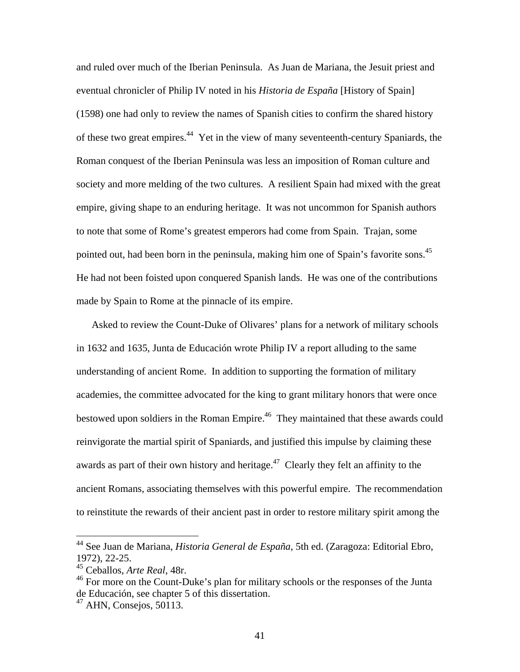and ruled over much of the Iberian Peninsula. As Juan de Mariana, the Jesuit priest and eventual chronicler of Philip IV noted in his *Historia de España* [History of Spain] (1598) one had only to review the names of Spanish cities to confirm the shared history of these two great empires.<sup>44</sup> Yet in the view of many seventeenth-century Spaniards, the Roman conquest of the Iberian Peninsula was less an imposition of Roman culture and society and more melding of the two cultures. A resilient Spain had mixed with the great empire, giving shape to an enduring heritage. It was not uncommon for Spanish authors to note that some of Rome's greatest emperors had come from Spain. Trajan, some pointed out, had been born in the peninsula, making him one of Spain's favorite sons.<sup>45</sup> He had not been foisted upon conquered Spanish lands. He was one of the contributions made by Spain to Rome at the pinnacle of its empire.

Asked to review the Count-Duke of Olivares' plans for a network of military schools in 1632 and 1635, Junta de Educación wrote Philip IV a report alluding to the same understanding of ancient Rome. In addition to supporting the formation of military academies, the committee advocated for the king to grant military honors that were once bestowed upon soldiers in the Roman Empire.<sup>46</sup> They maintained that these awards could reinvigorate the martial spirit of Spaniards, and justified this impulse by claiming these awards as part of their own history and heritage.<sup>47</sup> Clearly they felt an affinity to the ancient Romans, associating themselves with this powerful empire. The recommendation to reinstitute the rewards of their ancient past in order to restore military spirit among the

<sup>44</sup> See Juan de Mariana, *Historia General de España*, 5th ed. (Zaragoza: Editorial Ebro, 1972), 22-25.

<sup>45</sup> Ceballos, *Arte Real*, 48r.

<sup>&</sup>lt;sup>46</sup> For more on the Count-Duke's plan for military schools or the responses of the Junta de Educación, see chapter 5 of this dissertation.

 $47$  AHN, Consejos, 50113.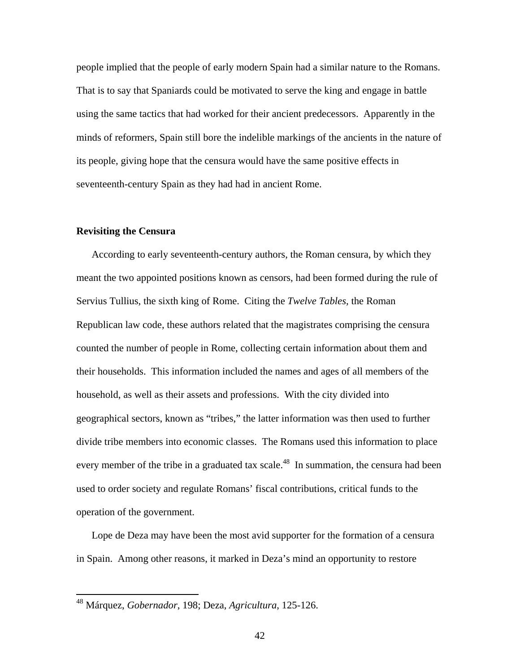people implied that the people of early modern Spain had a similar nature to the Romans. That is to say that Spaniards could be motivated to serve the king and engage in battle using the same tactics that had worked for their ancient predecessors. Apparently in the minds of reformers, Spain still bore the indelible markings of the ancients in the nature of its people, giving hope that the censura would have the same positive effects in seventeenth-century Spain as they had had in ancient Rome.

#### **Revisiting the Censura**

 $\overline{a}$ 

According to early seventeenth-century authors, the Roman censura, by which they meant the two appointed positions known as censors, had been formed during the rule of Servius Tullius, the sixth king of Rome. Citing the *Twelve Tables*, the Roman Republican law code, these authors related that the magistrates comprising the censura counted the number of people in Rome, collecting certain information about them and their households. This information included the names and ages of all members of the household, as well as their assets and professions. With the city divided into geographical sectors, known as "tribes," the latter information was then used to further divide tribe members into economic classes. The Romans used this information to place every member of the tribe in a graduated tax scale.<sup>48</sup> In summation, the censura had been used to order society and regulate Romans' fiscal contributions, critical funds to the operation of the government.

Lope de Deza may have been the most avid supporter for the formation of a censura in Spain. Among other reasons, it marked in Deza's mind an opportunity to restore

<sup>48</sup> Márquez, *Gobernador*, 198; Deza, *Agricultura*, 125-126.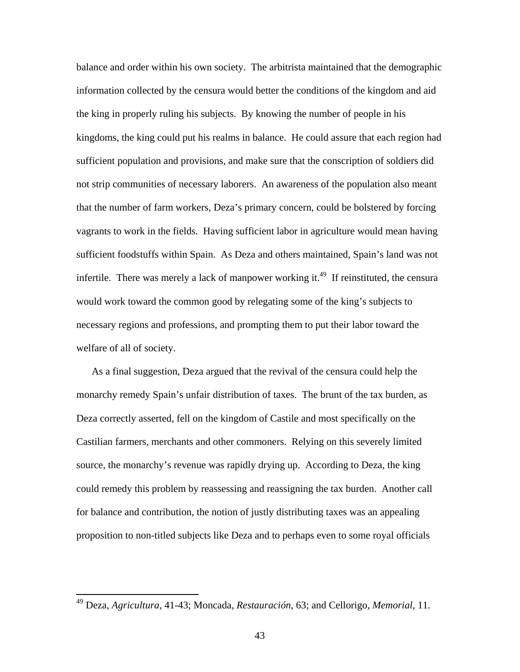balance and order within his own society. The arbitrista maintained that the demographic information collected by the censura would better the conditions of the kingdom and aid the king in properly ruling his subjects. By knowing the number of people in his kingdoms, the king could put his realms in balance. He could assure that each region had sufficient population and provisions, and make sure that the conscription of soldiers did not strip communities of necessary laborers. An awareness of the population also meant that the number of farm workers, Deza's primary concern, could be bolstered by forcing vagrants to work in the fields. Having sufficient labor in agriculture would mean having sufficient foodstuffs within Spain. As Deza and others maintained, Spain's land was not infertile. There was merely a lack of manpower working it.<sup>49</sup> If reinstituted, the censura would work toward the common good by relegating some of the king's subjects to necessary regions and professions, and prompting them to put their labor toward the welfare of all of society.

As a final suggestion, Deza argued that the revival of the censura could help the monarchy remedy Spain's unfair distribution of taxes. The brunt of the tax burden, as Deza correctly asserted, fell on the kingdom of Castile and most specifically on the Castilian farmers, merchants and other commoners. Relying on this severely limited source, the monarchy's revenue was rapidly drying up. According to Deza, the king could remedy this problem by reassessing and reassigning the tax burden. Another call for balance and contribution, the notion of justly distributing taxes was an appealing proposition to non-titled subjects like Deza and to perhaps even to some royal officials

<sup>49</sup> Deza, *Agricultura*, 41-43; Moncada, *Restauración*, 63; and Cellorigo, *Memorial*, 11.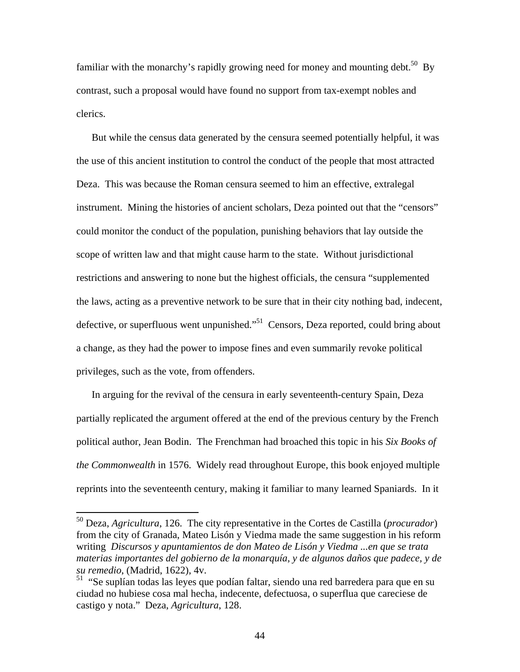familiar with the monarchy's rapidly growing need for money and mounting debt.<sup>50</sup> By contrast, such a proposal would have found no support from tax-exempt nobles and clerics.

But while the census data generated by the censura seemed potentially helpful, it was the use of this ancient institution to control the conduct of the people that most attracted Deza. This was because the Roman censura seemed to him an effective, extralegal instrument. Mining the histories of ancient scholars, Deza pointed out that the "censors" could monitor the conduct of the population, punishing behaviors that lay outside the scope of written law and that might cause harm to the state. Without jurisdictional restrictions and answering to none but the highest officials, the censura "supplemented the laws, acting as a preventive network to be sure that in their city nothing bad, indecent, defective, or superfluous went unpunished."<sup>51</sup> Censors, Deza reported, could bring about a change, as they had the power to impose fines and even summarily revoke political privileges, such as the vote, from offenders.

In arguing for the revival of the censura in early seventeenth-century Spain, Deza partially replicated the argument offered at the end of the previous century by the French political author, Jean Bodin. The Frenchman had broached this topic in his *Six Books of the Commonwealth* in 1576. Widely read throughout Europe, this book enjoyed multiple reprints into the seventeenth century, making it familiar to many learned Spaniards. In it

<sup>50</sup> Deza, *Agricultura*, 126. The city representative in the Cortes de Castilla (*procurador*) from the city of Granada, Mateo Lisón y Viedma made the same suggestion in his reform writing *Discursos y apuntamientos de don Mateo de Lisón y Viedma ...en que se trata materias importantes del gobierno de la monarquía, y de algunos daños que padece, y de su remedio*, (Madrid, 1622), 4v.

<sup>&</sup>lt;sup>51</sup> "Se suplían todas las leyes que podían faltar, siendo una red barredera para que en su ciudad no hubiese cosa mal hecha, indecente, defectuosa, o superflua que careciese de castigo y nota." Deza, *Agricultura*, 128.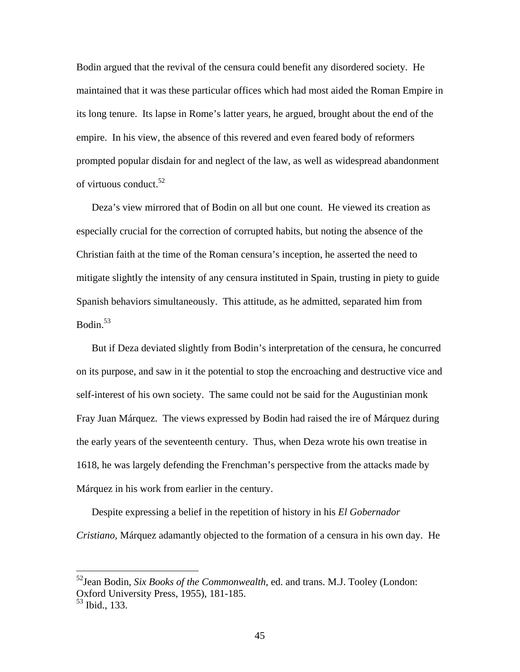Bodin argued that the revival of the censura could benefit any disordered society. He maintained that it was these particular offices which had most aided the Roman Empire in its long tenure. Its lapse in Rome's latter years, he argued, brought about the end of the empire. In his view, the absence of this revered and even feared body of reformers prompted popular disdain for and neglect of the law, as well as widespread abandonment of virtuous conduct.<sup>52</sup>

Deza's view mirrored that of Bodin on all but one count. He viewed its creation as especially crucial for the correction of corrupted habits, but noting the absence of the Christian faith at the time of the Roman censura's inception, he asserted the need to mitigate slightly the intensity of any censura instituted in Spain, trusting in piety to guide Spanish behaviors simultaneously. This attitude, as he admitted, separated him from Bodin. $53$ 

But if Deza deviated slightly from Bodin's interpretation of the censura, he concurred on its purpose, and saw in it the potential to stop the encroaching and destructive vice and self-interest of his own society. The same could not be said for the Augustinian monk Fray Juan Márquez. The views expressed by Bodin had raised the ire of Márquez during the early years of the seventeenth century. Thus, when Deza wrote his own treatise in 1618, he was largely defending the Frenchman's perspective from the attacks made by Márquez in his work from earlier in the century.

Despite expressing a belief in the repetition of history in his *El Gobernador Cristiano*, Márquez adamantly objected to the formation of a censura in his own day. He

<sup>52</sup>Jean Bodin, *Six Books of the Commonwealth*, ed. and trans. M.J. Tooley (London: Oxford University Press, 1955), 181-185.

<sup>53</sup> Ibid., 133.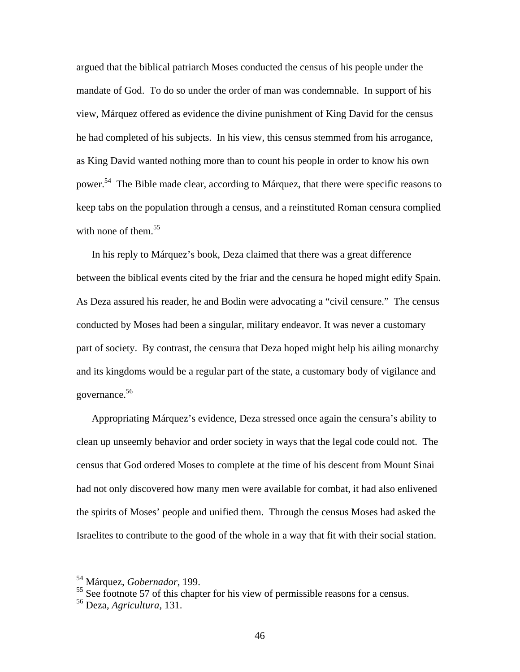argued that the biblical patriarch Moses conducted the census of his people under the mandate of God. To do so under the order of man was condemnable. In support of his view, Márquez offered as evidence the divine punishment of King David for the census he had completed of his subjects. In his view, this census stemmed from his arrogance, as King David wanted nothing more than to count his people in order to know his own power.54 The Bible made clear, according to Márquez, that there were specific reasons to keep tabs on the population through a census, and a reinstituted Roman censura complied with none of them. $55$ 

In his reply to Márquez's book, Deza claimed that there was a great difference between the biblical events cited by the friar and the censura he hoped might edify Spain. As Deza assured his reader, he and Bodin were advocating a "civil censure." The census conducted by Moses had been a singular, military endeavor. It was never a customary part of society. By contrast, the censura that Deza hoped might help his ailing monarchy and its kingdoms would be a regular part of the state, a customary body of vigilance and governance.56

Appropriating Márquez's evidence, Deza stressed once again the censura's ability to clean up unseemly behavior and order society in ways that the legal code could not. The census that God ordered Moses to complete at the time of his descent from Mount Sinai had not only discovered how many men were available for combat, it had also enlivened the spirits of Moses' people and unified them. Through the census Moses had asked the Israelites to contribute to the good of the whole in a way that fit with their social station.

<sup>54</sup> Márquez, *Gobernador*, 199.

<sup>&</sup>lt;sup>55</sup> See footnote 57 of this chapter for his view of permissible reasons for a census.

<sup>56</sup> Deza, *Agricultura*, 131.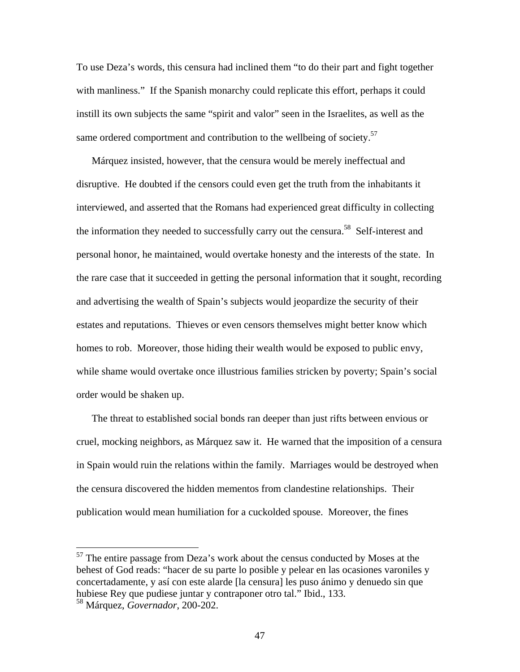To use Deza's words, this censura had inclined them "to do their part and fight together with manliness." If the Spanish monarchy could replicate this effort, perhaps it could instill its own subjects the same "spirit and valor" seen in the Israelites, as well as the same ordered comportment and contribution to the wellbeing of society.<sup>57</sup>

Márquez insisted, however, that the censura would be merely ineffectual and disruptive. He doubted if the censors could even get the truth from the inhabitants it interviewed, and asserted that the Romans had experienced great difficulty in collecting the information they needed to successfully carry out the censura.<sup>58</sup> Self-interest and personal honor, he maintained, would overtake honesty and the interests of the state. In the rare case that it succeeded in getting the personal information that it sought, recording and advertising the wealth of Spain's subjects would jeopardize the security of their estates and reputations. Thieves or even censors themselves might better know which homes to rob. Moreover, those hiding their wealth would be exposed to public envy, while shame would overtake once illustrious families stricken by poverty; Spain's social order would be shaken up.

The threat to established social bonds ran deeper than just rifts between envious or cruel, mocking neighbors, as Márquez saw it. He warned that the imposition of a censura in Spain would ruin the relations within the family. Marriages would be destroyed when the censura discovered the hidden mementos from clandestine relationships. Their publication would mean humiliation for a cuckolded spouse. Moreover, the fines

 $57$  The entire passage from Deza's work about the census conducted by Moses at the behest of God reads: "hacer de su parte lo posible y pelear en las ocasiones varoniles y concertadamente, y así con este alarde [la censura] les puso ánimo y denuedo sin que hubiese Rey que pudiese juntar y contraponer otro tal." Ibid., 133.

<sup>58</sup> Márquez, *Governador*, 200-202.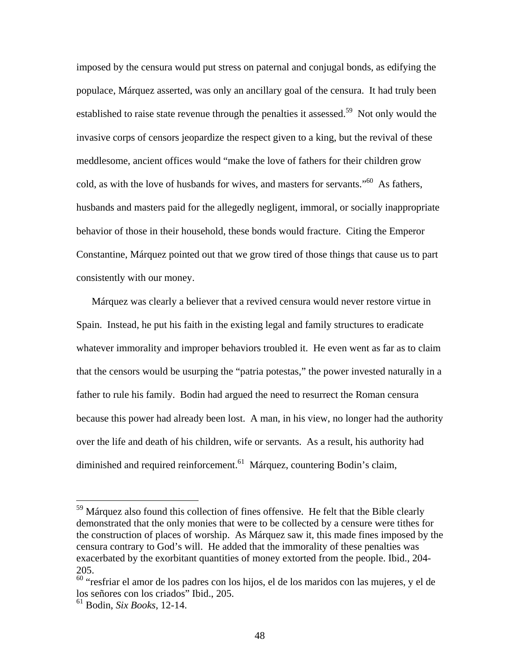imposed by the censura would put stress on paternal and conjugal bonds, as edifying the populace, Márquez asserted, was only an ancillary goal of the censura. It had truly been established to raise state revenue through the penalties it assessed.<sup>59</sup> Not only would the invasive corps of censors jeopardize the respect given to a king, but the revival of these meddlesome, ancient offices would "make the love of fathers for their children grow cold, as with the love of husbands for wives, and masters for servants."60 As fathers, husbands and masters paid for the allegedly negligent, immoral, or socially inappropriate behavior of those in their household, these bonds would fracture. Citing the Emperor Constantine, Márquez pointed out that we grow tired of those things that cause us to part consistently with our money.

Márquez was clearly a believer that a revived censura would never restore virtue in Spain. Instead, he put his faith in the existing legal and family structures to eradicate whatever immorality and improper behaviors troubled it. He even went as far as to claim that the censors would be usurping the "patria potestas," the power invested naturally in a father to rule his family. Bodin had argued the need to resurrect the Roman censura because this power had already been lost. A man, in his view, no longer had the authority over the life and death of his children, wife or servants. As a result, his authority had diminished and required reinforcement.<sup>61</sup> Márquez, countering Bodin's claim,

 $59$  Márquez also found this collection of fines offensive. He felt that the Bible clearly demonstrated that the only monies that were to be collected by a censure were tithes for the construction of places of worship. As Márquez saw it, this made fines imposed by the censura contrary to God's will. He added that the immorality of these penalties was exacerbated by the exorbitant quantities of money extorted from the people. Ibid., 204- 205.

<sup>60 &</sup>quot;resfriar el amor de los padres con los hijos, el de los maridos con las mujeres, y el de los señores con los criados" Ibid., 205.

<sup>61</sup> Bodin, *Six Books*, 12-14.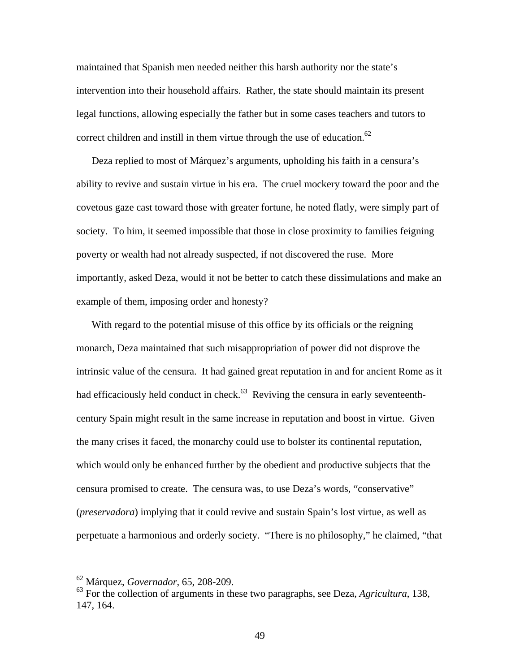maintained that Spanish men needed neither this harsh authority nor the state's intervention into their household affairs. Rather, the state should maintain its present legal functions, allowing especially the father but in some cases teachers and tutors to correct children and instill in them virtue through the use of education.<sup>62</sup>

Deza replied to most of Márquez's arguments, upholding his faith in a censura's ability to revive and sustain virtue in his era. The cruel mockery toward the poor and the covetous gaze cast toward those with greater fortune, he noted flatly, were simply part of society. To him, it seemed impossible that those in close proximity to families feigning poverty or wealth had not already suspected, if not discovered the ruse. More importantly, asked Deza, would it not be better to catch these dissimulations and make an example of them, imposing order and honesty?

With regard to the potential misuse of this office by its officials or the reigning monarch, Deza maintained that such misappropriation of power did not disprove the intrinsic value of the censura. It had gained great reputation in and for ancient Rome as it had efficaciously held conduct in check. $63$  Reviving the censura in early seventeenthcentury Spain might result in the same increase in reputation and boost in virtue. Given the many crises it faced, the monarchy could use to bolster its continental reputation, which would only be enhanced further by the obedient and productive subjects that the censura promised to create. The censura was, to use Deza's words, "conservative" (*preservadora*) implying that it could revive and sustain Spain's lost virtue, as well as perpetuate a harmonious and orderly society. "There is no philosophy," he claimed, "that

<sup>62</sup> Márquez, *Governador*, 65, 208-209.

<sup>63</sup> For the collection of arguments in these two paragraphs, see Deza, *Agricultura*, 138, 147, 164.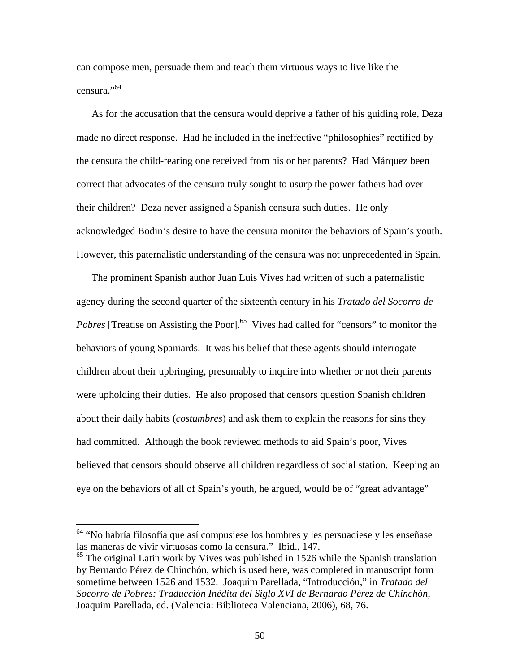can compose men, persuade them and teach them virtuous ways to live like the censura."<sup>64</sup>

As for the accusation that the censura would deprive a father of his guiding role, Deza made no direct response. Had he included in the ineffective "philosophies" rectified by the censura the child-rearing one received from his or her parents? Had Márquez been correct that advocates of the censura truly sought to usurp the power fathers had over their children? Deza never assigned a Spanish censura such duties. He only acknowledged Bodin's desire to have the censura monitor the behaviors of Spain's youth. However, this paternalistic understanding of the censura was not unprecedented in Spain.

The prominent Spanish author Juan Luis Vives had written of such a paternalistic agency during the second quarter of the sixteenth century in his *Tratado del Socorro de Pobres* [Treatise on Assisting the Poor].<sup>65</sup> Vives had called for "censors" to monitor the behaviors of young Spaniards. It was his belief that these agents should interrogate children about their upbringing, presumably to inquire into whether or not their parents were upholding their duties. He also proposed that censors question Spanish children about their daily habits (*costumbres*) and ask them to explain the reasons for sins they had committed. Although the book reviewed methods to aid Spain's poor, Vives believed that censors should observe all children regardless of social station. Keeping an eye on the behaviors of all of Spain's youth, he argued, would be of "great advantage"

 $64$  "No habría filosofía que así compusiese los hombres y les persuadiese y les enseñase las maneras de vivir virtuosas como la censura." Ibid., 147.

 $<sup>65</sup>$  The original Latin work by Vives was published in 1526 while the Spanish translation</sup> by Bernardo Pérez de Chinchón, which is used here, was completed in manuscript form sometime between 1526 and 1532. Joaquim Parellada, "Introducción," in *Tratado del Socorro de Pobres: Traducción Inédita del Siglo XVI de Bernardo Pérez de Chinchón*, Joaquim Parellada, ed. (Valencia: Biblioteca Valenciana, 2006), 68, 76.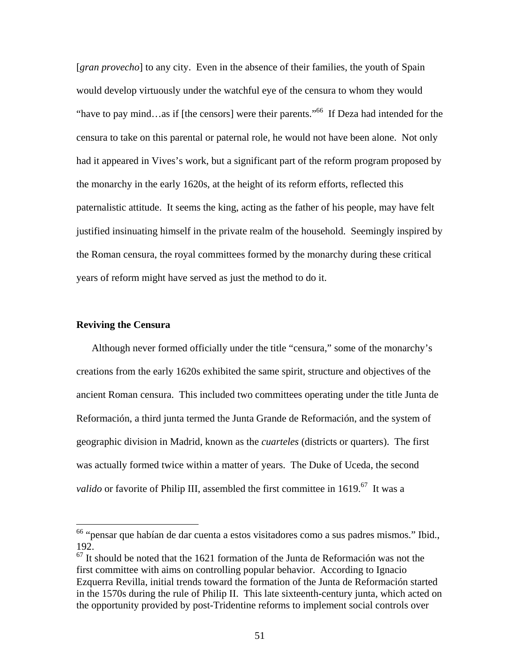[*gran provecho*] to any city. Even in the absence of their families, the youth of Spain would develop virtuously under the watchful eye of the censura to whom they would "have to pay mind…as if [the censors] were their parents."66 If Deza had intended for the censura to take on this parental or paternal role, he would not have been alone. Not only had it appeared in Vives's work, but a significant part of the reform program proposed by the monarchy in the early 1620s, at the height of its reform efforts, reflected this paternalistic attitude. It seems the king, acting as the father of his people, may have felt justified insinuating himself in the private realm of the household. Seemingly inspired by the Roman censura, the royal committees formed by the monarchy during these critical years of reform might have served as just the method to do it.

# **Reviving the Censura**

 $\overline{a}$ 

Although never formed officially under the title "censura," some of the monarchy's creations from the early 1620s exhibited the same spirit, structure and objectives of the ancient Roman censura. This included two committees operating under the title Junta de Reformación, a third junta termed the Junta Grande de Reformación, and the system of geographic division in Madrid, known as the *cuarteles* (districts or quarters). The first was actually formed twice within a matter of years. The Duke of Uceda, the second *valido* or favorite of Philip III, assembled the first committee in 1619.<sup>67</sup> It was a

 $66$  "pensar que habían de dar cuenta a estos visitadores como a sus padres mismos." Ibid., 192.

 $\frac{67}{11}$  is should be noted that the 1621 formation of the Junta de Reformación was not the first committee with aims on controlling popular behavior. According to Ignacio Ezquerra Revilla, initial trends toward the formation of the Junta de Reformación started in the 1570s during the rule of Philip II. This late sixteenth-century junta, which acted on the opportunity provided by post-Tridentine reforms to implement social controls over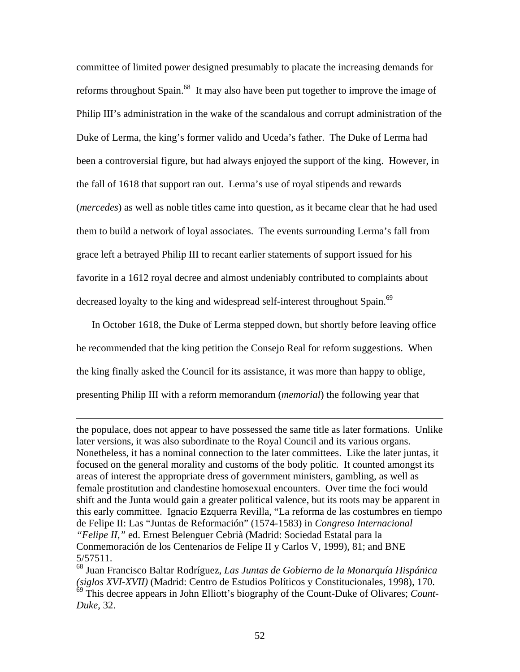committee of limited power designed presumably to placate the increasing demands for reforms throughout Spain.<sup>68</sup> It may also have been put together to improve the image of Philip III's administration in the wake of the scandalous and corrupt administration of the Duke of Lerma, the king's former valido and Uceda's father. The Duke of Lerma had been a controversial figure, but had always enjoyed the support of the king. However, in the fall of 1618 that support ran out. Lerma's use of royal stipends and rewards (*mercedes*) as well as noble titles came into question, as it became clear that he had used them to build a network of loyal associates. The events surrounding Lerma's fall from grace left a betrayed Philip III to recant earlier statements of support issued for his favorite in a 1612 royal decree and almost undeniably contributed to complaints about decreased loyalty to the king and widespread self-interest throughout Spain.<sup>69</sup>

In October 1618, the Duke of Lerma stepped down, but shortly before leaving office he recommended that the king petition the Consejo Real for reform suggestions. When the king finally asked the Council for its assistance, it was more than happy to oblige, presenting Philip III with a reform memorandum (*memorial*) the following year that

 $\overline{a}$ 

the populace, does not appear to have possessed the same title as later formations. Unlike later versions, it was also subordinate to the Royal Council and its various organs. Nonetheless, it has a nominal connection to the later committees. Like the later juntas, it focused on the general morality and customs of the body politic. It counted amongst its areas of interest the appropriate dress of government ministers, gambling, as well as female prostitution and clandestine homosexual encounters. Over time the foci would shift and the Junta would gain a greater political valence, but its roots may be apparent in this early committee. Ignacio Ezquerra Revilla, "La reforma de las costumbres en tiempo de Felipe II: Las "Juntas de Reformación" (1574-1583) in *Congreso Internacional "Felipe II*,*"* ed. Ernest Belenguer Cebrià (Madrid: Sociedad Estatal para la Conmemoración de los Centenarios de Felipe II y Carlos V, 1999), 81; and BNE 5/57511.

<sup>68</sup> Juan Francisco Baltar Rodríguez, *Las Juntas de Gobierno de la Monarquía Hispánica (siglos XVI-XVII)* (Madrid: Centro de Estudios Políticos y Constitucionales, 1998), 170. 69 This decree appears in John Elliott's biography of the Count-Duke of Olivares; *Count-Duke*, 32.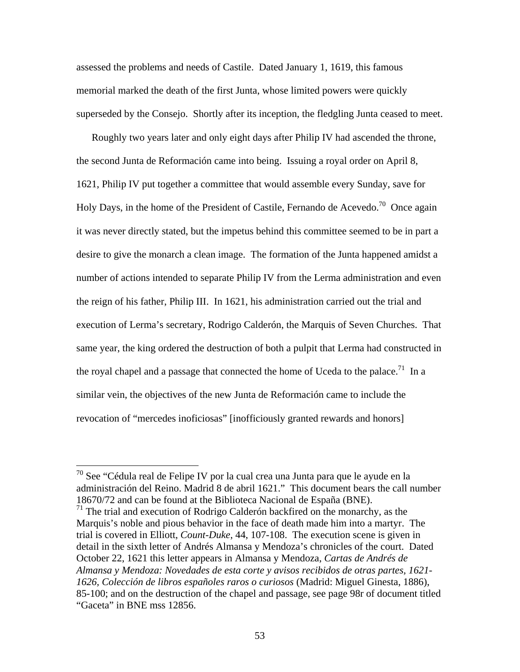assessed the problems and needs of Castile. Dated January 1, 1619, this famous memorial marked the death of the first Junta, whose limited powers were quickly superseded by the Consejo. Shortly after its inception, the fledgling Junta ceased to meet.

Roughly two years later and only eight days after Philip IV had ascended the throne, the second Junta de Reformación came into being. Issuing a royal order on April 8, 1621, Philip IV put together a committee that would assemble every Sunday, save for Holy Days, in the home of the President of Castile, Fernando de Acevedo.<sup>70</sup> Once again it was never directly stated, but the impetus behind this committee seemed to be in part a desire to give the monarch a clean image. The formation of the Junta happened amidst a number of actions intended to separate Philip IV from the Lerma administration and even the reign of his father, Philip III. In 1621, his administration carried out the trial and execution of Lerma's secretary, Rodrigo Calderón, the Marquis of Seven Churches. That same year, the king ordered the destruction of both a pulpit that Lerma had constructed in the royal chapel and a passage that connected the home of Uceda to the palace.<sup>71</sup> In a similar vein, the objectives of the new Junta de Reformación came to include the revocation of "mercedes inoficiosas" [inofficiously granted rewards and honors]

1

 $71$  The trial and execution of Rodrigo Calderón backfired on the monarchy, as the Marquis's noble and pious behavior in the face of death made him into a martyr. The trial is covered in Elliott, *Count-Duke*, 44, 107-108. The execution scene is given in detail in the sixth letter of Andrés Almansa y Mendoza's chronicles of the court. Dated October 22, 1621 this letter appears in Almansa y Mendoza, *Cartas de Andrés de Almansa y Mendoza: Novedades de esta corte y avisos recibidos de otras partes, 1621- 1626, Colección de libros españoles raros o curiosos* (Madrid: Miguel Ginesta, 1886), 85-100; and on the destruction of the chapel and passage, see page 98r of document titled "Gaceta" in BNE mss 12856.

 $^{70}$  See "Cédula real de Felipe IV por la cual crea una Junta para que le ayude en la administración del Reino. Madrid 8 de abril 1621." This document bears the call number 18670/72 and can be found at the Biblioteca Nacional de España (BNE).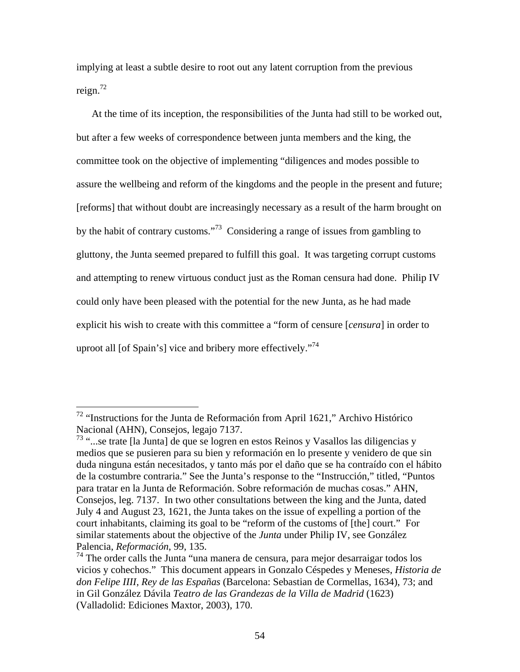implying at least a subtle desire to root out any latent corruption from the previous reign.72

At the time of its inception, the responsibilities of the Junta had still to be worked out, but after a few weeks of correspondence between junta members and the king, the committee took on the objective of implementing "diligences and modes possible to assure the wellbeing and reform of the kingdoms and the people in the present and future; [reforms] that without doubt are increasingly necessary as a result of the harm brought on by the habit of contrary customs."73 Considering a range of issues from gambling to gluttony, the Junta seemed prepared to fulfill this goal. It was targeting corrupt customs and attempting to renew virtuous conduct just as the Roman censura had done. Philip IV could only have been pleased with the potential for the new Junta, as he had made explicit his wish to create with this committee a "form of censure [*censura*] in order to uproot all [of Spain's] vice and bribery more effectively."<sup>74</sup>

 $72$  "Instructions for the Junta de Reformación from April 1621," Archivo Histórico Nacional (AHN), Consejos, legajo 7137.

<sup>73 &</sup>quot;...se trate [la Junta] de que se logren en estos Reinos y Vasallos las diligencias y medios que se pusieren para su bien y reformación en lo presente y venidero de que sin duda ninguna están necesitados, y tanto más por el daño que se ha contraído con el hábito de la costumbre contraria." See the Junta's response to the "Instrucción," titled, "Puntos para tratar en la Junta de Reformación. Sobre reformación de muchas cosas." AHN, Consejos, leg. 7137. In two other consultations between the king and the Junta, dated July 4 and August 23, 1621, the Junta takes on the issue of expelling a portion of the court inhabitants, claiming its goal to be "reform of the customs of [the] court." For similar statements about the objective of the *Junta* under Philip IV, see González Palencia, *Reformación*, 99, 135.

<sup>&</sup>lt;sup>74</sup> The order calls the Junta "una manera de censura, para mejor desarraigar todos los vicios y cohechos." This document appears in Gonzalo Céspedes y Meneses, *Historia de don Felipe IIII, Rey de las Españas* (Barcelona: Sebastian de Cormellas, 1634), 73; and in Gil González Dávila *Teatro de las Grandezas de la Villa de Madrid* (1623) (Valladolid: Ediciones Maxtor, 2003), 170.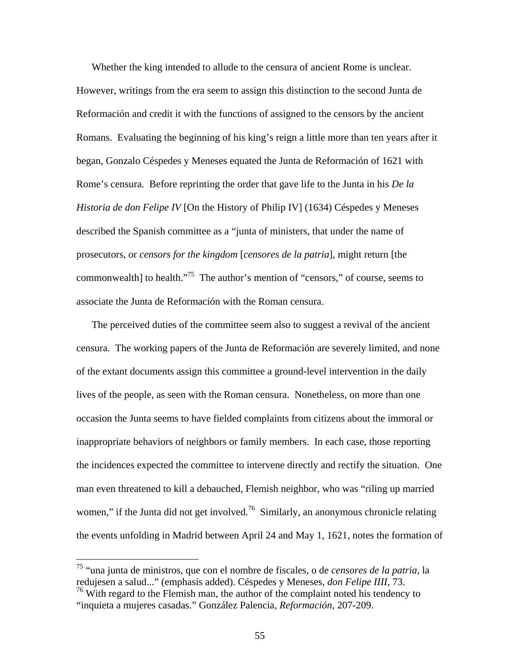Whether the king intended to allude to the censura of ancient Rome is unclear. However, writings from the era seem to assign this distinction to the second Junta de Reformación and credit it with the functions of assigned to the censors by the ancient Romans. Evaluating the beginning of his king's reign a little more than ten years after it began, Gonzalo Céspedes y Meneses equated the Junta de Reformación of 1621 with Rome's censura. Before reprinting the order that gave life to the Junta in his *De la Historia de don Felipe IV* [On the History of Philip IV] (1634) Céspedes y Meneses described the Spanish committee as a "junta of ministers, that under the name of prosecutors, or *censors for the kingdom* [*censores de la patria*], might return [the commonwealth] to health."75 The author's mention of "censors," of course, seems to associate the Junta de Reformación with the Roman censura.

The perceived duties of the committee seem also to suggest a revival of the ancient censura. The working papers of the Junta de Reformación are severely limited, and none of the extant documents assign this committee a ground-level intervention in the daily lives of the people, as seen with the Roman censura. Nonetheless, on more than one occasion the Junta seems to have fielded complaints from citizens about the immoral or inappropriate behaviors of neighbors or family members. In each case, those reporting the incidences expected the committee to intervene directly and rectify the situation. One man even threatened to kill a debauched, Flemish neighbor, who was "riling up married women," if the Junta did not get involved.<sup>76</sup> Similarly, an anonymous chronicle relating the events unfolding in Madrid between April 24 and May 1, 1621, notes the formation of

<sup>75 &</sup>quot;una junta de ministros, que con el nombre de fiscales, o de *censores de la patria*, la redujesen a salud..." (emphasis added). Céspedes y Meneses, *don Felipe IIII*, 73.  $76$  With regard to the Flemish man, the author of the complaint noted his tendency to

<sup>&</sup>quot;inquieta a mujeres casadas." González Palencia, *Reformación*, 207-209.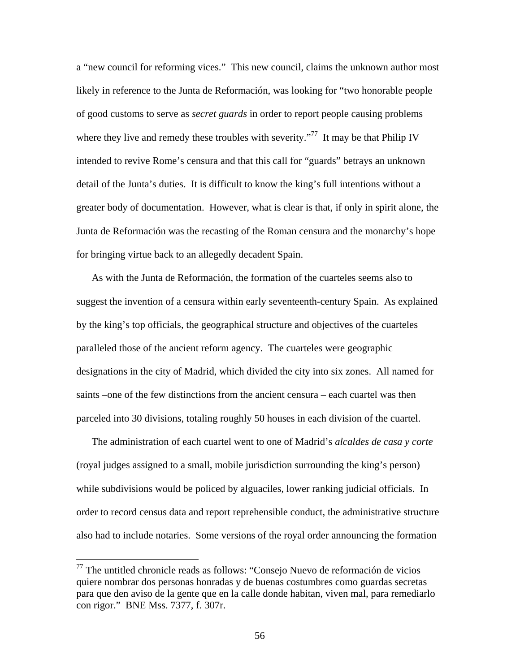a "new council for reforming vices." This new council, claims the unknown author most likely in reference to the Junta de Reformación, was looking for "two honorable people of good customs to serve as *secret guards* in order to report people causing problems where they live and remedy these troubles with severity."<sup>77</sup> It may be that Philip IV intended to revive Rome's censura and that this call for "guards" betrays an unknown detail of the Junta's duties. It is difficult to know the king's full intentions without a greater body of documentation. However, what is clear is that, if only in spirit alone, the Junta de Reformación was the recasting of the Roman censura and the monarchy's hope for bringing virtue back to an allegedly decadent Spain.

As with the Junta de Reformación, the formation of the cuarteles seems also to suggest the invention of a censura within early seventeenth-century Spain. As explained by the king's top officials, the geographical structure and objectives of the cuarteles paralleled those of the ancient reform agency. The cuarteles were geographic designations in the city of Madrid, which divided the city into six zones. All named for saints –one of the few distinctions from the ancient censura – each cuartel was then parceled into 30 divisions, totaling roughly 50 houses in each division of the cuartel.

The administration of each cuartel went to one of Madrid's *alcaldes de casa y corte* (royal judges assigned to a small, mobile jurisdiction surrounding the king's person) while subdivisions would be policed by alguaciles, lower ranking judicial officials. In order to record census data and report reprehensible conduct, the administrative structure also had to include notaries. Some versions of the royal order announcing the formation

<sup>77</sup> The untitled chronicle reads as follows: "Consejo Nuevo de reformación de vicios quiere nombrar dos personas honradas y de buenas costumbres como guardas secretas para que den aviso de la gente que en la calle donde habitan, viven mal, para remediarlo con rigor." BNE Mss. 7377, f. 307r.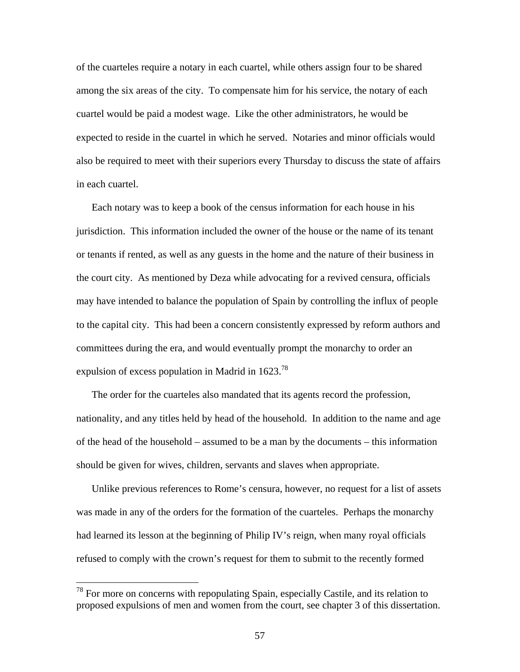of the cuarteles require a notary in each cuartel, while others assign four to be shared among the six areas of the city. To compensate him for his service, the notary of each cuartel would be paid a modest wage. Like the other administrators, he would be expected to reside in the cuartel in which he served. Notaries and minor officials would also be required to meet with their superiors every Thursday to discuss the state of affairs in each cuartel.

Each notary was to keep a book of the census information for each house in his jurisdiction. This information included the owner of the house or the name of its tenant or tenants if rented, as well as any guests in the home and the nature of their business in the court city. As mentioned by Deza while advocating for a revived censura, officials may have intended to balance the population of Spain by controlling the influx of people to the capital city. This had been a concern consistently expressed by reform authors and committees during the era, and would eventually prompt the monarchy to order an expulsion of excess population in Madrid in  $1623.^{78}$ 

The order for the cuarteles also mandated that its agents record the profession, nationality, and any titles held by head of the household. In addition to the name and age of the head of the household – assumed to be a man by the documents – this information should be given for wives, children, servants and slaves when appropriate.

Unlike previous references to Rome's censura, however, no request for a list of assets was made in any of the orders for the formation of the cuarteles. Perhaps the monarchy had learned its lesson at the beginning of Philip IV's reign, when many royal officials refused to comply with the crown's request for them to submit to the recently formed

 $78$  For more on concerns with repopulating Spain, especially Castile, and its relation to proposed expulsions of men and women from the court, see chapter 3 of this dissertation.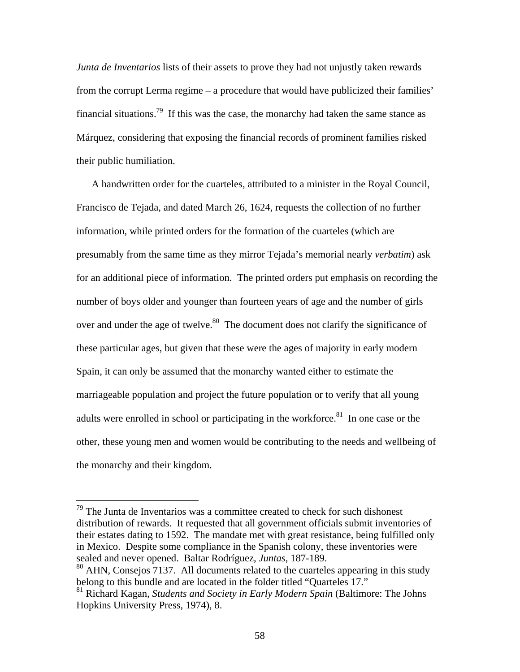*Junta de Inventarios* lists of their assets to prove they had not unjustly taken rewards from the corrupt Lerma regime – a procedure that would have publicized their families' financial situations.<sup>79</sup> If this was the case, the monarchy had taken the same stance as Márquez, considering that exposing the financial records of prominent families risked their public humiliation.

A handwritten order for the cuarteles, attributed to a minister in the Royal Council, Francisco de Tejada, and dated March 26, 1624, requests the collection of no further information, while printed orders for the formation of the cuarteles (which are presumably from the same time as they mirror Tejada's memorial nearly *verbatim*) ask for an additional piece of information. The printed orders put emphasis on recording the number of boys older and younger than fourteen years of age and the number of girls over and under the age of twelve.<sup>80</sup> The document does not clarify the significance of these particular ages, but given that these were the ages of majority in early modern Spain, it can only be assumed that the monarchy wanted either to estimate the marriageable population and project the future population or to verify that all young adults were enrolled in school or participating in the workforce.<sup>81</sup> In one case or the other, these young men and women would be contributing to the needs and wellbeing of the monarchy and their kingdom.

 $79$  The Junta de Inventarios was a committee created to check for such dishonest distribution of rewards. It requested that all government officials submit inventories of their estates dating to 1592. The mandate met with great resistance, being fulfilled only in Mexico. Despite some compliance in the Spanish colony, these inventories were sealed and never opened. Baltar Rodríguez, *Juntas*, 187-189.

<sup>80</sup> AHN, Consejos 7137. All documents related to the cuarteles appearing in this study belong to this bundle and are located in the folder titled "Quarteles 17."

<sup>81</sup> Richard Kagan, *Students and Society in Early Modern Spain* (Baltimore: The Johns Hopkins University Press, 1974), 8.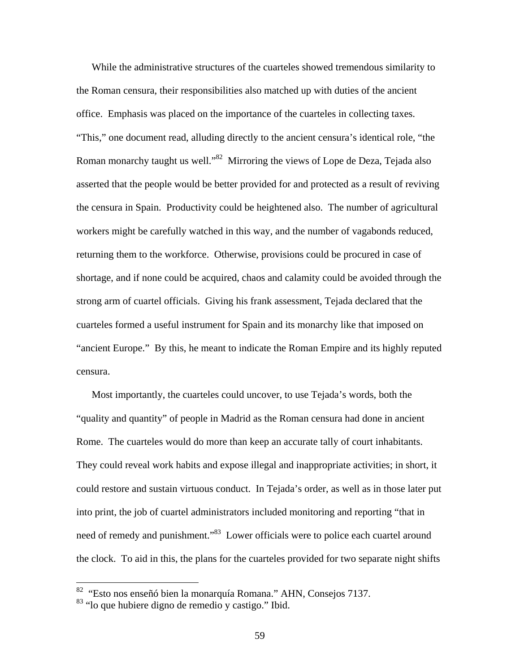While the administrative structures of the cuarteles showed tremendous similarity to the Roman censura, their responsibilities also matched up with duties of the ancient office. Emphasis was placed on the importance of the cuarteles in collecting taxes. "This," one document read, alluding directly to the ancient censura's identical role, "the Roman monarchy taught us well."<sup>82</sup> Mirroring the views of Lope de Deza, Tejada also asserted that the people would be better provided for and protected as a result of reviving the censura in Spain. Productivity could be heightened also. The number of agricultural workers might be carefully watched in this way, and the number of vagabonds reduced, returning them to the workforce. Otherwise, provisions could be procured in case of shortage, and if none could be acquired, chaos and calamity could be avoided through the strong arm of cuartel officials. Giving his frank assessment, Tejada declared that the cuarteles formed a useful instrument for Spain and its monarchy like that imposed on "ancient Europe." By this, he meant to indicate the Roman Empire and its highly reputed censura.

Most importantly, the cuarteles could uncover, to use Tejada's words, both the "quality and quantity" of people in Madrid as the Roman censura had done in ancient Rome. The cuarteles would do more than keep an accurate tally of court inhabitants. They could reveal work habits and expose illegal and inappropriate activities; in short, it could restore and sustain virtuous conduct. In Tejada's order, as well as in those later put into print, the job of cuartel administrators included monitoring and reporting "that in need of remedy and punishment."<sup>83</sup> Lower officials were to police each cuartel around the clock. To aid in this, the plans for the cuarteles provided for two separate night shifts

1

<sup>&</sup>lt;sup>82</sup> "Esto nos enseñó bien la monarquía Romana." AHN, Consejos 7137.

<sup>83 &</sup>quot;lo que hubiere digno de remedio y castigo." Ibid.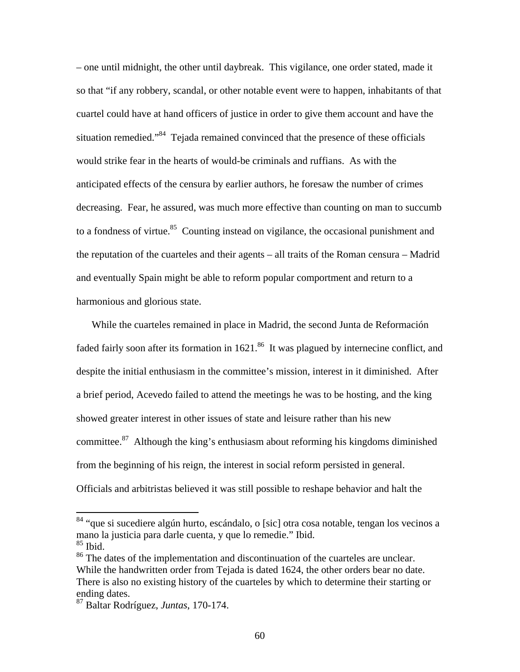– one until midnight, the other until daybreak. This vigilance, one order stated, made it so that "if any robbery, scandal, or other notable event were to happen, inhabitants of that cuartel could have at hand officers of justice in order to give them account and have the situation remedied."84 Tejada remained convinced that the presence of these officials would strike fear in the hearts of would-be criminals and ruffians. As with the anticipated effects of the censura by earlier authors, he foresaw the number of crimes decreasing. Fear, he assured, was much more effective than counting on man to succumb to a fondness of virtue.<sup>85</sup> Counting instead on vigilance, the occasional punishment and the reputation of the cuarteles and their agents – all traits of the Roman censura – Madrid and eventually Spain might be able to reform popular comportment and return to a harmonious and glorious state.

While the cuarteles remained in place in Madrid, the second Junta de Reformación faded fairly soon after its formation in  $1621$ .<sup>86</sup> It was plagued by internecine conflict, and despite the initial enthusiasm in the committee's mission, interest in it diminished. After a brief period, Acevedo failed to attend the meetings he was to be hosting, and the king showed greater interest in other issues of state and leisure rather than his new committee.87 Although the king's enthusiasm about reforming his kingdoms diminished from the beginning of his reign, the interest in social reform persisted in general. Officials and arbitristas believed it was still possible to reshape behavior and halt the

<sup>&</sup>lt;sup>84</sup> "que si sucediere algún hurto, escándalo, o [sic] otra cosa notable, tengan los vecinos a mano la justicia para darle cuenta, y que lo remedie." Ibid.  $85$  Ibid.

<sup>&</sup>lt;sup>86</sup> The dates of the implementation and discontinuation of the cuarteles are unclear. While the handwritten order from Tejada is dated 1624, the other orders bear no date. There is also no existing history of the cuarteles by which to determine their starting or ending dates.

<sup>87</sup> Baltar Rodríguez, *Juntas*, 170-174.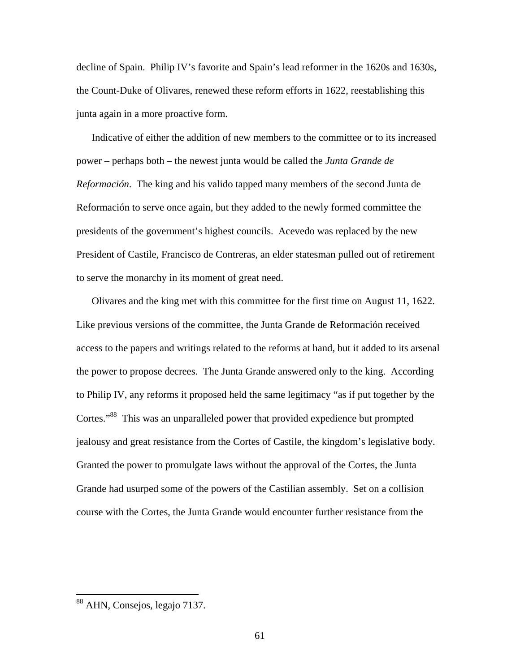decline of Spain. Philip IV's favorite and Spain's lead reformer in the 1620s and 1630s, the Count-Duke of Olivares, renewed these reform efforts in 1622, reestablishing this junta again in a more proactive form.

Indicative of either the addition of new members to the committee or to its increased power – perhaps both – the newest junta would be called the *Junta Grande de Reformación*. The king and his valido tapped many members of the second Junta de Reformación to serve once again, but they added to the newly formed committee the presidents of the government's highest councils. Acevedo was replaced by the new President of Castile, Francisco de Contreras, an elder statesman pulled out of retirement to serve the monarchy in its moment of great need.

Olivares and the king met with this committee for the first time on August 11, 1622. Like previous versions of the committee, the Junta Grande de Reformación received access to the papers and writings related to the reforms at hand, but it added to its arsenal the power to propose decrees. The Junta Grande answered only to the king. According to Philip IV, any reforms it proposed held the same legitimacy "as if put together by the Cortes."88 This was an unparalleled power that provided expedience but prompted jealousy and great resistance from the Cortes of Castile, the kingdom's legislative body. Granted the power to promulgate laws without the approval of the Cortes, the Junta Grande had usurped some of the powers of the Castilian assembly. Set on a collision course with the Cortes, the Junta Grande would encounter further resistance from the

<u>.</u>

<sup>&</sup>lt;sup>88</sup> AHN, Consejos, legajo 7137.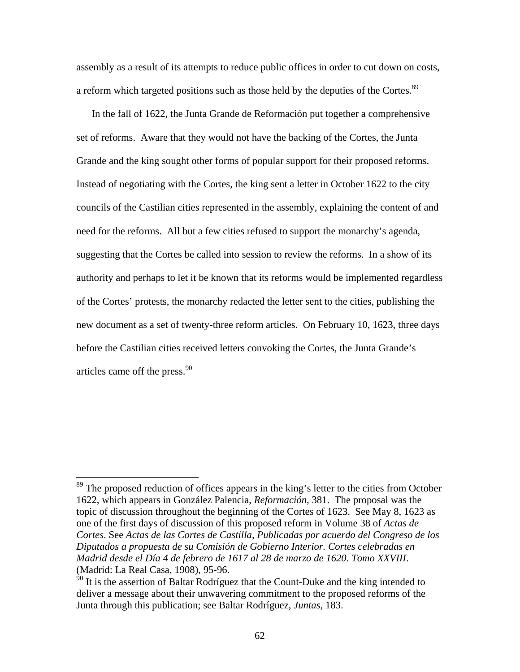assembly as a result of its attempts to reduce public offices in order to cut down on costs, a reform which targeted positions such as those held by the deputies of the Cortes.<sup>89</sup>

In the fall of 1622, the Junta Grande de Reformación put together a comprehensive set of reforms. Aware that they would not have the backing of the Cortes, the Junta Grande and the king sought other forms of popular support for their proposed reforms. Instead of negotiating with the Cortes, the king sent a letter in October 1622 to the city councils of the Castilian cities represented in the assembly, explaining the content of and need for the reforms. All but a few cities refused to support the monarchy's agenda, suggesting that the Cortes be called into session to review the reforms. In a show of its authority and perhaps to let it be known that its reforms would be implemented regardless of the Cortes' protests, the monarchy redacted the letter sent to the cities, publishing the new document as a set of twenty-three reform articles. On February 10, 1623, three days before the Castilian cities received letters convoking the Cortes, the Junta Grande's articles came off the press. $90$ 

 $89$  The proposed reduction of offices appears in the king's letter to the cities from October 1622, which appears in González Palencia, *Reformación*, 381. The proposal was the topic of discussion throughout the beginning of the Cortes of 1623. See May 8, 1623 as one of the first days of discussion of this proposed reform in Volume 38 of *Actas de Cortes*. See *Actas de las Cortes de Castilla, Publicadas por acuerdo del Congreso de los Diputados a propuesta de su Comisión de Gobierno Interior. Cortes celebradas en Madrid desde el Día 4 de febrero de 1617 al 28 de marzo de 1620. Tomo XXVIII*. (Madrid: La Real Casa, 1908), 95-96.

 $90$  It is the assertion of Baltar Rodríguez that the Count-Duke and the king intended to deliver a message about their unwavering commitment to the proposed reforms of the Junta through this publication; see Baltar Rodríguez, *Juntas*, 183.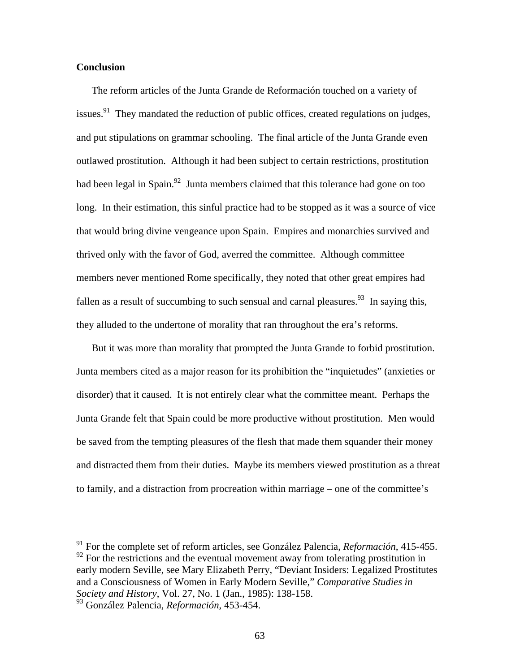## **Conclusion**

The reform articles of the Junta Grande de Reformación touched on a variety of issues.<sup>91</sup> They mandated the reduction of public offices, created regulations on judges, and put stipulations on grammar schooling. The final article of the Junta Grande even outlawed prostitution. Although it had been subject to certain restrictions, prostitution had been legal in Spain.<sup>92</sup> Junta members claimed that this tolerance had gone on too long. In their estimation, this sinful practice had to be stopped as it was a source of vice that would bring divine vengeance upon Spain. Empires and monarchies survived and thrived only with the favor of God, averred the committee. Although committee members never mentioned Rome specifically, they noted that other great empires had fallen as a result of succumbing to such sensual and carnal pleasures.<sup>93</sup> In saying this, they alluded to the undertone of morality that ran throughout the era's reforms.

But it was more than morality that prompted the Junta Grande to forbid prostitution. Junta members cited as a major reason for its prohibition the "inquietudes" (anxieties or disorder) that it caused. It is not entirely clear what the committee meant. Perhaps the Junta Grande felt that Spain could be more productive without prostitution. Men would be saved from the tempting pleasures of the flesh that made them squander their money and distracted them from their duties. Maybe its members viewed prostitution as a threat to family, and a distraction from procreation within marriage – one of the committee's

<sup>91</sup> For the complete set of reform articles, see González Palencia, *Reformación*, 415-455.  $92$  For the restrictions and the eventual movement away from tolerating prostitution in early modern Seville, see Mary Elizabeth Perry, "Deviant Insiders: Legalized Prostitutes and a Consciousness of Women in Early Modern Seville," *Comparative Studies in Society and History*, Vol. 27, No. 1 (Jan., 1985): 138-158.

<sup>93</sup> González Palencia, *Reformación*, 453-454.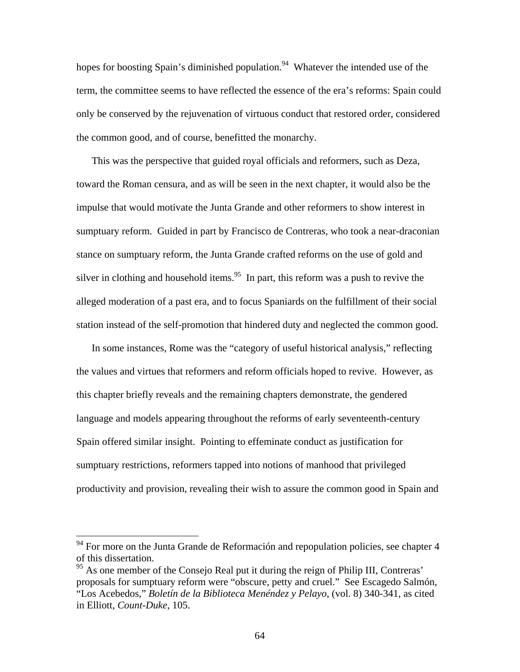hopes for boosting Spain's diminished population.<sup>94</sup> Whatever the intended use of the term, the committee seems to have reflected the essence of the era's reforms: Spain could only be conserved by the rejuvenation of virtuous conduct that restored order, considered the common good, and of course, benefitted the monarchy.

This was the perspective that guided royal officials and reformers, such as Deza, toward the Roman censura, and as will be seen in the next chapter, it would also be the impulse that would motivate the Junta Grande and other reformers to show interest in sumptuary reform. Guided in part by Francisco de Contreras, who took a near-draconian stance on sumptuary reform, the Junta Grande crafted reforms on the use of gold and silver in clothing and household items.<sup>95</sup> In part, this reform was a push to revive the alleged moderation of a past era, and to focus Spaniards on the fulfillment of their social station instead of the self-promotion that hindered duty and neglected the common good.

In some instances, Rome was the "category of useful historical analysis," reflecting the values and virtues that reformers and reform officials hoped to revive. However, as this chapter briefly reveals and the remaining chapters demonstrate, the gendered language and models appearing throughout the reforms of early seventeenth-century Spain offered similar insight. Pointing to effeminate conduct as justification for sumptuary restrictions, reformers tapped into notions of manhood that privileged productivity and provision, revealing their wish to assure the common good in Spain and

 $94$  For more on the Junta Grande de Reformación and repopulation policies, see chapter 4 of this dissertation.

<sup>&</sup>lt;sup>95</sup> As one member of the Consejo Real put it during the reign of Philip III, Contreras' proposals for sumptuary reform were "obscure, petty and cruel." See Escagedo Salmón, "Los Acebedos," *Boletín de la Biblioteca Menéndez y Pelayo*, (vol. 8) 340-341, as cited in Elliott, *Count-Duke*, 105.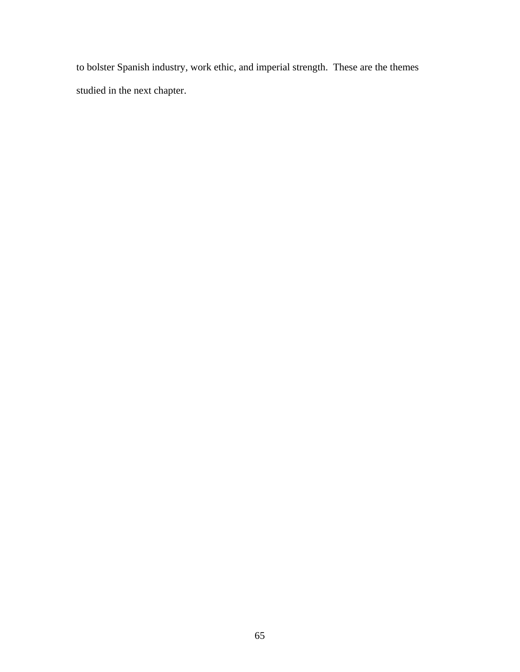to bolster Spanish industry, work ethic, and imperial strength. These are the themes studied in the next chapter.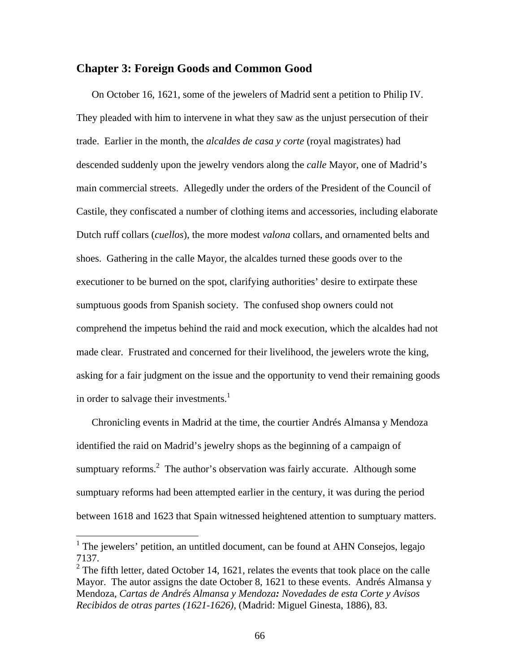# **Chapter 3: Foreign Goods and Common Good**

On October 16, 1621, some of the jewelers of Madrid sent a petition to Philip IV. They pleaded with him to intervene in what they saw as the unjust persecution of their trade. Earlier in the month, the *alcaldes de casa y corte* (royal magistrates) had descended suddenly upon the jewelry vendors along the *calle* Mayor, one of Madrid's main commercial streets. Allegedly under the orders of the President of the Council of Castile, they confiscated a number of clothing items and accessories, including elaborate Dutch ruff collars (*cuellos*), the more modest *valona* collars, and ornamented belts and shoes. Gathering in the calle Mayor, the alcaldes turned these goods over to the executioner to be burned on the spot, clarifying authorities' desire to extirpate these sumptuous goods from Spanish society. The confused shop owners could not comprehend the impetus behind the raid and mock execution, which the alcaldes had not made clear. Frustrated and concerned for their livelihood, the jewelers wrote the king, asking for a fair judgment on the issue and the opportunity to vend their remaining goods in order to salvage their investments.<sup>1</sup>

Chronicling events in Madrid at the time, the courtier Andrés Almansa y Mendoza identified the raid on Madrid's jewelry shops as the beginning of a campaign of sumptuary reforms.<sup>2</sup> The author's observation was fairly accurate. Although some sumptuary reforms had been attempted earlier in the century, it was during the period between 1618 and 1623 that Spain witnessed heightened attention to sumptuary matters.

<sup>&</sup>lt;sup>1</sup> The jewelers' petition, an untitled document, can be found at AHN Consejos, legajo 7137.

<sup>&</sup>lt;sup>2</sup> The fifth letter, dated October 14, 1621, relates the events that took place on the calle Mayor. The autor assigns the date October 8, 1621 to these events. Andrés Almansa y Mendoza, *Cartas de Andrés Almansa y Mendoza: Novedades de esta Corte y Avisos Recibidos de otras partes (1621-1626)*, (Madrid: Miguel Ginesta, 1886), 83.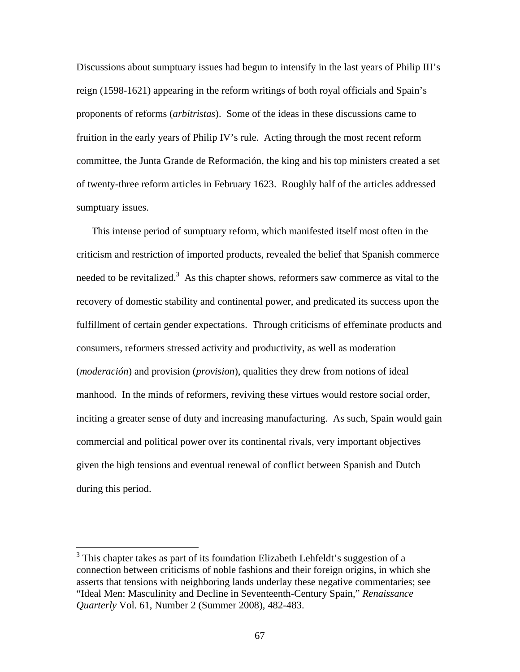Discussions about sumptuary issues had begun to intensify in the last years of Philip III's reign (1598-1621) appearing in the reform writings of both royal officials and Spain's proponents of reforms (*arbitristas*). Some of the ideas in these discussions came to fruition in the early years of Philip IV's rule. Acting through the most recent reform committee, the Junta Grande de Reformación, the king and his top ministers created a set of twenty-three reform articles in February 1623. Roughly half of the articles addressed sumptuary issues.

This intense period of sumptuary reform, which manifested itself most often in the criticism and restriction of imported products, revealed the belief that Spanish commerce needed to be revitalized.<sup>3</sup> As this chapter shows, reformers saw commerce as vital to the recovery of domestic stability and continental power, and predicated its success upon the fulfillment of certain gender expectations. Through criticisms of effeminate products and consumers, reformers stressed activity and productivity, as well as moderation (*moderación*) and provision (*provision*), qualities they drew from notions of ideal manhood. In the minds of reformers, reviving these virtues would restore social order, inciting a greater sense of duty and increasing manufacturing. As such, Spain would gain commercial and political power over its continental rivals, very important objectives given the high tensions and eventual renewal of conflict between Spanish and Dutch during this period.

<sup>&</sup>lt;sup>3</sup> This chapter takes as part of its foundation Elizabeth Lehfeldt's suggestion of a connection between criticisms of noble fashions and their foreign origins, in which she asserts that tensions with neighboring lands underlay these negative commentaries; see "Ideal Men: Masculinity and Decline in Seventeenth-Century Spain," *Renaissance Quarterly* Vol. 61, Number 2 (Summer 2008), 482-483.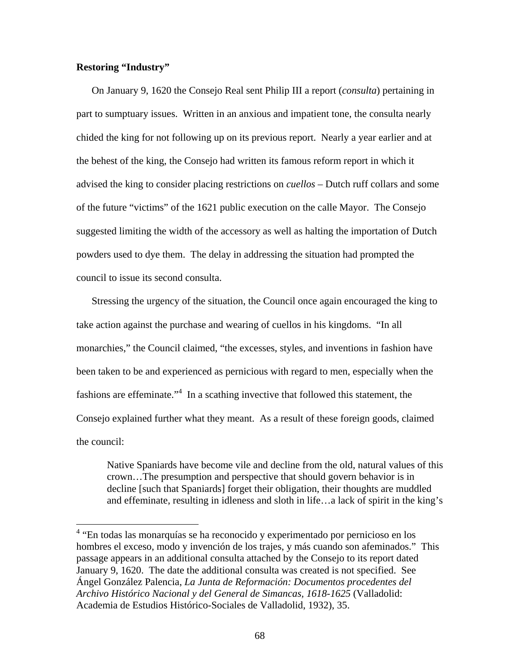## **Restoring "Industry"**

On January 9, 1620 the Consejo Real sent Philip III a report (*consulta*) pertaining in part to sumptuary issues. Written in an anxious and impatient tone, the consulta nearly chided the king for not following up on its previous report. Nearly a year earlier and at the behest of the king, the Consejo had written its famous reform report in which it advised the king to consider placing restrictions on *cuellos* – Dutch ruff collars and some of the future "victims" of the 1621 public execution on the calle Mayor. The Consejo suggested limiting the width of the accessory as well as halting the importation of Dutch powders used to dye them. The delay in addressing the situation had prompted the council to issue its second consulta.

Stressing the urgency of the situation, the Council once again encouraged the king to take action against the purchase and wearing of cuellos in his kingdoms. "In all monarchies," the Council claimed, "the excesses, styles, and inventions in fashion have been taken to be and experienced as pernicious with regard to men, especially when the fashions are effeminate."<sup>4</sup> In a scathing invective that followed this statement, the Consejo explained further what they meant. As a result of these foreign goods, claimed the council:

Native Spaniards have become vile and decline from the old, natural values of this crown…The presumption and perspective that should govern behavior is in decline [such that Spaniards] forget their obligation, their thoughts are muddled and effeminate, resulting in idleness and sloth in life…a lack of spirit in the king's

 4 "En todas las monarquías se ha reconocido y experimentado por pernicioso en los hombres el exceso, modo y invención de los trajes, y más cuando son afeminados." This passage appears in an additional consulta attached by the Consejo to its report dated January 9, 1620. The date the additional consulta was created is not specified. See Ángel González Palencia, *La Junta de Reformación: Documentos procedentes del Archivo Histórico Nacional y del General de Simancas, 1618-1625* (Valladolid: Academia de Estudios Histórico-Sociales de Valladolid, 1932), 35.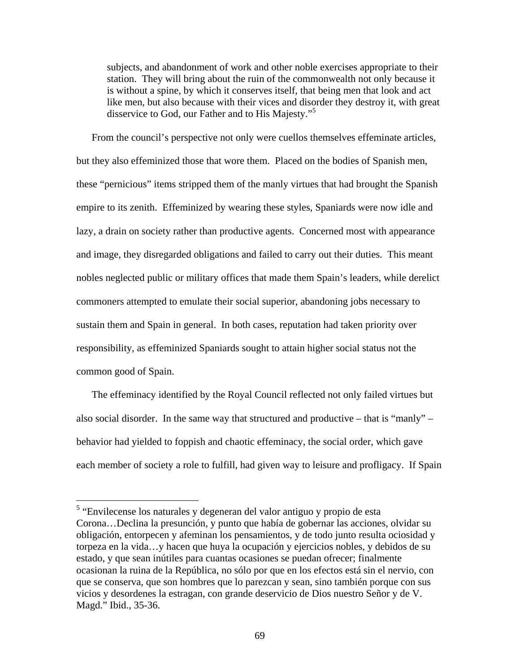subjects, and abandonment of work and other noble exercises appropriate to their station. They will bring about the ruin of the commonwealth not only because it is without a spine, by which it conserves itself, that being men that look and act like men, but also because with their vices and disorder they destroy it, with great disservice to God, our Father and to His Majesty."<sup>5</sup>

From the council's perspective not only were cuellos themselves effeminate articles, but they also effeminized those that wore them. Placed on the bodies of Spanish men, these "pernicious" items stripped them of the manly virtues that had brought the Spanish empire to its zenith. Effeminized by wearing these styles, Spaniards were now idle and lazy, a drain on society rather than productive agents. Concerned most with appearance and image, they disregarded obligations and failed to carry out their duties. This meant nobles neglected public or military offices that made them Spain's leaders, while derelict commoners attempted to emulate their social superior, abandoning jobs necessary to sustain them and Spain in general. In both cases, reputation had taken priority over responsibility, as effeminized Spaniards sought to attain higher social status not the common good of Spain.

The effeminacy identified by the Royal Council reflected not only failed virtues but also social disorder. In the same way that structured and productive – that is "manly" – behavior had yielded to foppish and chaotic effeminacy, the social order, which gave each member of society a role to fulfill, had given way to leisure and profligacy. If Spain

 5 "Envilecense los naturales y degeneran del valor antiguo y propio de esta Corona…Declina la presunción, y punto que había de gobernar las acciones, olvidar su obligación, entorpecen y afeminan los pensamientos, y de todo junto resulta ociosidad y torpeza en la vida…y hacen que huya la ocupación y ejercicios nobles, y debidos de su estado, y que sean inútiles para cuantas ocasiones se puedan ofrecer; finalmente ocasionan la ruina de la República, no sólo por que en los efectos está sin el nervio, con que se conserva, que son hombres que lo parezcan y sean, sino también porque con sus vicios y desordenes la estragan, con grande deservicio de Dios nuestro Señor y de V. Magd." Ibid., 35-36.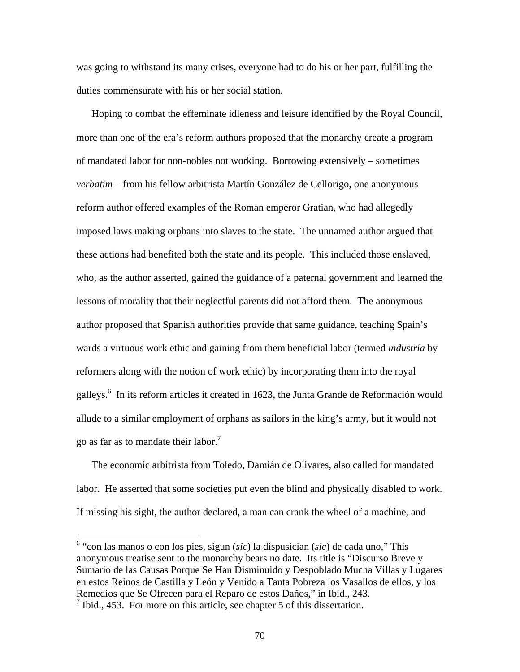was going to withstand its many crises, everyone had to do his or her part, fulfilling the duties commensurate with his or her social station.

Hoping to combat the effeminate idleness and leisure identified by the Royal Council, more than one of the era's reform authors proposed that the monarchy create a program of mandated labor for non-nobles not working. Borrowing extensively – sometimes *verbatim* – from his fellow arbitrista Martín González de Cellorigo, one anonymous reform author offered examples of the Roman emperor Gratian, who had allegedly imposed laws making orphans into slaves to the state. The unnamed author argued that these actions had benefited both the state and its people. This included those enslaved, who, as the author asserted, gained the guidance of a paternal government and learned the lessons of morality that their neglectful parents did not afford them. The anonymous author proposed that Spanish authorities provide that same guidance, teaching Spain's wards a virtuous work ethic and gaining from them beneficial labor (termed *industría* by reformers along with the notion of work ethic) by incorporating them into the royal galleys.<sup>6</sup> In its reform articles it created in 1623, the Junta Grande de Reformación would allude to a similar employment of orphans as sailors in the king's army, but it would not go as far as to mandate their labor.<sup>7</sup>

The economic arbitrista from Toledo, Damián de Olivares, also called for mandated labor. He asserted that some societies put even the blind and physically disabled to work. If missing his sight, the author declared, a man can crank the wheel of a machine, and

<u>.</u>

<sup>6</sup> "con las manos o con los pies, sigun (*sic*) la dispusician (*sic*) de cada uno," This anonymous treatise sent to the monarchy bears no date. Its title is "Discurso Breve y Sumario de las Causas Porque Se Han Disminuido y Despoblado Mucha Villas y Lugares en estos Reinos de Castilla y León y Venido a Tanta Pobreza los Vasallos de ellos, y los Remedios que Se Ofrecen para el Reparo de estos Daños," in Ibid., 243.

 $<sup>7</sup>$  Ibid., 453. For more on this article, see chapter 5 of this dissertation.</sup>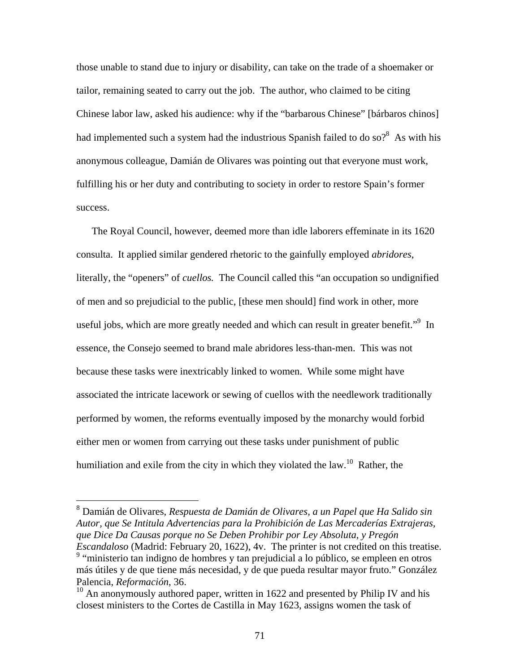those unable to stand due to injury or disability, can take on the trade of a shoemaker or tailor, remaining seated to carry out the job. The author, who claimed to be citing Chinese labor law, asked his audience: why if the "barbarous Chinese" [bárbaros chinos] had implemented such a system had the industrious Spanish failed to do so?<sup>8</sup> As with his anonymous colleague, Damián de Olivares was pointing out that everyone must work, fulfilling his or her duty and contributing to society in order to restore Spain's former success.

The Royal Council, however, deemed more than idle laborers effeminate in its 1620 consulta. It applied similar gendered rhetoric to the gainfully employed *abridores*, literally, the "openers" of *cuellos.* The Council called this "an occupation so undignified of men and so prejudicial to the public, [these men should] find work in other, more useful jobs, which are more greatly needed and which can result in greater benefit."<sup>9</sup> In essence, the Consejo seemed to brand male abridores less-than-men. This was not because these tasks were inextricably linked to women. While some might have associated the intricate lacework or sewing of cuellos with the needlework traditionally performed by women, the reforms eventually imposed by the monarchy would forbid either men or women from carrying out these tasks under punishment of public humiliation and exile from the city in which they violated the law.<sup>10</sup> Rather, the

 8 Damián de Olivares, *Respuesta de Damián de Olivares, a un Papel que Ha Salido sin Autor, que Se Intitula Advertencias para la Prohibición de Las Mercaderías Extrajeras, que Dice Da Causas porque no Se Deben Prohibir por Ley Absoluta, y Pregón Escandaloso* (Madrid: February 20, 1622), 4v. The printer is not credited on this treatise. <sup>9</sup> "ministerio tan indigno de hombres y tan prejudicial a lo público, se empleen en otros más útiles y de que tiene más necesidad, y de que pueda resultar mayor fruto." González Palencia, *Reformación*, 36.

 $10$  An anonymously authored paper, written in 1622 and presented by Philip IV and his closest ministers to the Cortes de Castilla in May 1623, assigns women the task of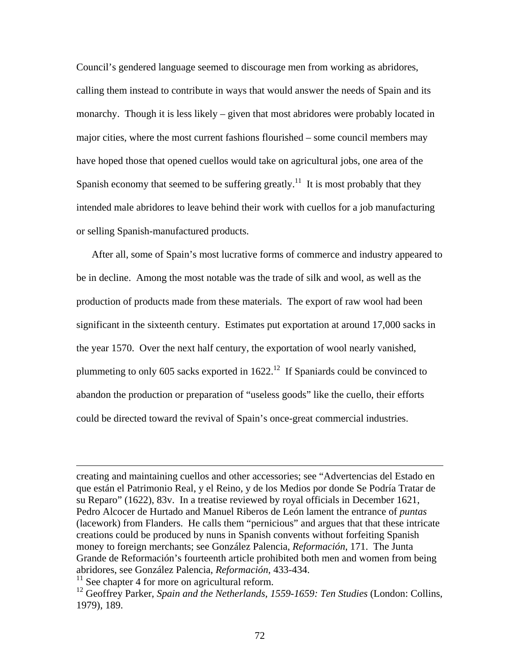Council's gendered language seemed to discourage men from working as abridores, calling them instead to contribute in ways that would answer the needs of Spain and its monarchy. Though it is less likely – given that most abridores were probably located in major cities, where the most current fashions flourished – some council members may have hoped those that opened cuellos would take on agricultural jobs, one area of the Spanish economy that seemed to be suffering greatly.<sup>11</sup> It is most probably that they intended male abridores to leave behind their work with cuellos for a job manufacturing or selling Spanish-manufactured products.

After all, some of Spain's most lucrative forms of commerce and industry appeared to be in decline. Among the most notable was the trade of silk and wool, as well as the production of products made from these materials. The export of raw wool had been significant in the sixteenth century. Estimates put exportation at around 17,000 sacks in the year 1570. Over the next half century, the exportation of wool nearly vanished, plummeting to only 605 sacks exported in  $1622<sup>12</sup>$  If Spaniards could be convinced to abandon the production or preparation of "useless goods" like the cuello, their efforts could be directed toward the revival of Spain's once-great commercial industries.

creating and maintaining cuellos and other accessories; see "Advertencias del Estado en que están el Patrimonio Real, y el Reino, y de los Medios por donde Se Podría Tratar de su Reparo" (1622), 83v. In a treatise reviewed by royal officials in December 1621, Pedro Alcocer de Hurtado and Manuel Riberos de León lament the entrance of *puntas* (lacework) from Flanders. He calls them "pernicious" and argues that that these intricate creations could be produced by nuns in Spanish convents without forfeiting Spanish money to foreign merchants; see González Palencia, *Reformación*, 171. The Junta Grande de Reformación's fourteenth article prohibited both men and women from being abridores, see González Palencia, *Reformación*, 433-434.

 $11$  See chapter 4 for more on agricultural reform.

<sup>&</sup>lt;sup>12</sup> Geoffrey Parker, *Spain and the Netherlands, 1559-1659: Ten Studies* (London: Collins, 1979), 189.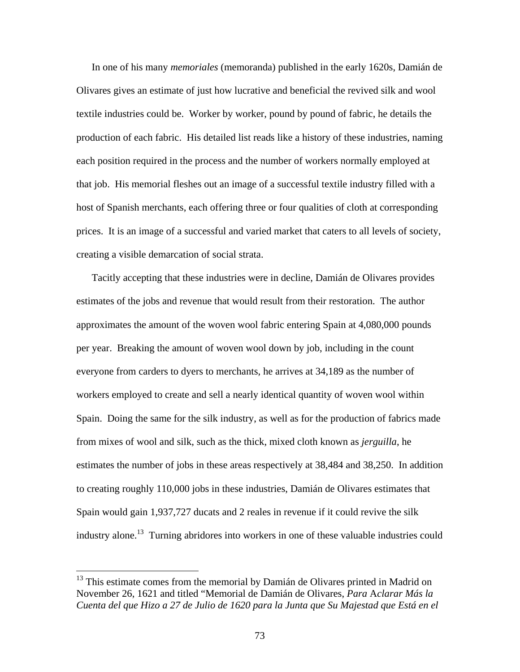In one of his many *memoriales* (memoranda) published in the early 1620s, Damián de Olivares gives an estimate of just how lucrative and beneficial the revived silk and wool textile industries could be. Worker by worker, pound by pound of fabric, he details the production of each fabric. His detailed list reads like a history of these industries, naming each position required in the process and the number of workers normally employed at that job. His memorial fleshes out an image of a successful textile industry filled with a host of Spanish merchants, each offering three or four qualities of cloth at corresponding prices. It is an image of a successful and varied market that caters to all levels of society, creating a visible demarcation of social strata.

Tacitly accepting that these industries were in decline, Damián de Olivares provides estimates of the jobs and revenue that would result from their restoration. The author approximates the amount of the woven wool fabric entering Spain at 4,080,000 pounds per year. Breaking the amount of woven wool down by job, including in the count everyone from carders to dyers to merchants, he arrives at 34,189 as the number of workers employed to create and sell a nearly identical quantity of woven wool within Spain. Doing the same for the silk industry, as well as for the production of fabrics made from mixes of wool and silk, such as the thick, mixed cloth known as *jerguilla*, he estimates the number of jobs in these areas respectively at 38,484 and 38,250. In addition to creating roughly 110,000 jobs in these industries, Damián de Olivares estimates that Spain would gain 1,937,727 ducats and 2 reales in revenue if it could revive the silk industry alone.13 Turning abridores into workers in one of these valuable industries could

<sup>&</sup>lt;sup>13</sup> This estimate comes from the memorial by Damián de Olivares printed in Madrid on November 26, 1621 and titled "Memorial de Damián de Olivares, *Para* A*clarar Más la Cuenta del que Hizo a 27 de Julio de 1620 para la Junta que Su Majestad que Está en el*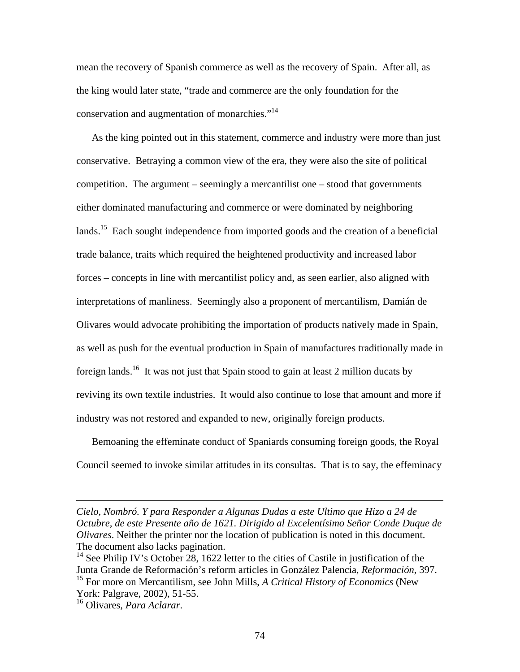mean the recovery of Spanish commerce as well as the recovery of Spain. After all, as the king would later state, "trade and commerce are the only foundation for the conservation and augmentation of monarchies."<sup>14</sup>

As the king pointed out in this statement, commerce and industry were more than just conservative. Betraying a common view of the era, they were also the site of political competition. The argument – seemingly a mercantilist one – stood that governments either dominated manufacturing and commerce or were dominated by neighboring lands.<sup>15</sup> Each sought independence from imported goods and the creation of a beneficial trade balance, traits which required the heightened productivity and increased labor forces – concepts in line with mercantilist policy and, as seen earlier, also aligned with interpretations of manliness. Seemingly also a proponent of mercantilism, Damián de Olivares would advocate prohibiting the importation of products natively made in Spain, as well as push for the eventual production in Spain of manufactures traditionally made in foreign lands.<sup>16</sup> It was not just that Spain stood to gain at least 2 million ducats by reviving its own textile industries. It would also continue to lose that amount and more if industry was not restored and expanded to new, originally foreign products.

Bemoaning the effeminate conduct of Spaniards consuming foreign goods, the Royal Council seemed to invoke similar attitudes in its consultas. That is to say, the effeminacy

*Cielo, Nombró. Y para Responder a Algunas Dudas a este Ultimo que Hizo a 24 de Octubre, de este Presente año de 1621. Dirigido al Excelentísimo Señor Conde Duque de Olivares*. Neither the printer nor the location of publication is noted in this document. The document also lacks pagination.

<sup>&</sup>lt;sup>14</sup> See Philip IV's October 28, 1622 letter to the cities of Castile in justification of the Junta Grande de Reformación's reform articles in González Palencia, *Reformación*, 397. 15 For more on Mercantilism, see John Mills, *A Critical History of Economics* (New

York: Palgrave, 2002), 51-55.

<sup>16</sup> Olivares, *Para Aclarar*.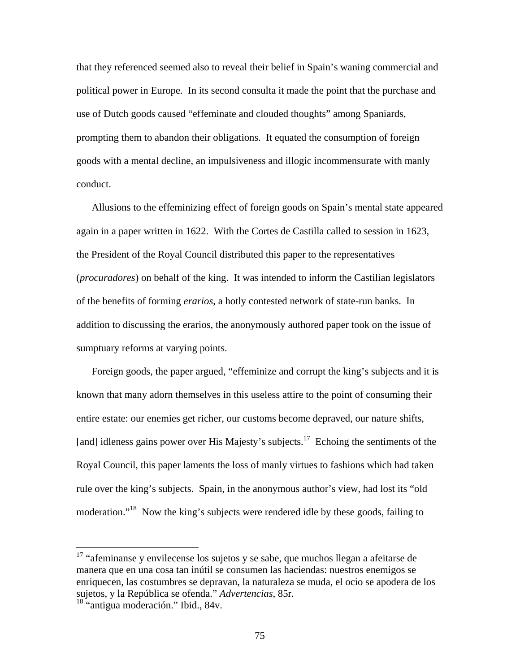that they referenced seemed also to reveal their belief in Spain's waning commercial and political power in Europe. In its second consulta it made the point that the purchase and use of Dutch goods caused "effeminate and clouded thoughts" among Spaniards, prompting them to abandon their obligations. It equated the consumption of foreign goods with a mental decline, an impulsiveness and illogic incommensurate with manly conduct.

Allusions to the effeminizing effect of foreign goods on Spain's mental state appeared again in a paper written in 1622. With the Cortes de Castilla called to session in 1623, the President of the Royal Council distributed this paper to the representatives (*procuradores*) on behalf of the king. It was intended to inform the Castilian legislators of the benefits of forming *erarios*, a hotly contested network of state-run banks. In addition to discussing the erarios, the anonymously authored paper took on the issue of sumptuary reforms at varying points.

Foreign goods, the paper argued, "effeminize and corrupt the king's subjects and it is known that many adorn themselves in this useless attire to the point of consuming their entire estate: our enemies get richer, our customs become depraved, our nature shifts, [and] idleness gains power over His Majesty's subjects.<sup>17</sup> Echoing the sentiments of the Royal Council, this paper laments the loss of manly virtues to fashions which had taken rule over the king's subjects. Spain, in the anonymous author's view, had lost its "old moderation."18 Now the king's subjects were rendered idle by these goods, failing to

1

 $17$  "afeminanse y envilecense los sujetos y se sabe, que muchos llegan a afeitarse de manera que en una cosa tan inútil se consumen las haciendas: nuestros enemigos se enriquecen, las costumbres se depravan, la naturaleza se muda, el ocio se apodera de los sujetos, y la República se ofenda." *Advertencias*, 85r.

<sup>&</sup>lt;sup>18</sup> "antigua moderación." Ibid., 84v.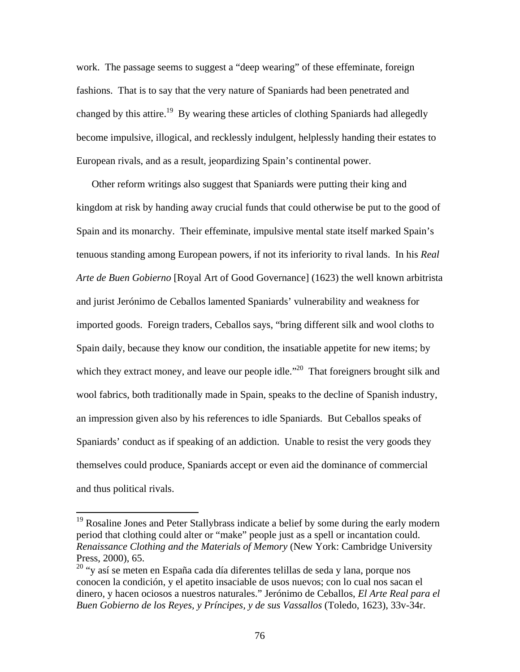work. The passage seems to suggest a "deep wearing" of these effeminate, foreign fashions. That is to say that the very nature of Spaniards had been penetrated and changed by this attire.<sup>19</sup> By wearing these articles of clothing Spaniards had allegedly become impulsive, illogical, and recklessly indulgent, helplessly handing their estates to European rivals, and as a result, jeopardizing Spain's continental power.

Other reform writings also suggest that Spaniards were putting their king and kingdom at risk by handing away crucial funds that could otherwise be put to the good of Spain and its monarchy. Their effeminate, impulsive mental state itself marked Spain's tenuous standing among European powers, if not its inferiority to rival lands. In his *Real Arte de Buen Gobierno* [Royal Art of Good Governance] (1623) the well known arbitrista and jurist Jerónimo de Ceballos lamented Spaniards' vulnerability and weakness for imported goods. Foreign traders, Ceballos says, "bring different silk and wool cloths to Spain daily, because they know our condition, the insatiable appetite for new items; by which they extract money, and leave our people idle. $\cdot^{20}$  That foreigners brought silk and wool fabrics, both traditionally made in Spain, speaks to the decline of Spanish industry, an impression given also by his references to idle Spaniards. But Ceballos speaks of Spaniards' conduct as if speaking of an addiction. Unable to resist the very goods they themselves could produce, Spaniards accept or even aid the dominance of commercial and thus political rivals.

<sup>&</sup>lt;sup>19</sup> Rosaline Jones and Peter Stallybrass indicate a belief by some during the early modern period that clothing could alter or "make" people just as a spell or incantation could. *Renaissance Clothing and the Materials of Memory* (New York: Cambridge University Press, 2000), 65.

<sup>&</sup>lt;sup>20</sup> "y así se meten en España cada día diferentes telillas de seda y lana, porque nos conocen la condición, y el apetito insaciable de usos nuevos; con lo cual nos sacan el dinero, y hacen ociosos a nuestros naturales." Jerónimo de Ceballos, *El Arte Real para el Buen Gobierno de los Reyes, y Príncipes, y de sus Vassallos* (Toledo, 1623), 33v-34r.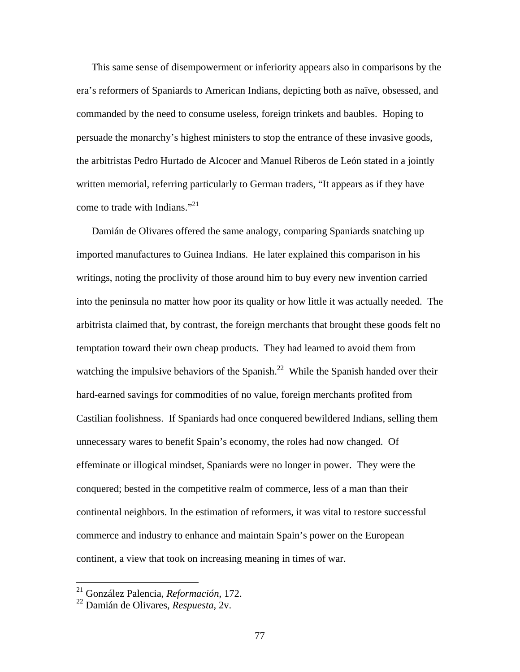This same sense of disempowerment or inferiority appears also in comparisons by the era's reformers of Spaniards to American Indians, depicting both as naïve, obsessed, and commanded by the need to consume useless, foreign trinkets and baubles. Hoping to persuade the monarchy's highest ministers to stop the entrance of these invasive goods, the arbitristas Pedro Hurtado de Alcocer and Manuel Riberos de León stated in a jointly written memorial, referring particularly to German traders, "It appears as if they have come to trade with Indians."<sup>21</sup>

Damián de Olivares offered the same analogy, comparing Spaniards snatching up imported manufactures to Guinea Indians. He later explained this comparison in his writings, noting the proclivity of those around him to buy every new invention carried into the peninsula no matter how poor its quality or how little it was actually needed. The arbitrista claimed that, by contrast, the foreign merchants that brought these goods felt no temptation toward their own cheap products. They had learned to avoid them from watching the impulsive behaviors of the Spanish.<sup>22</sup> While the Spanish handed over their hard-earned savings for commodities of no value, foreign merchants profited from Castilian foolishness. If Spaniards had once conquered bewildered Indians, selling them unnecessary wares to benefit Spain's economy, the roles had now changed. Of effeminate or illogical mindset, Spaniards were no longer in power. They were the conquered; bested in the competitive realm of commerce, less of a man than their continental neighbors. In the estimation of reformers, it was vital to restore successful commerce and industry to enhance and maintain Spain's power on the European continent, a view that took on increasing meaning in times of war.

<sup>21</sup> González Palencia, *Reformación*, 172.

<sup>22</sup> Damián de Olivares, *Respuesta*, 2v.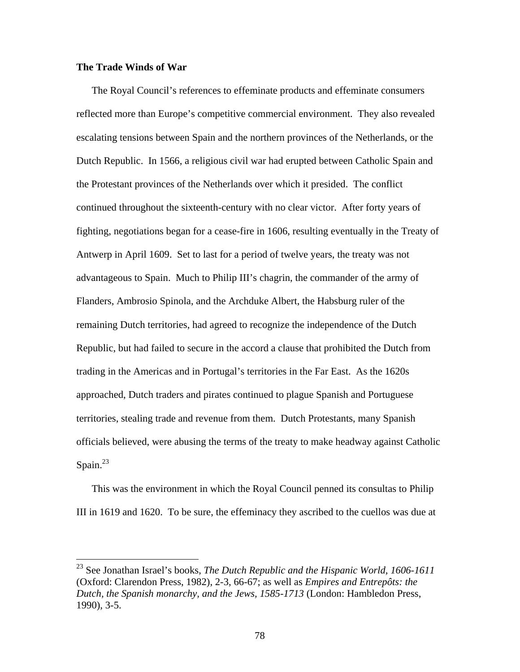## **The Trade Winds of War**

1

The Royal Council's references to effeminate products and effeminate consumers reflected more than Europe's competitive commercial environment. They also revealed escalating tensions between Spain and the northern provinces of the Netherlands, or the Dutch Republic. In 1566, a religious civil war had erupted between Catholic Spain and the Protestant provinces of the Netherlands over which it presided. The conflict continued throughout the sixteenth-century with no clear victor. After forty years of fighting, negotiations began for a cease-fire in 1606, resulting eventually in the Treaty of Antwerp in April 1609. Set to last for a period of twelve years, the treaty was not advantageous to Spain. Much to Philip III's chagrin, the commander of the army of Flanders, Ambrosio Spinola, and the Archduke Albert, the Habsburg ruler of the remaining Dutch territories, had agreed to recognize the independence of the Dutch Republic, but had failed to secure in the accord a clause that prohibited the Dutch from trading in the Americas and in Portugal's territories in the Far East. As the 1620s approached, Dutch traders and pirates continued to plague Spanish and Portuguese territories, stealing trade and revenue from them. Dutch Protestants, many Spanish officials believed, were abusing the terms of the treaty to make headway against Catholic Spain. $^{23}$ 

This was the environment in which the Royal Council penned its consultas to Philip III in 1619 and 1620. To be sure, the effeminacy they ascribed to the cuellos was due at

<sup>23</sup> See Jonathan Israel's books, *The Dutch Republic and the Hispanic World, 1606-1611* (Oxford: Clarendon Press, 1982), 2-3, 66-67; as well as *Empires and Entrepôts: the Dutch, the Spanish monarchy, and the Jews, 1585-1713* (London: Hambledon Press, 1990), 3-5.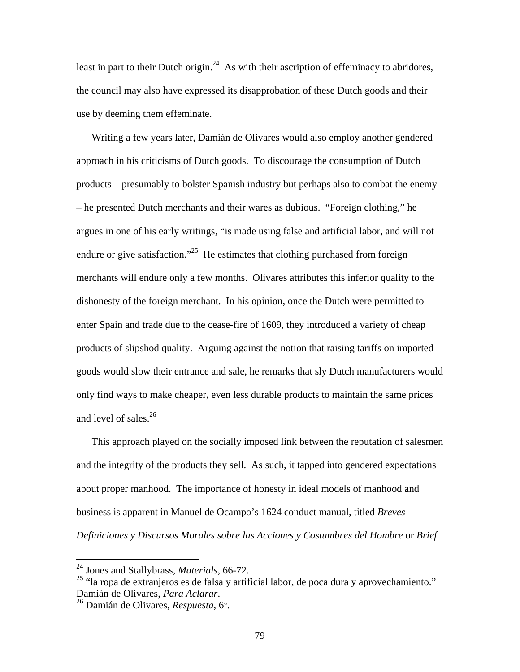least in part to their Dutch origin.<sup>24</sup> As with their ascription of effeminacy to abridores, the council may also have expressed its disapprobation of these Dutch goods and their use by deeming them effeminate.

Writing a few years later, Damián de Olivares would also employ another gendered approach in his criticisms of Dutch goods. To discourage the consumption of Dutch products – presumably to bolster Spanish industry but perhaps also to combat the enemy – he presented Dutch merchants and their wares as dubious. "Foreign clothing," he argues in one of his early writings, "is made using false and artificial labor, and will not endure or give satisfaction.<sup> $25$ </sup> He estimates that clothing purchased from foreign merchants will endure only a few months. Olivares attributes this inferior quality to the dishonesty of the foreign merchant. In his opinion, once the Dutch were permitted to enter Spain and trade due to the cease-fire of 1609, they introduced a variety of cheap products of slipshod quality. Arguing against the notion that raising tariffs on imported goods would slow their entrance and sale, he remarks that sly Dutch manufacturers would only find ways to make cheaper, even less durable products to maintain the same prices and level of sales.<sup>26</sup>

This approach played on the socially imposed link between the reputation of salesmen and the integrity of the products they sell. As such, it tapped into gendered expectations about proper manhood. The importance of honesty in ideal models of manhood and business is apparent in Manuel de Ocampo's 1624 conduct manual, titled *Breves Definiciones y Discursos Morales sobre las Acciones y Costumbres del Hombre* or *Brief* 

1

<sup>24</sup> Jones and Stallybrass, *Materials*, 66-72.

<sup>25 &</sup>quot;la ropa de extranjeros es de falsa y artificial labor, de poca dura y aprovechamiento." Damián de Olivares, *Para Aclarar*. 26 Damián de Olivares, *Respuesta*, 6r.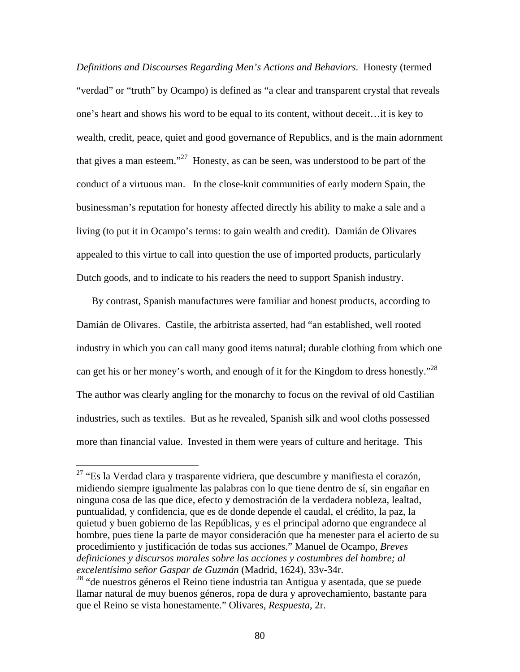*Definitions and Discourses Regarding Men's Actions and Behaviors*. Honesty (termed "verdad" or "truth" by Ocampo) is defined as "a clear and transparent crystal that reveals one's heart and shows his word to be equal to its content, without deceit…it is key to wealth, credit, peace, quiet and good governance of Republics, and is the main adornment that gives a man esteem."<sup>27</sup> Honesty, as can be seen, was understood to be part of the conduct of a virtuous man. In the close-knit communities of early modern Spain, the businessman's reputation for honesty affected directly his ability to make a sale and a living (to put it in Ocampo's terms: to gain wealth and credit). Damián de Olivares appealed to this virtue to call into question the use of imported products, particularly Dutch goods, and to indicate to his readers the need to support Spanish industry.

By contrast, Spanish manufactures were familiar and honest products, according to Damián de Olivares. Castile, the arbitrista asserted, had "an established, well rooted industry in which you can call many good items natural; durable clothing from which one can get his or her money's worth, and enough of it for the Kingdom to dress honestly."<sup>28</sup> The author was clearly angling for the monarchy to focus on the revival of old Castilian industries, such as textiles. But as he revealed, Spanish silk and wool cloths possessed more than financial value. Invested in them were years of culture and heritage. This

 $27$  "Es la Verdad clara y trasparente vidriera, que descumbre y manifiesta el corazón, midiendo siempre igualmente las palabras con lo que tiene dentro de sí, sin engañar en ninguna cosa de las que dice, efecto y demostración de la verdadera nobleza, lealtad, puntualidad, y confidencia, que es de donde depende el caudal, el crédito, la paz, la quietud y buen gobierno de las Repúblicas, y es el principal adorno que engrandece al hombre, pues tiene la parte de mayor consideración que ha menester para el acierto de su procedimiento y justificación de todas sus acciones." Manuel de Ocampo, *Breves definiciones y discursos morales sobre las acciones y costumbres del hombre; al excelentísimo señor Gaspar de Guzmán* (Madrid, 1624), 33v-34r.

<sup>&</sup>lt;sup>28</sup> "de nuestros géneros el Reino tiene industria tan Antigua y asentada, que se puede llamar natural de muy buenos géneros, ropa de dura y aprovechamiento, bastante para que el Reino se vista honestamente." Olivares, *Respuesta*, 2r.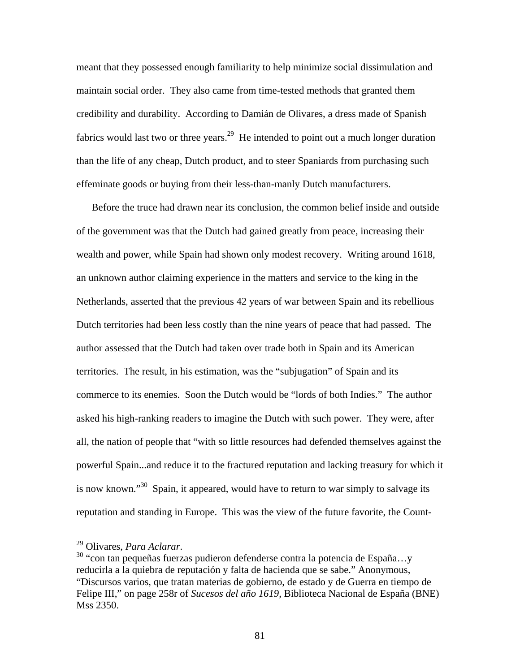meant that they possessed enough familiarity to help minimize social dissimulation and maintain social order. They also came from time-tested methods that granted them credibility and durability. According to Damián de Olivares, a dress made of Spanish fabrics would last two or three years.<sup>29</sup> He intended to point out a much longer duration than the life of any cheap, Dutch product, and to steer Spaniards from purchasing such effeminate goods or buying from their less-than-manly Dutch manufacturers.

Before the truce had drawn near its conclusion, the common belief inside and outside of the government was that the Dutch had gained greatly from peace, increasing their wealth and power, while Spain had shown only modest recovery. Writing around 1618, an unknown author claiming experience in the matters and service to the king in the Netherlands, asserted that the previous 42 years of war between Spain and its rebellious Dutch territories had been less costly than the nine years of peace that had passed. The author assessed that the Dutch had taken over trade both in Spain and its American territories. The result, in his estimation, was the "subjugation" of Spain and its commerce to its enemies. Soon the Dutch would be "lords of both Indies." The author asked his high-ranking readers to imagine the Dutch with such power. They were, after all, the nation of people that "with so little resources had defended themselves against the powerful Spain...and reduce it to the fractured reputation and lacking treasury for which it is now known."<sup>30</sup> Spain, it appeared, would have to return to war simply to salvage its reputation and standing in Europe. This was the view of the future favorite, the Count-

<sup>&</sup>lt;sup>29</sup> Olivares, *Para Aclarar*.<br><sup>30</sup> "con tan pequeñas fuerzas pudieron defenderse contra la potencia de España...y reducirla a la quiebra de reputación y falta de hacienda que se sabe." Anonymous, "Discursos varios, que tratan materias de gobierno, de estado y de Guerra en tiempo de Felipe III," on page 258r of *Sucesos del año 1619*, Biblioteca Nacional de España (BNE) Mss 2350.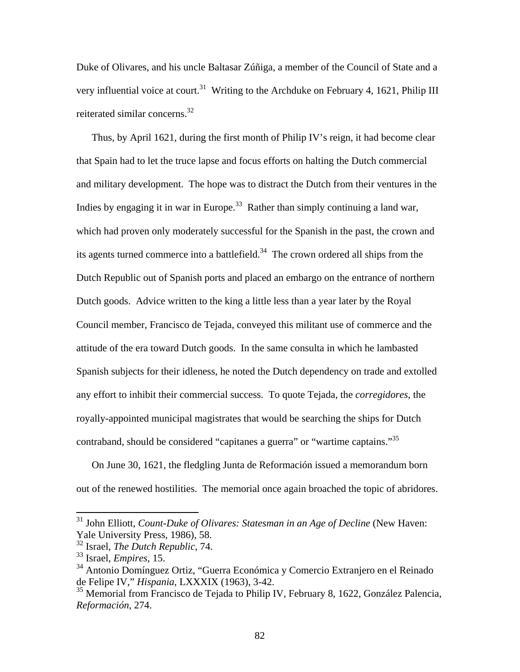Duke of Olivares, and his uncle Baltasar Zúñiga, a member of the Council of State and a very influential voice at court.<sup>31</sup> Writing to the Archduke on February 4, 1621, Philip III reiterated similar concerns.<sup>32</sup>

Thus, by April 1621, during the first month of Philip IV's reign, it had become clear that Spain had to let the truce lapse and focus efforts on halting the Dutch commercial and military development. The hope was to distract the Dutch from their ventures in the Indies by engaging it in war in Europe.<sup>33</sup> Rather than simply continuing a land war, which had proven only moderately successful for the Spanish in the past, the crown and its agents turned commerce into a battlefield.<sup>34</sup> The crown ordered all ships from the Dutch Republic out of Spanish ports and placed an embargo on the entrance of northern Dutch goods. Advice written to the king a little less than a year later by the Royal Council member, Francisco de Tejada, conveyed this militant use of commerce and the attitude of the era toward Dutch goods. In the same consulta in which he lambasted Spanish subjects for their idleness, he noted the Dutch dependency on trade and extolled any effort to inhibit their commercial success. To quote Tejada, the *corregidores*, the royally-appointed municipal magistrates that would be searching the ships for Dutch contraband, should be considered "capitanes a guerra" or "wartime captains."35

On June 30, 1621, the fledgling Junta de Reformación issued a memorandum born out of the renewed hostilities. The memorial once again broached the topic of abridores.

<sup>31</sup> John Elliott, *Count-Duke of Olivares: Statesman in an Age of Decline* (New Haven: Yale University Press, 1986), 58.

<sup>32</sup> Israel, *The Dutch Republic*, 74.

<sup>33</sup> Israel, *Empires*, 15.

<sup>34</sup> Antonio Domínguez Ortiz, "Guerra Económica y Comercio Extranjero en el Reinado de Felipe IV," *Hispania*, LXXXIX (1963), 3-42.

<sup>&</sup>lt;sup>35</sup> Memorial from Francisco de Tejada to Philip IV, February 8, 1622, González Palencia, *Reformación*, 274.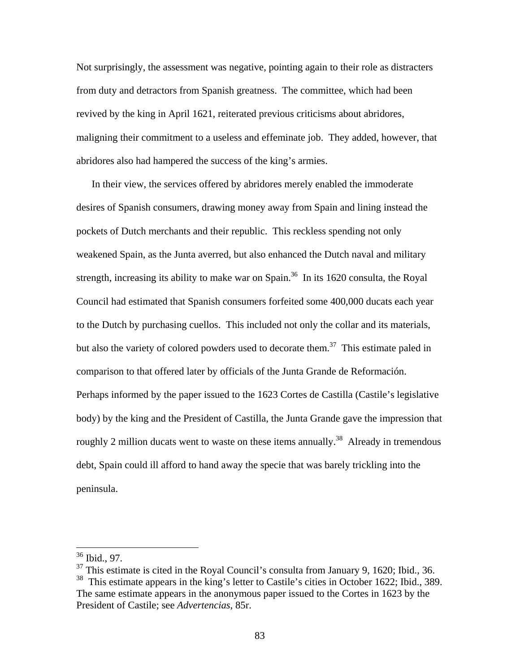Not surprisingly, the assessment was negative, pointing again to their role as distracters from duty and detractors from Spanish greatness. The committee, which had been revived by the king in April 1621, reiterated previous criticisms about abridores, maligning their commitment to a useless and effeminate job. They added, however, that abridores also had hampered the success of the king's armies.

In their view, the services offered by abridores merely enabled the immoderate desires of Spanish consumers, drawing money away from Spain and lining instead the pockets of Dutch merchants and their republic. This reckless spending not only weakened Spain, as the Junta averred, but also enhanced the Dutch naval and military strength, increasing its ability to make war on Spain.<sup>36</sup> In its 1620 consulta, the Royal Council had estimated that Spanish consumers forfeited some 400,000 ducats each year to the Dutch by purchasing cuellos. This included not only the collar and its materials, but also the variety of colored powders used to decorate them.<sup>37</sup> This estimate paled in comparison to that offered later by officials of the Junta Grande de Reformación. Perhaps informed by the paper issued to the 1623 Cortes de Castilla (Castile's legislative body) by the king and the President of Castilla, the Junta Grande gave the impression that roughly 2 million ducats went to waste on these items annually.<sup>38</sup> Already in tremendous debt, Spain could ill afford to hand away the specie that was barely trickling into the peninsula.

<sup>36</sup> Ibid., 97.

 $37$  This estimate is cited in the Royal Council's consulta from January 9, 1620; Ibid., 36.

 $38$  This estimate appears in the king's letter to Castile's cities in October 1622; Ibid., 389. The same estimate appears in the anonymous paper issued to the Cortes in 1623 by the President of Castile; see *Advertencias*, 85r.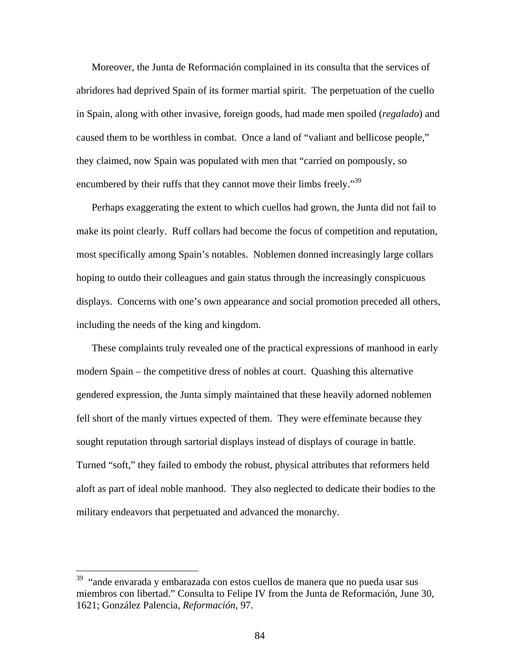Moreover, the Junta de Reformación complained in its consulta that the services of abridores had deprived Spain of its former martial spirit. The perpetuation of the cuello in Spain, along with other invasive, foreign goods, had made men spoiled (*regalado*) and caused them to be worthless in combat. Once a land of "valiant and bellicose people," they claimed, now Spain was populated with men that "carried on pompously, so encumbered by their ruffs that they cannot move their limbs freely."<sup>39</sup>

Perhaps exaggerating the extent to which cuellos had grown, the Junta did not fail to make its point clearly. Ruff collars had become the focus of competition and reputation, most specifically among Spain's notables. Noblemen donned increasingly large collars hoping to outdo their colleagues and gain status through the increasingly conspicuous displays. Concerns with one's own appearance and social promotion preceded all others, including the needs of the king and kingdom.

These complaints truly revealed one of the practical expressions of manhood in early modern Spain – the competitive dress of nobles at court. Quashing this alternative gendered expression, the Junta simply maintained that these heavily adorned noblemen fell short of the manly virtues expected of them. They were effeminate because they sought reputation through sartorial displays instead of displays of courage in battle. Turned "soft," they failed to embody the robust, physical attributes that reformers held aloft as part of ideal noble manhood. They also neglected to dedicate their bodies to the military endeavors that perpetuated and advanced the monarchy.

<sup>&</sup>lt;sup>39</sup> "ande envarada y embarazada con estos cuellos de manera que no pueda usar sus miembros con libertad." Consulta to Felipe IV from the Junta de Reformación, June 30, 1621; González Palencia, *Reformación*, 97.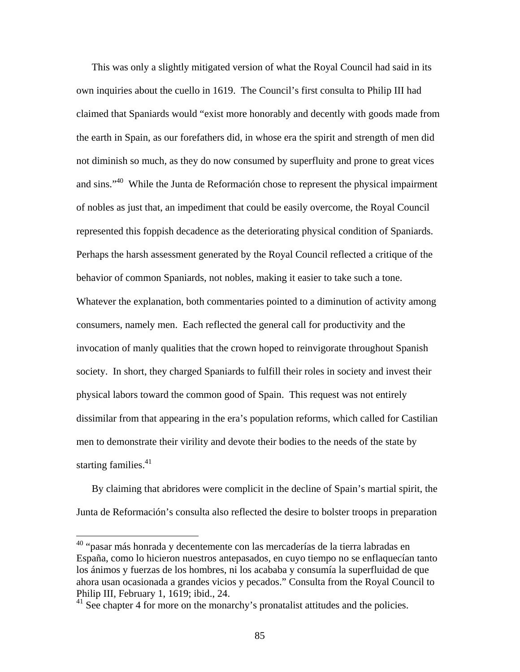This was only a slightly mitigated version of what the Royal Council had said in its own inquiries about the cuello in 1619. The Council's first consulta to Philip III had claimed that Spaniards would "exist more honorably and decently with goods made from the earth in Spain, as our forefathers did, in whose era the spirit and strength of men did not diminish so much, as they do now consumed by superfluity and prone to great vices and sins."40 While the Junta de Reformación chose to represent the physical impairment of nobles as just that, an impediment that could be easily overcome, the Royal Council represented this foppish decadence as the deteriorating physical condition of Spaniards. Perhaps the harsh assessment generated by the Royal Council reflected a critique of the behavior of common Spaniards, not nobles, making it easier to take such a tone. Whatever the explanation, both commentaries pointed to a diminution of activity among consumers, namely men. Each reflected the general call for productivity and the invocation of manly qualities that the crown hoped to reinvigorate throughout Spanish society. In short, they charged Spaniards to fulfill their roles in society and invest their physical labors toward the common good of Spain. This request was not entirely dissimilar from that appearing in the era's population reforms, which called for Castilian men to demonstrate their virility and devote their bodies to the needs of the state by starting families. $41$ 

By claiming that abridores were complicit in the decline of Spain's martial spirit, the Junta de Reformación's consulta also reflected the desire to bolster troops in preparation

<sup>40 &</sup>quot;pasar más honrada y decentemente con las mercaderías de la tierra labradas en España, como lo hicieron nuestros antepasados, en cuyo tiempo no se enflaquecían tanto los ánimos y fuerzas de los hombres, ni los acababa y consumía la superfluidad de que ahora usan ocasionada a grandes vicios y pecados." Consulta from the Royal Council to Philip III, February 1, 1619; ibid., 24.

<sup>&</sup>lt;sup>41</sup> See chapter 4 for more on the monarchy's pronatalist attitudes and the policies.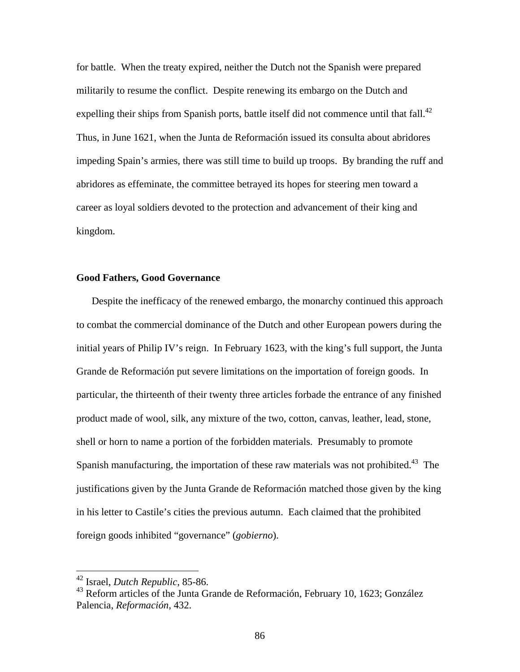for battle. When the treaty expired, neither the Dutch not the Spanish were prepared militarily to resume the conflict. Despite renewing its embargo on the Dutch and expelling their ships from Spanish ports, battle itself did not commence until that fall.<sup>42</sup> Thus, in June 1621, when the Junta de Reformación issued its consulta about abridores impeding Spain's armies, there was still time to build up troops. By branding the ruff and abridores as effeminate, the committee betrayed its hopes for steering men toward a career as loyal soldiers devoted to the protection and advancement of their king and kingdom.

## **Good Fathers, Good Governance**

Despite the inefficacy of the renewed embargo, the monarchy continued this approach to combat the commercial dominance of the Dutch and other European powers during the initial years of Philip IV's reign. In February 1623, with the king's full support, the Junta Grande de Reformación put severe limitations on the importation of foreign goods. In particular, the thirteenth of their twenty three articles forbade the entrance of any finished product made of wool, silk, any mixture of the two, cotton, canvas, leather, lead, stone, shell or horn to name a portion of the forbidden materials. Presumably to promote Spanish manufacturing, the importation of these raw materials was not prohibited.<sup>43</sup> The justifications given by the Junta Grande de Reformación matched those given by the king in his letter to Castile's cities the previous autumn. Each claimed that the prohibited foreign goods inhibited "governance" (*gobierno*).

1

<sup>42</sup> Israel, *Dutch Republic*, 85-86.

<sup>43</sup> Reform articles of the Junta Grande de Reformación, February 10, 1623; González Palencia, *Reformación*, 432.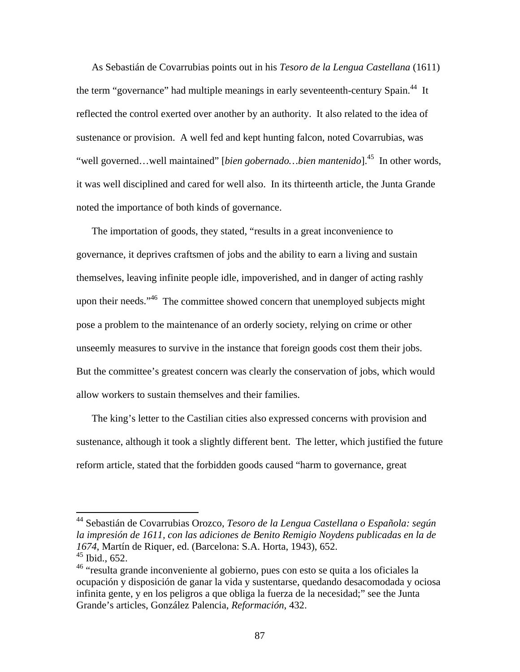As Sebastián de Covarrubias points out in his *Tesoro de la Lengua Castellana* (1611) the term "governance" had multiple meanings in early seventeenth-century Spain.<sup>44</sup> It reflected the control exerted over another by an authority. It also related to the idea of sustenance or provision. A well fed and kept hunting falcon, noted Covarrubias, was "well governed…well maintained" [*bien gobernado…bien mantenido*].45 In other words, it was well disciplined and cared for well also. In its thirteenth article, the Junta Grande noted the importance of both kinds of governance.

The importation of goods, they stated, "results in a great inconvenience to governance, it deprives craftsmen of jobs and the ability to earn a living and sustain themselves, leaving infinite people idle, impoverished, and in danger of acting rashly upon their needs."<sup>46</sup> The committee showed concern that unemployed subjects might pose a problem to the maintenance of an orderly society, relying on crime or other unseemly measures to survive in the instance that foreign goods cost them their jobs. But the committee's greatest concern was clearly the conservation of jobs, which would allow workers to sustain themselves and their families.

The king's letter to the Castilian cities also expressed concerns with provision and sustenance, although it took a slightly different bent. The letter, which justified the future reform article, stated that the forbidden goods caused "harm to governance, great

<sup>44</sup> Sebastián de Covarrubias Orozco, *Tesoro de la Lengua Castellana o Española: según la impresión de 1611, con las adiciones de Benito Remigio Noydens publicadas en la de 1674*, Martín de Riquer, ed. (Barcelona: S.A. Horta, 1943), 652. 45 Ibid., 652.

<sup>&</sup>lt;sup>46</sup> "resulta grande inconveniente al gobierno, pues con esto se quita a los oficiales la ocupación y disposición de ganar la vida y sustentarse, quedando desacomodada y ociosa infinita gente, y en los peligros a que obliga la fuerza de la necesidad;" see the Junta Grande's articles, González Palencia, *Reformación*, 432.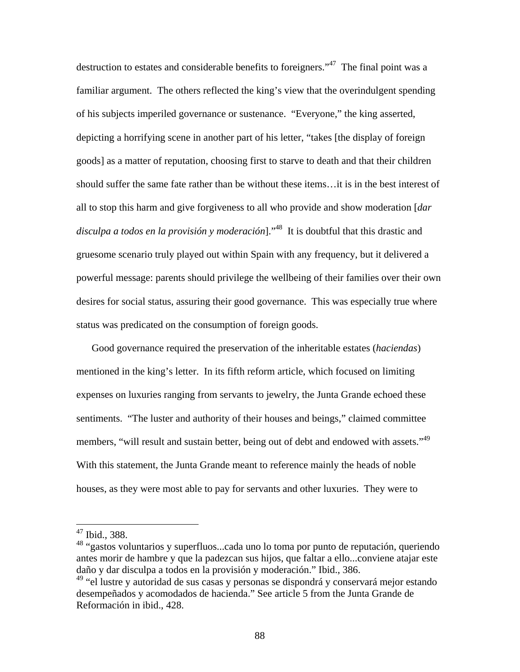destruction to estates and considerable benefits to foreigners."<sup>47</sup> The final point was a familiar argument. The others reflected the king's view that the overindulgent spending of his subjects imperiled governance or sustenance. "Everyone," the king asserted, depicting a horrifying scene in another part of his letter, "takes [the display of foreign goods] as a matter of reputation, choosing first to starve to death and that their children should suffer the same fate rather than be without these items…it is in the best interest of all to stop this harm and give forgiveness to all who provide and show moderation [*dar disculpa a todos en la provisión y moderación*]."48 It is doubtful that this drastic and gruesome scenario truly played out within Spain with any frequency, but it delivered a powerful message: parents should privilege the wellbeing of their families over their own desires for social status, assuring their good governance. This was especially true where status was predicated on the consumption of foreign goods.

Good governance required the preservation of the inheritable estates (*haciendas*) mentioned in the king's letter. In its fifth reform article, which focused on limiting expenses on luxuries ranging from servants to jewelry, the Junta Grande echoed these sentiments. "The luster and authority of their houses and beings," claimed committee members, "will result and sustain better, being out of debt and endowed with assets."<sup>49</sup> With this statement, the Junta Grande meant to reference mainly the heads of noble houses, as they were most able to pay for servants and other luxuries. They were to

<sup>47</sup> Ibid., 388.

<sup>48 &</sup>quot;gastos voluntarios y superfluos...cada uno lo toma por punto de reputación, queriendo antes morir de hambre y que la padezcan sus hijos, que faltar a ello...conviene atajar este daño y dar disculpa a todos en la provisión y moderación." Ibid., 386.

<sup>&</sup>lt;sup>49</sup> "el lustre y autoridad de sus casas y personas se dispondrá y conservará mejor estando desempeñados y acomodados de hacienda." See article 5 from the Junta Grande de Reformación in ibid., 428.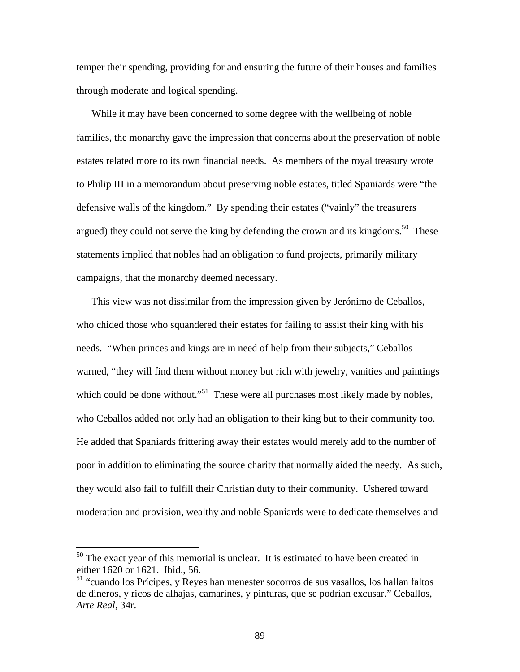temper their spending, providing for and ensuring the future of their houses and families through moderate and logical spending.

While it may have been concerned to some degree with the wellbeing of noble families, the monarchy gave the impression that concerns about the preservation of noble estates related more to its own financial needs. As members of the royal treasury wrote to Philip III in a memorandum about preserving noble estates, titled Spaniards were "the defensive walls of the kingdom." By spending their estates ("vainly" the treasurers argued) they could not serve the king by defending the crown and its kingdoms.<sup>50</sup> These statements implied that nobles had an obligation to fund projects, primarily military campaigns, that the monarchy deemed necessary.

This view was not dissimilar from the impression given by Jerónimo de Ceballos, who chided those who squandered their estates for failing to assist their king with his needs. "When princes and kings are in need of help from their subjects," Ceballos warned, "they will find them without money but rich with jewelry, vanities and paintings which could be done without."<sup>51</sup> These were all purchases most likely made by nobles, who Ceballos added not only had an obligation to their king but to their community too. He added that Spaniards frittering away their estates would merely add to the number of poor in addition to eliminating the source charity that normally aided the needy. As such, they would also fail to fulfill their Christian duty to their community. Ushered toward moderation and provision, wealthy and noble Spaniards were to dedicate themselves and

 $50$  The exact year of this memorial is unclear. It is estimated to have been created in either 1620 or 1621. Ibid., 56.

<sup>&</sup>lt;sup>51</sup> "cuando los Prícipes, y Reyes han menester socorros de sus vasallos, los hallan faltos de dineros, y ricos de alhajas, camarines, y pinturas, que se podrían excusar." Ceballos, *Arte Real*, 34r.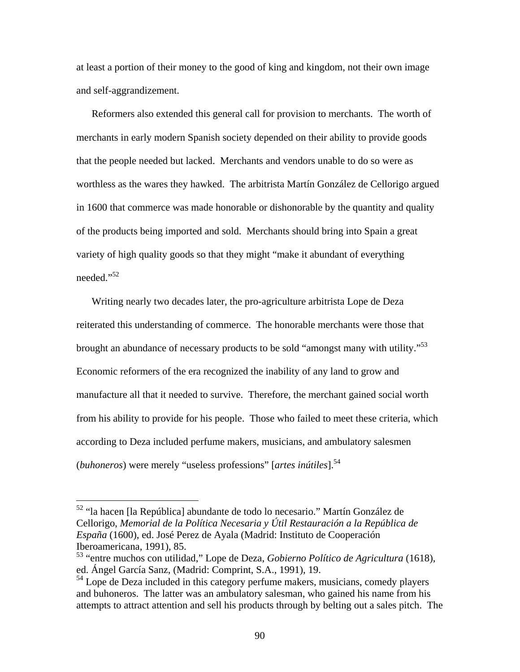at least a portion of their money to the good of king and kingdom, not their own image and self-aggrandizement.

Reformers also extended this general call for provision to merchants. The worth of merchants in early modern Spanish society depended on their ability to provide goods that the people needed but lacked. Merchants and vendors unable to do so were as worthless as the wares they hawked. The arbitrista Martín González de Cellorigo argued in 1600 that commerce was made honorable or dishonorable by the quantity and quality of the products being imported and sold. Merchants should bring into Spain a great variety of high quality goods so that they might "make it abundant of everything needed."<sup>52</sup>

Writing nearly two decades later, the pro-agriculture arbitrista Lope de Deza reiterated this understanding of commerce. The honorable merchants were those that brought an abundance of necessary products to be sold "amongst many with utility."<sup>53</sup> Economic reformers of the era recognized the inability of any land to grow and manufacture all that it needed to survive. Therefore, the merchant gained social worth from his ability to provide for his people. Those who failed to meet these criteria, which according to Deza included perfume makers, musicians, and ambulatory salesmen (*buhoneros*) were merely "useless professions" [*artes inútiles*].<sup>54</sup>

<sup>&</sup>lt;sup>52</sup> "la hacen [la República] abundante de todo lo necesario." Martín González de Cellorigo, *Memorial de la Política Necesaria y Útil Restauración a la República de España* (1600), ed. José Perez de Ayala (Madrid: Instituto de Cooperación Iberoamericana, 1991), 85.

<sup>53 &</sup>quot;entre muchos con utilidad," Lope de Deza, *Gobierno Político de Agricultura* (1618), ed. Ángel García Sanz, (Madrid: Comprint, S.A., 1991), 19.

 $<sup>54</sup>$  Lope de Deza included in this category perfume makers, musicians, comedy players</sup> and buhoneros. The latter was an ambulatory salesman, who gained his name from his attempts to attract attention and sell his products through by belting out a sales pitch. The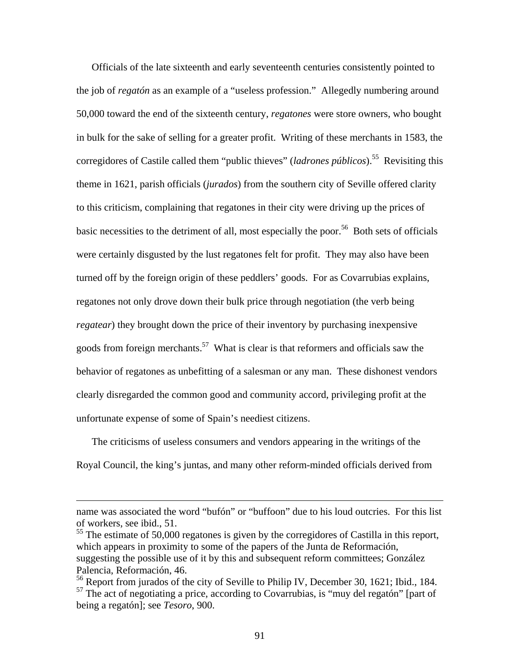Officials of the late sixteenth and early seventeenth centuries consistently pointed to the job of *regatón* as an example of a "useless profession." Allegedly numbering around 50,000 toward the end of the sixteenth century, *regatones* were store owners, who bought in bulk for the sake of selling for a greater profit. Writing of these merchants in 1583, the corregidores of Castile called them "public thieves" (*ladrones públicos*).<sup>55</sup> Revisiting this theme in 1621, parish officials (*jurados*) from the southern city of Seville offered clarity to this criticism, complaining that regatones in their city were driving up the prices of basic necessities to the detriment of all, most especially the poor.<sup>56</sup> Both sets of officials were certainly disgusted by the lust regatones felt for profit. They may also have been turned off by the foreign origin of these peddlers' goods. For as Covarrubias explains, regatones not only drove down their bulk price through negotiation (the verb being *regatear*) they brought down the price of their inventory by purchasing inexpensive goods from foreign merchants.<sup>57</sup> What is clear is that reformers and officials saw the behavior of regatones as unbefitting of a salesman or any man. These dishonest vendors clearly disregarded the common good and community accord, privileging profit at the unfortunate expense of some of Spain's neediest citizens.

The criticisms of useless consumers and vendors appearing in the writings of the Royal Council, the king's juntas, and many other reform-minded officials derived from

name was associated the word "bufón" or "buffoon" due to his loud outcries. For this list of workers, see ibid., 51.

 $55$  The estimate of 50,000 regatones is given by the corregidores of Castilla in this report, which appears in proximity to some of the papers of the Junta de Reformación, suggesting the possible use of it by this and subsequent reform committees; González Palencia, Reformación, 46.

 $56$  Report from jurados of the city of Seville to Philip IV, December 30, 1621; Ibid., 184. <sup>57</sup> The act of negotiating a price, according to Covarrubias, is "muy del regatón" [part of being a regatón]; see *Tesoro*, 900.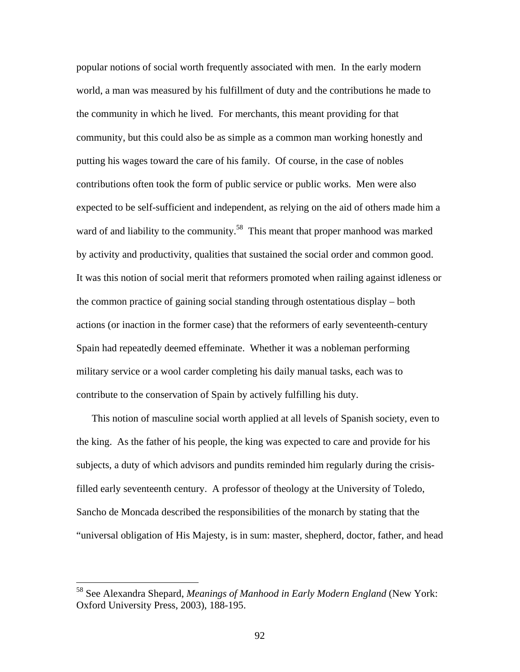popular notions of social worth frequently associated with men. In the early modern world, a man was measured by his fulfillment of duty and the contributions he made to the community in which he lived. For merchants, this meant providing for that community, but this could also be as simple as a common man working honestly and putting his wages toward the care of his family. Of course, in the case of nobles contributions often took the form of public service or public works. Men were also expected to be self-sufficient and independent, as relying on the aid of others made him a ward of and liability to the community.<sup>58</sup> This meant that proper manhood was marked by activity and productivity, qualities that sustained the social order and common good. It was this notion of social merit that reformers promoted when railing against idleness or the common practice of gaining social standing through ostentatious display – both actions (or inaction in the former case) that the reformers of early seventeenth-century Spain had repeatedly deemed effeminate. Whether it was a nobleman performing military service or a wool carder completing his daily manual tasks, each was to contribute to the conservation of Spain by actively fulfilling his duty.

This notion of masculine social worth applied at all levels of Spanish society, even to the king. As the father of his people, the king was expected to care and provide for his subjects, a duty of which advisors and pundits reminded him regularly during the crisisfilled early seventeenth century. A professor of theology at the University of Toledo, Sancho de Moncada described the responsibilities of the monarch by stating that the "universal obligation of His Majesty, is in sum: master, shepherd, doctor, father, and head

<sup>58</sup> See Alexandra Shepard, *Meanings of Manhood in Early Modern England* (New York: Oxford University Press, 2003), 188-195.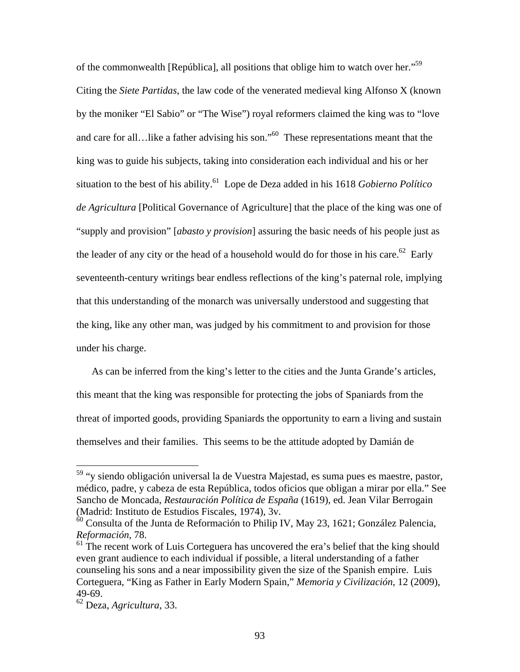of the commonwealth [República], all positions that oblige him to watch over her."<sup>59</sup> Citing the *Siete Partidas*, the law code of the venerated medieval king Alfonso X (known by the moniker "El Sabio" or "The Wise") royal reformers claimed the king was to "love and care for all…like a father advising his son."60 These representations meant that the king was to guide his subjects, taking into consideration each individual and his or her situation to the best of his ability.<sup>61</sup> Lope de Deza added in his 1618 *Gobierno Político de Agricultura* [Political Governance of Agriculture] that the place of the king was one of "supply and provision" [*abasto y provision*] assuring the basic needs of his people just as the leader of any city or the head of a household would do for those in his care.<sup>62</sup> Early seventeenth-century writings bear endless reflections of the king's paternal role, implying that this understanding of the monarch was universally understood and suggesting that the king, like any other man, was judged by his commitment to and provision for those under his charge.

As can be inferred from the king's letter to the cities and the Junta Grande's articles, this meant that the king was responsible for protecting the jobs of Spaniards from the threat of imported goods, providing Spaniards the opportunity to earn a living and sustain themselves and their families. This seems to be the attitude adopted by Damián de

1

<sup>&</sup>lt;sup>59</sup> "y siendo obligación universal la de Vuestra Majestad, es suma pues es maestre, pastor, médico, padre, y cabeza de esta República, todos oficios que obligan a mirar por ella." See Sancho de Moncada, *Restauración Política de España* (1619), ed. Jean Vilar Berrogain (Madrid: Instituto de Estudios Fiscales, 1974), 3v.

 $60$  Consulta of the Junta de Reformación to Philip IV, May 23, 1621; González Palencia, *Reformación*, 78.

 $61$  The recent work of Luis Corteguera has uncovered the era's belief that the king should even grant audience to each individual if possible, a literal understanding of a father counseling his sons and a near impossibility given the size of the Spanish empire. Luis Corteguera, "King as Father in Early Modern Spain," *Memoria y Civilización*, 12 (2009), 49-69.

<sup>62</sup> Deza, *Agricultura*, 33.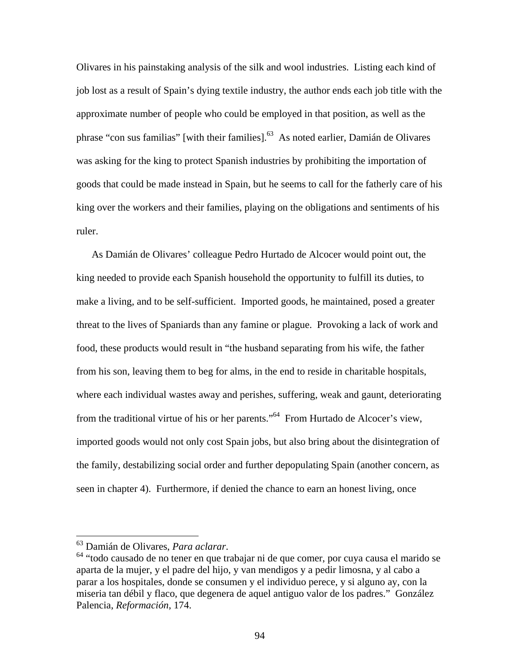Olivares in his painstaking analysis of the silk and wool industries. Listing each kind of job lost as a result of Spain's dying textile industry, the author ends each job title with the approximate number of people who could be employed in that position, as well as the phrase "con sus familias" [with their families].<sup>63</sup> As noted earlier, Damián de Olivares was asking for the king to protect Spanish industries by prohibiting the importation of goods that could be made instead in Spain, but he seems to call for the fatherly care of his king over the workers and their families, playing on the obligations and sentiments of his ruler.

As Damián de Olivares' colleague Pedro Hurtado de Alcocer would point out, the king needed to provide each Spanish household the opportunity to fulfill its duties, to make a living, and to be self-sufficient. Imported goods, he maintained, posed a greater threat to the lives of Spaniards than any famine or plague. Provoking a lack of work and food, these products would result in "the husband separating from his wife, the father from his son, leaving them to beg for alms, in the end to reside in charitable hospitals, where each individual wastes away and perishes, suffering, weak and gaunt, deteriorating from the traditional virtue of his or her parents."64 From Hurtado de Alcocer's view, imported goods would not only cost Spain jobs, but also bring about the disintegration of the family, destabilizing social order and further depopulating Spain (another concern, as seen in chapter 4). Furthermore, if denied the chance to earn an honest living, once

<sup>&</sup>lt;sup>63</sup> Damián de Olivares, *Para aclarar*.<br><sup>64</sup> "todo causado de no tener en que trabajar ni de que comer, por cuya causa el marido se aparta de la mujer, y el padre del hijo, y van mendigos y a pedir limosna, y al cabo a parar a los hospitales, donde se consumen y el individuo perece, y si alguno ay, con la miseria tan débil y flaco, que degenera de aquel antiguo valor de los padres." González Palencia, *Reformación*, 174.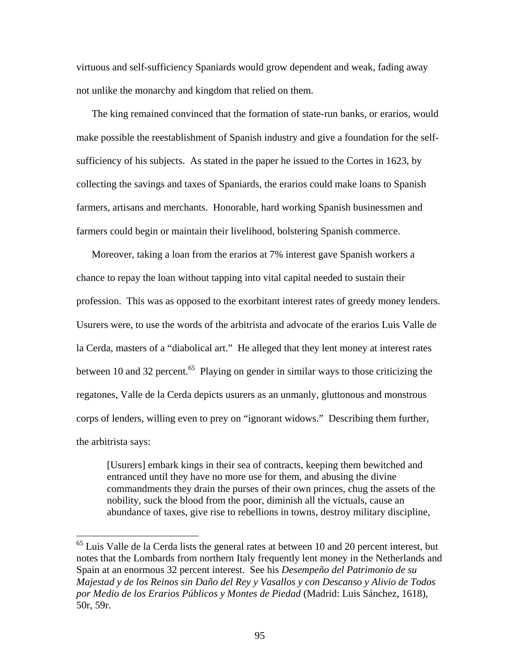virtuous and self-sufficiency Spaniards would grow dependent and weak, fading away not unlike the monarchy and kingdom that relied on them.

The king remained convinced that the formation of state-run banks, or erarios, would make possible the reestablishment of Spanish industry and give a foundation for the selfsufficiency of his subjects. As stated in the paper he issued to the Cortes in 1623, by collecting the savings and taxes of Spaniards, the erarios could make loans to Spanish farmers, artisans and merchants. Honorable, hard working Spanish businessmen and farmers could begin or maintain their livelihood, bolstering Spanish commerce.

Moreover, taking a loan from the erarios at 7% interest gave Spanish workers a chance to repay the loan without tapping into vital capital needed to sustain their profession. This was as opposed to the exorbitant interest rates of greedy money lenders. Usurers were, to use the words of the arbitrista and advocate of the erarios Luis Valle de la Cerda, masters of a "diabolical art." He alleged that they lent money at interest rates between 10 and 32 percent.<sup>65</sup> Playing on gender in similar ways to those criticizing the regatones, Valle de la Cerda depicts usurers as an unmanly, gluttonous and monstrous corps of lenders, willing even to prey on "ignorant widows." Describing them further, the arbitrista says:

[Usurers] embark kings in their sea of contracts, keeping them bewitched and entranced until they have no more use for them, and abusing the divine commandments they drain the purses of their own princes, chug the assets of the nobility, suck the blood from the poor, diminish all the victuals, cause an abundance of taxes, give rise to rebellions in towns, destroy military discipline,

 $65$  Luis Valle de la Cerda lists the general rates at between 10 and 20 percent interest, but notes that the Lombards from northern Italy frequently lent money in the Netherlands and Spain at an enormous 32 percent interest. See his *Desempeño del Patrimonio de su Majestad y de los Reinos sin Daño del Rey y Vasallos y con Descanso y Alivio de Todos por Medio de los Erarios Públicos y Montes de Piedad* (Madrid: Luis Sánchez, 1618), 50r, 59r.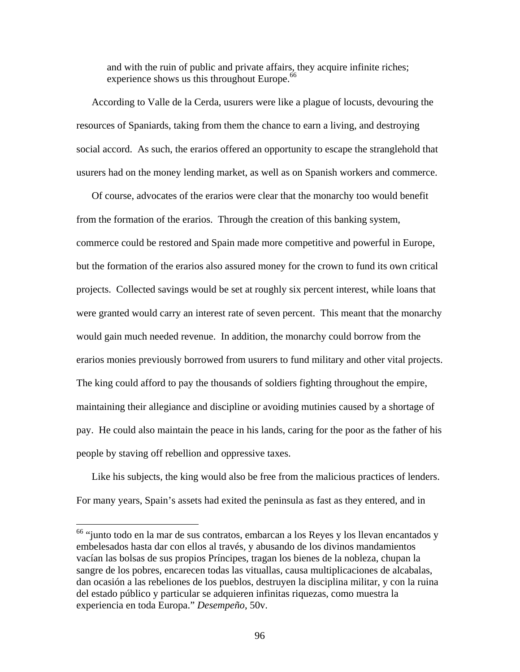and with the ruin of public and private affairs, they acquire infinite riches; experience shows us this throughout Europe.<sup>66</sup>

According to Valle de la Cerda, usurers were like a plague of locusts, devouring the resources of Spaniards, taking from them the chance to earn a living, and destroying social accord. As such, the erarios offered an opportunity to escape the stranglehold that usurers had on the money lending market, as well as on Spanish workers and commerce.

Of course, advocates of the erarios were clear that the monarchy too would benefit from the formation of the erarios. Through the creation of this banking system, commerce could be restored and Spain made more competitive and powerful in Europe, but the formation of the erarios also assured money for the crown to fund its own critical projects. Collected savings would be set at roughly six percent interest, while loans that were granted would carry an interest rate of seven percent. This meant that the monarchy would gain much needed revenue. In addition, the monarchy could borrow from the erarios monies previously borrowed from usurers to fund military and other vital projects. The king could afford to pay the thousands of soldiers fighting throughout the empire, maintaining their allegiance and discipline or avoiding mutinies caused by a shortage of pay. He could also maintain the peace in his lands, caring for the poor as the father of his people by staving off rebellion and oppressive taxes.

Like his subjects, the king would also be free from the malicious practices of lenders. For many years, Spain's assets had exited the peninsula as fast as they entered, and in

1

<sup>&</sup>lt;sup>66</sup> "junto todo en la mar de sus contratos, embarcan a los Reyes y los llevan encantados y embelesados hasta dar con ellos al través, y abusando de los divinos mandamientos vacían las bolsas de sus propios Príncipes, tragan los bienes de la nobleza, chupan la sangre de los pobres, encarecen todas las vituallas, causa multiplicaciones de alcabalas, dan ocasión a las rebeliones de los pueblos, destruyen la disciplina militar, y con la ruina del estado público y particular se adquieren infinitas riquezas, como muestra la experiencia en toda Europa." *Desempeño*, 50v.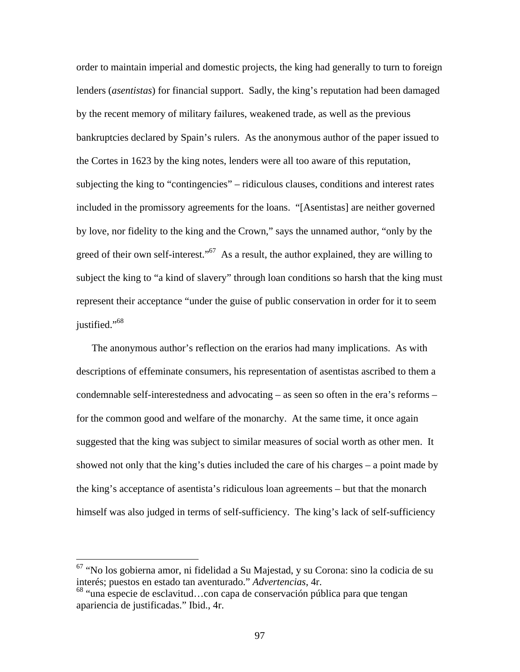order to maintain imperial and domestic projects, the king had generally to turn to foreign lenders (*asentistas*) for financial support. Sadly, the king's reputation had been damaged by the recent memory of military failures, weakened trade, as well as the previous bankruptcies declared by Spain's rulers. As the anonymous author of the paper issued to the Cortes in 1623 by the king notes, lenders were all too aware of this reputation, subjecting the king to "contingencies" – ridiculous clauses, conditions and interest rates included in the promissory agreements for the loans. "[Asentistas] are neither governed by love, nor fidelity to the king and the Crown," says the unnamed author, "only by the greed of their own self-interest."<sup>67</sup> As a result, the author explained, they are willing to subject the king to "a kind of slavery" through loan conditions so harsh that the king must represent their acceptance "under the guise of public conservation in order for it to seem justified."<sup>68</sup>

The anonymous author's reflection on the erarios had many implications. As with descriptions of effeminate consumers, his representation of asentistas ascribed to them a condemnable self-interestedness and advocating – as seen so often in the era's reforms – for the common good and welfare of the monarchy. At the same time, it once again suggested that the king was subject to similar measures of social worth as other men. It showed not only that the king's duties included the care of his charges – a point made by the king's acceptance of asentista's ridiculous loan agreements – but that the monarch himself was also judged in terms of self-sufficiency. The king's lack of self-sufficiency

<sup>67 &</sup>quot;No los gobierna amor, ni fidelidad a Su Majestad, y su Corona: sino la codicia de su interés; puestos en estado tan aventurado." *Advertencias*, 4r.

 $68$  "una especie de esclavitud...con capa de conservación pública para que tengan apariencia de justificadas." Ibid., 4r.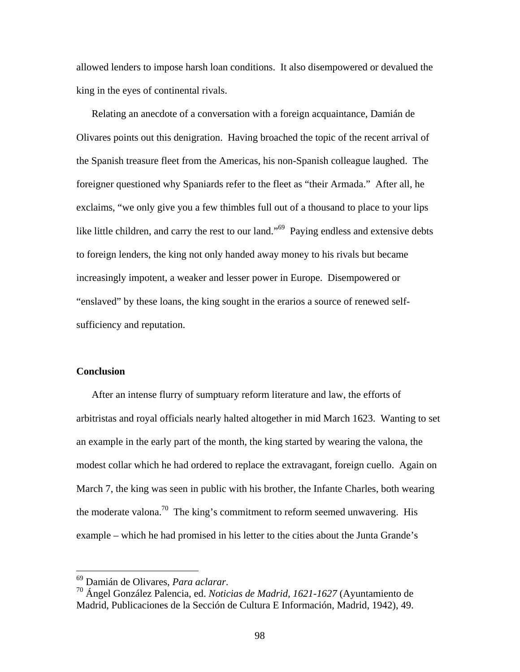allowed lenders to impose harsh loan conditions. It also disempowered or devalued the king in the eyes of continental rivals.

Relating an anecdote of a conversation with a foreign acquaintance, Damián de Olivares points out this denigration. Having broached the topic of the recent arrival of the Spanish treasure fleet from the Americas, his non-Spanish colleague laughed. The foreigner questioned why Spaniards refer to the fleet as "their Armada." After all, he exclaims, "we only give you a few thimbles full out of a thousand to place to your lips like little children, and carry the rest to our land."<sup>69</sup> Paying endless and extensive debts to foreign lenders, the king not only handed away money to his rivals but became increasingly impotent, a weaker and lesser power in Europe. Disempowered or "enslaved" by these loans, the king sought in the erarios a source of renewed selfsufficiency and reputation.

### **Conclusion**

After an intense flurry of sumptuary reform literature and law, the efforts of arbitristas and royal officials nearly halted altogether in mid March 1623. Wanting to set an example in the early part of the month, the king started by wearing the valona, the modest collar which he had ordered to replace the extravagant, foreign cuello. Again on March 7, the king was seen in public with his brother, the Infante Charles, both wearing the moderate valona.<sup>70</sup> The king's commitment to reform seemed unwavering. His example – which he had promised in his letter to the cities about the Junta Grande's

<sup>&</sup>lt;sup>69</sup> Damián de Olivares, Para aclarar.

<sup>&</sup>lt;sup>70</sup> Ángel González Palencia, ed. *Noticias de Madrid, 1621-1627* (Ayuntamiento de Madrid, Publicaciones de la Sección de Cultura E Información, Madrid, 1942), 49.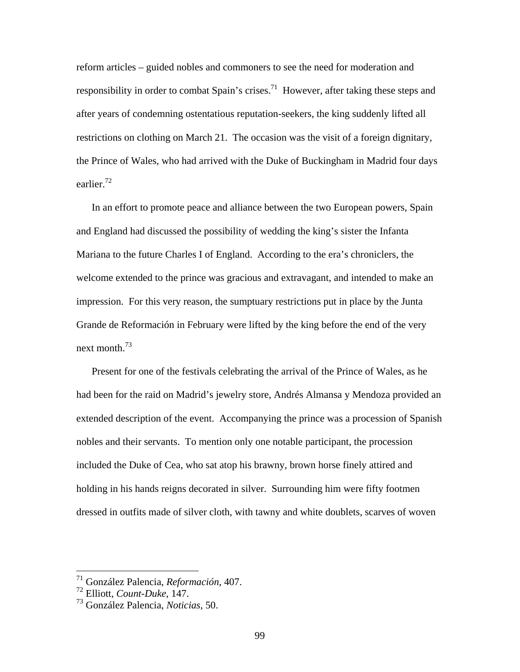reform articles – guided nobles and commoners to see the need for moderation and responsibility in order to combat Spain's crises.<sup>71</sup> However, after taking these steps and after years of condemning ostentatious reputation-seekers, the king suddenly lifted all restrictions on clothing on March 21. The occasion was the visit of a foreign dignitary, the Prince of Wales, who had arrived with the Duke of Buckingham in Madrid four days earlier.<sup>72</sup>

In an effort to promote peace and alliance between the two European powers, Spain and England had discussed the possibility of wedding the king's sister the Infanta Mariana to the future Charles I of England. According to the era's chroniclers, the welcome extended to the prince was gracious and extravagant, and intended to make an impression. For this very reason, the sumptuary restrictions put in place by the Junta Grande de Reformación in February were lifted by the king before the end of the very next month  $^{73}$ 

Present for one of the festivals celebrating the arrival of the Prince of Wales, as he had been for the raid on Madrid's jewelry store, Andrés Almansa y Mendoza provided an extended description of the event. Accompanying the prince was a procession of Spanish nobles and their servants. To mention only one notable participant, the procession included the Duke of Cea, who sat atop his brawny, brown horse finely attired and holding in his hands reigns decorated in silver. Surrounding him were fifty footmen dressed in outfits made of silver cloth, with tawny and white doublets, scarves of woven

<sup>71</sup> González Palencia, *Reformación*, 407.

<sup>72</sup> Elliott, *Count-Duke*, 147.

<sup>73</sup> González Palencia, *Noticias*, 50.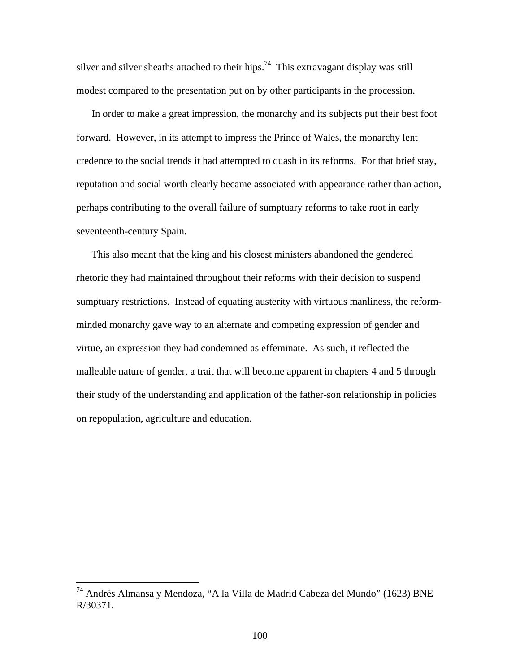silver and silver sheaths attached to their hips.<sup>74</sup> This extravagant display was still modest compared to the presentation put on by other participants in the procession.

In order to make a great impression, the monarchy and its subjects put their best foot forward. However, in its attempt to impress the Prince of Wales, the monarchy lent credence to the social trends it had attempted to quash in its reforms. For that brief stay, reputation and social worth clearly became associated with appearance rather than action, perhaps contributing to the overall failure of sumptuary reforms to take root in early seventeenth-century Spain.

This also meant that the king and his closest ministers abandoned the gendered rhetoric they had maintained throughout their reforms with their decision to suspend sumptuary restrictions. Instead of equating austerity with virtuous manliness, the reformminded monarchy gave way to an alternate and competing expression of gender and virtue, an expression they had condemned as effeminate. As such, it reflected the malleable nature of gender, a trait that will become apparent in chapters 4 and 5 through their study of the understanding and application of the father-son relationship in policies on repopulation, agriculture and education.

<sup>&</sup>lt;sup>74</sup> Andrés Almansa y Mendoza, "A la Villa de Madrid Cabeza del Mundo" (1623) BNE R/30371.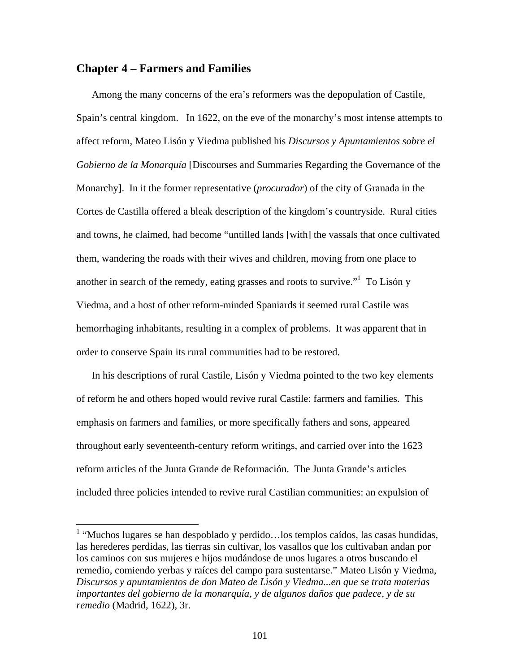# **Chapter 4 – Farmers and Families**

 $\overline{a}$ 

Among the many concerns of the era's reformers was the depopulation of Castile, Spain's central kingdom. In 1622, on the eve of the monarchy's most intense attempts to affect reform, Mateo Lisón y Viedma published his *Discursos y Apuntamientos sobre el Gobierno de la Monarquía* [Discourses and Summaries Regarding the Governance of the Monarchy]. In it the former representative (*procurador*) of the city of Granada in the Cortes de Castilla offered a bleak description of the kingdom's countryside. Rural cities and towns, he claimed, had become "untilled lands [with] the vassals that once cultivated them, wandering the roads with their wives and children, moving from one place to another in search of the remedy, eating grasses and roots to survive."<sup>1</sup> To Lisón y Viedma, and a host of other reform-minded Spaniards it seemed rural Castile was hemorrhaging inhabitants, resulting in a complex of problems. It was apparent that in order to conserve Spain its rural communities had to be restored.

In his descriptions of rural Castile, Lisón y Viedma pointed to the two key elements of reform he and others hoped would revive rural Castile: farmers and families. This emphasis on farmers and families, or more specifically fathers and sons, appeared throughout early seventeenth-century reform writings, and carried over into the 1623 reform articles of the Junta Grande de Reformación. The Junta Grande's articles included three policies intended to revive rural Castilian communities: an expulsion of

 $<sup>1</sup>$  "Muchos lugares se han despoblado y perdido... los templos caídos, las casas hundidas,</sup> las herederes perdidas, las tierras sin cultivar, los vasallos que los cultivaban andan por los caminos con sus mujeres e hijos mudándose de unos lugares a otros buscando el remedio, comiendo yerbas y raíces del campo para sustentarse." Mateo Lisón y Viedma, *Discursos y apuntamientos de don Mateo de Lisón y Viedma...en que se trata materias importantes del gobierno de la monarquía, y de algunos daños que padece, y de su remedio* (Madrid, 1622), 3r.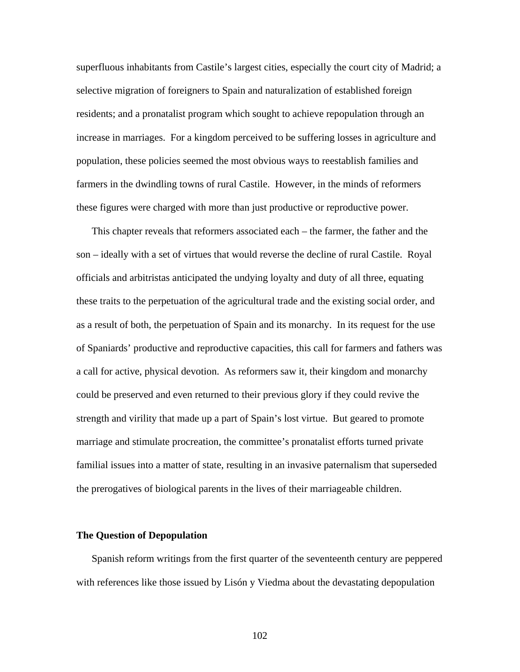superfluous inhabitants from Castile's largest cities, especially the court city of Madrid; a selective migration of foreigners to Spain and naturalization of established foreign residents; and a pronatalist program which sought to achieve repopulation through an increase in marriages. For a kingdom perceived to be suffering losses in agriculture and population, these policies seemed the most obvious ways to reestablish families and farmers in the dwindling towns of rural Castile. However, in the minds of reformers these figures were charged with more than just productive or reproductive power.

This chapter reveals that reformers associated each – the farmer, the father and the son – ideally with a set of virtues that would reverse the decline of rural Castile. Royal officials and arbitristas anticipated the undying loyalty and duty of all three, equating these traits to the perpetuation of the agricultural trade and the existing social order, and as a result of both, the perpetuation of Spain and its monarchy. In its request for the use of Spaniards' productive and reproductive capacities, this call for farmers and fathers was a call for active, physical devotion. As reformers saw it, their kingdom and monarchy could be preserved and even returned to their previous glory if they could revive the strength and virility that made up a part of Spain's lost virtue. But geared to promote marriage and stimulate procreation, the committee's pronatalist efforts turned private familial issues into a matter of state, resulting in an invasive paternalism that superseded the prerogatives of biological parents in the lives of their marriageable children.

#### **The Question of Depopulation**

Spanish reform writings from the first quarter of the seventeenth century are peppered with references like those issued by Lisón y Viedma about the devastating depopulation

102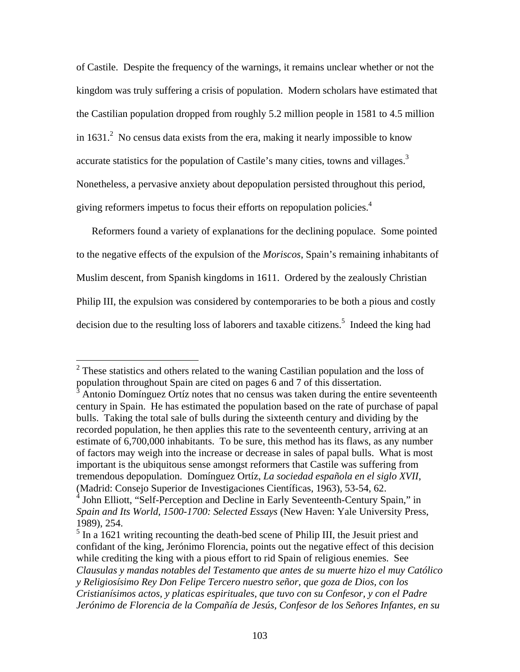of Castile. Despite the frequency of the warnings, it remains unclear whether or not the kingdom was truly suffering a crisis of population. Modern scholars have estimated that the Castilian population dropped from roughly 5.2 million people in 1581 to 4.5 million in 1631. $^2$  No census data exists from the era, making it nearly impossible to know accurate statistics for the population of Castile's many cities, towns and villages. $3$ Nonetheless, a pervasive anxiety about depopulation persisted throughout this period, giving reformers impetus to focus their efforts on repopulation policies.4

Reformers found a variety of explanations for the declining populace. Some pointed to the negative effects of the expulsion of the *Moriscos*, Spain's remaining inhabitants of Muslim descent, from Spanish kingdoms in 1611. Ordered by the zealously Christian Philip III, the expulsion was considered by contemporaries to be both a pious and costly decision due to the resulting loss of laborers and taxable citizens.<sup>5</sup> Indeed the king had

<sup>&</sup>lt;sup>2</sup> These statistics and others related to the waning Castilian population and the loss of population throughout Spain are cited on pages 6 and 7 of this dissertation.

<sup>3</sup> Antonio Domínguez Ortíz notes that no census was taken during the entire seventeenth century in Spain. He has estimated the population based on the rate of purchase of papal bulls. Taking the total sale of bulls during the sixteenth century and dividing by the recorded population, he then applies this rate to the seventeenth century, arriving at an estimate of 6,700,000 inhabitants. To be sure, this method has its flaws, as any number of factors may weigh into the increase or decrease in sales of papal bulls. What is most important is the ubiquitous sense amongst reformers that Castile was suffering from tremendous depopulation. Domínguez Ortíz, *La sociedad española en el siglo XVII*, (Madrid: Consejo Superior de Investigaciones Científicas, 1963), 53-54, 62.

<sup>&</sup>lt;sup>4</sup> John Elliott, "Self-Perception and Decline in Early Seventeenth-Century Spain," in *Spain and Its World, 1500-1700: Selected Essays* (New Haven: Yale University Press, 1989), 254.

 $<sup>5</sup>$  In a 1621 writing recounting the death-bed scene of Philip III, the Jesuit priest and</sup> confidant of the king, Jerónimo Florencia, points out the negative effect of this decision while crediting the king with a pious effort to rid Spain of religious enemies. See *Clausulas y mandas notables del Testamento que antes de su muerte hizo el muy Católico y Religiosísimo Rey Don Felipe Tercero nuestro señor, que goza de Dios, con los Cristianísimos actos, y platicas espirituales, que tuvo con su Confesor, y con el Padre Jerónimo de Florencia de la Compañía de Jesús, Confesor de los Señores Infantes, en su*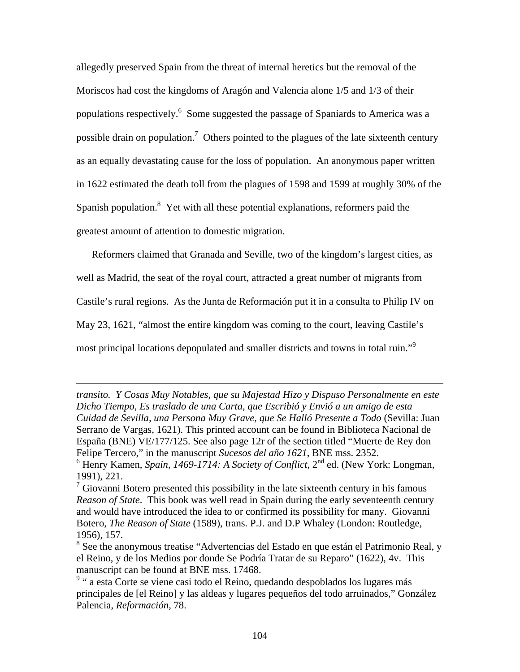allegedly preserved Spain from the threat of internal heretics but the removal of the Moriscos had cost the kingdoms of Aragón and Valencia alone 1/5 and 1/3 of their populations respectively.<sup>6</sup> Some suggested the passage of Spaniards to America was a possible drain on population.<sup>7</sup> Others pointed to the plagues of the late sixteenth century as an equally devastating cause for the loss of population. An anonymous paper written in 1622 estimated the death toll from the plagues of 1598 and 1599 at roughly 30% of the Spanish population.<sup>8</sup> Yet with all these potential explanations, reformers paid the greatest amount of attention to domestic migration.

Reformers claimed that Granada and Seville, two of the kingdom's largest cities, as well as Madrid, the seat of the royal court, attracted a great number of migrants from Castile's rural regions. As the Junta de Reformación put it in a consulta to Philip IV on May 23, 1621, "almost the entire kingdom was coming to the court, leaving Castile's most principal locations depopulated and smaller districts and towns in total ruin."<sup>9</sup>

*transito. Y Cosas Muy Notables, que su Majestad Hizo y Dispuso Personalmente en este Dicho Tiempo, Es traslado de una Carta, que Escribió y Envió a un amigo de esta Cuidad de Sevilla, una Persona Muy Grave, que Se Halló Presente a Todo* (Sevilla: Juan Serrano de Vargas, 1621). This printed account can be found in Biblioteca Nacional de España (BNE) VE/177/125. See also page 12r of the section titled "Muerte de Rey don Felipe Tercero," in the manuscript *Sucesos del año 1621*, BNE mss. 2352.

 $<sup>6</sup>$  Henry Kamen, *Spain, 1469-1714: A Society of Conflict*,  $2<sup>nd</sup>$  ed. (New York: Longman,</sup> 1991), 221.

 $7$  Giovanni Botero presented this possibility in the late sixteenth century in his famous *Reason of State*. This book was well read in Spain during the early seventeenth century and would have introduced the idea to or confirmed its possibility for many. Giovanni Botero, *The Reason of State* (1589), trans. P.J. and D.P Whaley (London: Routledge, 1956), 157.

<sup>&</sup>lt;sup>8</sup> See the anonymous treatise "Advertencias del Estado en que están el Patrimonio Real, y el Reino, y de los Medios por donde Se Podría Tratar de su Reparo" (1622), 4v. This manuscript can be found at BNE mss. 17468.

<sup>&</sup>lt;sup>9</sup> " a esta Corte se viene casi todo el Reino, quedando despoblados los lugares más principales de [el Reino] y las aldeas y lugares pequeños del todo arruinados," González Palencia, *Reformación*, 78.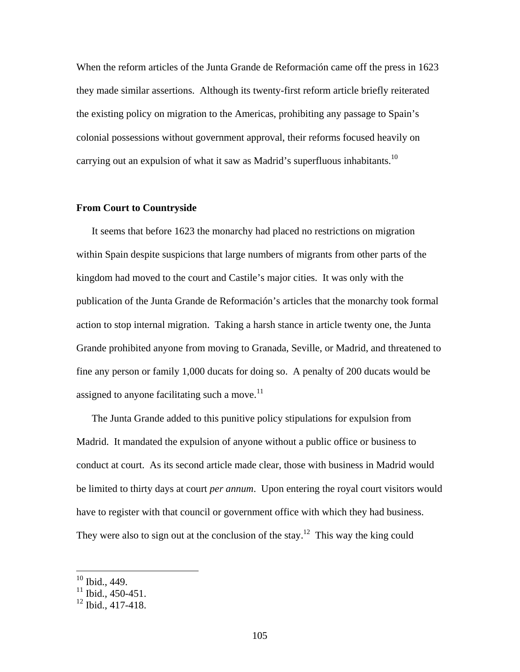When the reform articles of the Junta Grande de Reformación came off the press in 1623 they made similar assertions. Although its twenty-first reform article briefly reiterated the existing policy on migration to the Americas, prohibiting any passage to Spain's colonial possessions without government approval, their reforms focused heavily on carrying out an expulsion of what it saw as Madrid's superfluous inhabitants.<sup>10</sup>

## **From Court to Countryside**

It seems that before 1623 the monarchy had placed no restrictions on migration within Spain despite suspicions that large numbers of migrants from other parts of the kingdom had moved to the court and Castile's major cities. It was only with the publication of the Junta Grande de Reformación's articles that the monarchy took formal action to stop internal migration. Taking a harsh stance in article twenty one, the Junta Grande prohibited anyone from moving to Granada, Seville, or Madrid, and threatened to fine any person or family 1,000 ducats for doing so. A penalty of 200 ducats would be assigned to anyone facilitating such a move. $11$ 

The Junta Grande added to this punitive policy stipulations for expulsion from Madrid. It mandated the expulsion of anyone without a public office or business to conduct at court. As its second article made clear, those with business in Madrid would be limited to thirty days at court *per annum*. Upon entering the royal court visitors would have to register with that council or government office with which they had business. They were also to sign out at the conclusion of the stay.<sup>12</sup> This way the king could

 $10$  Ibid., 449.

 $11$  Ibid., 450-451.

 $12$  Ibid., 417-418.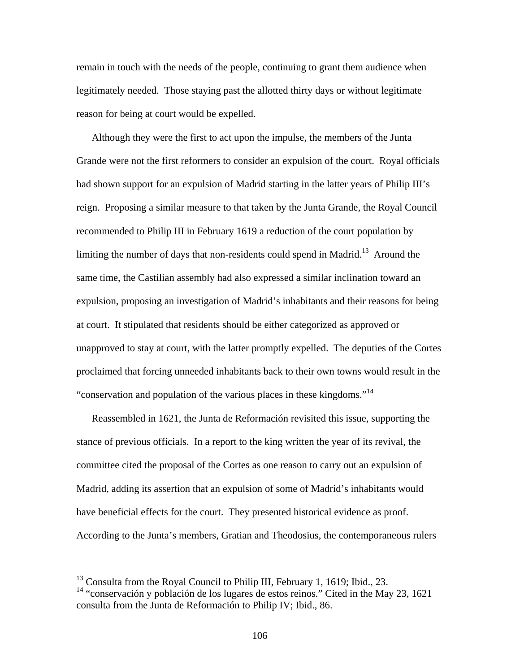remain in touch with the needs of the people, continuing to grant them audience when legitimately needed. Those staying past the allotted thirty days or without legitimate reason for being at court would be expelled.

Although they were the first to act upon the impulse, the members of the Junta Grande were not the first reformers to consider an expulsion of the court. Royal officials had shown support for an expulsion of Madrid starting in the latter years of Philip III's reign. Proposing a similar measure to that taken by the Junta Grande, the Royal Council recommended to Philip III in February 1619 a reduction of the court population by limiting the number of days that non-residents could spend in Madrid.<sup>13</sup> Around the same time, the Castilian assembly had also expressed a similar inclination toward an expulsion, proposing an investigation of Madrid's inhabitants and their reasons for being at court. It stipulated that residents should be either categorized as approved or unapproved to stay at court, with the latter promptly expelled. The deputies of the Cortes proclaimed that forcing unneeded inhabitants back to their own towns would result in the "conservation and population of the various places in these kingdoms."<sup>14</sup>

Reassembled in 1621, the Junta de Reformación revisited this issue, supporting the stance of previous officials. In a report to the king written the year of its revival, the committee cited the proposal of the Cortes as one reason to carry out an expulsion of Madrid, adding its assertion that an expulsion of some of Madrid's inhabitants would have beneficial effects for the court. They presented historical evidence as proof. According to the Junta's members, Gratian and Theodosius, the contemporaneous rulers

<sup>&</sup>lt;sup>13</sup> Consulta from the Royal Council to Philip III, February 1, 1619; Ibid., 23.

<sup>14 &</sup>quot;conservación y población de los lugares de estos reinos." Cited in the May 23, 1621 consulta from the Junta de Reformación to Philip IV; Ibid., 86.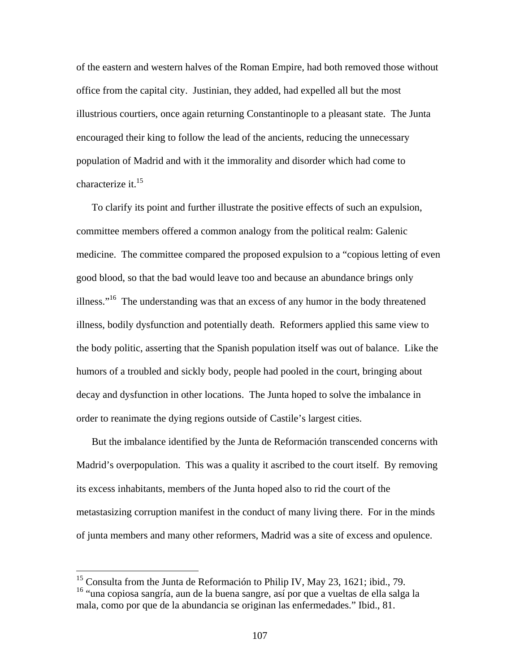of the eastern and western halves of the Roman Empire, had both removed those without office from the capital city. Justinian, they added, had expelled all but the most illustrious courtiers, once again returning Constantinople to a pleasant state. The Junta encouraged their king to follow the lead of the ancients, reducing the unnecessary population of Madrid and with it the immorality and disorder which had come to characterize it.<sup>15</sup>

To clarify its point and further illustrate the positive effects of such an expulsion, committee members offered a common analogy from the political realm: Galenic medicine. The committee compared the proposed expulsion to a "copious letting of even good blood, so that the bad would leave too and because an abundance brings only illness."16 The understanding was that an excess of any humor in the body threatened illness, bodily dysfunction and potentially death. Reformers applied this same view to the body politic, asserting that the Spanish population itself was out of balance. Like the humors of a troubled and sickly body, people had pooled in the court, bringing about decay and dysfunction in other locations. The Junta hoped to solve the imbalance in order to reanimate the dying regions outside of Castile's largest cities.

But the imbalance identified by the Junta de Reformación transcended concerns with Madrid's overpopulation. This was a quality it ascribed to the court itself. By removing its excess inhabitants, members of the Junta hoped also to rid the court of the metastasizing corruption manifest in the conduct of many living there. For in the minds of junta members and many other reformers, Madrid was a site of excess and opulence.

<sup>&</sup>lt;sup>15</sup> Consulta from the Junta de Reformación to Philip IV, May 23, 1621; ibid., 79. 16 "una copiosa sangría, aun de la buena sangre, así por que a vueltas de ella salga la mala, como por que de la abundancia se originan las enfermedades." Ibid., 81.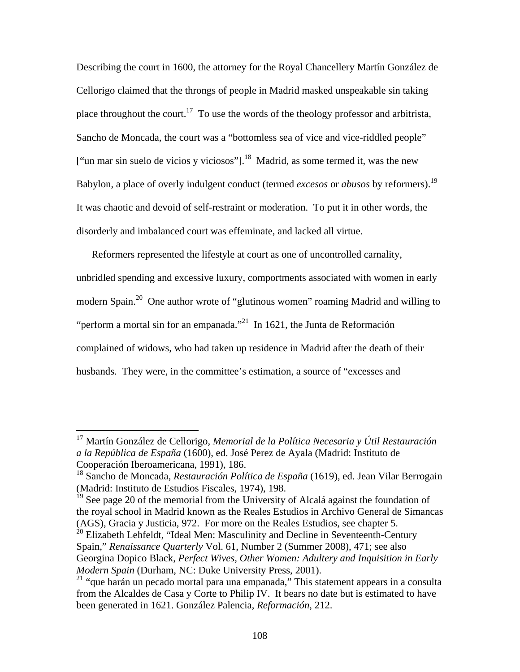Describing the court in 1600, the attorney for the Royal Chancellery Martín González de Cellorigo claimed that the throngs of people in Madrid masked unspeakable sin taking place throughout the court.<sup>17</sup> To use the words of the theology professor and arbitrista, Sancho de Moncada, the court was a "bottomless sea of vice and vice-riddled people" ["un mar sin suelo de vicios y viciosos"].<sup>18</sup> Madrid, as some termed it, was the new Babylon, a place of overly indulgent conduct (termed *excesos* or *abusos* by reformers).19 It was chaotic and devoid of self-restraint or moderation. To put it in other words, the disorderly and imbalanced court was effeminate, and lacked all virtue.

Reformers represented the lifestyle at court as one of uncontrolled carnality, unbridled spending and excessive luxury, comportments associated with women in early modern Spain.20 One author wrote of "glutinous women" roaming Madrid and willing to "perform a mortal sin for an empanada."<sup>21</sup> In 1621, the Junta de Reformación complained of widows, who had taken up residence in Madrid after the death of their husbands. They were, in the committee's estimation, a source of "excesses and

 $\overline{a}$ 

 $^{20}$  Elizabeth Lehfeldt, "Ideal Men: Masculinity and Decline in Seventeenth-Century Spain," *Renaissance Quarterly* Vol. 61, Number 2 (Summer 2008), 471; see also Georgina Dopico Black, *Perfect Wives, Other Women: Adultery and Inquisition in Early Modern Spain* (Durham, NC: Duke University Press, 2001).

<sup>17</sup> Martín González de Cellorigo, *Memorial de la Política Necesaria y Útil Restauración a la República de España* (1600), ed. José Perez de Ayala (Madrid: Instituto de Cooperación Iberoamericana, 1991), 186.

<sup>18</sup> Sancho de Moncada, *Restauración Política de España* (1619), ed. Jean Vilar Berrogain (Madrid: Instituto de Estudios Fiscales, 1974), 198.

 $19$  See page 20 of the memorial from the University of Alcalá against the foundation of the royal school in Madrid known as the Reales Estudios in Archivo General de Simancas (AGS), Gracia y Justicia, 972. For more on the Reales Estudios, see chapter 5.

<sup>&</sup>lt;sup>21</sup> "que harán un pecado mortal para una empanada," This statement appears in a consulta from the Alcaldes de Casa y Corte to Philip IV. It bears no date but is estimated to have been generated in 1621. González Palencia, *Reformación*, 212.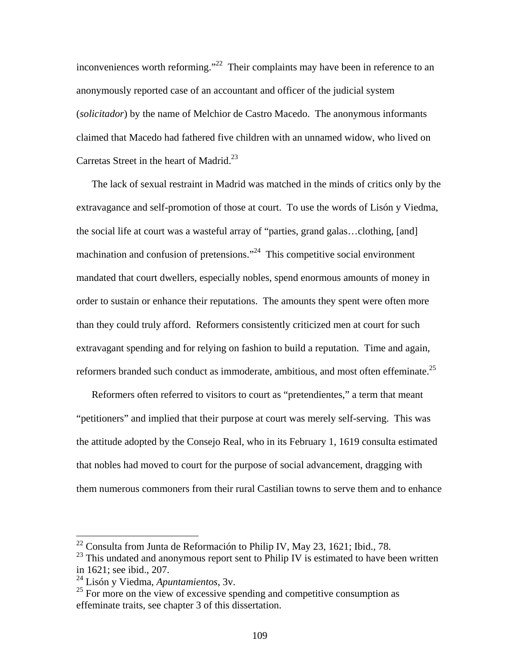inconveniences worth reforming."<sup>22</sup> Their complaints may have been in reference to an anonymously reported case of an accountant and officer of the judicial system (*solicitador*) by the name of Melchior de Castro Macedo. The anonymous informants claimed that Macedo had fathered five children with an unnamed widow, who lived on Carretas Street in the heart of Madrid.<sup>23</sup>

The lack of sexual restraint in Madrid was matched in the minds of critics only by the extravagance and self-promotion of those at court. To use the words of Lisón y Viedma, the social life at court was a wasteful array of "parties, grand galas…clothing, [and] machination and confusion of pretensions."<sup>24</sup> This competitive social environment mandated that court dwellers, especially nobles, spend enormous amounts of money in order to sustain or enhance their reputations. The amounts they spent were often more than they could truly afford. Reformers consistently criticized men at court for such extravagant spending and for relying on fashion to build a reputation. Time and again, reformers branded such conduct as immoderate, ambitious, and most often effeminate.<sup>25</sup>

Reformers often referred to visitors to court as "pretendientes," a term that meant "petitioners" and implied that their purpose at court was merely self-serving. This was the attitude adopted by the Consejo Real, who in its February 1, 1619 consulta estimated that nobles had moved to court for the purpose of social advancement, dragging with them numerous commoners from their rural Castilian towns to serve them and to enhance

 $^{22}$  Consulta from Junta de Reformación to Philip IV, May 23, 1621; Ibid., 78.

 $23$  This undated and anonymous report sent to Philip IV is estimated to have been written in 1621; see ibid., 207.

<sup>24</sup> Lisón y Viedma, *Apuntamientos*, 3v.

 $^{25}$  For more on the view of excessive spending and competitive consumption as effeminate traits, see chapter 3 of this dissertation.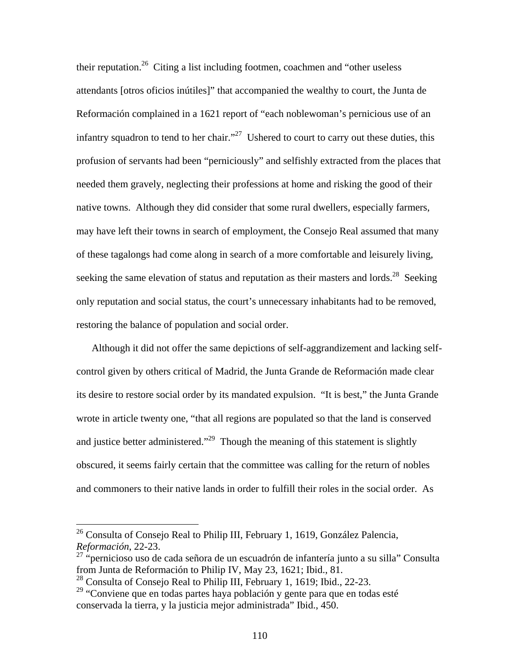their reputation.<sup>26</sup> Citing a list including footmen, coachmen and "other useless attendants [otros oficios inútiles]" that accompanied the wealthy to court, the Junta de Reformación complained in a 1621 report of "each noblewoman's pernicious use of an infantry squadron to tend to her chair."<sup>27</sup> Ushered to court to carry out these duties, this profusion of servants had been "perniciously" and selfishly extracted from the places that needed them gravely, neglecting their professions at home and risking the good of their native towns. Although they did consider that some rural dwellers, especially farmers, may have left their towns in search of employment, the Consejo Real assumed that many of these tagalongs had come along in search of a more comfortable and leisurely living, seeking the same elevation of status and reputation as their masters and lords.<sup>28</sup> Seeking only reputation and social status, the court's unnecessary inhabitants had to be removed, restoring the balance of population and social order.

Although it did not offer the same depictions of self-aggrandizement and lacking selfcontrol given by others critical of Madrid, the Junta Grande de Reformación made clear its desire to restore social order by its mandated expulsion. "It is best," the Junta Grande wrote in article twenty one, "that all regions are populated so that the land is conserved and justice better administered."<sup>29</sup> Though the meaning of this statement is slightly obscured, it seems fairly certain that the committee was calling for the return of nobles and commoners to their native lands in order to fulfill their roles in the social order. As

 $^{26}$  Consulta of Consejo Real to Philip III, February 1, 1619, González Palencia, *Reformación*, 22-23.

 $27$  "pernicioso uso de cada señora de un escuadrón de infantería junto a su silla" Consulta from Junta de Reformación to Philip IV, May 23, 1621; Ibid., 81.

<sup>&</sup>lt;sup>28</sup> Consulta of Consejo Real to Philip III, February 1, 1619; Ibid., 22-23.

 $29$  "Conviene que en todas partes haya población y gente para que en todas esté conservada la tierra, y la justicia mejor administrada" Ibid., 450.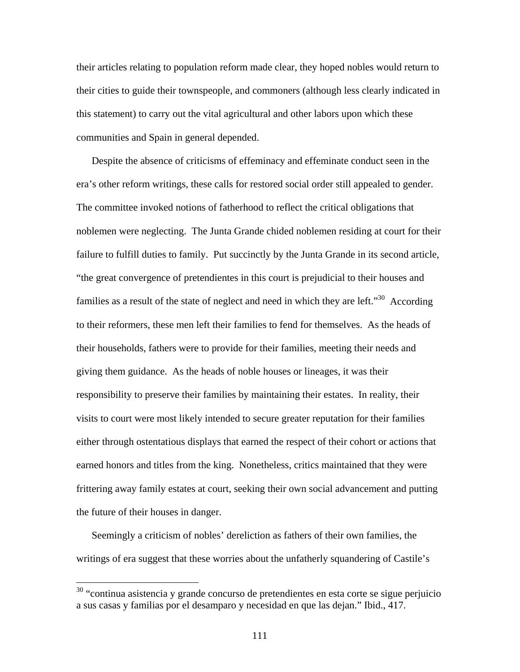their articles relating to population reform made clear, they hoped nobles would return to their cities to guide their townspeople, and commoners (although less clearly indicated in this statement) to carry out the vital agricultural and other labors upon which these communities and Spain in general depended.

Despite the absence of criticisms of effeminacy and effeminate conduct seen in the era's other reform writings, these calls for restored social order still appealed to gender. The committee invoked notions of fatherhood to reflect the critical obligations that noblemen were neglecting. The Junta Grande chided noblemen residing at court for their failure to fulfill duties to family. Put succinctly by the Junta Grande in its second article, "the great convergence of pretendientes in this court is prejudicial to their houses and families as a result of the state of neglect and need in which they are left."<sup>30</sup> According to their reformers, these men left their families to fend for themselves. As the heads of their households, fathers were to provide for their families, meeting their needs and giving them guidance. As the heads of noble houses or lineages, it was their responsibility to preserve their families by maintaining their estates. In reality, their visits to court were most likely intended to secure greater reputation for their families either through ostentatious displays that earned the respect of their cohort or actions that earned honors and titles from the king. Nonetheless, critics maintained that they were frittering away family estates at court, seeking their own social advancement and putting the future of their houses in danger.

Seemingly a criticism of nobles' dereliction as fathers of their own families, the writings of era suggest that these worries about the unfatherly squandering of Castile's

<sup>&</sup>lt;sup>30</sup> "continua asistencia y grande concurso de pretendientes en esta corte se sigue perjuicio a sus casas y familias por el desamparo y necesidad en que las dejan." Ibid., 417.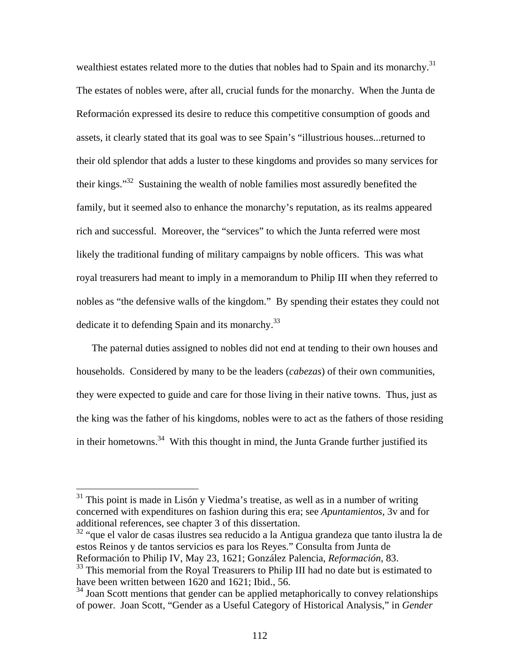wealthiest estates related more to the duties that nobles had to Spain and its monarchy.<sup>31</sup> The estates of nobles were, after all, crucial funds for the monarchy. When the Junta de Reformación expressed its desire to reduce this competitive consumption of goods and assets, it clearly stated that its goal was to see Spain's "illustrious houses...returned to their old splendor that adds a luster to these kingdoms and provides so many services for their kings."32 Sustaining the wealth of noble families most assuredly benefited the family, but it seemed also to enhance the monarchy's reputation, as its realms appeared rich and successful. Moreover, the "services" to which the Junta referred were most likely the traditional funding of military campaigns by noble officers. This was what royal treasurers had meant to imply in a memorandum to Philip III when they referred to nobles as "the defensive walls of the kingdom." By spending their estates they could not dedicate it to defending Spain and its monarchy.<sup>33</sup>

The paternal duties assigned to nobles did not end at tending to their own houses and households. Considered by many to be the leaders (*cabezas*) of their own communities, they were expected to guide and care for those living in their native towns. Thus, just as the king was the father of his kingdoms, nobles were to act as the fathers of those residing in their hometowns.<sup>34</sup> With this thought in mind, the Junta Grande further justified its

 $\overline{a}$ 

32 "que el valor de casas ilustres sea reducido a la Antigua grandeza que tanto ilustra la de estos Reinos y de tantos servicios es para los Reyes." Consulta from Junta de Reformación to Philip IV, May 23, 1621; González Palencia, *Reformación*, 83. <sup>33</sup> This memorial from the Royal Treasurers to Philip III had no date but is estimated to have been written between 1620 and 1621; Ibid., 56.

 $31$  This point is made in Lisón y Viedma's treatise, as well as in a number of writing concerned with expenditures on fashion during this era; see *Apuntamientos*, 3v and for additional references, see chapter 3 of this dissertation.

 $34$  Joan Scott mentions that gender can be applied metaphorically to convey relationships of power. Joan Scott, "Gender as a Useful Category of Historical Analysis," in *Gender*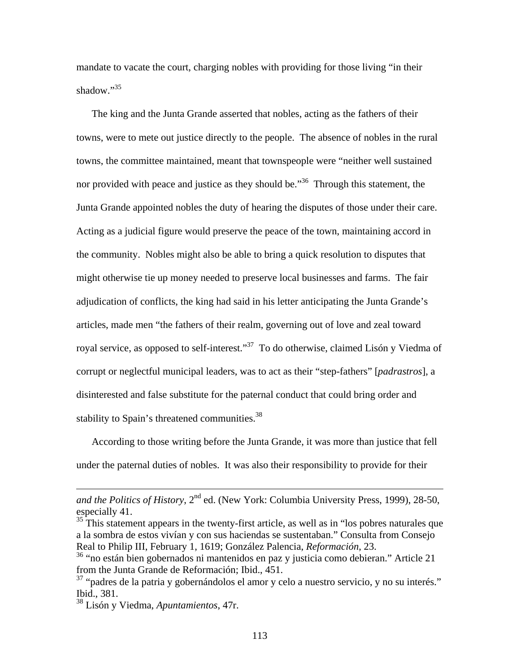mandate to vacate the court, charging nobles with providing for those living "in their shadow."<sup>35</sup>

The king and the Junta Grande asserted that nobles, acting as the fathers of their towns, were to mete out justice directly to the people. The absence of nobles in the rural towns, the committee maintained, meant that townspeople were "neither well sustained nor provided with peace and justice as they should be."<sup>36</sup> Through this statement, the Junta Grande appointed nobles the duty of hearing the disputes of those under their care. Acting as a judicial figure would preserve the peace of the town, maintaining accord in the community. Nobles might also be able to bring a quick resolution to disputes that might otherwise tie up money needed to preserve local businesses and farms. The fair adjudication of conflicts, the king had said in his letter anticipating the Junta Grande's articles, made men "the fathers of their realm, governing out of love and zeal toward royal service, as opposed to self-interest."<sup>37</sup> To do otherwise, claimed Lisón y Viedma of corrupt or neglectful municipal leaders, was to act as their "step-fathers" [*padrastros*], a disinterested and false substitute for the paternal conduct that could bring order and stability to Spain's threatened communities.<sup>38</sup>

According to those writing before the Junta Grande, it was more than justice that fell under the paternal duties of nobles. It was also their responsibility to provide for their

*and the Politics of History*, 2<sup>nd</sup> ed. (New York: Columbia University Press, 1999), 28-50, especially 41.

<sup>&</sup>lt;sup>35</sup> This statement appears in the twenty-first article, as well as in "los pobres naturales que a la sombra de estos vivían y con sus haciendas se sustentaban." Consulta from Consejo Real to Philip III, February 1, 1619; González Palencia, *Reformación*, 23.

<sup>36 &</sup>quot;no están bien gobernados ni mantenidos en paz y justicia como debieran." Article 21 from the Junta Grande de Reformación; Ibid., 451.

 $37$  "padres de la patria y gobernándolos el amor y celo a nuestro servicio, y no su interés." Ibid., 381.

<sup>38</sup> Lisón y Viedma, *Apuntamientos*, 47r.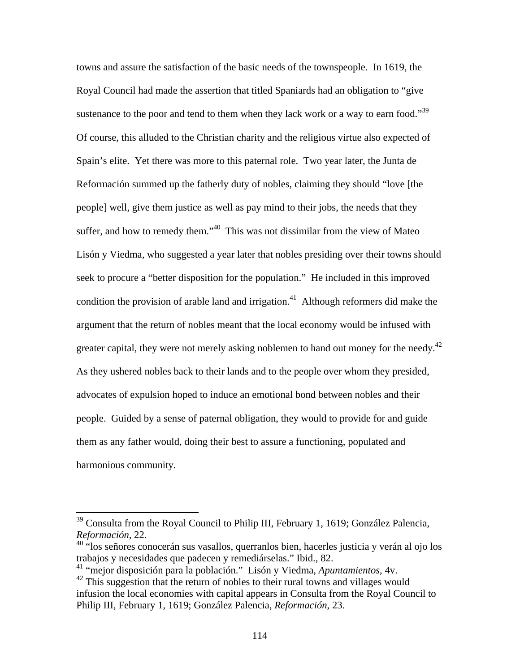towns and assure the satisfaction of the basic needs of the townspeople. In 1619, the Royal Council had made the assertion that titled Spaniards had an obligation to "give sustenance to the poor and tend to them when they lack work or a way to earn food."<sup>39</sup> Of course, this alluded to the Christian charity and the religious virtue also expected of Spain's elite. Yet there was more to this paternal role. Two year later, the Junta de Reformación summed up the fatherly duty of nobles, claiming they should "love [the people] well, give them justice as well as pay mind to their jobs, the needs that they suffer, and how to remedy them."<sup>40</sup> This was not dissimilar from the view of Mateo Lisón y Viedma, who suggested a year later that nobles presiding over their towns should seek to procure a "better disposition for the population." He included in this improved condition the provision of arable land and irrigation.<sup>41</sup> Although reformers did make the argument that the return of nobles meant that the local economy would be infused with greater capital, they were not merely asking noblemen to hand out money for the needy.<sup>42</sup> As they ushered nobles back to their lands and to the people over whom they presided, advocates of expulsion hoped to induce an emotional bond between nobles and their people. Guided by a sense of paternal obligation, they would to provide for and guide them as any father would, doing their best to assure a functioning, populated and harmonious community.

1

<sup>&</sup>lt;sup>39</sup> Consulta from the Royal Council to Philip III, February 1, 1619; González Palencia, *Reformación*, 22.

 $40$  "los señores conocerán sus vasallos, querranlos bien, hacerles justicia y verán al ojo los trabajos y necesidades que padecen y remediárselas." Ibid., 82.

<sup>41 &</sup>quot;mejor disposición para la población." Lisón y Viedma, *Apuntamientos*, 4v.

 $42$  This suggestion that the return of nobles to their rural towns and villages would infusion the local economies with capital appears in Consulta from the Royal Council to Philip III, February 1, 1619; González Palencia, *Reformación*, 23.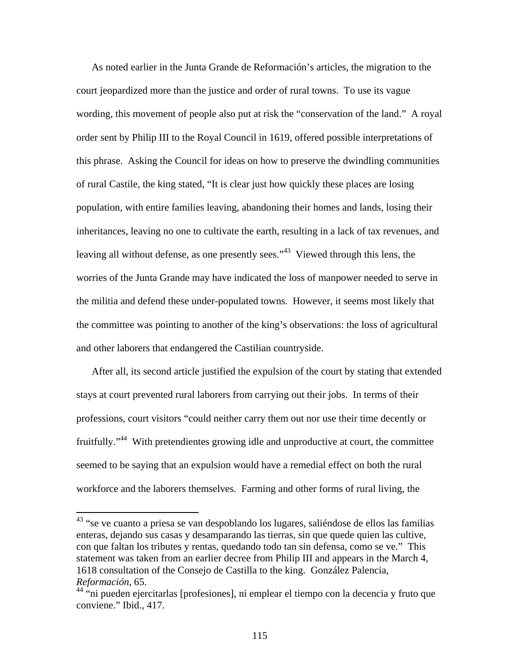As noted earlier in the Junta Grande de Reformación's articles, the migration to the court jeopardized more than the justice and order of rural towns. To use its vague wording, this movement of people also put at risk the "conservation of the land." A royal order sent by Philip III to the Royal Council in 1619, offered possible interpretations of this phrase. Asking the Council for ideas on how to preserve the dwindling communities of rural Castile, the king stated, "It is clear just how quickly these places are losing population, with entire families leaving, abandoning their homes and lands, losing their inheritances, leaving no one to cultivate the earth, resulting in a lack of tax revenues, and leaving all without defense, as one presently sees."<sup>43</sup> Viewed through this lens, the worries of the Junta Grande may have indicated the loss of manpower needed to serve in the militia and defend these under-populated towns. However, it seems most likely that the committee was pointing to another of the king's observations: the loss of agricultural and other laborers that endangered the Castilian countryside.

After all, its second article justified the expulsion of the court by stating that extended stays at court prevented rural laborers from carrying out their jobs. In terms of their professions, court visitors "could neither carry them out nor use their time decently or fruitfully."<sup>44</sup> With pretendientes growing idle and unproductive at court, the committee seemed to be saying that an expulsion would have a remedial effect on both the rural workforce and the laborers themselves. Farming and other forms of rural living, the

1

<sup>&</sup>lt;sup>43</sup> "se ve cuanto a priesa se van despoblando los lugares, saliéndose de ellos las familias enteras, dejando sus casas y desamparando las tierras, sin que quede quien las cultive, con que faltan los tributes y rentas, quedando todo tan sin defensa, como se ve." This statement was taken from an earlier decree from Philip III and appears in the March 4, 1618 consultation of the Consejo de Castilla to the king. González Palencia, *Reformación*, 65.

 $44$  "ni pueden ejercitarlas [profesiones], ni emplear el tiempo con la decencia y fruto que conviene." Ibid., 417.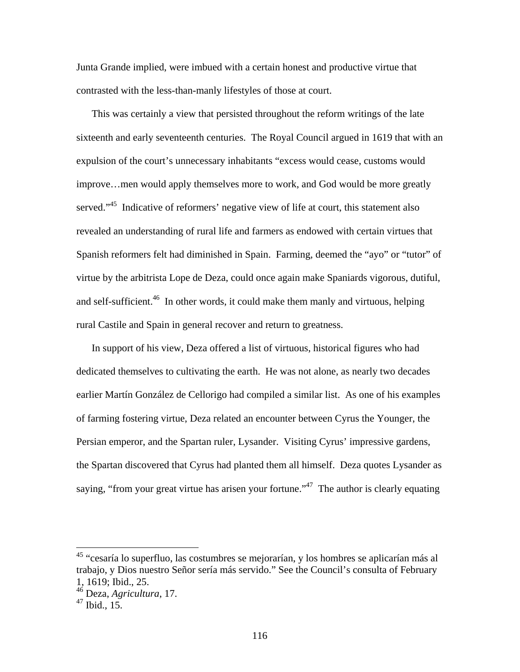Junta Grande implied, were imbued with a certain honest and productive virtue that contrasted with the less-than-manly lifestyles of those at court.

This was certainly a view that persisted throughout the reform writings of the late sixteenth and early seventeenth centuries. The Royal Council argued in 1619 that with an expulsion of the court's unnecessary inhabitants "excess would cease, customs would improve…men would apply themselves more to work, and God would be more greatly served."<sup>45</sup> Indicative of reformers' negative view of life at court, this statement also revealed an understanding of rural life and farmers as endowed with certain virtues that Spanish reformers felt had diminished in Spain. Farming, deemed the "ayo" or "tutor" of virtue by the arbitrista Lope de Deza, could once again make Spaniards vigorous, dutiful, and self-sufficient.<sup>46</sup> In other words, it could make them manly and virtuous, helping rural Castile and Spain in general recover and return to greatness.

In support of his view, Deza offered a list of virtuous, historical figures who had dedicated themselves to cultivating the earth. He was not alone, as nearly two decades earlier Martín González de Cellorigo had compiled a similar list. As one of his examples of farming fostering virtue, Deza related an encounter between Cyrus the Younger, the Persian emperor, and the Spartan ruler, Lysander. Visiting Cyrus' impressive gardens, the Spartan discovered that Cyrus had planted them all himself. Deza quotes Lysander as saying, "from your great virtue has arisen your fortune."<sup>47</sup> The author is clearly equating

<sup>&</sup>lt;sup>45</sup> "cesaría lo superfluo, las costumbres se mejorarían, y los hombres se aplicarían más al trabajo, y Dios nuestro Señor sería más servido." See the Council's consulta of February 1, 1619; Ibid., 25.

<sup>46</sup> Deza, *Agricultura*, 17.

 $47$  Ibid., 15.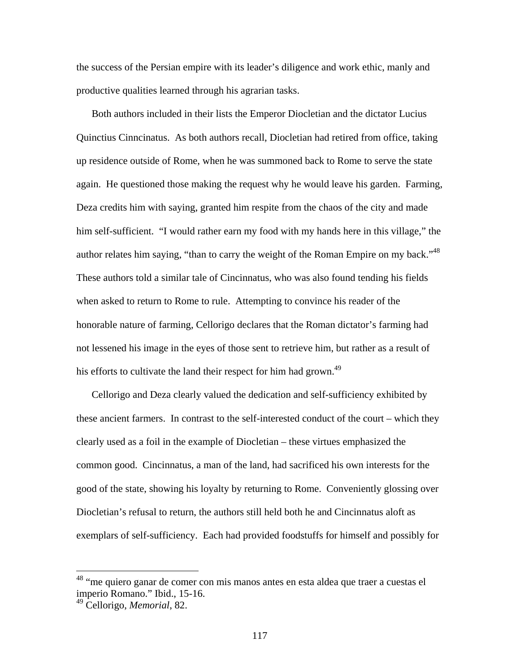the success of the Persian empire with its leader's diligence and work ethic, manly and productive qualities learned through his agrarian tasks.

Both authors included in their lists the Emperor Diocletian and the dictator Lucius Quinctius Cinncinatus. As both authors recall, Diocletian had retired from office, taking up residence outside of Rome, when he was summoned back to Rome to serve the state again. He questioned those making the request why he would leave his garden. Farming, Deza credits him with saying, granted him respite from the chaos of the city and made him self-sufficient. "I would rather earn my food with my hands here in this village," the author relates him saying, "than to carry the weight of the Roman Empire on my back."<sup>48</sup> These authors told a similar tale of Cincinnatus, who was also found tending his fields when asked to return to Rome to rule. Attempting to convince his reader of the honorable nature of farming, Cellorigo declares that the Roman dictator's farming had not lessened his image in the eyes of those sent to retrieve him, but rather as a result of his efforts to cultivate the land their respect for him had grown.<sup>49</sup>

Cellorigo and Deza clearly valued the dedication and self-sufficiency exhibited by these ancient farmers. In contrast to the self-interested conduct of the court – which they clearly used as a foil in the example of Diocletian – these virtues emphasized the common good. Cincinnatus, a man of the land, had sacrificed his own interests for the good of the state, showing his loyalty by returning to Rome. Conveniently glossing over Diocletian's refusal to return, the authors still held both he and Cincinnatus aloft as exemplars of self-sufficiency. Each had provided foodstuffs for himself and possibly for

1

<sup>&</sup>lt;sup>48</sup> "me quiero ganar de comer con mis manos antes en esta aldea que traer a cuestas el imperio Romano." Ibid., 15-16.

<sup>49</sup> Cellorigo, *Memorial*, 82.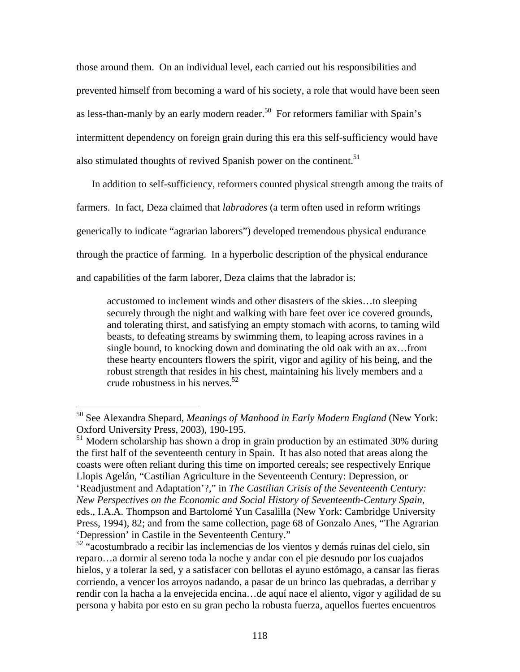those around them. On an individual level, each carried out his responsibilities and prevented himself from becoming a ward of his society, a role that would have been seen as less-than-manly by an early modern reader.<sup>50</sup> For reformers familiar with Spain's intermittent dependency on foreign grain during this era this self-sufficiency would have also stimulated thoughts of revived Spanish power on the continent.<sup>51</sup>

In addition to self-sufficiency, reformers counted physical strength among the traits of farmers. In fact, Deza claimed that *labradores* (a term often used in reform writings generically to indicate "agrarian laborers") developed tremendous physical endurance through the practice of farming. In a hyperbolic description of the physical endurance and capabilities of the farm laborer, Deza claims that the labrador is:

accustomed to inclement winds and other disasters of the skies…to sleeping securely through the night and walking with bare feet over ice covered grounds, and tolerating thirst, and satisfying an empty stomach with acorns, to taming wild beasts, to defeating streams by swimming them, to leaping across ravines in a single bound, to knocking down and dominating the old oak with an ax…from these hearty encounters flowers the spirit, vigor and agility of his being, and the robust strength that resides in his chest, maintaining his lively members and a crude robustness in his nerves.<sup>52</sup>

1

<sup>51</sup> Modern scholarship has shown a drop in grain production by an estimated 30% during the first half of the seventeenth century in Spain. It has also noted that areas along the coasts were often reliant during this time on imported cereals; see respectively Enrique Llopis Agelán, "Castilian Agriculture in the Seventeenth Century: Depression, or 'Readjustment and Adaptation'?," in *The Castilian Crisis of the Seventeenth Century: New Perspectives on the Economic and Social History of Seventeenth-Century Spain*, eds., I.A.A. Thompson and Bartolomé Yun Casalilla (New York: Cambridge University Press, 1994), 82; and from the same collection, page 68 of Gonzalo Anes, "The Agrarian 'Depression' in Castile in the Seventeenth Century."

<sup>50</sup> See Alexandra Shepard, *Meanings of Manhood in Early Modern England* (New York: Oxford University Press, 2003), 190-195.

<sup>52 &</sup>quot;acostumbrado a recibir las inclemencias de los vientos y demás ruinas del cielo, sin reparo…a dormir al sereno toda la noche y andar con el pie desnudo por los cuajados hielos, y a tolerar la sed, y a satisfacer con bellotas el ayuno estómago, a cansar las fieras corriendo, a vencer los arroyos nadando, a pasar de un brinco las quebradas, a derribar y rendir con la hacha a la envejecida encina…de aquí nace el aliento, vigor y agilidad de su persona y habita por esto en su gran pecho la robusta fuerza, aquellos fuertes encuentros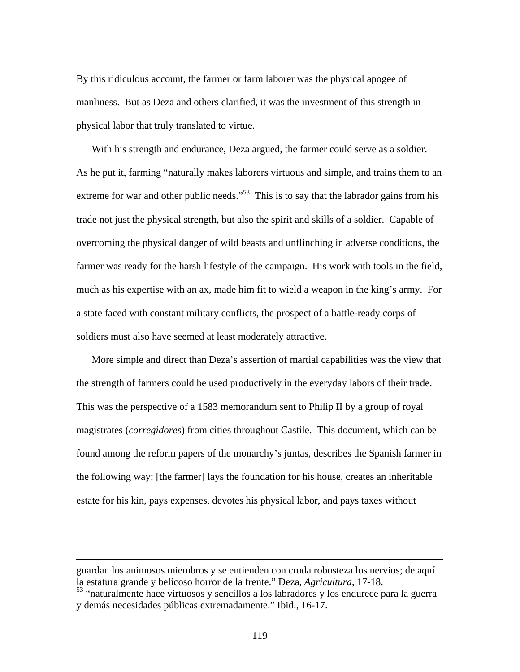By this ridiculous account, the farmer or farm laborer was the physical apogee of manliness. But as Deza and others clarified, it was the investment of this strength in physical labor that truly translated to virtue.

With his strength and endurance, Deza argued, the farmer could serve as a soldier. As he put it, farming "naturally makes laborers virtuous and simple, and trains them to an extreme for war and other public needs."<sup>53</sup> This is to say that the labrador gains from his trade not just the physical strength, but also the spirit and skills of a soldier. Capable of overcoming the physical danger of wild beasts and unflinching in adverse conditions, the farmer was ready for the harsh lifestyle of the campaign. His work with tools in the field, much as his expertise with an ax, made him fit to wield a weapon in the king's army. For a state faced with constant military conflicts, the prospect of a battle-ready corps of soldiers must also have seemed at least moderately attractive.

More simple and direct than Deza's assertion of martial capabilities was the view that the strength of farmers could be used productively in the everyday labors of their trade. This was the perspective of a 1583 memorandum sent to Philip II by a group of royal magistrates (*corregidores*) from cities throughout Castile. This document, which can be found among the reform papers of the monarchy's juntas, describes the Spanish farmer in the following way: [the farmer] lays the foundation for his house, creates an inheritable estate for his kin, pays expenses, devotes his physical labor, and pays taxes without

guardan los animosos miembros y se entienden con cruda robusteza los nervios; de aquí la estatura grande y belicoso horror de la frente." Deza, *Agricultura*, 17-18.

<sup>53 &</sup>quot;naturalmente hace virtuosos y sencillos a los labradores y los endurece para la guerra y demás necesidades públicas extremadamente." Ibid., 16-17.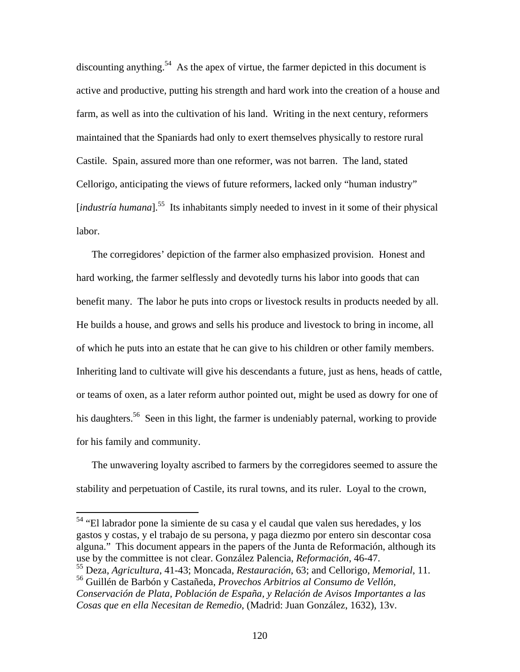discounting anything.<sup>54</sup> As the apex of virtue, the farmer depicted in this document is active and productive, putting his strength and hard work into the creation of a house and farm, as well as into the cultivation of his land. Writing in the next century, reformers maintained that the Spaniards had only to exert themselves physically to restore rural Castile. Spain, assured more than one reformer, was not barren. The land, stated Cellorigo, anticipating the views of future reformers, lacked only "human industry" [*industría humana*].<sup>55</sup> Its inhabitants simply needed to invest in it some of their physical labor.

The corregidores' depiction of the farmer also emphasized provision. Honest and hard working, the farmer selflessly and devotedly turns his labor into goods that can benefit many. The labor he puts into crops or livestock results in products needed by all. He builds a house, and grows and sells his produce and livestock to bring in income, all of which he puts into an estate that he can give to his children or other family members. Inheriting land to cultivate will give his descendants a future, just as hens, heads of cattle, or teams of oxen, as a later reform author pointed out, might be used as dowry for one of his daughters.<sup>56</sup> Seen in this light, the farmer is undeniably paternal, working to provide for his family and community.

The unwavering loyalty ascribed to farmers by the corregidores seemed to assure the stability and perpetuation of Castile, its rural towns, and its ruler. Loyal to the crown,

<sup>54</sup> "El labrador pone la simiente de su casa y el caudal que valen sus heredades, y los gastos y costas, y el trabajo de su persona, y paga diezmo por entero sin descontar cosa alguna." This document appears in the papers of the Junta de Reformación, although its use by the committee is not clear. González Palencia, *Reformación*, 46-47.

1

<sup>55</sup> Deza, *Agricultura*, 41-43; Moncada, *Restauración*, 63; and Cellorigo, *Memorial*, 11. 56 Guillén de Barbón y Castañeda, *Provechos Arbitrios al Consumo de Vellón,* 

*Conservación de Plata, Población de España, y Relación de Avisos Importantes a las Cosas que en ella Necesitan de Remedio*, (Madrid: Juan González, 1632), 13v.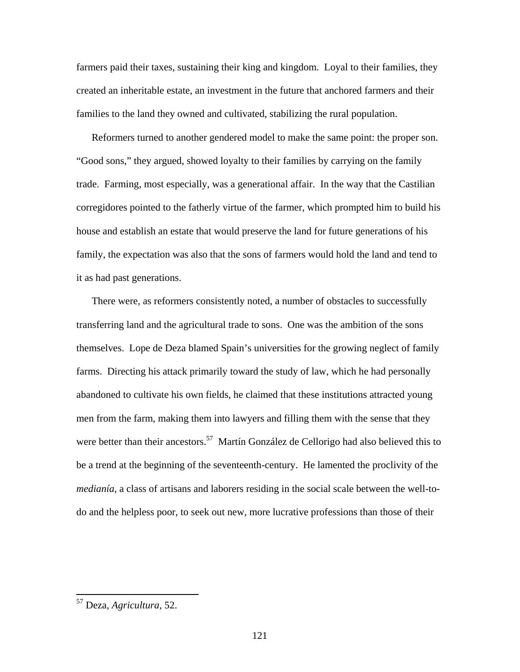farmers paid their taxes, sustaining their king and kingdom. Loyal to their families, they created an inheritable estate, an investment in the future that anchored farmers and their families to the land they owned and cultivated, stabilizing the rural population.

Reformers turned to another gendered model to make the same point: the proper son. "Good sons," they argued, showed loyalty to their families by carrying on the family trade. Farming, most especially, was a generational affair. In the way that the Castilian corregidores pointed to the fatherly virtue of the farmer, which prompted him to build his house and establish an estate that would preserve the land for future generations of his family, the expectation was also that the sons of farmers would hold the land and tend to it as had past generations.

There were, as reformers consistently noted, a number of obstacles to successfully transferring land and the agricultural trade to sons. One was the ambition of the sons themselves. Lope de Deza blamed Spain's universities for the growing neglect of family farms. Directing his attack primarily toward the study of law, which he had personally abandoned to cultivate his own fields, he claimed that these institutions attracted young men from the farm, making them into lawyers and filling them with the sense that they were better than their ancestors.<sup>57</sup> Martín González de Cellorigo had also believed this to be a trend at the beginning of the seventeenth-century. He lamented the proclivity of the *medianía*, a class of artisans and laborers residing in the social scale between the well-todo and the helpless poor, to seek out new, more lucrative professions than those of their

<sup>57</sup> Deza, *Agricultura*, 52.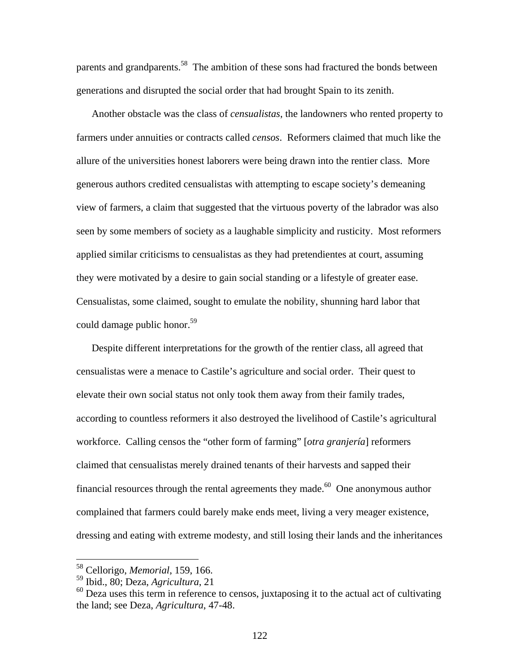parents and grandparents.<sup>58</sup> The ambition of these sons had fractured the bonds between generations and disrupted the social order that had brought Spain to its zenith.

Another obstacle was the class of *censualistas*, the landowners who rented property to farmers under annuities or contracts called *censos*. Reformers claimed that much like the allure of the universities honest laborers were being drawn into the rentier class. More generous authors credited censualistas with attempting to escape society's demeaning view of farmers, a claim that suggested that the virtuous poverty of the labrador was also seen by some members of society as a laughable simplicity and rusticity. Most reformers applied similar criticisms to censualistas as they had pretendientes at court, assuming they were motivated by a desire to gain social standing or a lifestyle of greater ease. Censualistas, some claimed, sought to emulate the nobility, shunning hard labor that could damage public honor.<sup>59</sup>

Despite different interpretations for the growth of the rentier class, all agreed that censualistas were a menace to Castile's agriculture and social order. Their quest to elevate their own social status not only took them away from their family trades, according to countless reformers it also destroyed the livelihood of Castile's agricultural workforce. Calling censos the "other form of farming" [*otra granjería*] reformers claimed that censualistas merely drained tenants of their harvests and sapped their financial resources through the rental agreements they made. $60$  One anonymous author complained that farmers could barely make ends meet, living a very meager existence, dressing and eating with extreme modesty, and still losing their lands and the inheritances

<sup>58</sup> Cellorigo, *Memorial*, 159, 166.

<sup>59</sup> Ibid., 80; Deza, *Agricultura*, 21

 $60$  Deza uses this term in reference to censos, juxtaposing it to the actual act of cultivating the land; see Deza, *Agricultura*, 47-48.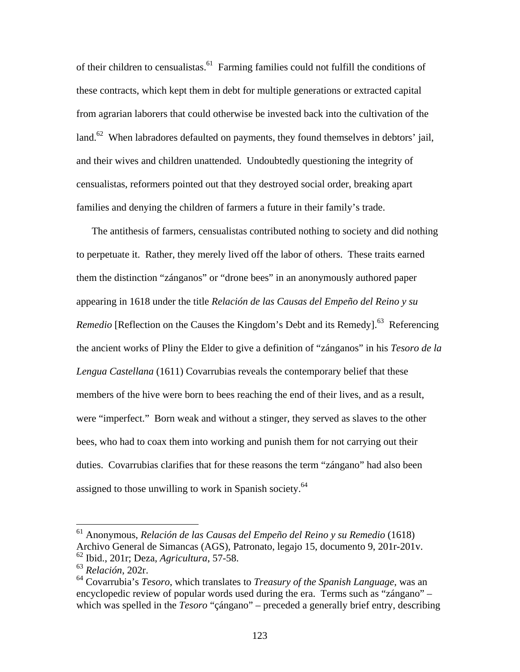of their children to censualistas.<sup>61</sup> Farming families could not fulfill the conditions of these contracts, which kept them in debt for multiple generations or extracted capital from agrarian laborers that could otherwise be invested back into the cultivation of the land.<sup>62</sup> When labradores defaulted on payments, they found themselves in debtors' jail, and their wives and children unattended. Undoubtedly questioning the integrity of censualistas, reformers pointed out that they destroyed social order, breaking apart families and denying the children of farmers a future in their family's trade.

The antithesis of farmers, censualistas contributed nothing to society and did nothing to perpetuate it. Rather, they merely lived off the labor of others. These traits earned them the distinction "zánganos" or "drone bees" in an anonymously authored paper appearing in 1618 under the title *Relación de las Causas del Empeño del Reino y su Remedio* [Reflection on the Causes the Kingdom's Debt and its Remedy].<sup>63</sup> Referencing the ancient works of Pliny the Elder to give a definition of "zánganos" in his *Tesoro de la Lengua Castellana* (1611) Covarrubias reveals the contemporary belief that these members of the hive were born to bees reaching the end of their lives, and as a result, were "imperfect." Born weak and without a stinger, they served as slaves to the other bees, who had to coax them into working and punish them for not carrying out their duties. Covarrubias clarifies that for these reasons the term "zángano" had also been assigned to those unwilling to work in Spanish society.<sup>64</sup>

<sup>61</sup> Anonymous, *Relación de las Causas del Empeño del Reino y su Remedio* (1618) Archivo General de Simancas (AGS), Patronato, legajo 15, documento 9, 201r-201v. 62 Ibid., 201r; Deza, *Agricultura*, 57-58.

<sup>63</sup> *Relación*, 202r.

<sup>64</sup> Covarrubia's *Tesoro*, which translates to *Treasury of the Spanish Language*, was an encyclopedic review of popular words used during the era. Terms such as "zángano" – which was spelled in the *Tesoro* "çángano" – preceded a generally brief entry, describing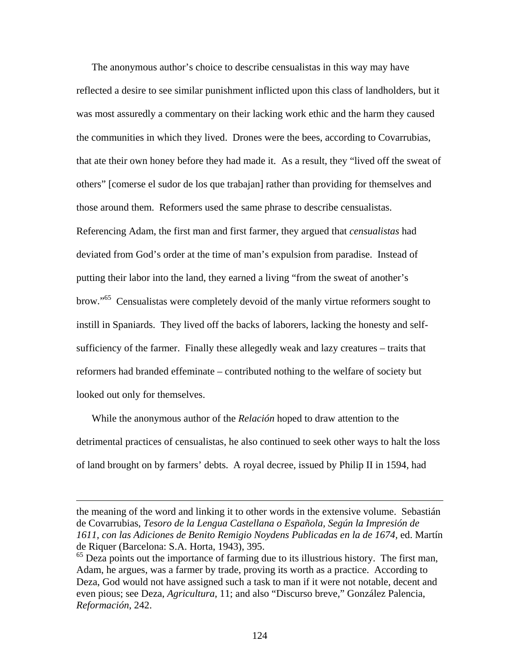The anonymous author's choice to describe censualistas in this way may have reflected a desire to see similar punishment inflicted upon this class of landholders, but it was most assuredly a commentary on their lacking work ethic and the harm they caused the communities in which they lived. Drones were the bees, according to Covarrubias, that ate their own honey before they had made it. As a result, they "lived off the sweat of others" [comerse el sudor de los que trabajan] rather than providing for themselves and those around them. Reformers used the same phrase to describe censualistas. Referencing Adam, the first man and first farmer, they argued that *censualistas* had deviated from God's order at the time of man's expulsion from paradise. Instead of putting their labor into the land, they earned a living "from the sweat of another's brow."65 Censualistas were completely devoid of the manly virtue reformers sought to instill in Spaniards. They lived off the backs of laborers, lacking the honesty and selfsufficiency of the farmer. Finally these allegedly weak and lazy creatures – traits that reformers had branded effeminate – contributed nothing to the welfare of society but looked out only for themselves.

While the anonymous author of the *Relación* hoped to draw attention to the detrimental practices of censualistas, he also continued to seek other ways to halt the loss of land brought on by farmers' debts. A royal decree, issued by Philip II in 1594, had

the meaning of the word and linking it to other words in the extensive volume. Sebastián de Covarrubias, *Tesoro de la Lengua Castellana o Española, Según la Impresión de 1611, con las Adiciones de Benito Remigio Noydens Publicadas en la de 1674,* ed. Martín de Riquer (Barcelona: S.A. Horta, 1943), 395.

<sup>&</sup>lt;sup>65</sup> Deza points out the importance of farming due to its illustrious history. The first man, Adam, he argues, was a farmer by trade, proving its worth as a practice. According to Deza, God would not have assigned such a task to man if it were not notable, decent and even pious; see Deza, *Agricultura*, 11; and also "Discurso breve," González Palencia, *Reformación*, 242.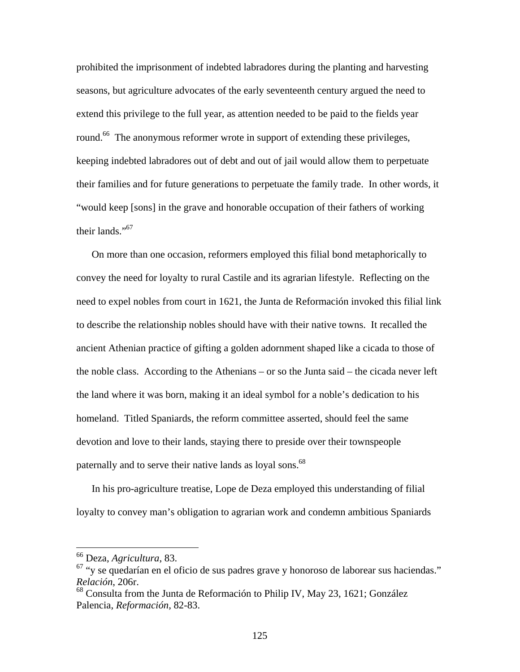prohibited the imprisonment of indebted labradores during the planting and harvesting seasons, but agriculture advocates of the early seventeenth century argued the need to extend this privilege to the full year, as attention needed to be paid to the fields year round.<sup>66</sup> The anonymous reformer wrote in support of extending these privileges, keeping indebted labradores out of debt and out of jail would allow them to perpetuate their families and for future generations to perpetuate the family trade. In other words, it "would keep [sons] in the grave and honorable occupation of their fathers of working their lands."67

On more than one occasion, reformers employed this filial bond metaphorically to convey the need for loyalty to rural Castile and its agrarian lifestyle. Reflecting on the need to expel nobles from court in 1621, the Junta de Reformación invoked this filial link to describe the relationship nobles should have with their native towns. It recalled the ancient Athenian practice of gifting a golden adornment shaped like a cicada to those of the noble class. According to the Athenians – or so the Junta said – the cicada never left the land where it was born, making it an ideal symbol for a noble's dedication to his homeland. Titled Spaniards, the reform committee asserted, should feel the same devotion and love to their lands, staying there to preside over their townspeople paternally and to serve their native lands as loyal sons.<sup>68</sup>

In his pro-agriculture treatise, Lope de Deza employed this understanding of filial loyalty to convey man's obligation to agrarian work and condemn ambitious Spaniards

<sup>66</sup> Deza, *Agricultura*, 83.

<sup>67 &</sup>quot;y se quedarían en el oficio de sus padres grave y honoroso de laborear sus haciendas." *Relación*, 206r.

 $68$  Consulta from the Junta de Reformación to Philip IV, May 23, 1621; González Palencia, *Reformación*, 82-83.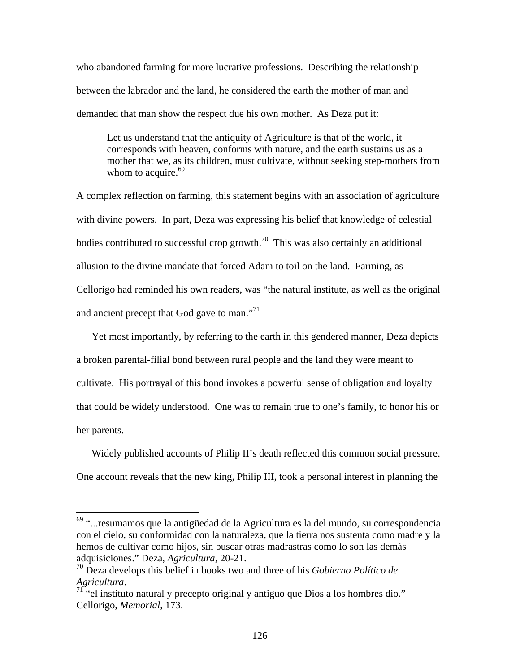who abandoned farming for more lucrative professions. Describing the relationship between the labrador and the land, he considered the earth the mother of man and demanded that man show the respect due his own mother. As Deza put it:

Let us understand that the antiquity of Agriculture is that of the world, it corresponds with heaven, conforms with nature, and the earth sustains us as a mother that we, as its children, must cultivate, without seeking step-mothers from whom to acquire. $69$ 

A complex reflection on farming, this statement begins with an association of agriculture with divine powers. In part, Deza was expressing his belief that knowledge of celestial bodies contributed to successful crop growth.<sup>70</sup> This was also certainly an additional allusion to the divine mandate that forced Adam to toil on the land. Farming, as Cellorigo had reminded his own readers, was "the natural institute, as well as the original and ancient precept that God gave to man."<sup>71</sup>

Yet most importantly, by referring to the earth in this gendered manner, Deza depicts a broken parental-filial bond between rural people and the land they were meant to cultivate. His portrayal of this bond invokes a powerful sense of obligation and loyalty that could be widely understood. One was to remain true to one's family, to honor his or her parents.

Widely published accounts of Philip II's death reflected this common social pressure. One account reveals that the new king, Philip III, took a personal interest in planning the

 $69$  "...resumamos que la antigüedad de la Agricultura es la del mundo, su correspondencia con el cielo, su conformidad con la naturaleza, que la tierra nos sustenta como madre y la hemos de cultivar como hijos, sin buscar otras madrastras como lo son las demás adquisiciones." Deza, *Agricultura*, 20-21.

<sup>70</sup> Deza develops this belief in books two and three of his *Gobierno Político de Agricultura*.<br><sup>71</sup> "el instituto natural y precepto original y antiguo que Dios a los hombres dio."

Cellorigo, *Memorial*, 173.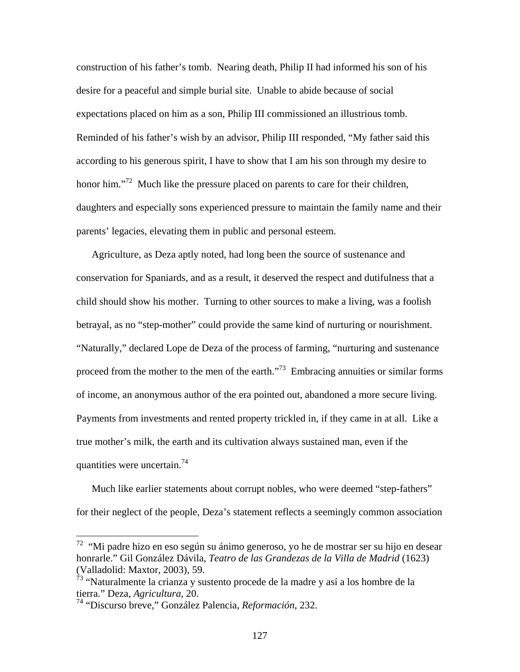construction of his father's tomb. Nearing death, Philip II had informed his son of his desire for a peaceful and simple burial site. Unable to abide because of social expectations placed on him as a son, Philip III commissioned an illustrious tomb. Reminded of his father's wish by an advisor, Philip III responded, "My father said this according to his generous spirit, I have to show that I am his son through my desire to honor him."<sup>72</sup> Much like the pressure placed on parents to care for their children, daughters and especially sons experienced pressure to maintain the family name and their parents' legacies, elevating them in public and personal esteem.

Agriculture, as Deza aptly noted, had long been the source of sustenance and conservation for Spaniards, and as a result, it deserved the respect and dutifulness that a child should show his mother. Turning to other sources to make a living, was a foolish betrayal, as no "step-mother" could provide the same kind of nurturing or nourishment. "Naturally," declared Lope de Deza of the process of farming, "nurturing and sustenance proceed from the mother to the men of the earth."<sup>73</sup> Embracing annuities or similar forms of income, an anonymous author of the era pointed out, abandoned a more secure living. Payments from investments and rented property trickled in, if they came in at all. Like a true mother's milk, the earth and its cultivation always sustained man, even if the quantities were uncertain.<sup>74</sup>

Much like earlier statements about corrupt nobles, who were deemed "step-fathers" for their neglect of the people, Deza's statement reflects a seemingly common association

 $72$  "Mi padre hizo en eso según su ánimo generoso, yo he de mostrar ser su hijo en desear honrarle." Gil González Dávila, *Teatro de las Grandezas de la Villa de Madrid* (1623) (Valladolid: Maxtor, 2003), 59.

<sup>&</sup>lt;sup>73</sup> "Naturalmente la crianza y sustento procede de la madre y así a los hombre de la tierra." Deza, *Agricultura*, 20.

<sup>74 &</sup>quot;Discurso breve," González Palencia, *Reformación*, 232.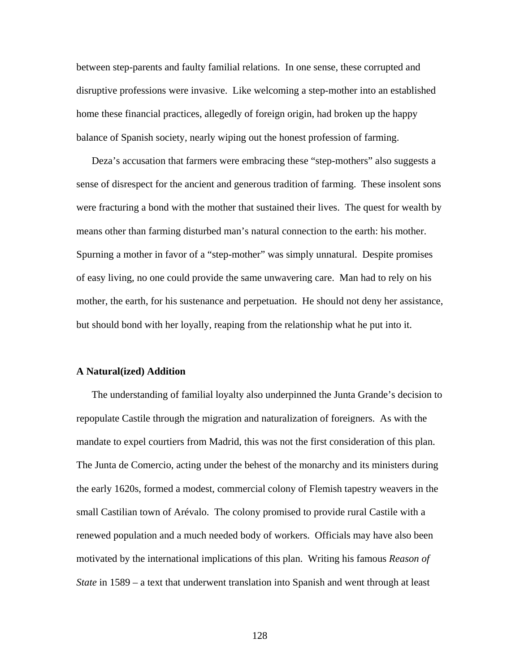between step-parents and faulty familial relations. In one sense, these corrupted and disruptive professions were invasive. Like welcoming a step-mother into an established home these financial practices, allegedly of foreign origin, had broken up the happy balance of Spanish society, nearly wiping out the honest profession of farming.

Deza's accusation that farmers were embracing these "step-mothers" also suggests a sense of disrespect for the ancient and generous tradition of farming. These insolent sons were fracturing a bond with the mother that sustained their lives. The quest for wealth by means other than farming disturbed man's natural connection to the earth: his mother. Spurning a mother in favor of a "step-mother" was simply unnatural. Despite promises of easy living, no one could provide the same unwavering care. Man had to rely on his mother, the earth, for his sustenance and perpetuation. He should not deny her assistance, but should bond with her loyally, reaping from the relationship what he put into it.

## **A Natural(ized) Addition**

The understanding of familial loyalty also underpinned the Junta Grande's decision to repopulate Castile through the migration and naturalization of foreigners. As with the mandate to expel courtiers from Madrid, this was not the first consideration of this plan. The Junta de Comercio, acting under the behest of the monarchy and its ministers during the early 1620s, formed a modest, commercial colony of Flemish tapestry weavers in the small Castilian town of Arévalo. The colony promised to provide rural Castile with a renewed population and a much needed body of workers. Officials may have also been motivated by the international implications of this plan. Writing his famous *Reason of State* in 1589 – a text that underwent translation into Spanish and went through at least

128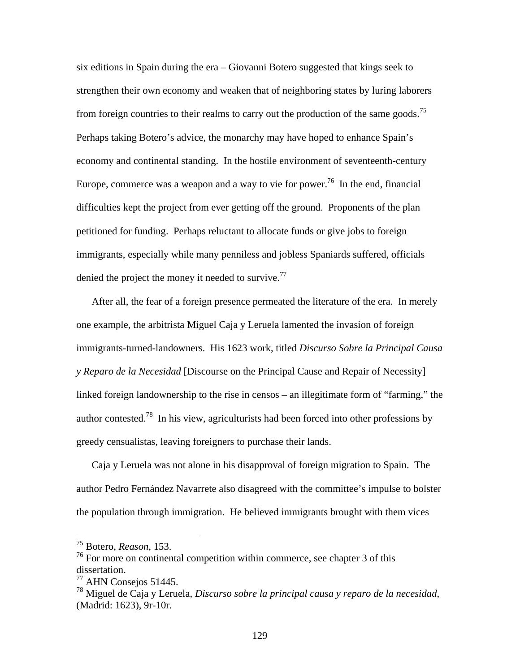six editions in Spain during the era – Giovanni Botero suggested that kings seek to strengthen their own economy and weaken that of neighboring states by luring laborers from foreign countries to their realms to carry out the production of the same goods.<sup>75</sup> Perhaps taking Botero's advice, the monarchy may have hoped to enhance Spain's economy and continental standing. In the hostile environment of seventeenth-century Europe, commerce was a weapon and a way to vie for power.<sup>76</sup> In the end, financial difficulties kept the project from ever getting off the ground. Proponents of the plan petitioned for funding. Perhaps reluctant to allocate funds or give jobs to foreign immigrants, especially while many penniless and jobless Spaniards suffered, officials denied the project the money it needed to survive.<sup>77</sup>

After all, the fear of a foreign presence permeated the literature of the era. In merely one example, the arbitrista Miguel Caja y Leruela lamented the invasion of foreign immigrants-turned-landowners. His 1623 work, titled *Discurso Sobre la Principal Causa y Reparo de la Necesidad* [Discourse on the Principal Cause and Repair of Necessity] linked foreign landownership to the rise in censos – an illegitimate form of "farming," the author contested.78 In his view, agriculturists had been forced into other professions by greedy censualistas, leaving foreigners to purchase their lands.

Caja y Leruela was not alone in his disapproval of foreign migration to Spain. The author Pedro Fernández Navarrete also disagreed with the committee's impulse to bolster the population through immigration. He believed immigrants brought with them vices

<sup>75</sup> Botero, *Reason*, 153.

<sup>&</sup>lt;sup>76</sup> For more on continental competition within commerce, see chapter 3 of this dissertation.

 $77$  AHN Consejos 51445.

<sup>78</sup> Miguel de Caja y Leruela, *Discurso sobre la principal causa y reparo de la necesidad*, (Madrid: 1623), 9r-10r.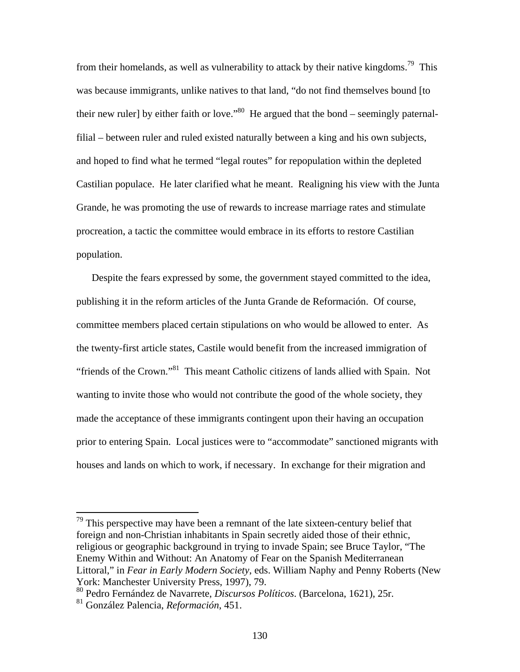from their homelands, as well as vulnerability to attack by their native kingdoms.<sup>79</sup> This was because immigrants, unlike natives to that land, "do not find themselves bound [to their new ruler] by either faith or love."<sup>80</sup> He argued that the bond – seemingly paternalfilial – between ruler and ruled existed naturally between a king and his own subjects, and hoped to find what he termed "legal routes" for repopulation within the depleted Castilian populace. He later clarified what he meant. Realigning his view with the Junta Grande, he was promoting the use of rewards to increase marriage rates and stimulate procreation, a tactic the committee would embrace in its efforts to restore Castilian population.

Despite the fears expressed by some, the government stayed committed to the idea, publishing it in the reform articles of the Junta Grande de Reformación. Of course, committee members placed certain stipulations on who would be allowed to enter. As the twenty-first article states, Castile would benefit from the increased immigration of "friends of the Crown."<sup>81</sup> This meant Catholic citizens of lands allied with Spain. Not wanting to invite those who would not contribute the good of the whole society, they made the acceptance of these immigrants contingent upon their having an occupation prior to entering Spain. Local justices were to "accommodate" sanctioned migrants with houses and lands on which to work, if necessary. In exchange for their migration and

 $79$  This perspective may have been a remnant of the late sixteen-century belief that foreign and non-Christian inhabitants in Spain secretly aided those of their ethnic, religious or geographic background in trying to invade Spain; see Bruce Taylor, "The Enemy Within and Without: An Anatomy of Fear on the Spanish Mediterranean Littoral," in *Fear in Early Modern Society*, eds. William Naphy and Penny Roberts (New York: Manchester University Press, 1997), 79.

<sup>80</sup> Pedro Fernández de Navarrete, *Discursos Políticos*. (Barcelona, 1621), 25r.

<sup>81</sup> González Palencia, *Reformación*, 451.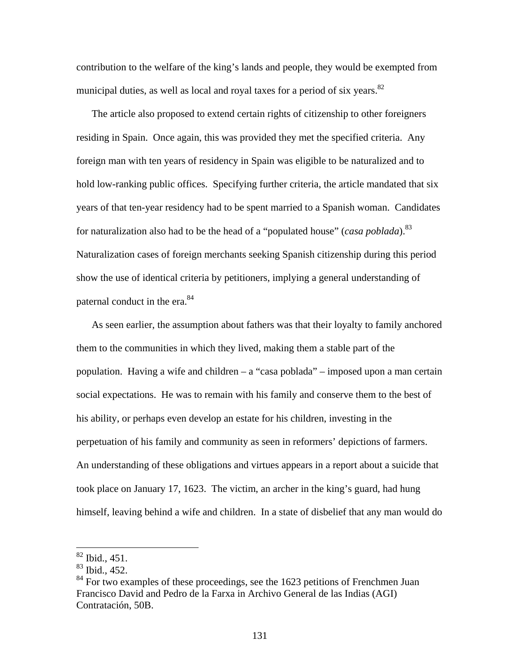contribution to the welfare of the king's lands and people, they would be exempted from municipal duties, as well as local and royal taxes for a period of six years.<sup>82</sup>

The article also proposed to extend certain rights of citizenship to other foreigners residing in Spain. Once again, this was provided they met the specified criteria. Any foreign man with ten years of residency in Spain was eligible to be naturalized and to hold low-ranking public offices. Specifying further criteria, the article mandated that six years of that ten-year residency had to be spent married to a Spanish woman. Candidates for naturalization also had to be the head of a "populated house" (*casa poblada*).<sup>83</sup> Naturalization cases of foreign merchants seeking Spanish citizenship during this period show the use of identical criteria by petitioners, implying a general understanding of paternal conduct in the era.<sup>84</sup>

As seen earlier, the assumption about fathers was that their loyalty to family anchored them to the communities in which they lived, making them a stable part of the population. Having a wife and children – a "casa poblada" – imposed upon a man certain social expectations. He was to remain with his family and conserve them to the best of his ability, or perhaps even develop an estate for his children, investing in the perpetuation of his family and community as seen in reformers' depictions of farmers. An understanding of these obligations and virtues appears in a report about a suicide that took place on January 17, 1623. The victim, an archer in the king's guard, had hung himself, leaving behind a wife and children. In a state of disbelief that any man would do

1

 $82$  Ibid., 451.

<sup>83</sup> Ibid., 452.

 $84$  For two examples of these proceedings, see the 1623 petitions of Frenchmen Juan Francisco David and Pedro de la Farxa in Archivo General de las Indias (AGI) Contratación, 50B.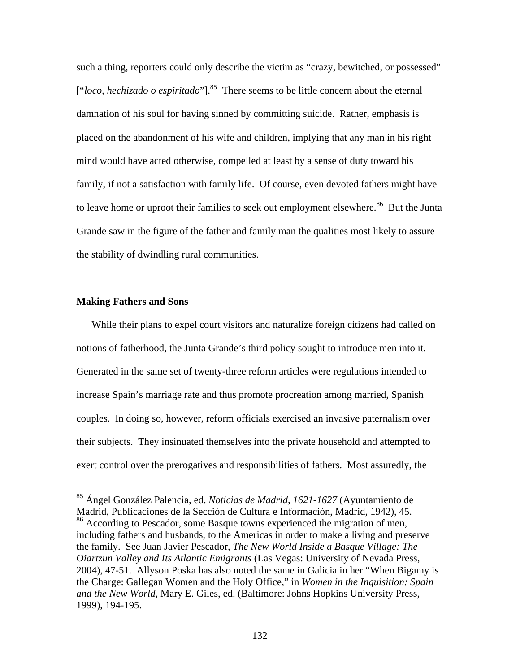such a thing, reporters could only describe the victim as "crazy, bewitched, or possessed" ["*loco, hechizado o espiritado*"].<sup>85</sup> There seems to be little concern about the eternal damnation of his soul for having sinned by committing suicide. Rather, emphasis is placed on the abandonment of his wife and children, implying that any man in his right mind would have acted otherwise, compelled at least by a sense of duty toward his family, if not a satisfaction with family life. Of course, even devoted fathers might have to leave home or uproot their families to seek out employment elsewhere.<sup>86</sup> But the Junta Grande saw in the figure of the father and family man the qualities most likely to assure the stability of dwindling rural communities.

## **Making Fathers and Sons**

1

While their plans to expel court visitors and naturalize foreign citizens had called on notions of fatherhood, the Junta Grande's third policy sought to introduce men into it. Generated in the same set of twenty-three reform articles were regulations intended to increase Spain's marriage rate and thus promote procreation among married, Spanish couples. In doing so, however, reform officials exercised an invasive paternalism over their subjects. They insinuated themselves into the private household and attempted to exert control over the prerogatives and responsibilities of fathers. Most assuredly, the

<sup>85</sup> Ángel González Palencia, ed. *Noticias de Madrid, 1621-1627* (Ayuntamiento de Madrid, Publicaciones de la Sección de Cultura e Información, Madrid, 1942), 45. <sup>86</sup> According to Pescador, some Basque towns experienced the migration of men, including fathers and husbands, to the Americas in order to make a living and preserve the family. See Juan Javier Pescador, *The New World Inside a Basque Village: The Oiartzun Valley and Its Atlantic Emigrants* (Las Vegas: University of Nevada Press, 2004), 47-51. Allyson Poska has also noted the same in Galicia in her "When Bigamy is the Charge: Gallegan Women and the Holy Office," in *Women in the Inquisition: Spain and the New World*, Mary E. Giles, ed. (Baltimore: Johns Hopkins University Press, 1999), 194-195.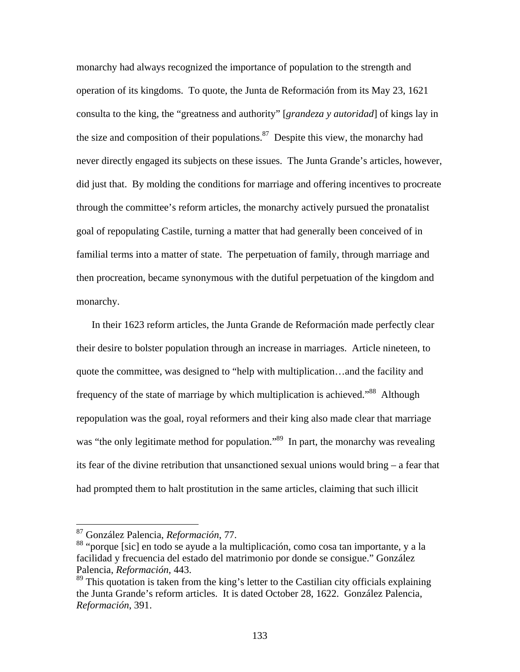monarchy had always recognized the importance of population to the strength and operation of its kingdoms. To quote, the Junta de Reformación from its May 23, 1621 consulta to the king, the "greatness and authority" [*grandeza y autoridad*] of kings lay in the size and composition of their populations. $87$  Despite this view, the monarchy had never directly engaged its subjects on these issues. The Junta Grande's articles, however, did just that. By molding the conditions for marriage and offering incentives to procreate through the committee's reform articles, the monarchy actively pursued the pronatalist goal of repopulating Castile, turning a matter that had generally been conceived of in familial terms into a matter of state. The perpetuation of family, through marriage and then procreation, became synonymous with the dutiful perpetuation of the kingdom and monarchy.

In their 1623 reform articles, the Junta Grande de Reformación made perfectly clear their desire to bolster population through an increase in marriages. Article nineteen, to quote the committee, was designed to "help with multiplication…and the facility and frequency of the state of marriage by which multiplication is achieved.<sup>88</sup> Although repopulation was the goal, royal reformers and their king also made clear that marriage was "the only legitimate method for population."<sup>89</sup> In part, the monarchy was revealing its fear of the divine retribution that unsanctioned sexual unions would bring – a fear that had prompted them to halt prostitution in the same articles, claiming that such illicit

<sup>87</sup> González Palencia, *Reformación*, 77.

<sup>88 &</sup>quot;porque [sic] en todo se ayude a la multiplicación, como cosa tan importante, y a la facilidad y frecuencia del estado del matrimonio por donde se consigue." González Palencia, *Reformación*, 443.

<sup>&</sup>lt;sup>89</sup> This quotation is taken from the king's letter to the Castilian city officials explaining the Junta Grande's reform articles. It is dated October 28, 1622. González Palencia, *Reformación*, 391.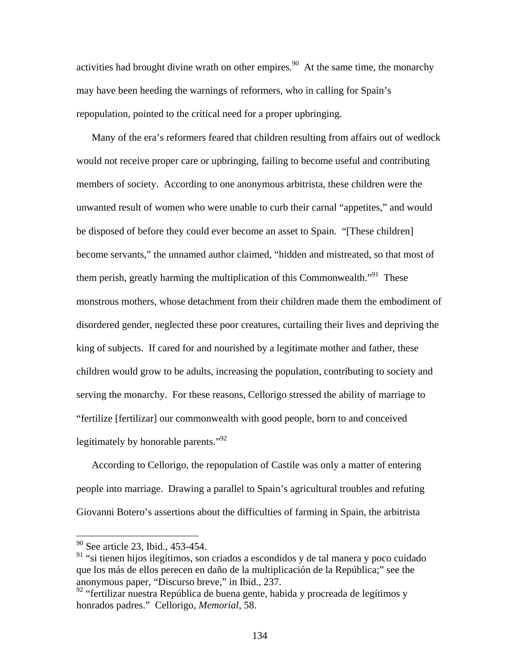activities had brought divine wrath on other empires.<sup>90</sup> At the same time, the monarchy may have been heeding the warnings of reformers, who in calling for Spain's repopulation, pointed to the critical need for a proper upbringing.

Many of the era's reformers feared that children resulting from affairs out of wedlock would not receive proper care or upbringing, failing to become useful and contributing members of society. According to one anonymous arbitrista, these children were the unwanted result of women who were unable to curb their carnal "appetites," and would be disposed of before they could ever become an asset to Spain. "[These children] become servants," the unnamed author claimed, "hidden and mistreated, so that most of them perish, greatly harming the multiplication of this Commonwealth."<sup>91</sup> These monstrous mothers, whose detachment from their children made them the embodiment of disordered gender, neglected these poor creatures, curtailing their lives and depriving the king of subjects. If cared for and nourished by a legitimate mother and father, these children would grow to be adults, increasing the population, contributing to society and serving the monarchy. For these reasons, Cellorigo stressed the ability of marriage to "fertilize [fertilizar] our commonwealth with good people, born to and conceived legitimately by honorable parents."<sup>92</sup>

According to Cellorigo, the repopulation of Castile was only a matter of entering people into marriage. Drawing a parallel to Spain's agricultural troubles and refuting Giovanni Botero's assertions about the difficulties of farming in Spain, the arbitrista

<sup>&</sup>lt;sup>90</sup> See article 23, Ibid., 453-454.

<sup>&</sup>lt;sup>91</sup> "si tienen hijos ilegítimos, son criados a escondidos y de tal manera y poco cuidado que los más de ellos perecen en daño de la multiplicación de la República;" see the anonymous paper, "Discurso breve," in Ibid., 237.

<sup>&</sup>lt;sup>92</sup> "fertilizar nuestra República de buena gente, habida y procreada de legítimos y honrados padres." Cellorigo, *Memorial*, 58.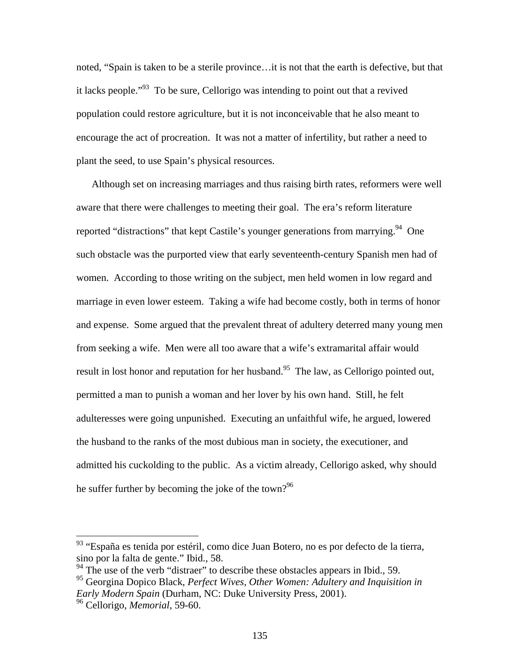noted, "Spain is taken to be a sterile province…it is not that the earth is defective, but that it lacks people."<sup>93</sup> To be sure, Cellorigo was intending to point out that a revived population could restore agriculture, but it is not inconceivable that he also meant to encourage the act of procreation. It was not a matter of infertility, but rather a need to plant the seed, to use Spain's physical resources.

Although set on increasing marriages and thus raising birth rates, reformers were well aware that there were challenges to meeting their goal. The era's reform literature reported "distractions" that kept Castile's younger generations from marrying. <sup>94</sup> One such obstacle was the purported view that early seventeenth-century Spanish men had of women. According to those writing on the subject, men held women in low regard and marriage in even lower esteem. Taking a wife had become costly, both in terms of honor and expense. Some argued that the prevalent threat of adultery deterred many young men from seeking a wife. Men were all too aware that a wife's extramarital affair would result in lost honor and reputation for her husband.<sup>95</sup> The law, as Cellorigo pointed out, permitted a man to punish a woman and her lover by his own hand. Still, he felt adulteresses were going unpunished. Executing an unfaithful wife, he argued, lowered the husband to the ranks of the most dubious man in society, the executioner, and admitted his cuckolding to the public. As a victim already, Cellorigo asked, why should he suffer further by becoming the joke of the town?<sup>96</sup>

<sup>93 &</sup>quot;España es tenida por estéril, como dice Juan Botero, no es por defecto de la tierra, sino por la falta de gente." Ibid., 58.

 $\frac{94}{10}$  The use of the verb "distraer" to describe these obstacles appears in Ibid., 59.

<sup>95</sup> Georgina Dopico Black, *Perfect Wives, Other Women: Adultery and Inquisition in Early Modern Spain* (Durham, NC: Duke University Press, 2001).

<sup>96</sup> Cellorigo, *Memorial*, 59-60.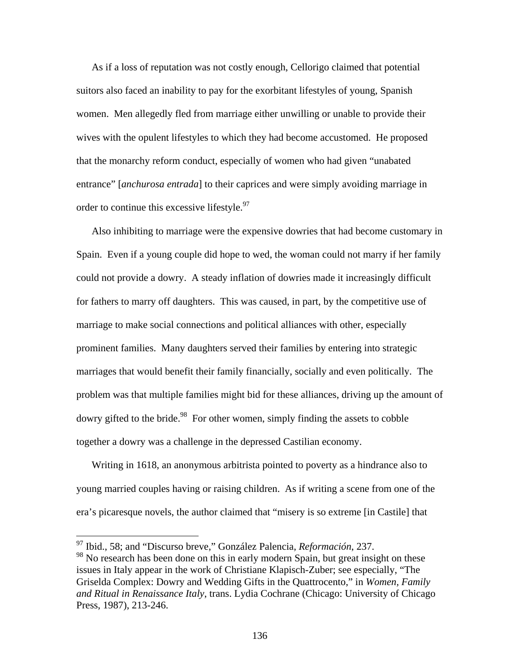As if a loss of reputation was not costly enough, Cellorigo claimed that potential suitors also faced an inability to pay for the exorbitant lifestyles of young, Spanish women. Men allegedly fled from marriage either unwilling or unable to provide their wives with the opulent lifestyles to which they had become accustomed. He proposed that the monarchy reform conduct, especially of women who had given "unabated entrance" [*anchurosa entrada*] to their caprices and were simply avoiding marriage in order to continue this excessive lifestyle.<sup>97</sup>

Also inhibiting to marriage were the expensive dowries that had become customary in Spain. Even if a young couple did hope to wed, the woman could not marry if her family could not provide a dowry. A steady inflation of dowries made it increasingly difficult for fathers to marry off daughters. This was caused, in part, by the competitive use of marriage to make social connections and political alliances with other, especially prominent families. Many daughters served their families by entering into strategic marriages that would benefit their family financially, socially and even politically. The problem was that multiple families might bid for these alliances, driving up the amount of dowry gifted to the bride.<sup>98</sup> For other women, simply finding the assets to cobble together a dowry was a challenge in the depressed Castilian economy.

Writing in 1618, an anonymous arbitrista pointed to poverty as a hindrance also to young married couples having or raising children. As if writing a scene from one of the era's picaresque novels, the author claimed that "misery is so extreme [in Castile] that

<sup>97</sup> Ibid., 58; and "Discurso breve," González Palencia, *Reformación*, 237.

<sup>98</sup> No research has been done on this in early modern Spain, but great insight on these issues in Italy appear in the work of Christiane Klapisch-Zuber; see especially, "The Griselda Complex: Dowry and Wedding Gifts in the Quattrocento," in *Women, Family and Ritual in Renaissance Italy*, trans. Lydia Cochrane (Chicago: University of Chicago Press, 1987), 213-246.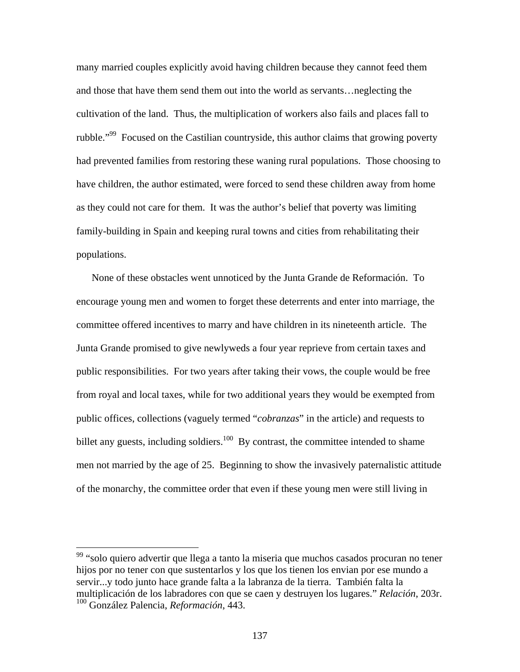many married couples explicitly avoid having children because they cannot feed them and those that have them send them out into the world as servants…neglecting the cultivation of the land. Thus, the multiplication of workers also fails and places fall to rubble."<sup>99</sup> Focused on the Castilian countryside, this author claims that growing poverty had prevented families from restoring these waning rural populations. Those choosing to have children, the author estimated, were forced to send these children away from home as they could not care for them. It was the author's belief that poverty was limiting family-building in Spain and keeping rural towns and cities from rehabilitating their populations.

None of these obstacles went unnoticed by the Junta Grande de Reformación. To encourage young men and women to forget these deterrents and enter into marriage, the committee offered incentives to marry and have children in its nineteenth article. The Junta Grande promised to give newlyweds a four year reprieve from certain taxes and public responsibilities. For two years after taking their vows, the couple would be free from royal and local taxes, while for two additional years they would be exempted from public offices, collections (vaguely termed "*cobranzas*" in the article) and requests to billet any guests, including soldiers.<sup>100</sup> By contrast, the committee intended to shame men not married by the age of 25. Beginning to show the invasively paternalistic attitude of the monarchy, the committee order that even if these young men were still living in

1

<sup>&</sup>lt;sup>99</sup> "solo quiero advertir que llega a tanto la miseria que muchos casados procuran no tener hijos por no tener con que sustentarlos y los que los tienen los envian por ese mundo a servir...y todo junto hace grande falta a la labranza de la tierra. También falta la multiplicación de los labradores con que se caen y destruyen los lugares." *Relación*, 203r. 100 González Palencia, *Reformación*, 443.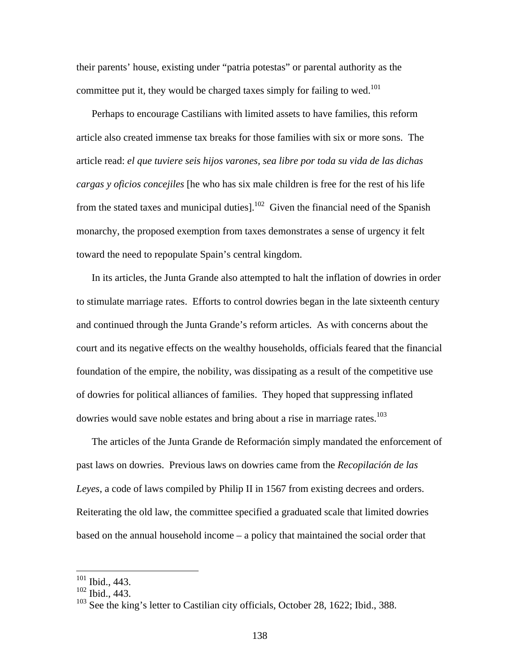their parents' house, existing under "patria potestas" or parental authority as the committee put it, they would be charged taxes simply for failing to wed.<sup>101</sup>

Perhaps to encourage Castilians with limited assets to have families, this reform article also created immense tax breaks for those families with six or more sons. The article read: *el que tuviere seis hijos varones, sea libre por toda su vida de las dichas cargas y oficios concejiles* [he who has six male children is free for the rest of his life from the stated taxes and municipal duties].<sup>102</sup> Given the financial need of the Spanish monarchy, the proposed exemption from taxes demonstrates a sense of urgency it felt toward the need to repopulate Spain's central kingdom.

In its articles, the Junta Grande also attempted to halt the inflation of dowries in order to stimulate marriage rates. Efforts to control dowries began in the late sixteenth century and continued through the Junta Grande's reform articles. As with concerns about the court and its negative effects on the wealthy households, officials feared that the financial foundation of the empire, the nobility, was dissipating as a result of the competitive use of dowries for political alliances of families. They hoped that suppressing inflated dowries would save noble estates and bring about a rise in marriage rates.<sup>103</sup>

The articles of the Junta Grande de Reformación simply mandated the enforcement of past laws on dowries. Previous laws on dowries came from the *Recopilación de las Leyes*, a code of laws compiled by Philip II in 1567 from existing decrees and orders. Reiterating the old law, the committee specified a graduated scale that limited dowries based on the annual household income – a policy that maintained the social order that

 $101$  Ibid., 443.

<sup>102</sup> Ibid., 443.

<sup>&</sup>lt;sup>103</sup> See the king's letter to Castilian city officials, October 28, 1622; Ibid., 388.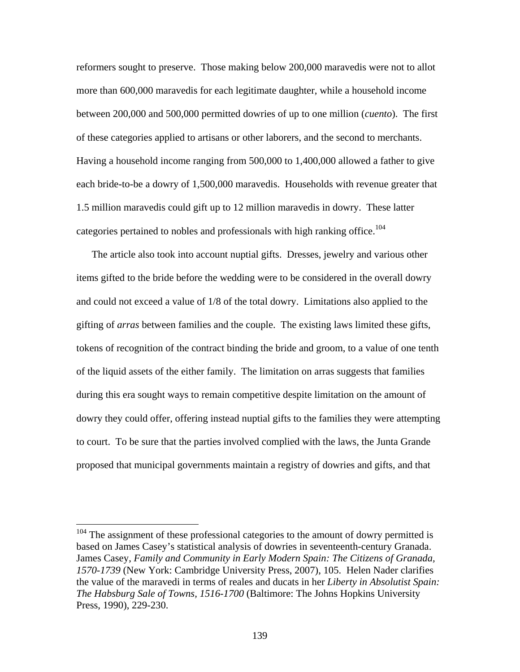reformers sought to preserve. Those making below 200,000 maravedis were not to allot more than 600,000 maravedis for each legitimate daughter, while a household income between 200,000 and 500,000 permitted dowries of up to one million (*cuento*). The first of these categories applied to artisans or other laborers, and the second to merchants. Having a household income ranging from 500,000 to 1,400,000 allowed a father to give each bride-to-be a dowry of 1,500,000 maravedis. Households with revenue greater that 1.5 million maravedis could gift up to 12 million maravedis in dowry. These latter categories pertained to nobles and professionals with high ranking office.<sup>104</sup>

The article also took into account nuptial gifts. Dresses, jewelry and various other items gifted to the bride before the wedding were to be considered in the overall dowry and could not exceed a value of 1/8 of the total dowry. Limitations also applied to the gifting of *arras* between families and the couple. The existing laws limited these gifts, tokens of recognition of the contract binding the bride and groom, to a value of one tenth of the liquid assets of the either family. The limitation on arras suggests that families during this era sought ways to remain competitive despite limitation on the amount of dowry they could offer, offering instead nuptial gifts to the families they were attempting to court. To be sure that the parties involved complied with the laws, the Junta Grande proposed that municipal governments maintain a registry of dowries and gifts, and that

 $104$  The assignment of these professional categories to the amount of dowry permitted is based on James Casey's statistical analysis of dowries in seventeenth-century Granada. James Casey, *Family and Community in Early Modern Spain: The Citizens of Granada, 1570-1739* (New York: Cambridge University Press, 2007), 105. Helen Nader clarifies the value of the maravedi in terms of reales and ducats in her *Liberty in Absolutist Spain: The Habsburg Sale of Towns, 1516-1700* (Baltimore: The Johns Hopkins University Press, 1990), 229-230.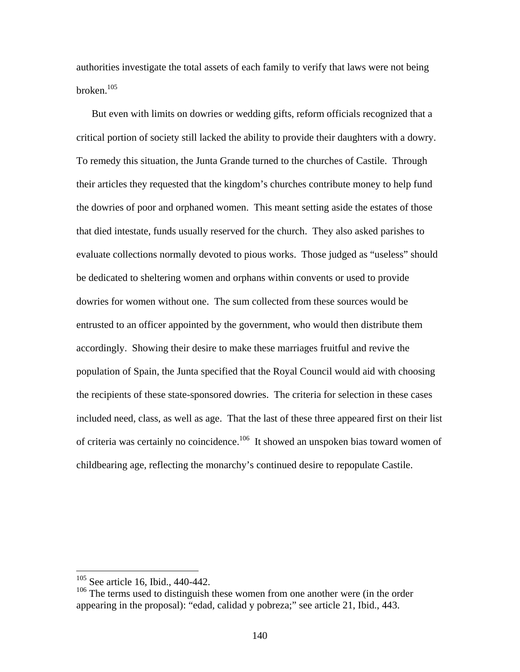authorities investigate the total assets of each family to verify that laws were not being broken. $105$ 

But even with limits on dowries or wedding gifts, reform officials recognized that a critical portion of society still lacked the ability to provide their daughters with a dowry. To remedy this situation, the Junta Grande turned to the churches of Castile. Through their articles they requested that the kingdom's churches contribute money to help fund the dowries of poor and orphaned women. This meant setting aside the estates of those that died intestate, funds usually reserved for the church. They also asked parishes to evaluate collections normally devoted to pious works. Those judged as "useless" should be dedicated to sheltering women and orphans within convents or used to provide dowries for women without one. The sum collected from these sources would be entrusted to an officer appointed by the government, who would then distribute them accordingly. Showing their desire to make these marriages fruitful and revive the population of Spain, the Junta specified that the Royal Council would aid with choosing the recipients of these state-sponsored dowries. The criteria for selection in these cases included need, class, as well as age. That the last of these three appeared first on their list of criteria was certainly no coincidence.<sup>106</sup> It showed an unspoken bias toward women of childbearing age, reflecting the monarchy's continued desire to repopulate Castile.

 $105$  See article 16, Ibid., 440-442.

<sup>&</sup>lt;sup>106</sup> The terms used to distinguish these women from one another were (in the order appearing in the proposal): "edad, calidad y pobreza;" see article 21, Ibid., 443.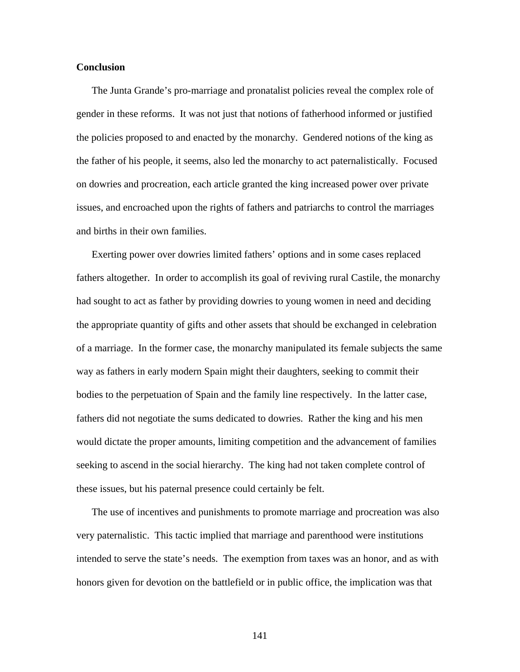### **Conclusion**

The Junta Grande's pro-marriage and pronatalist policies reveal the complex role of gender in these reforms. It was not just that notions of fatherhood informed or justified the policies proposed to and enacted by the monarchy. Gendered notions of the king as the father of his people, it seems, also led the monarchy to act paternalistically. Focused on dowries and procreation, each article granted the king increased power over private issues, and encroached upon the rights of fathers and patriarchs to control the marriages and births in their own families.

Exerting power over dowries limited fathers' options and in some cases replaced fathers altogether. In order to accomplish its goal of reviving rural Castile, the monarchy had sought to act as father by providing dowries to young women in need and deciding the appropriate quantity of gifts and other assets that should be exchanged in celebration of a marriage. In the former case, the monarchy manipulated its female subjects the same way as fathers in early modern Spain might their daughters, seeking to commit their bodies to the perpetuation of Spain and the family line respectively. In the latter case, fathers did not negotiate the sums dedicated to dowries. Rather the king and his men would dictate the proper amounts, limiting competition and the advancement of families seeking to ascend in the social hierarchy. The king had not taken complete control of these issues, but his paternal presence could certainly be felt.

The use of incentives and punishments to promote marriage and procreation was also very paternalistic. This tactic implied that marriage and parenthood were institutions intended to serve the state's needs. The exemption from taxes was an honor, and as with honors given for devotion on the battlefield or in public office, the implication was that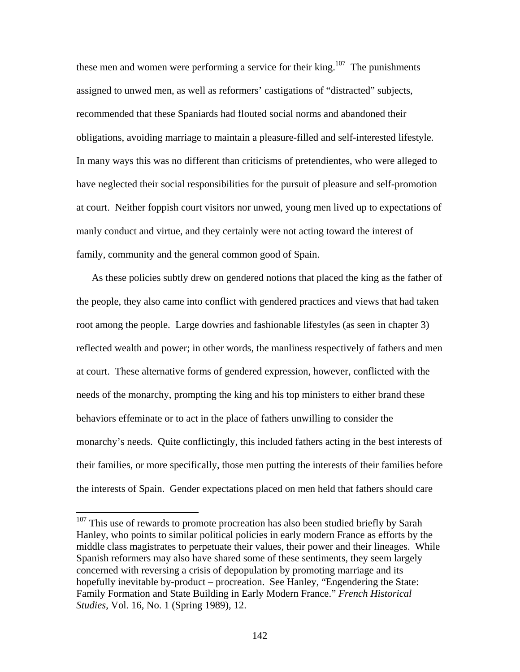these men and women were performing a service for their king.<sup>107</sup> The punishments assigned to unwed men, as well as reformers' castigations of "distracted" subjects, recommended that these Spaniards had flouted social norms and abandoned their obligations, avoiding marriage to maintain a pleasure-filled and self-interested lifestyle. In many ways this was no different than criticisms of pretendientes, who were alleged to have neglected their social responsibilities for the pursuit of pleasure and self-promotion at court. Neither foppish court visitors nor unwed, young men lived up to expectations of manly conduct and virtue, and they certainly were not acting toward the interest of family, community and the general common good of Spain.

As these policies subtly drew on gendered notions that placed the king as the father of the people, they also came into conflict with gendered practices and views that had taken root among the people. Large dowries and fashionable lifestyles (as seen in chapter 3) reflected wealth and power; in other words, the manliness respectively of fathers and men at court. These alternative forms of gendered expression, however, conflicted with the needs of the monarchy, prompting the king and his top ministers to either brand these behaviors effeminate or to act in the place of fathers unwilling to consider the monarchy's needs. Quite conflictingly, this included fathers acting in the best interests of their families, or more specifically, those men putting the interests of their families before the interests of Spain. Gender expectations placed on men held that fathers should care

 $107$  This use of rewards to promote procreation has also been studied briefly by Sarah Hanley, who points to similar political policies in early modern France as efforts by the middle class magistrates to perpetuate their values, their power and their lineages. While Spanish reformers may also have shared some of these sentiments, they seem largely concerned with reversing a crisis of depopulation by promoting marriage and its hopefully inevitable by-product – procreation. See Hanley, "Engendering the State: Family Formation and State Building in Early Modern France." *French Historical Studies*, Vol. 16, No. 1 (Spring 1989), 12.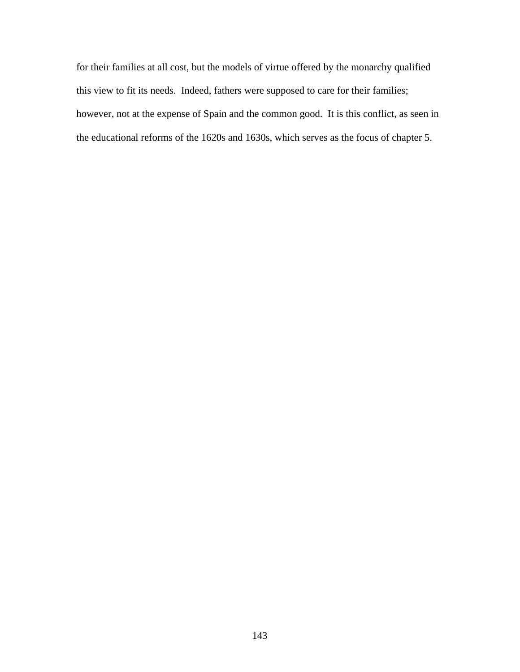for their families at all cost, but the models of virtue offered by the monarchy qualified this view to fit its needs. Indeed, fathers were supposed to care for their families; however, not at the expense of Spain and the common good. It is this conflict, as seen in the educational reforms of the 1620s and 1630s, which serves as the focus of chapter 5.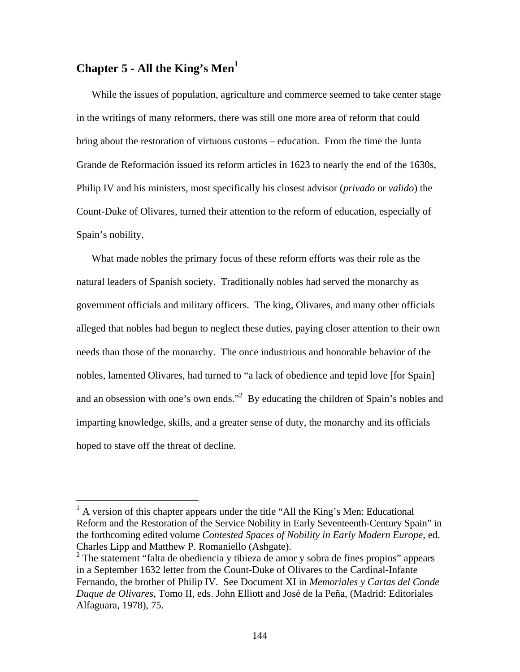# **Chapter 5 - All the King's Men1**

 $\overline{a}$ 

While the issues of population, agriculture and commerce seemed to take center stage in the writings of many reformers, there was still one more area of reform that could bring about the restoration of virtuous customs – education. From the time the Junta Grande de Reformación issued its reform articles in 1623 to nearly the end of the 1630s, Philip IV and his ministers, most specifically his closest advisor (*privado* or *valido*) the Count-Duke of Olivares, turned their attention to the reform of education, especially of Spain's nobility.

What made nobles the primary focus of these reform efforts was their role as the natural leaders of Spanish society. Traditionally nobles had served the monarchy as government officials and military officers. The king, Olivares, and many other officials alleged that nobles had begun to neglect these duties, paying closer attention to their own needs than those of the monarchy. The once industrious and honorable behavior of the nobles, lamented Olivares, had turned to "a lack of obedience and tepid love [for Spain] and an obsession with one's own ends."<sup>2</sup> By educating the children of Spain's nobles and imparting knowledge, skills, and a greater sense of duty, the monarchy and its officials hoped to stave off the threat of decline.

<sup>&</sup>lt;sup>1</sup> A version of this chapter appears under the title "All the King's Men: Educational Reform and the Restoration of the Service Nobility in Early Seventeenth-Century Spain" in the forthcoming edited volume *Contested Spaces of Nobility in Early Modern Europe,* ed. Charles Lipp and Matthew P. Romaniello (Ashgate).

 $2^2$  The statement "falta de obediencia y tibieza de amor y sobra de fines propios" appears in a September 1632 letter from the Count-Duke of Olivares to the Cardinal-Infante Fernando, the brother of Philip IV. See Document XI in *Memoriales y Cartas del Conde Duque de Olivares*, Tomo II, eds. John Elliott and José de la Peña, (Madrid: Editoriales Alfaguara, 1978), 75.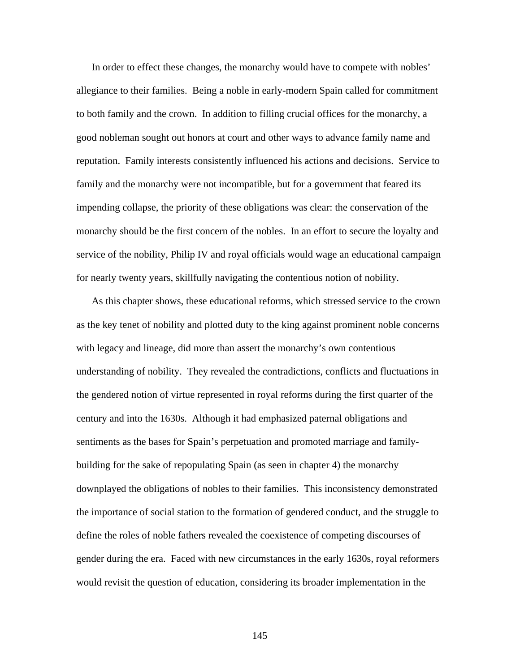In order to effect these changes, the monarchy would have to compete with nobles' allegiance to their families. Being a noble in early-modern Spain called for commitment to both family and the crown. In addition to filling crucial offices for the monarchy, a good nobleman sought out honors at court and other ways to advance family name and reputation. Family interests consistently influenced his actions and decisions. Service to family and the monarchy were not incompatible, but for a government that feared its impending collapse, the priority of these obligations was clear: the conservation of the monarchy should be the first concern of the nobles. In an effort to secure the loyalty and service of the nobility, Philip IV and royal officials would wage an educational campaign for nearly twenty years, skillfully navigating the contentious notion of nobility.

As this chapter shows, these educational reforms, which stressed service to the crown as the key tenet of nobility and plotted duty to the king against prominent noble concerns with legacy and lineage, did more than assert the monarchy's own contentious understanding of nobility. They revealed the contradictions, conflicts and fluctuations in the gendered notion of virtue represented in royal reforms during the first quarter of the century and into the 1630s. Although it had emphasized paternal obligations and sentiments as the bases for Spain's perpetuation and promoted marriage and familybuilding for the sake of repopulating Spain (as seen in chapter 4) the monarchy downplayed the obligations of nobles to their families. This inconsistency demonstrated the importance of social station to the formation of gendered conduct, and the struggle to define the roles of noble fathers revealed the coexistence of competing discourses of gender during the era. Faced with new circumstances in the early 1630s, royal reformers would revisit the question of education, considering its broader implementation in the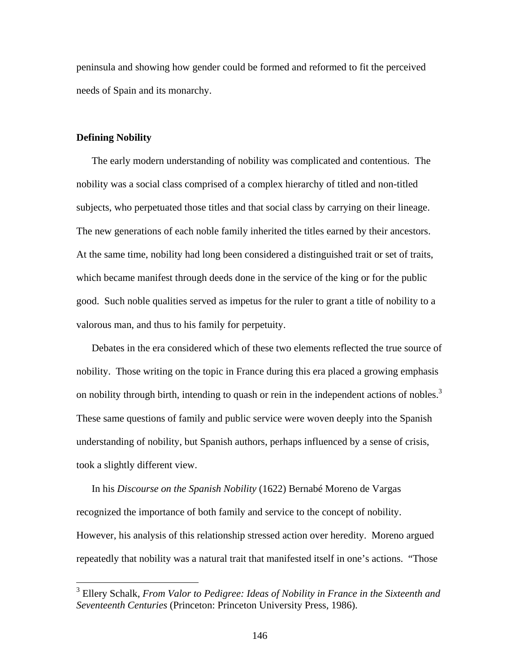peninsula and showing how gender could be formed and reformed to fit the perceived needs of Spain and its monarchy.

#### **Defining Nobility**

1

The early modern understanding of nobility was complicated and contentious. The nobility was a social class comprised of a complex hierarchy of titled and non-titled subjects, who perpetuated those titles and that social class by carrying on their lineage. The new generations of each noble family inherited the titles earned by their ancestors. At the same time, nobility had long been considered a distinguished trait or set of traits, which became manifest through deeds done in the service of the king or for the public good. Such noble qualities served as impetus for the ruler to grant a title of nobility to a valorous man, and thus to his family for perpetuity.

Debates in the era considered which of these two elements reflected the true source of nobility. Those writing on the topic in France during this era placed a growing emphasis on nobility through birth, intending to quash or rein in the independent actions of nobles.<sup>3</sup> These same questions of family and public service were woven deeply into the Spanish understanding of nobility, but Spanish authors, perhaps influenced by a sense of crisis, took a slightly different view.

In his *Discourse on the Spanish Nobility* (1622) Bernabé Moreno de Vargas recognized the importance of both family and service to the concept of nobility. However, his analysis of this relationship stressed action over heredity. Moreno argued repeatedly that nobility was a natural trait that manifested itself in one's actions. "Those

<sup>3</sup> Ellery Schalk, *From Valor to Pedigree: Ideas of Nobility in France in the Sixteenth and Seventeenth Centuries* (Princeton: Princeton University Press, 1986).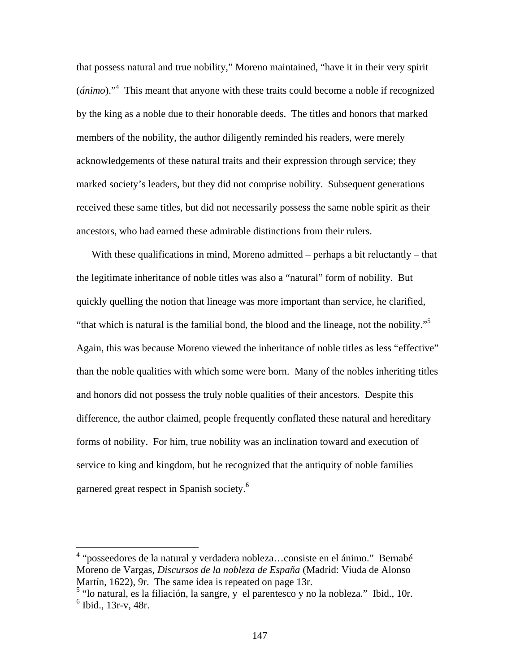that possess natural and true nobility," Moreno maintained, "have it in their very spirit (*ánimo*)."<sup>4</sup> This meant that anyone with these traits could become a noble if recognized by the king as a noble due to their honorable deeds. The titles and honors that marked members of the nobility, the author diligently reminded his readers, were merely acknowledgements of these natural traits and their expression through service; they marked society's leaders, but they did not comprise nobility. Subsequent generations received these same titles, but did not necessarily possess the same noble spirit as their ancestors, who had earned these admirable distinctions from their rulers.

With these qualifications in mind, Moreno admitted – perhaps a bit reluctantly – that the legitimate inheritance of noble titles was also a "natural" form of nobility. But quickly quelling the notion that lineage was more important than service, he clarified, "that which is natural is the familial bond, the blood and the lineage, not the nobility."5 Again, this was because Moreno viewed the inheritance of noble titles as less "effective" than the noble qualities with which some were born. Many of the nobles inheriting titles and honors did not possess the truly noble qualities of their ancestors. Despite this difference, the author claimed, people frequently conflated these natural and hereditary forms of nobility. For him, true nobility was an inclination toward and execution of service to king and kingdom, but he recognized that the antiquity of noble families garnered great respect in Spanish society.6

<sup>&</sup>lt;sup>4</sup> "posseedores de la natural y verdadera nobleza...consiste en el ánimo." Bernabé Moreno de Vargas, *Discursos de la nobleza de España* (Madrid: Viuda de Alonso Martín, 1622), 9r. The same idea is repeated on page 13r.

<sup>&</sup>lt;sup>5</sup> "lo natural, es la filiación, la sangre, y el parentesco y no la nobleza." Ibid., 10r. 6 Ibid., 13r-v, 48r.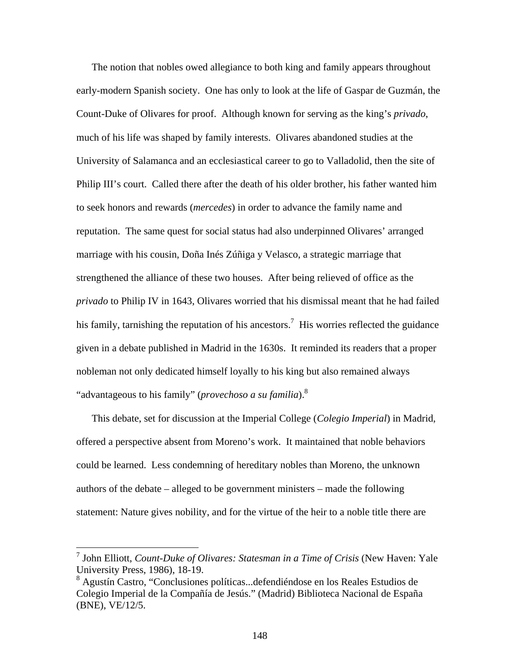The notion that nobles owed allegiance to both king and family appears throughout early-modern Spanish society. One has only to look at the life of Gaspar de Guzmán, the Count-Duke of Olivares for proof. Although known for serving as the king's *privado*, much of his life was shaped by family interests. Olivares abandoned studies at the University of Salamanca and an ecclesiastical career to go to Valladolid, then the site of Philip III's court. Called there after the death of his older brother, his father wanted him to seek honors and rewards (*mercedes*) in order to advance the family name and reputation. The same quest for social status had also underpinned Olivares' arranged marriage with his cousin, Doña Inés Zúñiga y Velasco, a strategic marriage that strengthened the alliance of these two houses. After being relieved of office as the *privado* to Philip IV in 1643, Olivares worried that his dismissal meant that he had failed his family, tarnishing the reputation of his ancestors.<sup>7</sup> His worries reflected the guidance given in a debate published in Madrid in the 1630s. It reminded its readers that a proper nobleman not only dedicated himself loyally to his king but also remained always "advantageous to his family" (*provechoso a su familia*).8

This debate, set for discussion at the Imperial College (*Colegio Imperial*) in Madrid, offered a perspective absent from Moreno's work. It maintained that noble behaviors could be learned. Less condemning of hereditary nobles than Moreno, the unknown authors of the debate – alleged to be government ministers – made the following statement: Nature gives nobility, and for the virtue of the heir to a noble title there are

<sup>7</sup> John Elliott, *Count-Duke of Olivares: Statesman in a Time of Crisis* (New Haven: Yale University Press, 1986), 18-19.

<sup>8</sup> Agustín Castro, "Conclusiones políticas...defendiéndose en los Reales Estudios de Colegio Imperial de la Compañía de Jesús." (Madrid) Biblioteca Nacional de España (BNE), VE/12/5.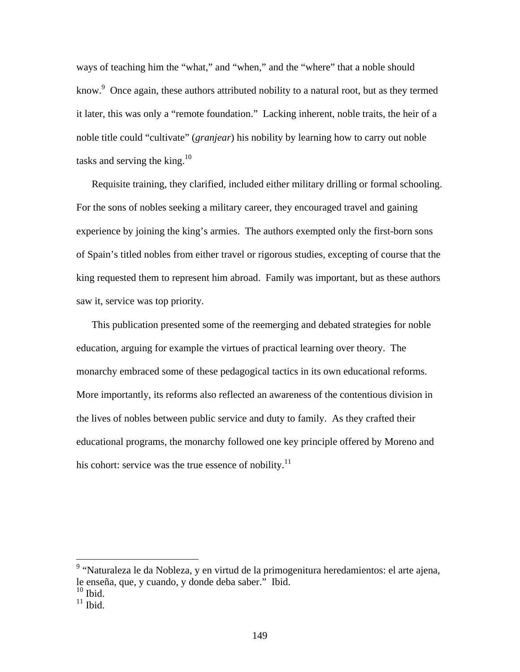ways of teaching him the "what," and "when," and the "where" that a noble should know.<sup>9</sup> Once again, these authors attributed nobility to a natural root, but as they termed it later, this was only a "remote foundation." Lacking inherent, noble traits, the heir of a noble title could "cultivate" (*granjear*) his nobility by learning how to carry out noble tasks and serving the king.<sup>10</sup>

Requisite training, they clarified, included either military drilling or formal schooling. For the sons of nobles seeking a military career, they encouraged travel and gaining experience by joining the king's armies. The authors exempted only the first-born sons of Spain's titled nobles from either travel or rigorous studies, excepting of course that the king requested them to represent him abroad. Family was important, but as these authors saw it, service was top priority.

This publication presented some of the reemerging and debated strategies for noble education, arguing for example the virtues of practical learning over theory. The monarchy embraced some of these pedagogical tactics in its own educational reforms. More importantly, its reforms also reflected an awareness of the contentious division in the lives of nobles between public service and duty to family. As they crafted their educational programs, the monarchy followed one key principle offered by Moreno and his cohort: service was the true essence of nobility. $^{11}$ 

<sup>&</sup>lt;sup>9</sup> "Naturaleza le da Nobleza, y en virtud de la primogenitura heredamientos: el arte ajena, le enseña, que, y cuando, y donde deba saber." Ibid.

 $10$  Ibid.

 $11$  Ibid.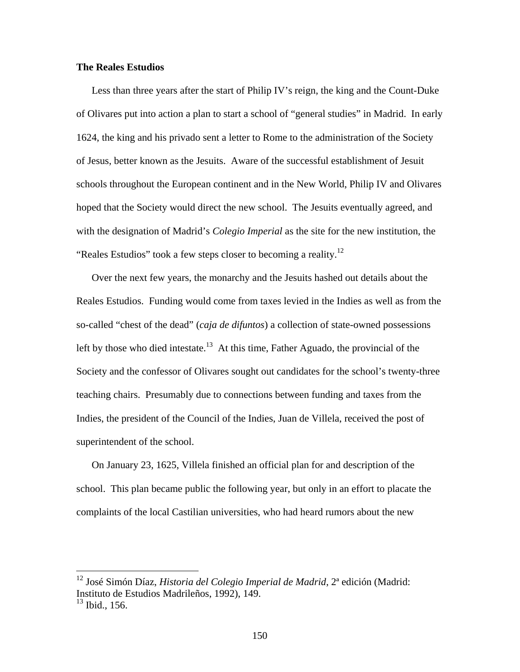## **The Reales Estudios**

Less than three years after the start of Philip IV's reign, the king and the Count-Duke of Olivares put into action a plan to start a school of "general studies" in Madrid. In early 1624, the king and his privado sent a letter to Rome to the administration of the Society of Jesus, better known as the Jesuits. Aware of the successful establishment of Jesuit schools throughout the European continent and in the New World, Philip IV and Olivares hoped that the Society would direct the new school. The Jesuits eventually agreed, and with the designation of Madrid's *Colegio Imperial* as the site for the new institution, the "Reales Estudios" took a few steps closer to becoming a reality.<sup>12</sup>

Over the next few years, the monarchy and the Jesuits hashed out details about the Reales Estudios. Funding would come from taxes levied in the Indies as well as from the so-called "chest of the dead" (*caja de difuntos*) a collection of state-owned possessions left by those who died intestate.<sup>13</sup> At this time, Father Aguado, the provincial of the Society and the confessor of Olivares sought out candidates for the school's twenty-three teaching chairs. Presumably due to connections between funding and taxes from the Indies, the president of the Council of the Indies, Juan de Villela, received the post of superintendent of the school.

On January 23, 1625, Villela finished an official plan for and description of the school. This plan became public the following year, but only in an effort to placate the complaints of the local Castilian universities, who had heard rumors about the new

<sup>12</sup> José Simón Díaz, *Historia del Colegio Imperial de Madrid*, 2ª edición (Madrid: Instituto de Estudios Madrileños, 1992), 149.

 $13$  Ibid., 156.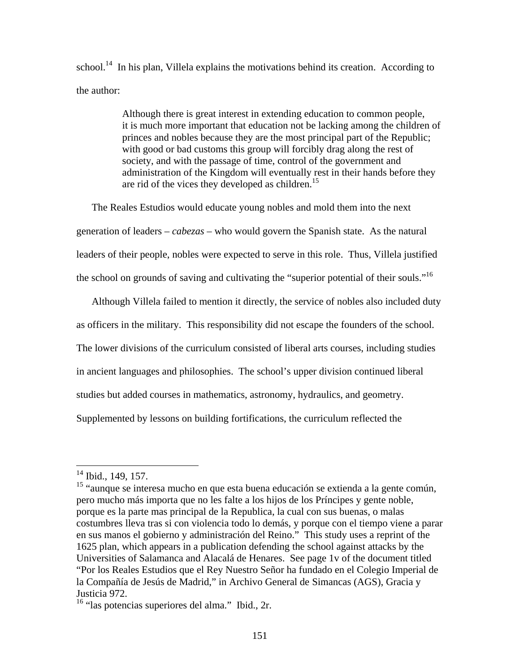school.<sup>14</sup> In his plan, Villela explains the motivations behind its creation. According to the author:

> Although there is great interest in extending education to common people, it is much more important that education not be lacking among the children of princes and nobles because they are the most principal part of the Republic; with good or bad customs this group will forcibly drag along the rest of society, and with the passage of time, control of the government and administration of the Kingdom will eventually rest in their hands before they are rid of the vices they developed as children.<sup>15</sup>

The Reales Estudios would educate young nobles and mold them into the next generation of leaders – *cabezas* – who would govern the Spanish state. As the natural leaders of their people, nobles were expected to serve in this role. Thus, Villela justified the school on grounds of saving and cultivating the "superior potential of their souls."<sup>16</sup>

Although Villela failed to mention it directly, the service of nobles also included duty as officers in the military. This responsibility did not escape the founders of the school. The lower divisions of the curriculum consisted of liberal arts courses, including studies in ancient languages and philosophies. The school's upper division continued liberal studies but added courses in mathematics, astronomy, hydraulics, and geometry. Supplemented by lessons on building fortifications, the curriculum reflected the

 $14$  Ibid., 149, 157.

<sup>&</sup>lt;sup>15</sup> "aunque se interesa mucho en que esta buena educación se extienda a la gente común, pero mucho más importa que no les falte a los hijos de los Príncipes y gente noble, porque es la parte mas principal de la Republica, la cual con sus buenas, o malas costumbres lleva tras si con violencia todo lo demás, y porque con el tiempo viene a parar en sus manos el gobierno y administración del Reino." This study uses a reprint of the 1625 plan, which appears in a publication defending the school against attacks by the Universities of Salamanca and Alacalá de Henares. See page 1v of the document titled "Por los Reales Estudios que el Rey Nuestro Señor ha fundado en el Colegio Imperial de la Compañía de Jesús de Madrid," in Archivo General de Simancas (AGS), Gracia y Justicia 972.

<sup>16 &</sup>quot;las potencias superiores del alma." Ibid., 2r.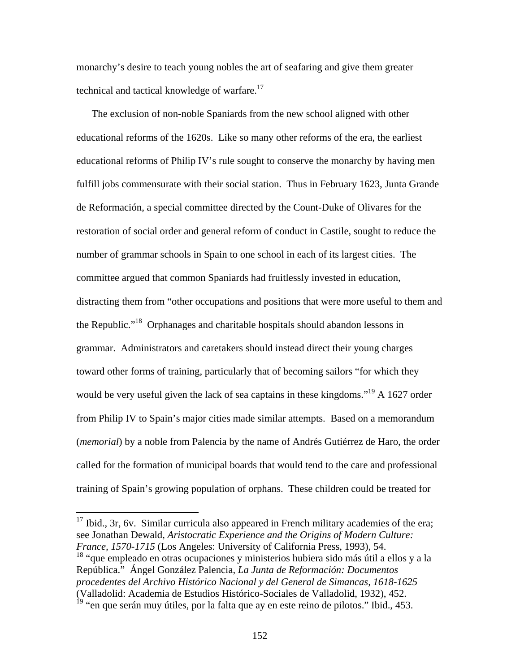monarchy's desire to teach young nobles the art of seafaring and give them greater technical and tactical knowledge of warfare.<sup>17</sup>

The exclusion of non-noble Spaniards from the new school aligned with other educational reforms of the 1620s. Like so many other reforms of the era, the earliest educational reforms of Philip IV's rule sought to conserve the monarchy by having men fulfill jobs commensurate with their social station. Thus in February 1623, Junta Grande de Reformación, a special committee directed by the Count-Duke of Olivares for the restoration of social order and general reform of conduct in Castile, sought to reduce the number of grammar schools in Spain to one school in each of its largest cities. The committee argued that common Spaniards had fruitlessly invested in education, distracting them from "other occupations and positions that were more useful to them and the Republic."18 Orphanages and charitable hospitals should abandon lessons in grammar. Administrators and caretakers should instead direct their young charges toward other forms of training, particularly that of becoming sailors "for which they would be very useful given the lack of sea captains in these kingdoms."<sup>19</sup> A 1627 order from Philip IV to Spain's major cities made similar attempts. Based on a memorandum (*memorial*) by a noble from Palencia by the name of Andrés Gutiérrez de Haro, the order called for the formation of municipal boards that would tend to the care and professional training of Spain's growing population of orphans. These children could be treated for

 $17$  Ibid., 3r, 6v. Similar curricula also appeared in French military academies of the era; see Jonathan Dewald, *Aristocratic Experience and the Origins of Modern Culture: France, 1570-1715* (Los Angeles: University of California Press, 1993), 54.

 $\overline{a}$ 

<sup>18</sup> "que empleado en otras ocupaciones y ministerios hubiera sido más útil a ellos y a la República." Ángel González Palencia, *La Junta de Reformación: Documentos procedentes del Archivo Histórico Nacional y del General de Simancas, 1618-1625* (Valladolid: Academia de Estudios Histórico-Sociales de Valladolid, 1932), 452.

<sup>&</sup>lt;sup>19</sup> "en que serán muy útiles, por la falta que ay en este reino de pilotos." Ibid., 453.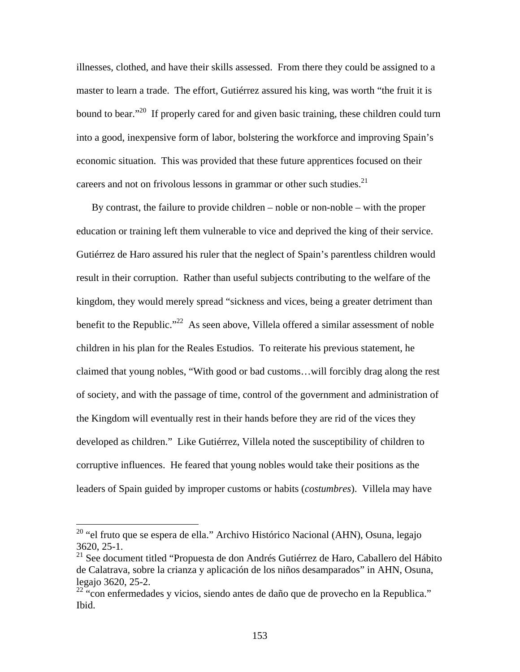illnesses, clothed, and have their skills assessed. From there they could be assigned to a master to learn a trade. The effort, Gutiérrez assured his king, was worth "the fruit it is bound to bear."<sup>20</sup> If properly cared for and given basic training, these children could turn into a good, inexpensive form of labor, bolstering the workforce and improving Spain's economic situation. This was provided that these future apprentices focused on their careers and not on frivolous lessons in grammar or other such studies. $2<sup>1</sup>$ 

By contrast, the failure to provide children – noble or non-noble – with the proper education or training left them vulnerable to vice and deprived the king of their service. Gutiérrez de Haro assured his ruler that the neglect of Spain's parentless children would result in their corruption. Rather than useful subjects contributing to the welfare of the kingdom, they would merely spread "sickness and vices, being a greater detriment than benefit to the Republic."<sup>22</sup> As seen above, Villela offered a similar assessment of noble children in his plan for the Reales Estudios. To reiterate his previous statement, he claimed that young nobles, "With good or bad customs…will forcibly drag along the rest of society, and with the passage of time, control of the government and administration of the Kingdom will eventually rest in their hands before they are rid of the vices they developed as children." Like Gutiérrez, Villela noted the susceptibility of children to corruptive influences. He feared that young nobles would take their positions as the leaders of Spain guided by improper customs or habits (*costumbres*). Villela may have

<sup>&</sup>lt;sup>20</sup> "el fruto que se espera de ella." Archivo Histórico Nacional (AHN), Osuna, legajo 3620, 25-1.

<sup>&</sup>lt;sup>21</sup> See document titled "Propuesta de don Andrés Gutiérrez de Haro, Caballero del Hábito de Calatrava, sobre la crianza y aplicación de los niños desamparados" in AHN, Osuna, legajo 3620, 25-2.

<sup>&</sup>lt;sup>22</sup> "con enfermedades y vicios, siendo antes de daño que de provecho en la Republica." Ibid.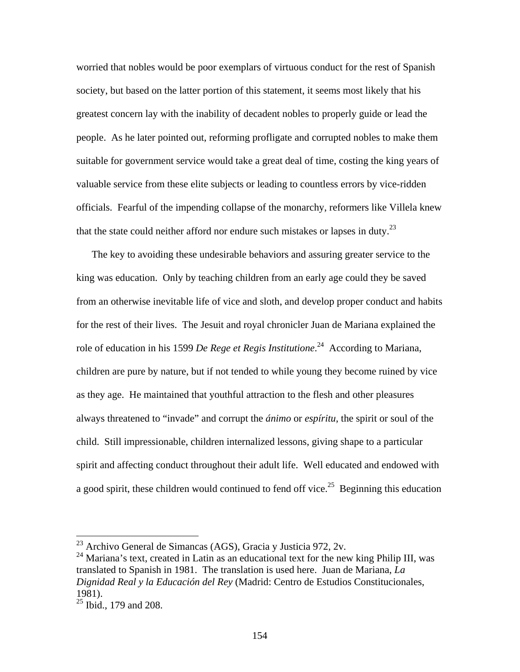worried that nobles would be poor exemplars of virtuous conduct for the rest of Spanish society, but based on the latter portion of this statement, it seems most likely that his greatest concern lay with the inability of decadent nobles to properly guide or lead the people. As he later pointed out, reforming profligate and corrupted nobles to make them suitable for government service would take a great deal of time, costing the king years of valuable service from these elite subjects or leading to countless errors by vice-ridden officials. Fearful of the impending collapse of the monarchy, reformers like Villela knew that the state could neither afford nor endure such mistakes or lapses in duty.<sup>23</sup>

The key to avoiding these undesirable behaviors and assuring greater service to the king was education. Only by teaching children from an early age could they be saved from an otherwise inevitable life of vice and sloth, and develop proper conduct and habits for the rest of their lives. The Jesuit and royal chronicler Juan de Mariana explained the role of education in his 1599 *De Rege et Regis Institutione*. 24 According to Mariana, children are pure by nature, but if not tended to while young they become ruined by vice as they age. He maintained that youthful attraction to the flesh and other pleasures always threatened to "invade" and corrupt the *ánimo* or *espíritu*, the spirit or soul of the child. Still impressionable, children internalized lessons, giving shape to a particular spirit and affecting conduct throughout their adult life. Well educated and endowed with a good spirit, these children would continued to fend off vice.<sup>25</sup> Beginning this education

 $^{23}$  Archivo General de Simancas (AGS), Gracia y Justicia 972, 2v.

<sup>&</sup>lt;sup>24</sup> Mariana's text, created in Latin as an educational text for the new king Philip III, was translated to Spanish in 1981. The translation is used here. Juan de Mariana, *La Dignidad Real y la Educación del Rey* (Madrid: Centro de Estudios Constitucionales, 1981).

 $25$  Ibid., 179 and 208.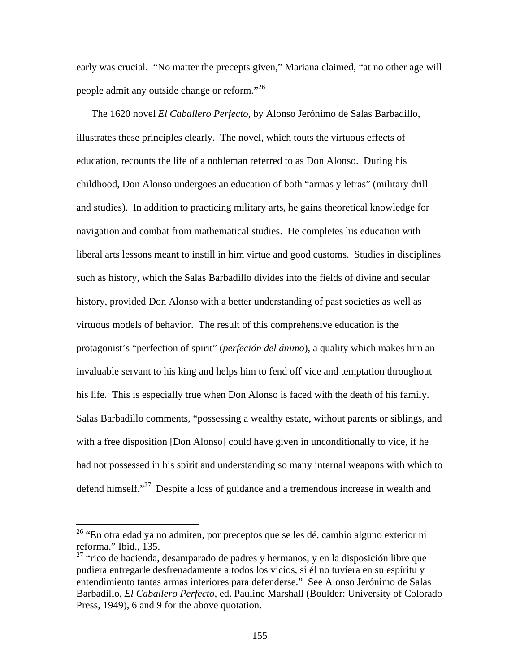early was crucial. "No matter the precepts given," Mariana claimed, "at no other age will people admit any outside change or reform."26

The 1620 novel *El Caballero Perfecto*, by Alonso Jerónimo de Salas Barbadillo, illustrates these principles clearly. The novel, which touts the virtuous effects of education, recounts the life of a nobleman referred to as Don Alonso. During his childhood, Don Alonso undergoes an education of both "armas y letras" (military drill and studies). In addition to practicing military arts, he gains theoretical knowledge for navigation and combat from mathematical studies. He completes his education with liberal arts lessons meant to instill in him virtue and good customs. Studies in disciplines such as history, which the Salas Barbadillo divides into the fields of divine and secular history, provided Don Alonso with a better understanding of past societies as well as virtuous models of behavior. The result of this comprehensive education is the protagonist's "perfection of spirit" (*perfeción del ánimo*), a quality which makes him an invaluable servant to his king and helps him to fend off vice and temptation throughout his life. This is especially true when Don Alonso is faced with the death of his family. Salas Barbadillo comments, "possessing a wealthy estate, without parents or siblings, and with a free disposition [Don Alonso] could have given in unconditionally to vice, if he had not possessed in his spirit and understanding so many internal weapons with which to defend himself."<sup>27</sup> Despite a loss of guidance and a tremendous increase in wealth and

<sup>&</sup>lt;sup>26</sup> "En otra edad ya no admiten, por preceptos que se les dé, cambio alguno exterior ni reforma." Ibid., 135.

<sup>&</sup>lt;sup>27</sup> "rico de hacienda, desamparado de padres y hermanos, y en la disposición libre que pudiera entregarle desfrenadamente a todos los vicios, si él no tuviera en su espíritu y entendimiento tantas armas interiores para defenderse." See Alonso Jerónimo de Salas Barbadillo, *El Caballero Perfecto*, ed. Pauline Marshall (Boulder: University of Colorado Press, 1949), 6 and 9 for the above quotation.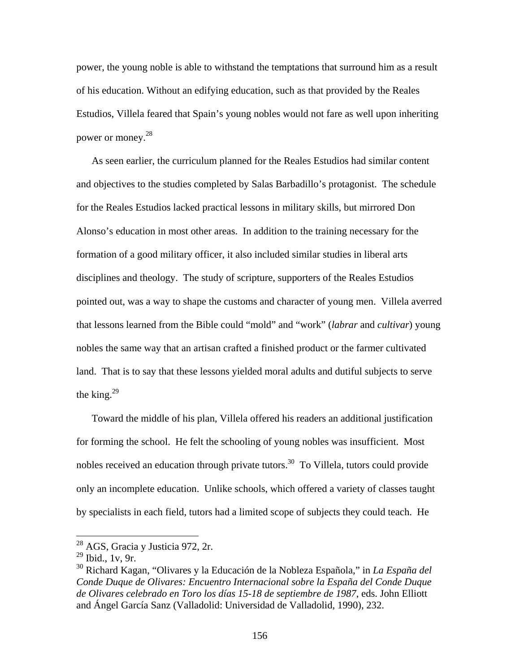power, the young noble is able to withstand the temptations that surround him as a result of his education. Without an edifying education, such as that provided by the Reales Estudios, Villela feared that Spain's young nobles would not fare as well upon inheriting power or money.<sup>28</sup>

As seen earlier, the curriculum planned for the Reales Estudios had similar content and objectives to the studies completed by Salas Barbadillo's protagonist. The schedule for the Reales Estudios lacked practical lessons in military skills, but mirrored Don Alonso's education in most other areas. In addition to the training necessary for the formation of a good military officer, it also included similar studies in liberal arts disciplines and theology. The study of scripture, supporters of the Reales Estudios pointed out, was a way to shape the customs and character of young men. Villela averred that lessons learned from the Bible could "mold" and "work" (*labrar* and *cultivar*) young nobles the same way that an artisan crafted a finished product or the farmer cultivated land. That is to say that these lessons yielded moral adults and dutiful subjects to serve the king. $^{29}$ 

Toward the middle of his plan, Villela offered his readers an additional justification for forming the school. He felt the schooling of young nobles was insufficient. Most nobles received an education through private tutors.<sup>30</sup> To Villela, tutors could provide only an incomplete education. Unlike schools, which offered a variety of classes taught by specialists in each field, tutors had a limited scope of subjects they could teach. He

 $28$  AGS, Gracia y Justicia 972, 2r.

<sup>29</sup> Ibid., 1v, 9r.

<sup>30</sup> Richard Kagan, "Olivares y la Educación de la Nobleza Española," in *La España del Conde Duque de Olivares: Encuentro Internacional sobre la España del Conde Duque de Olivares celebrado en Toro los días 15-18 de septiembre de 1987*, eds. John Elliott and Ángel García Sanz (Valladolid: Universidad de Valladolid, 1990), 232.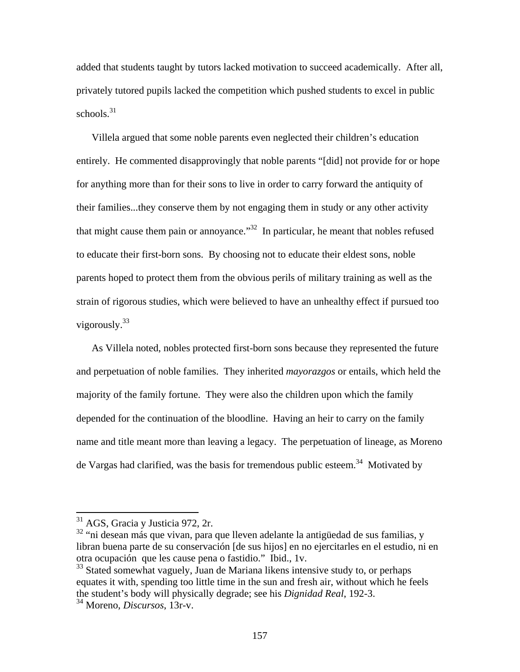added that students taught by tutors lacked motivation to succeed academically. After all, privately tutored pupils lacked the competition which pushed students to excel in public schools. $31$ 

Villela argued that some noble parents even neglected their children's education entirely. He commented disapprovingly that noble parents "[did] not provide for or hope for anything more than for their sons to live in order to carry forward the antiquity of their families...they conserve them by not engaging them in study or any other activity that might cause them pain or annoyance."<sup>32</sup> In particular, he meant that nobles refused to educate their first-born sons. By choosing not to educate their eldest sons, noble parents hoped to protect them from the obvious perils of military training as well as the strain of rigorous studies, which were believed to have an unhealthy effect if pursued too vigorously.33

As Villela noted, nobles protected first-born sons because they represented the future and perpetuation of noble families. They inherited *mayorazgos* or entails, which held the majority of the family fortune. They were also the children upon which the family depended for the continuation of the bloodline. Having an heir to carry on the family name and title meant more than leaving a legacy. The perpetuation of lineage, as Moreno de Vargas had clarified, was the basis for tremendous public esteem.<sup>34</sup> Motivated by

 $31$  AGS, Gracia y Justicia 972, 2r.

<sup>&</sup>lt;sup>32</sup> "ni desean más que vivan, para que lleven adelante la antigüedad de sus familias, y libran buena parte de su conservación [de sus hijos] en no ejercitarles en el estudio, ni en otra ocupación que les cause pena o fastidio." Ibid., 1v.

<sup>&</sup>lt;sup>33</sup> Stated somewhat vaguely, Juan de Mariana likens intensive study to, or perhaps equates it with, spending too little time in the sun and fresh air, without which he feels the student's body will physically degrade; see his *Dignidad Real*, 192-3.

<sup>34</sup> Moreno, *Discursos*, 13r-v.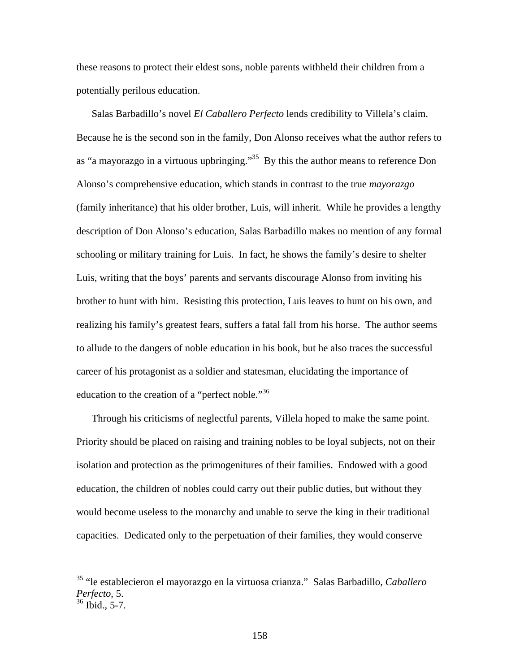these reasons to protect their eldest sons, noble parents withheld their children from a potentially perilous education.

Salas Barbadillo's novel *El Caballero Perfecto* lends credibility to Villela's claim. Because he is the second son in the family, Don Alonso receives what the author refers to as "a mayorazgo in a virtuous upbringing."<sup>35</sup> By this the author means to reference Don Alonso's comprehensive education, which stands in contrast to the true *mayorazgo* (family inheritance) that his older brother, Luis, will inherit. While he provides a lengthy description of Don Alonso's education, Salas Barbadillo makes no mention of any formal schooling or military training for Luis. In fact, he shows the family's desire to shelter Luis, writing that the boys' parents and servants discourage Alonso from inviting his brother to hunt with him. Resisting this protection, Luis leaves to hunt on his own, and realizing his family's greatest fears, suffers a fatal fall from his horse. The author seems to allude to the dangers of noble education in his book, but he also traces the successful career of his protagonist as a soldier and statesman, elucidating the importance of education to the creation of a "perfect noble."<sup>36</sup>

Through his criticisms of neglectful parents, Villela hoped to make the same point. Priority should be placed on raising and training nobles to be loyal subjects, not on their isolation and protection as the primogenitures of their families. Endowed with a good education, the children of nobles could carry out their public duties, but without they would become useless to the monarchy and unable to serve the king in their traditional capacities. Dedicated only to the perpetuation of their families, they would conserve

<sup>35 &</sup>quot;le establecieron el mayorazgo en la virtuosa crianza." Salas Barbadillo, *Caballero Perfecto*, 5.

 $36$  Ibid., 5-7.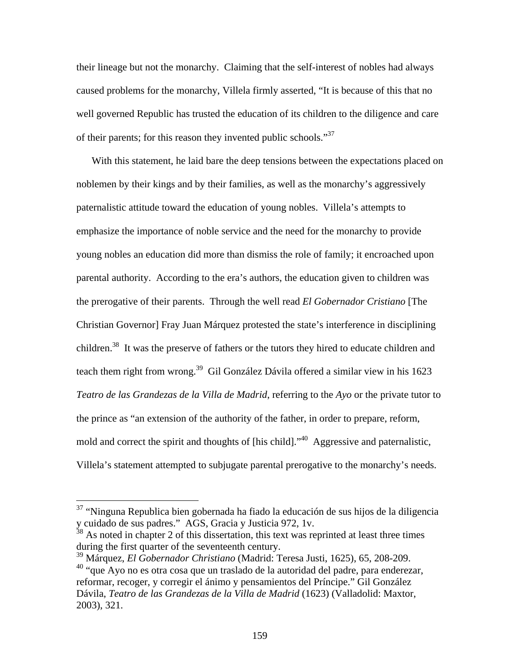their lineage but not the monarchy. Claiming that the self-interest of nobles had always caused problems for the monarchy, Villela firmly asserted, "It is because of this that no well governed Republic has trusted the education of its children to the diligence and care of their parents; for this reason they invented public schools."37

With this statement, he laid bare the deep tensions between the expectations placed on noblemen by their kings and by their families, as well as the monarchy's aggressively paternalistic attitude toward the education of young nobles. Villela's attempts to emphasize the importance of noble service and the need for the monarchy to provide young nobles an education did more than dismiss the role of family; it encroached upon parental authority. According to the era's authors, the education given to children was the prerogative of their parents. Through the well read *El Gobernador Cristiano* [The Christian Governor] Fray Juan Márquez protested the state's interference in disciplining children.<sup>38</sup> It was the preserve of fathers or the tutors they hired to educate children and teach them right from wrong.<sup>39</sup> Gil González Dávila offered a similar view in his 1623 *Teatro de las Grandezas de la Villa de Madrid*, referring to the *Ayo* or the private tutor to the prince as "an extension of the authority of the father, in order to prepare, reform, mold and correct the spirit and thoughts of [his child]."40 Aggressive and paternalistic, Villela's statement attempted to subjugate parental prerogative to the monarchy's needs.

 $37$  "Ninguna Republica bien gobernada ha fiado la educación de sus hijos de la diligencia y cuidado de sus padres." AGS, Gracia y Justicia 972, 1v.

 $38$  As noted in chapter 2 of this dissertation, this text was reprinted at least three times during the first quarter of the seventeenth century.

<sup>39</sup> Márquez, *El Gobernador Christiano* (Madrid: Teresa Justi, 1625), 65, 208-209. <sup>40</sup> "que Ayo no es otra cosa que un traslado de la autoridad del padre, para enderezar, reformar, recoger, y corregir el ánimo y pensamientos del Príncipe." Gil González Dávila, *Teatro de las Grandezas de la Villa de Madrid* (1623) (Valladolid: Maxtor, 2003), 321.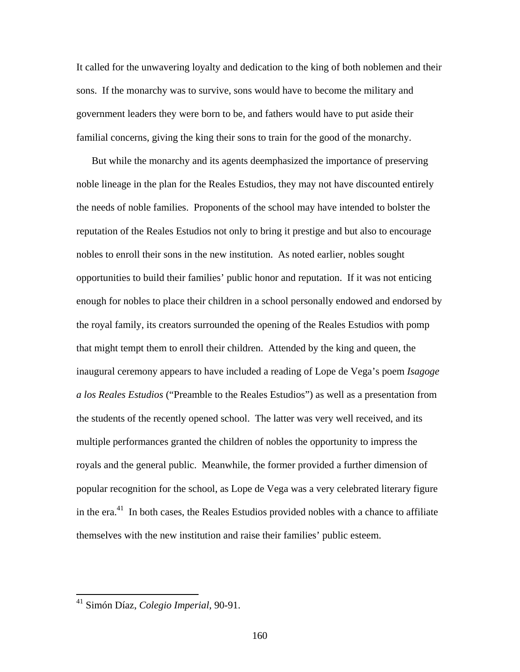It called for the unwavering loyalty and dedication to the king of both noblemen and their sons. If the monarchy was to survive, sons would have to become the military and government leaders they were born to be, and fathers would have to put aside their familial concerns, giving the king their sons to train for the good of the monarchy.

But while the monarchy and its agents deemphasized the importance of preserving noble lineage in the plan for the Reales Estudios, they may not have discounted entirely the needs of noble families. Proponents of the school may have intended to bolster the reputation of the Reales Estudios not only to bring it prestige and but also to encourage nobles to enroll their sons in the new institution. As noted earlier, nobles sought opportunities to build their families' public honor and reputation. If it was not enticing enough for nobles to place their children in a school personally endowed and endorsed by the royal family, its creators surrounded the opening of the Reales Estudios with pomp that might tempt them to enroll their children. Attended by the king and queen, the inaugural ceremony appears to have included a reading of Lope de Vega's poem *Isagoge a los Reales Estudios* ("Preamble to the Reales Estudios") as well as a presentation from the students of the recently opened school. The latter was very well received, and its multiple performances granted the children of nobles the opportunity to impress the royals and the general public. Meanwhile, the former provided a further dimension of popular recognition for the school, as Lope de Vega was a very celebrated literary figure in the  $era^{41}$ . In both cases, the Reales Estudios provided nobles with a chance to affiliate themselves with the new institution and raise their families' public esteem.

<sup>41</sup> Simón Díaz, *Colegio Imperial*, 90-91.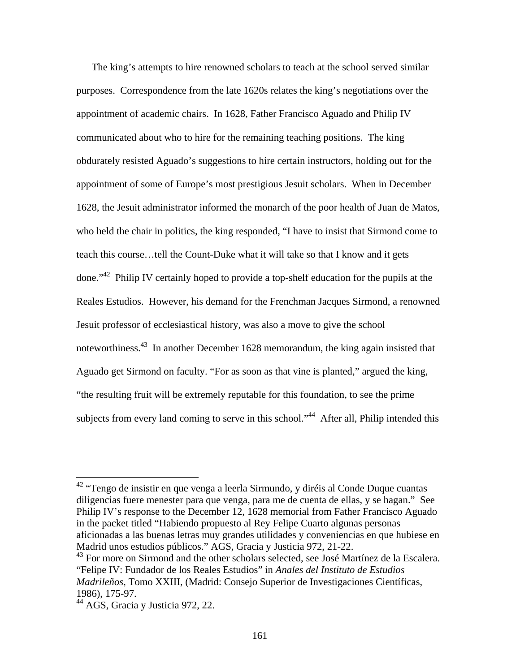The king's attempts to hire renowned scholars to teach at the school served similar purposes. Correspondence from the late 1620s relates the king's negotiations over the appointment of academic chairs. In 1628, Father Francisco Aguado and Philip IV communicated about who to hire for the remaining teaching positions. The king obdurately resisted Aguado's suggestions to hire certain instructors, holding out for the appointment of some of Europe's most prestigious Jesuit scholars. When in December 1628, the Jesuit administrator informed the monarch of the poor health of Juan de Matos, who held the chair in politics, the king responded, "I have to insist that Sirmond come to teach this course…tell the Count-Duke what it will take so that I know and it gets done."42 Philip IV certainly hoped to provide a top-shelf education for the pupils at the Reales Estudios. However, his demand for the Frenchman Jacques Sirmond, a renowned Jesuit professor of ecclesiastical history, was also a move to give the school noteworthiness.43 In another December 1628 memorandum, the king again insisted that Aguado get Sirmond on faculty. "For as soon as that vine is planted," argued the king, "the resulting fruit will be extremely reputable for this foundation, to see the prime subjects from every land coming to serve in this school."<sup>44</sup> After all, Philip intended this

 $42$  "Tengo de insistir en que venga a leerla Sirmundo, y diréis al Conde Duque cuantas diligencias fuere menester para que venga, para me de cuenta de ellas, y se hagan." See Philip IV's response to the December 12, 1628 memorial from Father Francisco Aguado in the packet titled "Habiendo propuesto al Rey Felipe Cuarto algunas personas aficionadas a las buenas letras muy grandes utilidades y conveniencias en que hubiese en Madrid unos estudios públicos." AGS, Gracia y Justicia 972, 21-22.

<sup>&</sup>lt;sup>43</sup> For more on Sirmond and the other scholars selected, see José Martínez de la Escalera. "Felipe IV: Fundador de los Reales Estudios" in *Anales del Instituto de Estudios Madrileños*, Tomo XXIII, (Madrid: Consejo Superior de Investigaciones Científicas, 1986), 175-97.

<sup>&</sup>lt;sup>44</sup> AGS, Gracia y Justicia 972, 22.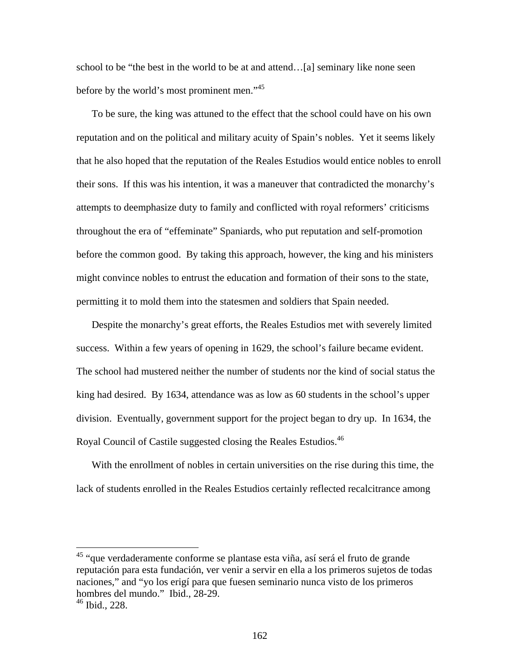school to be "the best in the world to be at and attend…[a] seminary like none seen before by the world's most prominent men."<sup>45</sup>

To be sure, the king was attuned to the effect that the school could have on his own reputation and on the political and military acuity of Spain's nobles. Yet it seems likely that he also hoped that the reputation of the Reales Estudios would entice nobles to enroll their sons. If this was his intention, it was a maneuver that contradicted the monarchy's attempts to deemphasize duty to family and conflicted with royal reformers' criticisms throughout the era of "effeminate" Spaniards, who put reputation and self-promotion before the common good. By taking this approach, however, the king and his ministers might convince nobles to entrust the education and formation of their sons to the state, permitting it to mold them into the statesmen and soldiers that Spain needed.

Despite the monarchy's great efforts, the Reales Estudios met with severely limited success. Within a few years of opening in 1629, the school's failure became evident. The school had mustered neither the number of students nor the kind of social status the king had desired. By 1634, attendance was as low as 60 students in the school's upper division. Eventually, government support for the project began to dry up. In 1634, the Royal Council of Castile suggested closing the Reales Estudios.46

With the enrollment of nobles in certain universities on the rise during this time, the lack of students enrolled in the Reales Estudios certainly reflected recalcitrance among

<sup>45</sup> "que verdaderamente conforme se plantase esta viña, así será el fruto de grande reputación para esta fundación, ver venir a servir en ella a los primeros sujetos de todas naciones," and "yo los erigí para que fuesen seminario nunca visto de los primeros hombres del mundo." Ibid., 28-29.

 $46$  Ibid., 228.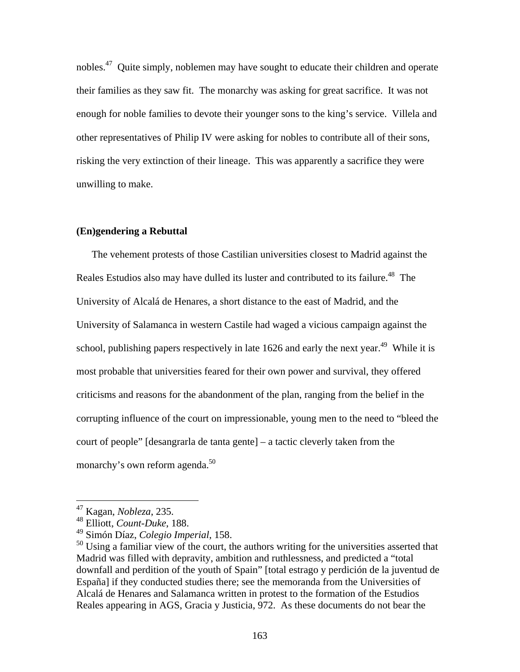nobles.<sup>47</sup> Quite simply, noblemen may have sought to educate their children and operate their families as they saw fit. The monarchy was asking for great sacrifice. It was not enough for noble families to devote their younger sons to the king's service. Villela and other representatives of Philip IV were asking for nobles to contribute all of their sons, risking the very extinction of their lineage. This was apparently a sacrifice they were unwilling to make.

## **(En)gendering a Rebuttal**

The vehement protests of those Castilian universities closest to Madrid against the Reales Estudios also may have dulled its luster and contributed to its failure.<sup>48</sup> The University of Alcalá de Henares, a short distance to the east of Madrid, and the University of Salamanca in western Castile had waged a vicious campaign against the school, publishing papers respectively in late 1626 and early the next year.<sup>49</sup> While it is most probable that universities feared for their own power and survival, they offered criticisms and reasons for the abandonment of the plan, ranging from the belief in the corrupting influence of the court on impressionable, young men to the need to "bleed the court of people" [desangrarla de tanta gente] – a tactic cleverly taken from the monarchy's own reform agenda.<sup>50</sup>

<sup>47</sup> Kagan, *Nobleza*, 235.

<sup>48</sup> Elliott, *Count-Duke*, 188.

<sup>49</sup> Simón Díaz, *Colegio Imperial*, 158.

 $50$  Using a familiar view of the court, the authors writing for the universities asserted that Madrid was filled with depravity, ambition and ruthlessness, and predicted a "total downfall and perdition of the youth of Spain" [total estrago y perdición de la juventud de España] if they conducted studies there; see the memoranda from the Universities of Alcalá de Henares and Salamanca written in protest to the formation of the Estudios Reales appearing in AGS, Gracia y Justicia, 972. As these documents do not bear the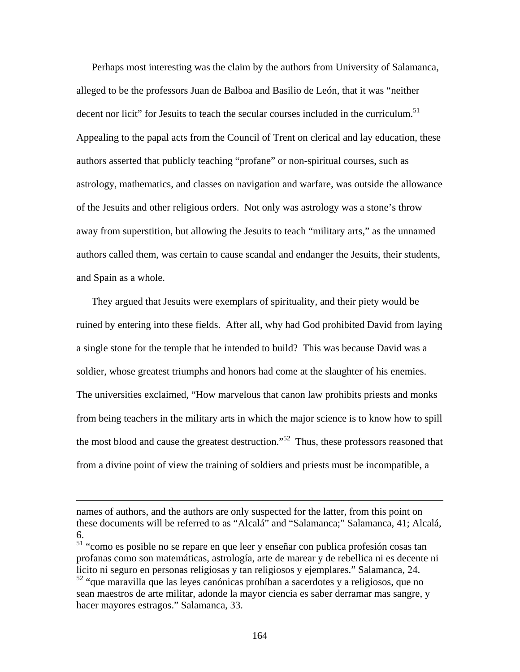Perhaps most interesting was the claim by the authors from University of Salamanca, alleged to be the professors Juan de Balboa and Basilio de León, that it was "neither decent nor licit" for Jesuits to teach the secular courses included in the curriculum.<sup>51</sup> Appealing to the papal acts from the Council of Trent on clerical and lay education, these authors asserted that publicly teaching "profane" or non-spiritual courses, such as astrology, mathematics, and classes on navigation and warfare, was outside the allowance of the Jesuits and other religious orders. Not only was astrology was a stone's throw away from superstition, but allowing the Jesuits to teach "military arts," as the unnamed authors called them, was certain to cause scandal and endanger the Jesuits, their students, and Spain as a whole.

They argued that Jesuits were exemplars of spirituality, and their piety would be ruined by entering into these fields. After all, why had God prohibited David from laying a single stone for the temple that he intended to build? This was because David was a soldier, whose greatest triumphs and honors had come at the slaughter of his enemies. The universities exclaimed, "How marvelous that canon law prohibits priests and monks from being teachers in the military arts in which the major science is to know how to spill the most blood and cause the greatest destruction."<sup>52</sup> Thus, these professors reasoned that from a divine point of view the training of soldiers and priests must be incompatible, a

names of authors, and the authors are only suspected for the latter, from this point on these documents will be referred to as "Alcalá" and "Salamanca;" Salamanca, 41; Alcalá, 6.

<sup>51 &</sup>quot;como es posible no se repare en que leer y enseñar con publica profesión cosas tan profanas como son matemáticas, astrología, arte de marear y de rebellica ni es decente ni licito ni seguro en personas religiosas y tan religiosos y ejemplares." Salamanca, 24. <sup>52</sup> "que maravilla que las leyes canónicas prohíban a sacerdotes y a religiosos, que no sean maestros de arte militar, adonde la mayor ciencia es saber derramar mas sangre, y

hacer mayores estragos." Salamanca, 33.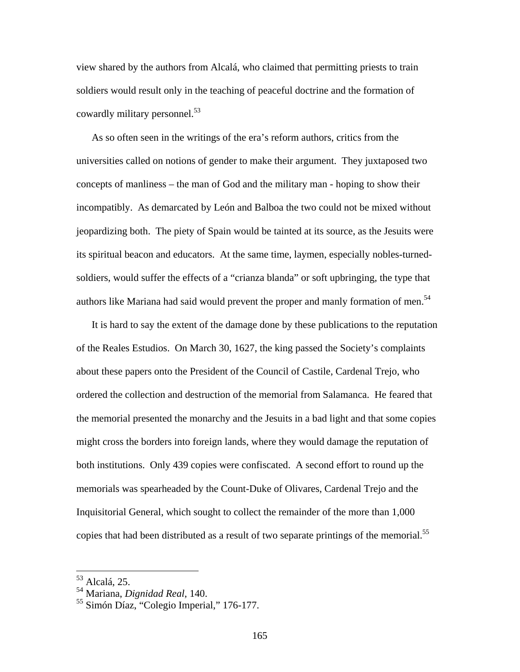view shared by the authors from Alcalá, who claimed that permitting priests to train soldiers would result only in the teaching of peaceful doctrine and the formation of cowardly military personnel.<sup>53</sup>

As so often seen in the writings of the era's reform authors, critics from the universities called on notions of gender to make their argument. They juxtaposed two concepts of manliness – the man of God and the military man - hoping to show their incompatibly. As demarcated by León and Balboa the two could not be mixed without jeopardizing both. The piety of Spain would be tainted at its source, as the Jesuits were its spiritual beacon and educators. At the same time, laymen, especially nobles-turnedsoldiers, would suffer the effects of a "crianza blanda" or soft upbringing, the type that authors like Mariana had said would prevent the proper and manly formation of men.<sup>54</sup>

It is hard to say the extent of the damage done by these publications to the reputation of the Reales Estudios. On March 30, 1627, the king passed the Society's complaints about these papers onto the President of the Council of Castile, Cardenal Trejo, who ordered the collection and destruction of the memorial from Salamanca. He feared that the memorial presented the monarchy and the Jesuits in a bad light and that some copies might cross the borders into foreign lands, where they would damage the reputation of both institutions. Only 439 copies were confiscated. A second effort to round up the memorials was spearheaded by the Count-Duke of Olivares, Cardenal Trejo and the Inquisitorial General, which sought to collect the remainder of the more than 1,000 copies that had been distributed as a result of two separate printings of the memorial.<sup>55</sup>

<sup>53</sup> Alcalá, 25.

<sup>54</sup> Mariana, *Dignidad Real*, 140.

<sup>55</sup> Simón Díaz, "Colegio Imperial," 176-177.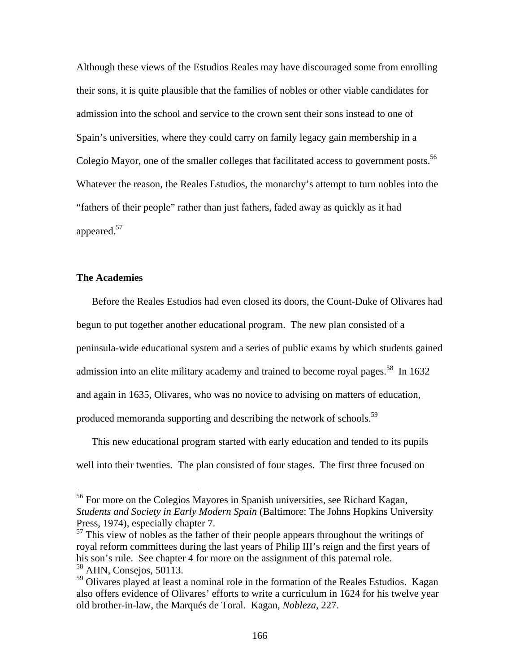Although these views of the Estudios Reales may have discouraged some from enrolling their sons, it is quite plausible that the families of nobles or other viable candidates for admission into the school and service to the crown sent their sons instead to one of Spain's universities, where they could carry on family legacy gain membership in a Colegio Mayor, one of the smaller colleges that facilitated access to government posts.<sup>56</sup> Whatever the reason, the Reales Estudios, the monarchy's attempt to turn nobles into the "fathers of their people" rather than just fathers, faded away as quickly as it had appeared.<sup>57</sup>

# **The Academies**

 $\overline{a}$ 

Before the Reales Estudios had even closed its doors, the Count-Duke of Olivares had begun to put together another educational program. The new plan consisted of a peninsula-wide educational system and a series of public exams by which students gained admission into an elite military academy and trained to become royal pages.<sup>58</sup> In  $1632$ and again in 1635, Olivares, who was no novice to advising on matters of education, produced memoranda supporting and describing the network of schools.<sup>59</sup>

This new educational program started with early education and tended to its pupils well into their twenties. The plan consisted of four stages. The first three focused on

<sup>&</sup>lt;sup>56</sup> For more on the Colegios Mayores in Spanish universities, see Richard Kagan, *Students and Society in Early Modern Spain* (Baltimore: The Johns Hopkins University Press, 1974), especially chapter 7.

 $<sup>57</sup>$  This view of nobles as the father of their people appears throughout the writings of</sup> royal reform committees during the last years of Philip III's reign and the first years of his son's rule. See chapter 4 for more on the assignment of this paternal role. 58 AHN, Consejos, 50113.

<sup>&</sup>lt;sup>59</sup> Olivares played at least a nominal role in the formation of the Reales Estudios. Kagan also offers evidence of Olivares' efforts to write a curriculum in 1624 for his twelve year old brother-in-law, the Marqués de Toral. Kagan, *Nobleza*, 227.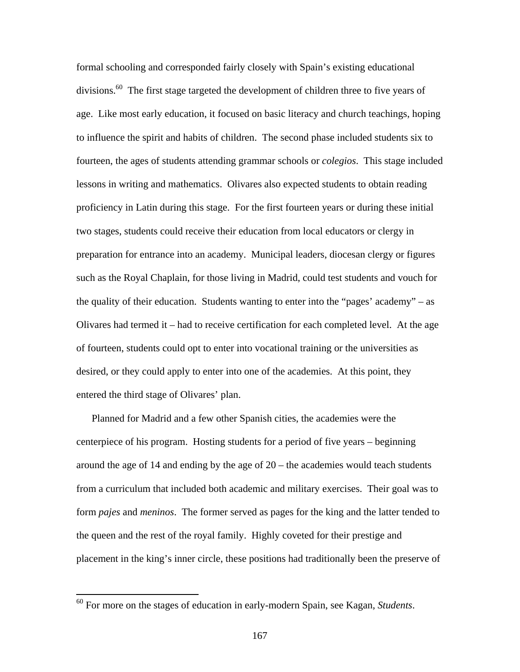formal schooling and corresponded fairly closely with Spain's existing educational divisions.<sup>60</sup> The first stage targeted the development of children three to five years of age. Like most early education, it focused on basic literacy and church teachings, hoping to influence the spirit and habits of children. The second phase included students six to fourteen, the ages of students attending grammar schools or *colegios*. This stage included lessons in writing and mathematics. Olivares also expected students to obtain reading proficiency in Latin during this stage. For the first fourteen years or during these initial two stages, students could receive their education from local educators or clergy in preparation for entrance into an academy. Municipal leaders, diocesan clergy or figures such as the Royal Chaplain, for those living in Madrid, could test students and vouch for the quality of their education. Students wanting to enter into the "pages' academy" – as Olivares had termed it – had to receive certification for each completed level. At the age of fourteen, students could opt to enter into vocational training or the universities as desired, or they could apply to enter into one of the academies. At this point, they entered the third stage of Olivares' plan.

Planned for Madrid and a few other Spanish cities, the academies were the centerpiece of his program. Hosting students for a period of five years – beginning around the age of 14 and ending by the age of  $20$  – the academies would teach students from a curriculum that included both academic and military exercises. Their goal was to form *pajes* and *meninos*. The former served as pages for the king and the latter tended to the queen and the rest of the royal family. Highly coveted for their prestige and placement in the king's inner circle, these positions had traditionally been the preserve of

<sup>60</sup> For more on the stages of education in early-modern Spain, see Kagan, *Students*.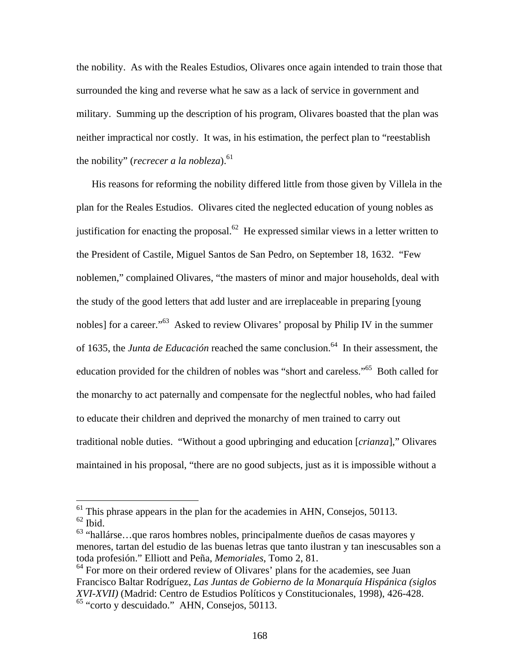the nobility. As with the Reales Estudios, Olivares once again intended to train those that surrounded the king and reverse what he saw as a lack of service in government and military. Summing up the description of his program, Olivares boasted that the plan was neither impractical nor costly. It was, in his estimation, the perfect plan to "reestablish the nobility" (*recrecer a la nobleza*).<sup>61</sup>

His reasons for reforming the nobility differed little from those given by Villela in the plan for the Reales Estudios. Olivares cited the neglected education of young nobles as justification for enacting the proposal.<sup>62</sup> He expressed similar views in a letter written to the President of Castile, Miguel Santos de San Pedro, on September 18, 1632. "Few noblemen," complained Olivares, "the masters of minor and major households, deal with the study of the good letters that add luster and are irreplaceable in preparing [young nobles] for a career."<sup>63</sup> Asked to review Olivares' proposal by Philip IV in the summer of 1635, the *Junta de Educación* reached the same conclusion.<sup>64</sup> In their assessment, the education provided for the children of nobles was "short and careless."65 Both called for the monarchy to act paternally and compensate for the neglectful nobles, who had failed to educate their children and deprived the monarchy of men trained to carry out traditional noble duties. "Without a good upbringing and education [*crianza*]," Olivares maintained in his proposal, "there are no good subjects, just as it is impossible without a

 $<sup>61</sup>$  This phrase appears in the plan for the academies in AHN, Consejos, 50113.</sup>  $62$  Ibid.

 $63$  "hallárse...que raros hombres nobles, principalmente dueños de casas mayores y menores, tartan del estudio de las buenas letras que tanto ilustran y tan inescusables son a toda profesión." Elliott and Peña, *Memoriales*, Tomo 2, 81.

 $64$  For more on their ordered review of Olivares' plans for the academies, see Juan Francisco Baltar Rodríguez, *Las Juntas de Gobierno de la Monarquía Hispánica (siglos XVI-XVII)* (Madrid: Centro de Estudios Políticos y Constitucionales, 1998), 426-428. 65 "corto y descuidado." AHN, Consejos, 50113.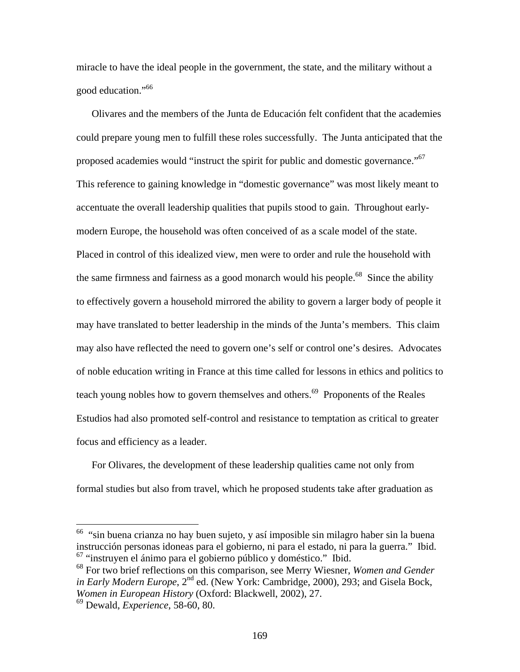miracle to have the ideal people in the government, the state, and the military without a good education."<sup>66</sup>

Olivares and the members of the Junta de Educación felt confident that the academies could prepare young men to fulfill these roles successfully. The Junta anticipated that the proposed academies would "instruct the spirit for public and domestic governance."<sup>67</sup> This reference to gaining knowledge in "domestic governance" was most likely meant to accentuate the overall leadership qualities that pupils stood to gain. Throughout earlymodern Europe, the household was often conceived of as a scale model of the state. Placed in control of this idealized view, men were to order and rule the household with the same firmness and fairness as a good monarch would his people.<sup>68</sup> Since the ability to effectively govern a household mirrored the ability to govern a larger body of people it may have translated to better leadership in the minds of the Junta's members. This claim may also have reflected the need to govern one's self or control one's desires. Advocates of noble education writing in France at this time called for lessons in ethics and politics to teach young nobles how to govern themselves and others.<sup>69</sup> Proponents of the Reales Estudios had also promoted self-control and resistance to temptation as critical to greater focus and efficiency as a leader.

For Olivares, the development of these leadership qualities came not only from formal studies but also from travel, which he proposed students take after graduation as

 $66$  "sin buena crianza no hay buen sujeto, y así imposible sin milagro haber sin la buena instrucción personas idoneas para el gobierno, ni para el estado, ni para la guerra." Ibid. 67 "instruyen el ánimo para el gobierno público y doméstico." Ibid.

<sup>68</sup> For two brief reflections on this comparison, see Merry Wiesner, *Women and Gender in Early Modern Europe*, 2<sup>nd</sup> ed. (New York: Cambridge, 2000), 293; and Gisela Bock, *Women in European History* (Oxford: Blackwell, 2002), 27.

<sup>69</sup> Dewald, *Experience*, 58-60, 80.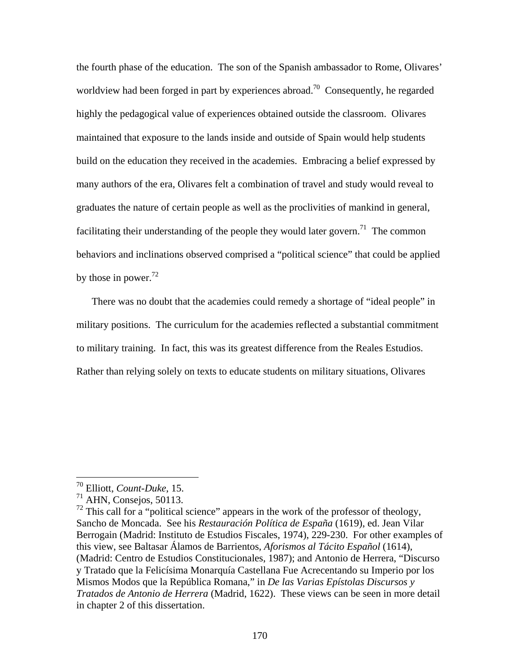the fourth phase of the education. The son of the Spanish ambassador to Rome, Olivares' worldview had been forged in part by experiences abroad.<sup>70</sup> Consequently, he regarded highly the pedagogical value of experiences obtained outside the classroom. Olivares maintained that exposure to the lands inside and outside of Spain would help students build on the education they received in the academies. Embracing a belief expressed by many authors of the era, Olivares felt a combination of travel and study would reveal to graduates the nature of certain people as well as the proclivities of mankind in general, facilitating their understanding of the people they would later govern.<sup>71</sup> The common behaviors and inclinations observed comprised a "political science" that could be applied by those in power. $^{72}$ 

There was no doubt that the academies could remedy a shortage of "ideal people" in military positions. The curriculum for the academies reflected a substantial commitment to military training. In fact, this was its greatest difference from the Reales Estudios. Rather than relying solely on texts to educate students on military situations, Olivares

<sup>70</sup> Elliott, *Count-Duke*, 15.

 $71$  AHN, Consejos, 50113.

 $72$  This call for a "political science" appears in the work of the professor of theology, Sancho de Moncada. See his *Restauración Política de España* (1619), ed. Jean Vilar Berrogain (Madrid: Instituto de Estudios Fiscales, 1974), 229-230. For other examples of this view, see Baltasar Álamos de Barrientos, *Aforismos al Tácito Español* (1614), (Madrid: Centro de Estudios Constitucionales, 1987); and Antonio de Herrera, "Discurso y Tratado que la Felicísima Monarquía Castellana Fue Acrecentando su Imperio por los Mismos Modos que la República Romana," in *De las Varias Epístolas Discursos y Tratados de Antonio de Herrera* (Madrid, 1622). These views can be seen in more detail in chapter 2 of this dissertation.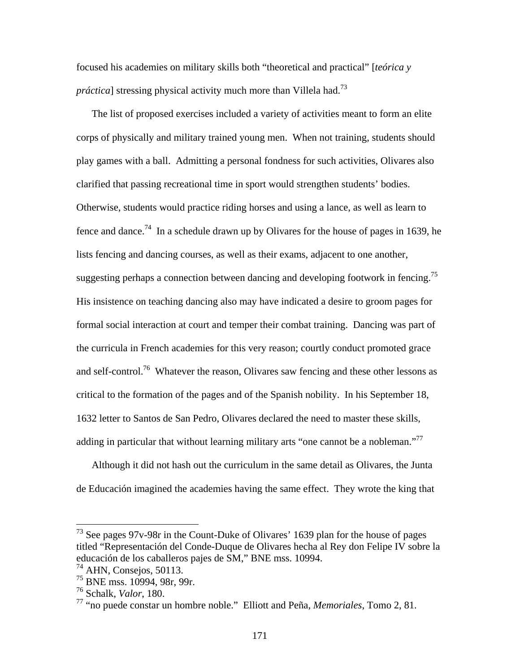focused his academies on military skills both "theoretical and practical" [*teórica y práctica*] stressing physical activity much more than Villela had.<sup>73</sup>

The list of proposed exercises included a variety of activities meant to form an elite corps of physically and military trained young men. When not training, students should play games with a ball. Admitting a personal fondness for such activities, Olivares also clarified that passing recreational time in sport would strengthen students' bodies. Otherwise, students would practice riding horses and using a lance, as well as learn to fence and dance.<sup>74</sup> In a schedule drawn up by Olivares for the house of pages in 1639, he lists fencing and dancing courses, as well as their exams, adjacent to one another, suggesting perhaps a connection between dancing and developing footwork in fencing.<sup>75</sup> His insistence on teaching dancing also may have indicated a desire to groom pages for formal social interaction at court and temper their combat training. Dancing was part of the curricula in French academies for this very reason; courtly conduct promoted grace and self-control.<sup>76</sup> Whatever the reason, Olivares saw fencing and these other lessons as critical to the formation of the pages and of the Spanish nobility. In his September 18, 1632 letter to Santos de San Pedro, Olivares declared the need to master these skills, adding in particular that without learning military arts "one cannot be a nobleman."<sup>77</sup>

Although it did not hash out the curriculum in the same detail as Olivares, the Junta de Educación imagined the academies having the same effect. They wrote the king that

 $73$  See pages 97v-98r in the Count-Duke of Olivares' 1639 plan for the house of pages titled "Representación del Conde-Duque de Olivares hecha al Rey don Felipe IV sobre la educación de los caballeros pajes de SM," BNE mss. 10994.

<sup>74</sup> AHN, Consejos, 50113.

<sup>75</sup> BNE mss. 10994, 98r, 99r.

<sup>76</sup> Schalk, *Valor*, 180.

<sup>77 &</sup>quot;no puede constar un hombre noble." Elliott and Peña, *Memoriales*, Tomo 2, 81.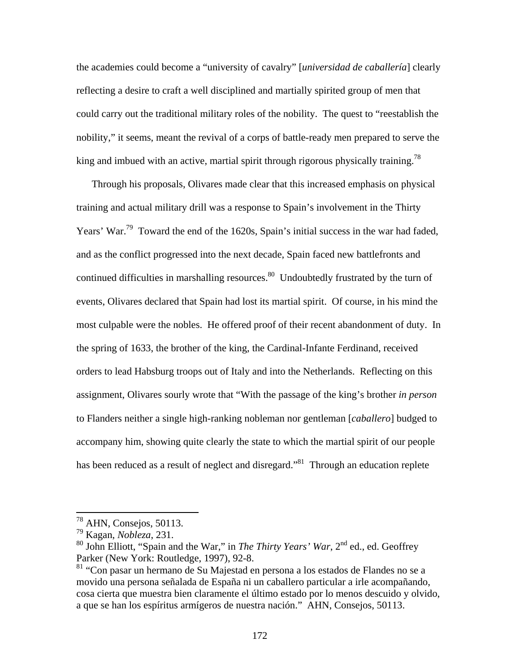the academies could become a "university of cavalry" [*universidad de caballería*] clearly reflecting a desire to craft a well disciplined and martially spirited group of men that could carry out the traditional military roles of the nobility. The quest to "reestablish the nobility," it seems, meant the revival of a corps of battle-ready men prepared to serve the king and imbued with an active, martial spirit through rigorous physically training.<sup>78</sup>

Through his proposals, Olivares made clear that this increased emphasis on physical training and actual military drill was a response to Spain's involvement in the Thirty Years' War.<sup>79</sup> Toward the end of the 1620s, Spain's initial success in the war had faded, and as the conflict progressed into the next decade, Spain faced new battlefronts and continued difficulties in marshalling resources.<sup>80</sup> Undoubtedly frustrated by the turn of events, Olivares declared that Spain had lost its martial spirit. Of course, in his mind the most culpable were the nobles. He offered proof of their recent abandonment of duty. In the spring of 1633, the brother of the king, the Cardinal-Infante Ferdinand, received orders to lead Habsburg troops out of Italy and into the Netherlands. Reflecting on this assignment, Olivares sourly wrote that "With the passage of the king's brother *in person* to Flanders neither a single high-ranking nobleman nor gentleman [*caballero*] budged to accompany him, showing quite clearly the state to which the martial spirit of our people has been reduced as a result of neglect and disregard."<sup>81</sup> Through an education replete

 $78$  AHN, Consejos, 50113.

<sup>79</sup> Kagan, *Nobleza*, 231.

<sup>80</sup> John Elliott, "Spain and the War," in *The Thirty Years' War*, 2nd ed., ed. Geoffrey Parker (New York: Routledge, 1997), 92-8.

<sup>81 &</sup>quot;Con pasar un hermano de Su Majestad en persona a los estados de Flandes no se a movido una persona señalada de España ni un caballero particular a irle acompañando, cosa cierta que muestra bien claramente el último estado por lo menos descuido y olvido, a que se han los espíritus armígeros de nuestra nación." AHN, Consejos, 50113.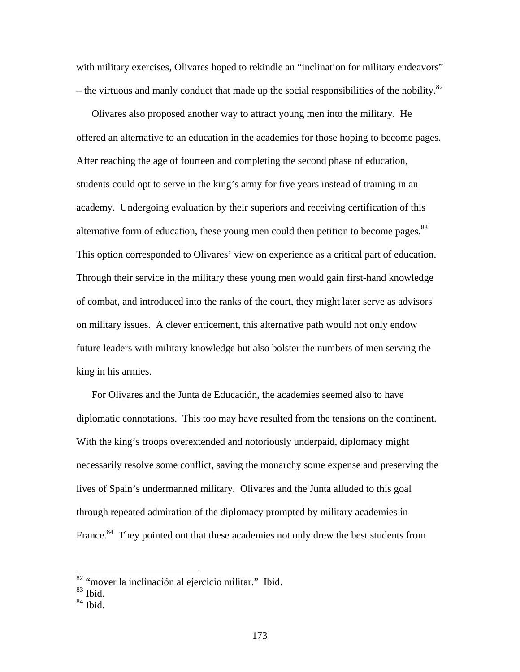with military exercises, Olivares hoped to rekindle an "inclination for military endeavors" – the virtuous and manly conduct that made up the social responsibilities of the nobility. $82$ 

Olivares also proposed another way to attract young men into the military. He offered an alternative to an education in the academies for those hoping to become pages. After reaching the age of fourteen and completing the second phase of education, students could opt to serve in the king's army for five years instead of training in an academy. Undergoing evaluation by their superiors and receiving certification of this alternative form of education, these young men could then petition to become pages.<sup>83</sup> This option corresponded to Olivares' view on experience as a critical part of education. Through their service in the military these young men would gain first-hand knowledge of combat, and introduced into the ranks of the court, they might later serve as advisors on military issues. A clever enticement, this alternative path would not only endow future leaders with military knowledge but also bolster the numbers of men serving the king in his armies.

For Olivares and the Junta de Educación, the academies seemed also to have diplomatic connotations. This too may have resulted from the tensions on the continent. With the king's troops overextended and notoriously underpaid, diplomacy might necessarily resolve some conflict, saving the monarchy some expense and preserving the lives of Spain's undermanned military. Olivares and the Junta alluded to this goal through repeated admiration of the diplomacy prompted by military academies in France.<sup>84</sup> They pointed out that these academies not only drew the best students from

<sup>&</sup>lt;sup>82</sup> "mover la inclinación al ejercicio militar." Ibid.

<sup>83</sup> Ibid.

 $84$  Ibid.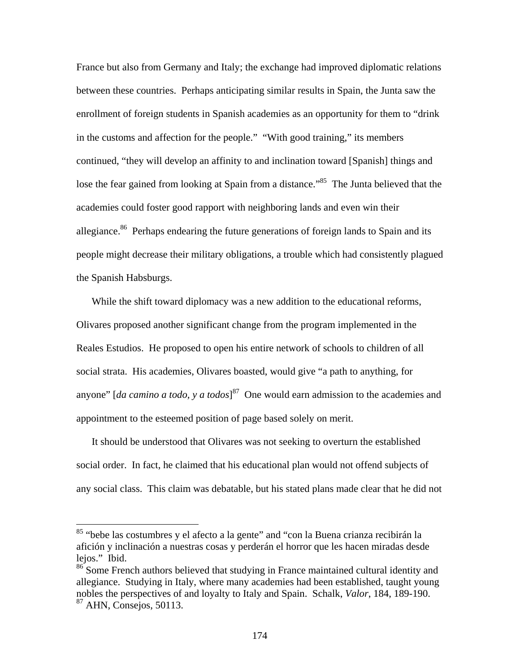France but also from Germany and Italy; the exchange had improved diplomatic relations between these countries. Perhaps anticipating similar results in Spain, the Junta saw the enrollment of foreign students in Spanish academies as an opportunity for them to "drink in the customs and affection for the people." "With good training," its members continued, "they will develop an affinity to and inclination toward [Spanish] things and lose the fear gained from looking at Spain from a distance.<sup>885</sup> The Junta believed that the academies could foster good rapport with neighboring lands and even win their allegiance.<sup>86</sup> Perhaps endearing the future generations of foreign lands to Spain and its people might decrease their military obligations, a trouble which had consistently plagued the Spanish Habsburgs.

While the shift toward diplomacy was a new addition to the educational reforms, Olivares proposed another significant change from the program implemented in the Reales Estudios. He proposed to open his entire network of schools to children of all social strata. His academies, Olivares boasted, would give "a path to anything, for anyone" [*da camino a todo, y a todos*] 87 One would earn admission to the academies and appointment to the esteemed position of page based solely on merit.

It should be understood that Olivares was not seeking to overturn the established social order. In fact, he claimed that his educational plan would not offend subjects of any social class. This claim was debatable, but his stated plans made clear that he did not

<sup>&</sup>lt;sup>85</sup> "bebe las costumbres y el afecto a la gente" and "con la Buena crianza recibirán la afición y inclinación a nuestras cosas y perderán el horror que les hacen miradas desde lejos." Ibid.

<sup>&</sup>lt;sup>86</sup> Some French authors believed that studying in France maintained cultural identity and allegiance. Studying in Italy, where many academies had been established, taught young nobles the perspectives of and loyalty to Italy and Spain. Schalk, *Valor*, 184, 189-190. 87 AHN, Consejos, 50113.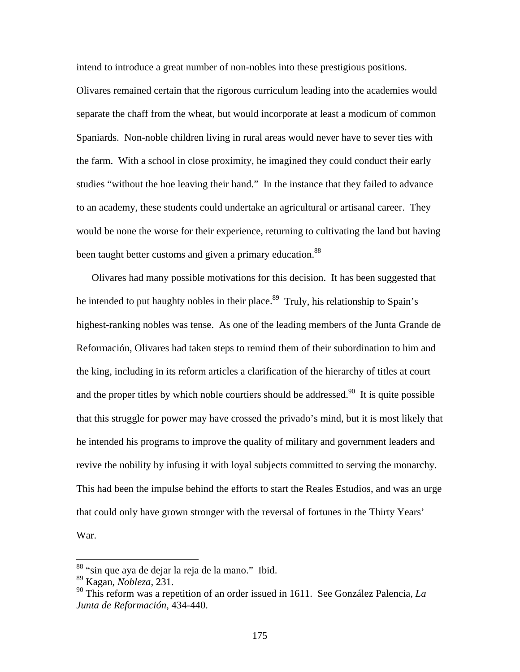intend to introduce a great number of non-nobles into these prestigious positions.

Olivares remained certain that the rigorous curriculum leading into the academies would separate the chaff from the wheat, but would incorporate at least a modicum of common Spaniards. Non-noble children living in rural areas would never have to sever ties with the farm. With a school in close proximity, he imagined they could conduct their early studies "without the hoe leaving their hand." In the instance that they failed to advance to an academy, these students could undertake an agricultural or artisanal career. They would be none the worse for their experience, returning to cultivating the land but having been taught better customs and given a primary education.<sup>88</sup>

Olivares had many possible motivations for this decision. It has been suggested that he intended to put haughty nobles in their place.<sup>89</sup> Truly, his relationship to Spain's highest-ranking nobles was tense. As one of the leading members of the Junta Grande de Reformación, Olivares had taken steps to remind them of their subordination to him and the king, including in its reform articles a clarification of the hierarchy of titles at court and the proper titles by which noble courtiers should be addressed.<sup>90</sup> It is quite possible that this struggle for power may have crossed the privado's mind, but it is most likely that he intended his programs to improve the quality of military and government leaders and revive the nobility by infusing it with loyal subjects committed to serving the monarchy. This had been the impulse behind the efforts to start the Reales Estudios, and was an urge that could only have grown stronger with the reversal of fortunes in the Thirty Years' War.

<sup>&</sup>lt;sup>88</sup> "sin que aya de dejar la reja de la mano." Ibid.

<sup>89</sup> Kagan, *Nobleza*, 231.

<sup>90</sup> This reform was a repetition of an order issued in 1611. See González Palencia, *La Junta de Reformación*, 434-440.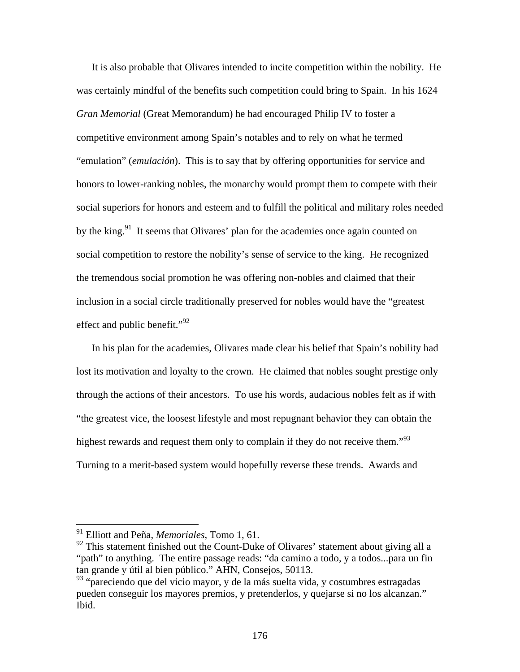It is also probable that Olivares intended to incite competition within the nobility. He was certainly mindful of the benefits such competition could bring to Spain. In his 1624 *Gran Memorial* (Great Memorandum) he had encouraged Philip IV to foster a competitive environment among Spain's notables and to rely on what he termed "emulation" (*emulación*). This is to say that by offering opportunities for service and honors to lower-ranking nobles, the monarchy would prompt them to compete with their social superiors for honors and esteem and to fulfill the political and military roles needed by the king.<sup>91</sup> It seems that Olivares' plan for the academies once again counted on social competition to restore the nobility's sense of service to the king. He recognized the tremendous social promotion he was offering non-nobles and claimed that their inclusion in a social circle traditionally preserved for nobles would have the "greatest effect and public benefit." $^{92}$ 

In his plan for the academies, Olivares made clear his belief that Spain's nobility had lost its motivation and loyalty to the crown. He claimed that nobles sought prestige only through the actions of their ancestors. To use his words, audacious nobles felt as if with "the greatest vice, the loosest lifestyle and most repugnant behavior they can obtain the highest rewards and request them only to complain if they do not receive them."<sup>93</sup> Turning to a merit-based system would hopefully reverse these trends. Awards and

<sup>91</sup> Elliott and Peña, *Memoriales*, Tomo 1, 61.

 $92$  This statement finished out the Count-Duke of Olivares' statement about giving all a "path" to anything. The entire passage reads: "da camino a todo, y a todos...para un fin tan grande y útil al bien público." AHN, Consejos, 50113.

<sup>&</sup>lt;sup>93</sup> "pareciendo que del vicio mayor, y de la más suelta vida, y costumbres estragadas pueden conseguir los mayores premios, y pretenderlos, y quejarse si no los alcanzan." Ibid.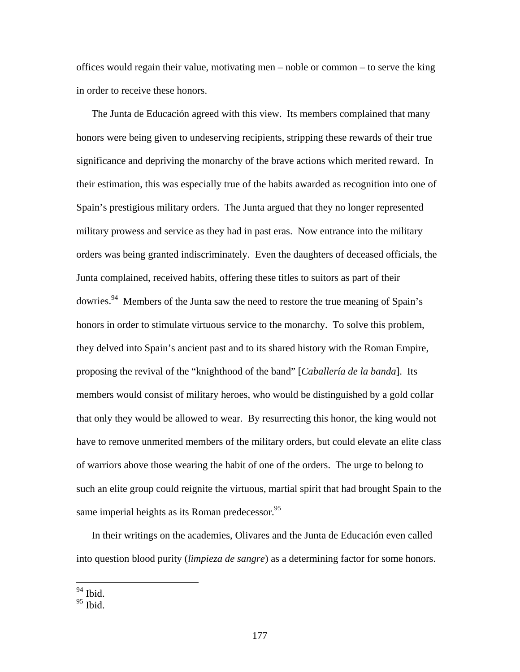offices would regain their value, motivating men – noble or common – to serve the king in order to receive these honors.

The Junta de Educación agreed with this view. Its members complained that many honors were being given to undeserving recipients, stripping these rewards of their true significance and depriving the monarchy of the brave actions which merited reward. In their estimation, this was especially true of the habits awarded as recognition into one of Spain's prestigious military orders. The Junta argued that they no longer represented military prowess and service as they had in past eras. Now entrance into the military orders was being granted indiscriminately. Even the daughters of deceased officials, the Junta complained, received habits, offering these titles to suitors as part of their dowries.94 Members of the Junta saw the need to restore the true meaning of Spain's honors in order to stimulate virtuous service to the monarchy. To solve this problem, they delved into Spain's ancient past and to its shared history with the Roman Empire, proposing the revival of the "knighthood of the band" [*Caballería de la banda*]. Its members would consist of military heroes, who would be distinguished by a gold collar that only they would be allowed to wear. By resurrecting this honor, the king would not have to remove unmerited members of the military orders, but could elevate an elite class of warriors above those wearing the habit of one of the orders. The urge to belong to such an elite group could reignite the virtuous, martial spirit that had brought Spain to the same imperial heights as its Roman predecessor. $^{95}$ 

In their writings on the academies, Olivares and the Junta de Educación even called into question blood purity (*limpieza de sangre*) as a determining factor for some honors.

<sup>94</sup> Ibid.

 $95$  Ibid.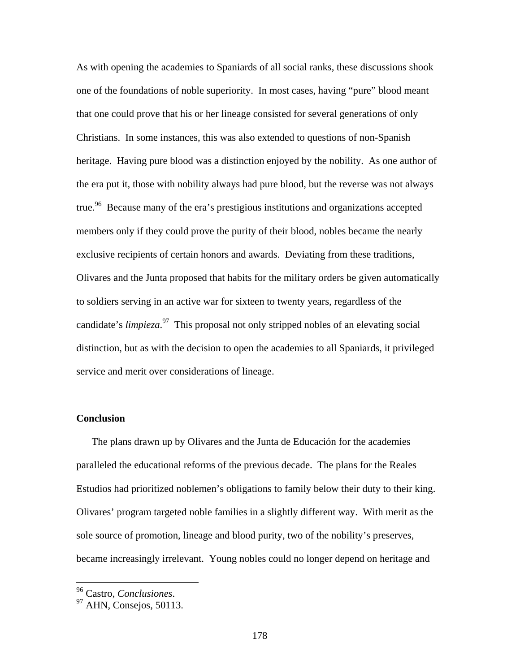As with opening the academies to Spaniards of all social ranks, these discussions shook one of the foundations of noble superiority. In most cases, having "pure" blood meant that one could prove that his or her lineage consisted for several generations of only Christians. In some instances, this was also extended to questions of non-Spanish heritage. Having pure blood was a distinction enjoyed by the nobility. As one author of the era put it, those with nobility always had pure blood, but the reverse was not always true.<sup>96</sup> Because many of the era's prestigious institutions and organizations accepted members only if they could prove the purity of their blood, nobles became the nearly exclusive recipients of certain honors and awards. Deviating from these traditions, Olivares and the Junta proposed that habits for the military orders be given automatically to soldiers serving in an active war for sixteen to twenty years, regardless of the candidate's *limpieza*. 97 This proposal not only stripped nobles of an elevating social distinction, but as with the decision to open the academies to all Spaniards, it privileged service and merit over considerations of lineage.

#### **Conclusion**

The plans drawn up by Olivares and the Junta de Educación for the academies paralleled the educational reforms of the previous decade. The plans for the Reales Estudios had prioritized noblemen's obligations to family below their duty to their king. Olivares' program targeted noble families in a slightly different way. With merit as the sole source of promotion, lineage and blood purity, two of the nobility's preserves, became increasingly irrelevant. Young nobles could no longer depend on heritage and

<sup>96</sup> Castro, *Conclusiones*. 97 AHN, Consejos, 50113.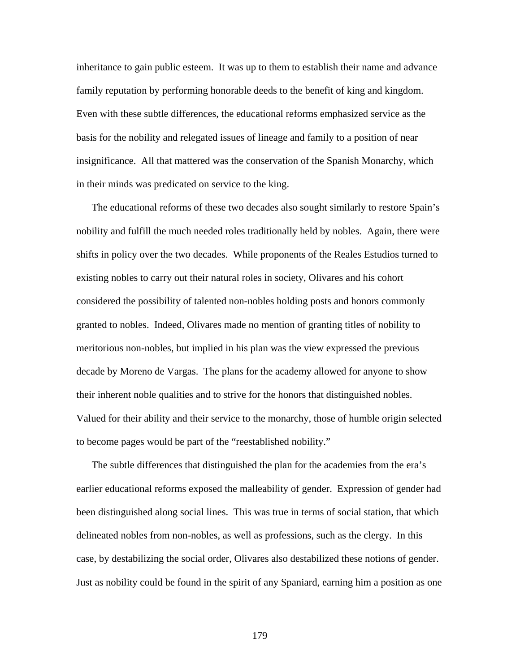inheritance to gain public esteem. It was up to them to establish their name and advance family reputation by performing honorable deeds to the benefit of king and kingdom. Even with these subtle differences, the educational reforms emphasized service as the basis for the nobility and relegated issues of lineage and family to a position of near insignificance. All that mattered was the conservation of the Spanish Monarchy, which in their minds was predicated on service to the king.

The educational reforms of these two decades also sought similarly to restore Spain's nobility and fulfill the much needed roles traditionally held by nobles. Again, there were shifts in policy over the two decades. While proponents of the Reales Estudios turned to existing nobles to carry out their natural roles in society, Olivares and his cohort considered the possibility of talented non-nobles holding posts and honors commonly granted to nobles. Indeed, Olivares made no mention of granting titles of nobility to meritorious non-nobles, but implied in his plan was the view expressed the previous decade by Moreno de Vargas. The plans for the academy allowed for anyone to show their inherent noble qualities and to strive for the honors that distinguished nobles. Valued for their ability and their service to the monarchy, those of humble origin selected to become pages would be part of the "reestablished nobility."

The subtle differences that distinguished the plan for the academies from the era's earlier educational reforms exposed the malleability of gender. Expression of gender had been distinguished along social lines. This was true in terms of social station, that which delineated nobles from non-nobles, as well as professions, such as the clergy. In this case, by destabilizing the social order, Olivares also destabilized these notions of gender. Just as nobility could be found in the spirit of any Spaniard, earning him a position as one

179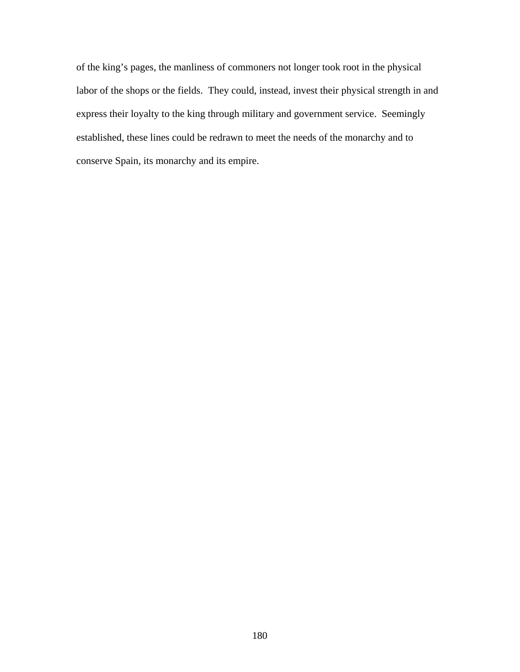of the king's pages, the manliness of commoners not longer took root in the physical labor of the shops or the fields. They could, instead, invest their physical strength in and express their loyalty to the king through military and government service. Seemingly established, these lines could be redrawn to meet the needs of the monarchy and to conserve Spain, its monarchy and its empire.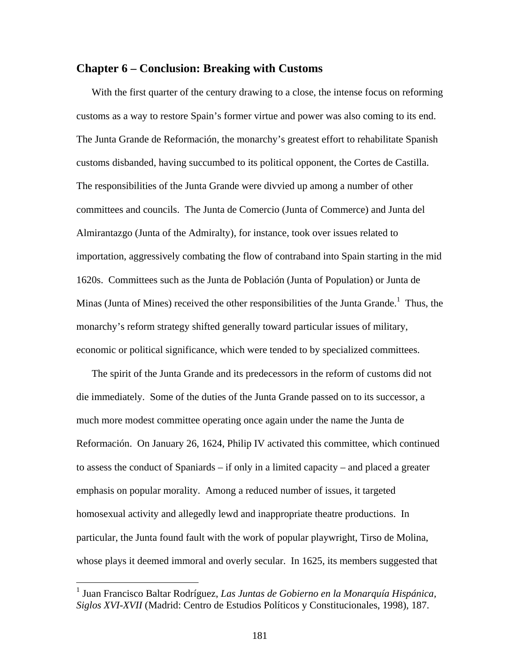### **Chapter 6 – Conclusion: Breaking with Customs**

With the first quarter of the century drawing to a close, the intense focus on reforming customs as a way to restore Spain's former virtue and power was also coming to its end. The Junta Grande de Reformación, the monarchy's greatest effort to rehabilitate Spanish customs disbanded, having succumbed to its political opponent, the Cortes de Castilla. The responsibilities of the Junta Grande were divvied up among a number of other committees and councils. The Junta de Comercio (Junta of Commerce) and Junta del Almirantazgo (Junta of the Admiralty), for instance, took over issues related to importation, aggressively combating the flow of contraband into Spain starting in the mid 1620s. Committees such as the Junta de Población (Junta of Population) or Junta de Minas (Junta of Mines) received the other responsibilities of the Junta Grande.<sup>1</sup> Thus, the monarchy's reform strategy shifted generally toward particular issues of military, economic or political significance, which were tended to by specialized committees.

The spirit of the Junta Grande and its predecessors in the reform of customs did not die immediately. Some of the duties of the Junta Grande passed on to its successor, a much more modest committee operating once again under the name the Junta de Reformación. On January 26, 1624, Philip IV activated this committee, which continued to assess the conduct of Spaniards – if only in a limited capacity – and placed a greater emphasis on popular morality. Among a reduced number of issues, it targeted homosexual activity and allegedly lewd and inappropriate theatre productions. In particular, the Junta found fault with the work of popular playwright, Tirso de Molina, whose plays it deemed immoral and overly secular. In 1625, its members suggested that

<sup>1</sup> Juan Francisco Baltar Rodríguez, *Las Juntas de Gobierno en la Monarquía Hispánica, Siglos XVI-XVII* (Madrid: Centro de Estudios Políticos y Constitucionales, 1998), 187.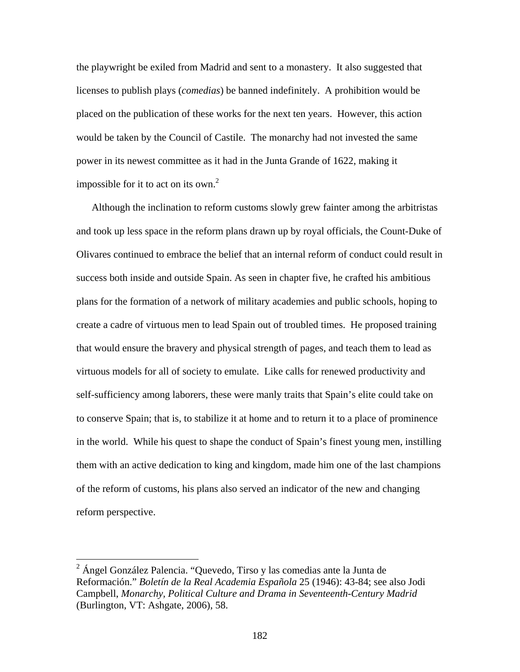the playwright be exiled from Madrid and sent to a monastery. It also suggested that licenses to publish plays (*comedias*) be banned indefinitely. A prohibition would be placed on the publication of these works for the next ten years. However, this action would be taken by the Council of Castile. The monarchy had not invested the same power in its newest committee as it had in the Junta Grande of 1622, making it impossible for it to act on its own.<sup>2</sup>

Although the inclination to reform customs slowly grew fainter among the arbitristas and took up less space in the reform plans drawn up by royal officials, the Count-Duke of Olivares continued to embrace the belief that an internal reform of conduct could result in success both inside and outside Spain. As seen in chapter five, he crafted his ambitious plans for the formation of a network of military academies and public schools, hoping to create a cadre of virtuous men to lead Spain out of troubled times. He proposed training that would ensure the bravery and physical strength of pages, and teach them to lead as virtuous models for all of society to emulate. Like calls for renewed productivity and self-sufficiency among laborers, these were manly traits that Spain's elite could take on to conserve Spain; that is, to stabilize it at home and to return it to a place of prominence in the world. While his quest to shape the conduct of Spain's finest young men, instilling them with an active dedication to king and kingdom, made him one of the last champions of the reform of customs, his plans also served an indicator of the new and changing reform perspective.

 $2$  Ángel González Palencia. "Quevedo, Tirso y las comedias ante la Junta de Reformación." *Boletín de la Real Academia Española* 25 (1946): 43-84; see also Jodi Campbell, *Monarchy, Political Culture and Drama in Seventeenth-Century Madrid* (Burlington, VT: Ashgate, 2006), 58.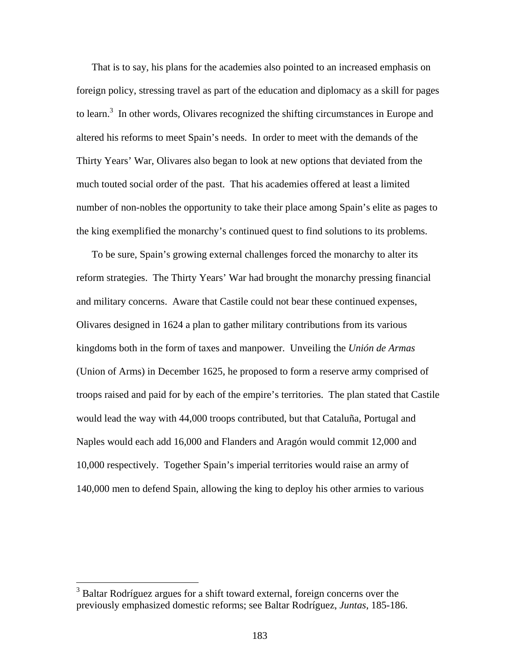That is to say, his plans for the academies also pointed to an increased emphasis on foreign policy, stressing travel as part of the education and diplomacy as a skill for pages to learn.<sup>3</sup> In other words, Olivares recognized the shifting circumstances in Europe and altered his reforms to meet Spain's needs. In order to meet with the demands of the Thirty Years' War, Olivares also began to look at new options that deviated from the much touted social order of the past. That his academies offered at least a limited number of non-nobles the opportunity to take their place among Spain's elite as pages to the king exemplified the monarchy's continued quest to find solutions to its problems.

To be sure, Spain's growing external challenges forced the monarchy to alter its reform strategies. The Thirty Years' War had brought the monarchy pressing financial and military concerns. Aware that Castile could not bear these continued expenses, Olivares designed in 1624 a plan to gather military contributions from its various kingdoms both in the form of taxes and manpower. Unveiling the *Unión de Armas* (Union of Arms) in December 1625, he proposed to form a reserve army comprised of troops raised and paid for by each of the empire's territories. The plan stated that Castile would lead the way with 44,000 troops contributed, but that Cataluña, Portugal and Naples would each add 16,000 and Flanders and Aragón would commit 12,000 and 10,000 respectively. Together Spain's imperial territories would raise an army of 140,000 men to defend Spain, allowing the king to deploy his other armies to various

<sup>&</sup>lt;sup>3</sup> Baltar Rodríguez argues for a shift toward external, foreign concerns over the previously emphasized domestic reforms; see Baltar Rodríguez, *Juntas*, 185-186.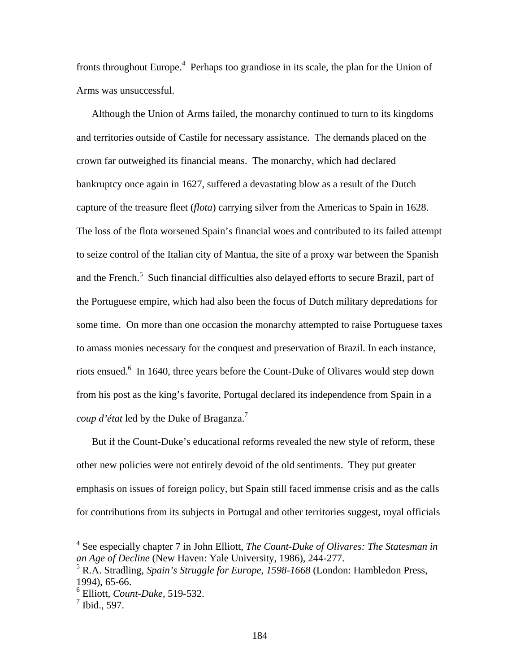fronts throughout Europe.<sup>4</sup> Perhaps too grandiose in its scale, the plan for the Union of Arms was unsuccessful.

Although the Union of Arms failed, the monarchy continued to turn to its kingdoms and territories outside of Castile for necessary assistance. The demands placed on the crown far outweighed its financial means. The monarchy, which had declared bankruptcy once again in 1627, suffered a devastating blow as a result of the Dutch capture of the treasure fleet (*flota*) carrying silver from the Americas to Spain in 1628. The loss of the flota worsened Spain's financial woes and contributed to its failed attempt to seize control of the Italian city of Mantua, the site of a proxy war between the Spanish and the French.<sup>5</sup> Such financial difficulties also delayed efforts to secure Brazil, part of the Portuguese empire, which had also been the focus of Dutch military depredations for some time. On more than one occasion the monarchy attempted to raise Portuguese taxes to amass monies necessary for the conquest and preservation of Brazil. In each instance, riots ensued.<sup>6</sup> In 1640, three years before the Count-Duke of Olivares would step down from his post as the king's favorite, Portugal declared its independence from Spain in a *coup d'état* led by the Duke of Braganza.7

But if the Count-Duke's educational reforms revealed the new style of reform, these other new policies were not entirely devoid of the old sentiments. They put greater emphasis on issues of foreign policy, but Spain still faced immense crisis and as the calls for contributions from its subjects in Portugal and other territories suggest, royal officials

 4 See especially chapter 7 in John Elliott, *The Count-Duke of Olivares: The Statesman in an Age of Decline* (New Haven: Yale University, 1986), 244-277.

<sup>5</sup> R.A. Stradling, *Spain's Struggle for Europe, 1598-1668* (London: Hambledon Press, 1994), 65-66.

<sup>6</sup> Elliott, *Count-Duke*, 519-532.

 $<sup>7</sup>$  Ibid., 597.</sup>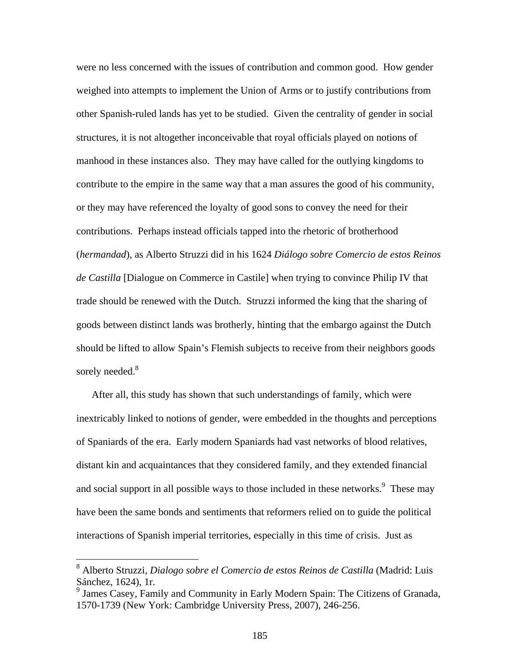were no less concerned with the issues of contribution and common good. How gender weighed into attempts to implement the Union of Arms or to justify contributions from other Spanish-ruled lands has yet to be studied. Given the centrality of gender in social structures, it is not altogether inconceivable that royal officials played on notions of manhood in these instances also. They may have called for the outlying kingdoms to contribute to the empire in the same way that a man assures the good of his community, or they may have referenced the loyalty of good sons to convey the need for their contributions. Perhaps instead officials tapped into the rhetoric of brotherhood (*hermandad*), as Alberto Struzzi did in his 1624 *Diálogo sobre Comercio de estos Reinos de Castilla* [Dialogue on Commerce in Castile] when trying to convince Philip IV that trade should be renewed with the Dutch. Struzzi informed the king that the sharing of goods between distinct lands was brotherly, hinting that the embargo against the Dutch should be lifted to allow Spain's Flemish subjects to receive from their neighbors goods sorely needed.<sup>8</sup>

After all, this study has shown that such understandings of family, which were inextricably linked to notions of gender, were embedded in the thoughts and perceptions of Spaniards of the era. Early modern Spaniards had vast networks of blood relatives, distant kin and acquaintances that they considered family, and they extended financial and social support in all possible ways to those included in these networks. <sup>9</sup> These may have been the same bonds and sentiments that reformers relied on to guide the political interactions of Spanish imperial territories, especially in this time of crisis. Just as

<sup>8</sup> Alberto Struzzi, *Dialogo sobre el Comercio de estos Reinos de Castilla* (Madrid: Luis Sánchez, 1624), 1r.

<sup>&</sup>lt;sup>9</sup> James Casey, Family and Community in Early Modern Spain: The Citizens of Granada, 1570-1739 (New York: Cambridge University Press, 2007), 246-256.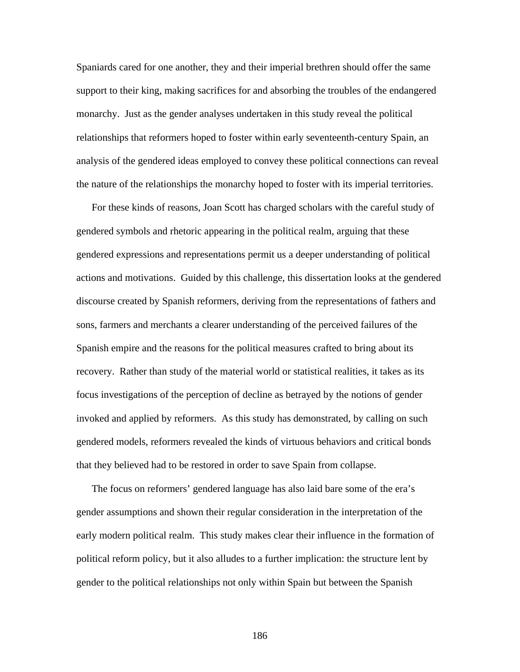Spaniards cared for one another, they and their imperial brethren should offer the same support to their king, making sacrifices for and absorbing the troubles of the endangered monarchy. Just as the gender analyses undertaken in this study reveal the political relationships that reformers hoped to foster within early seventeenth-century Spain, an analysis of the gendered ideas employed to convey these political connections can reveal the nature of the relationships the monarchy hoped to foster with its imperial territories.

For these kinds of reasons, Joan Scott has charged scholars with the careful study of gendered symbols and rhetoric appearing in the political realm, arguing that these gendered expressions and representations permit us a deeper understanding of political actions and motivations. Guided by this challenge, this dissertation looks at the gendered discourse created by Spanish reformers, deriving from the representations of fathers and sons, farmers and merchants a clearer understanding of the perceived failures of the Spanish empire and the reasons for the political measures crafted to bring about its recovery. Rather than study of the material world or statistical realities, it takes as its focus investigations of the perception of decline as betrayed by the notions of gender invoked and applied by reformers. As this study has demonstrated, by calling on such gendered models, reformers revealed the kinds of virtuous behaviors and critical bonds that they believed had to be restored in order to save Spain from collapse.

The focus on reformers' gendered language has also laid bare some of the era's gender assumptions and shown their regular consideration in the interpretation of the early modern political realm. This study makes clear their influence in the formation of political reform policy, but it also alludes to a further implication: the structure lent by gender to the political relationships not only within Spain but between the Spanish

186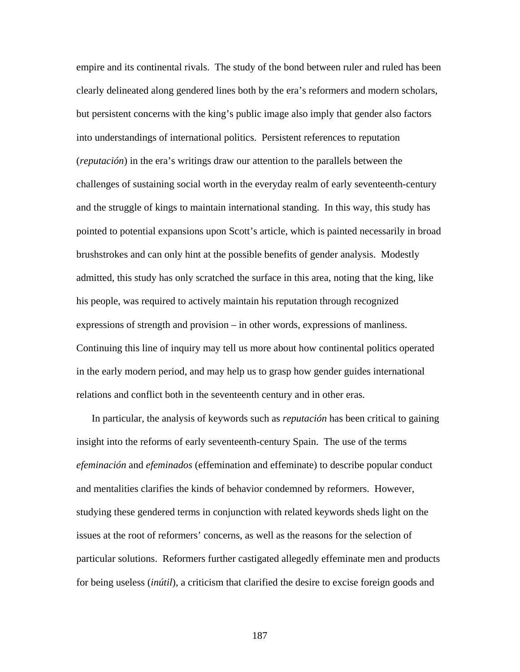empire and its continental rivals. The study of the bond between ruler and ruled has been clearly delineated along gendered lines both by the era's reformers and modern scholars, but persistent concerns with the king's public image also imply that gender also factors into understandings of international politics. Persistent references to reputation (*reputación*) in the era's writings draw our attention to the parallels between the challenges of sustaining social worth in the everyday realm of early seventeenth-century and the struggle of kings to maintain international standing. In this way, this study has pointed to potential expansions upon Scott's article, which is painted necessarily in broad brushstrokes and can only hint at the possible benefits of gender analysis. Modestly admitted, this study has only scratched the surface in this area, noting that the king, like his people, was required to actively maintain his reputation through recognized expressions of strength and provision – in other words, expressions of manliness. Continuing this line of inquiry may tell us more about how continental politics operated in the early modern period, and may help us to grasp how gender guides international relations and conflict both in the seventeenth century and in other eras.

In particular, the analysis of keywords such as *reputación* has been critical to gaining insight into the reforms of early seventeenth-century Spain. The use of the terms *efeminación* and *efeminados* (effemination and effeminate) to describe popular conduct and mentalities clarifies the kinds of behavior condemned by reformers. However, studying these gendered terms in conjunction with related keywords sheds light on the issues at the root of reformers' concerns, as well as the reasons for the selection of particular solutions. Reformers further castigated allegedly effeminate men and products for being useless (*inútil*), a criticism that clarified the desire to excise foreign goods and

187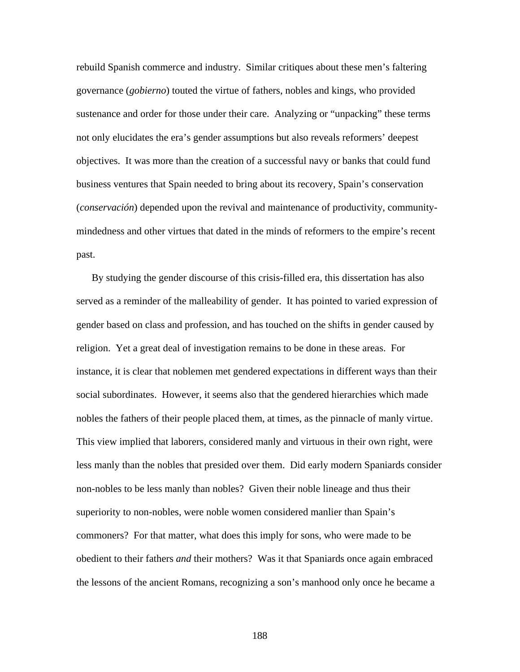rebuild Spanish commerce and industry. Similar critiques about these men's faltering governance (*gobierno*) touted the virtue of fathers, nobles and kings, who provided sustenance and order for those under their care. Analyzing or "unpacking" these terms not only elucidates the era's gender assumptions but also reveals reformers' deepest objectives. It was more than the creation of a successful navy or banks that could fund business ventures that Spain needed to bring about its recovery, Spain's conservation (*conservación*) depended upon the revival and maintenance of productivity, communitymindedness and other virtues that dated in the minds of reformers to the empire's recent past.

By studying the gender discourse of this crisis-filled era, this dissertation has also served as a reminder of the malleability of gender. It has pointed to varied expression of gender based on class and profession, and has touched on the shifts in gender caused by religion. Yet a great deal of investigation remains to be done in these areas. For instance, it is clear that noblemen met gendered expectations in different ways than their social subordinates. However, it seems also that the gendered hierarchies which made nobles the fathers of their people placed them, at times, as the pinnacle of manly virtue. This view implied that laborers, considered manly and virtuous in their own right, were less manly than the nobles that presided over them. Did early modern Spaniards consider non-nobles to be less manly than nobles? Given their noble lineage and thus their superiority to non-nobles, were noble women considered manlier than Spain's commoners? For that matter, what does this imply for sons, who were made to be obedient to their fathers *and* their mothers? Was it that Spaniards once again embraced the lessons of the ancient Romans, recognizing a son's manhood only once he became a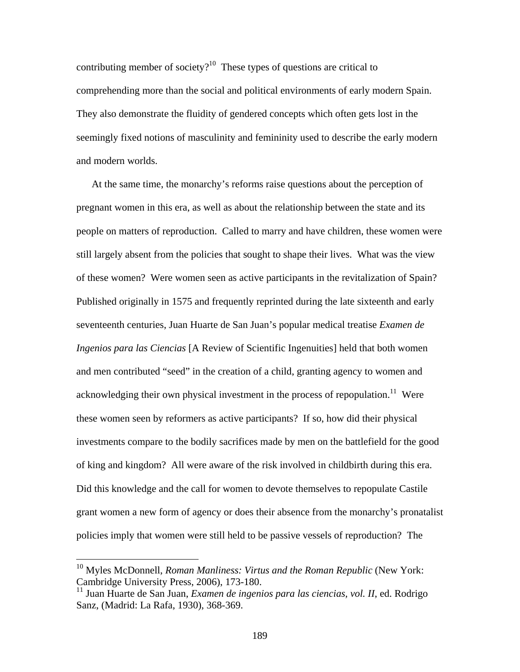contributing member of society? $10$  These types of questions are critical to comprehending more than the social and political environments of early modern Spain. They also demonstrate the fluidity of gendered concepts which often gets lost in the seemingly fixed notions of masculinity and femininity used to describe the early modern and modern worlds.

At the same time, the monarchy's reforms raise questions about the perception of pregnant women in this era, as well as about the relationship between the state and its people on matters of reproduction. Called to marry and have children, these women were still largely absent from the policies that sought to shape their lives. What was the view of these women? Were women seen as active participants in the revitalization of Spain? Published originally in 1575 and frequently reprinted during the late sixteenth and early seventeenth centuries, Juan Huarte de San Juan's popular medical treatise *Examen de Ingenios para las Ciencias* [A Review of Scientific Ingenuities] held that both women and men contributed "seed" in the creation of a child, granting agency to women and acknowledging their own physical investment in the process of repopulation.<sup>11</sup> Were these women seen by reformers as active participants? If so, how did their physical investments compare to the bodily sacrifices made by men on the battlefield for the good of king and kingdom? All were aware of the risk involved in childbirth during this era. Did this knowledge and the call for women to devote themselves to repopulate Castile grant women a new form of agency or does their absence from the monarchy's pronatalist policies imply that women were still held to be passive vessels of reproduction? The

<sup>&</sup>lt;sup>10</sup> Myles McDonnell, *Roman Manliness: Virtus and the Roman Republic* (New York: Cambridge University Press, 2006), 173-180.

<sup>11</sup> Juan Huarte de San Juan, *Examen de ingenios para las ciencias, vol. II*, ed. Rodrigo Sanz, (Madrid: La Rafa, 1930), 368-369.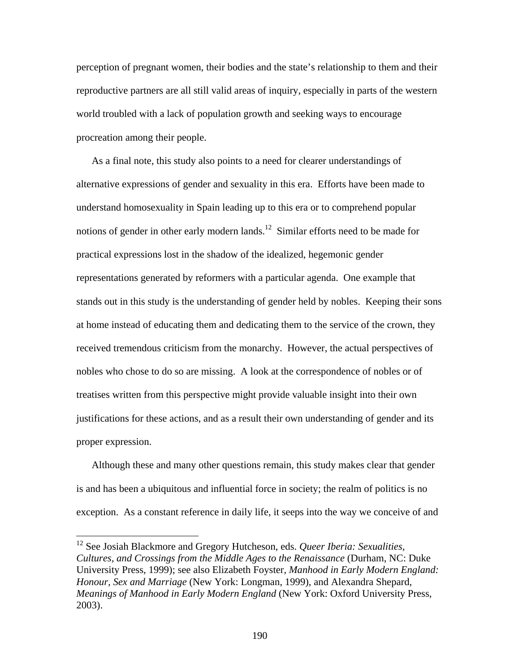perception of pregnant women, their bodies and the state's relationship to them and their reproductive partners are all still valid areas of inquiry, especially in parts of the western world troubled with a lack of population growth and seeking ways to encourage procreation among their people.

As a final note, this study also points to a need for clearer understandings of alternative expressions of gender and sexuality in this era. Efforts have been made to understand homosexuality in Spain leading up to this era or to comprehend popular notions of gender in other early modern lands.<sup>12</sup> Similar efforts need to be made for practical expressions lost in the shadow of the idealized, hegemonic gender representations generated by reformers with a particular agenda. One example that stands out in this study is the understanding of gender held by nobles. Keeping their sons at home instead of educating them and dedicating them to the service of the crown, they received tremendous criticism from the monarchy. However, the actual perspectives of nobles who chose to do so are missing. A look at the correspondence of nobles or of treatises written from this perspective might provide valuable insight into their own justifications for these actions, and as a result their own understanding of gender and its proper expression.

Although these and many other questions remain, this study makes clear that gender is and has been a ubiquitous and influential force in society; the realm of politics is no exception. As a constant reference in daily life, it seeps into the way we conceive of and

<sup>12</sup> See Josiah Blackmore and Gregory Hutcheson, eds. *Queer Iberia: Sexualities, Cultures, and Crossings from the Middle Ages to the Renaissance* (Durham, NC: Duke University Press, 1999); see also Elizabeth Foyster, *Manhood in Early Modern England: Honour, Sex and Marriage* (New York: Longman, 1999), and Alexandra Shepard, *Meanings of Manhood in Early Modern England* (New York: Oxford University Press, 2003).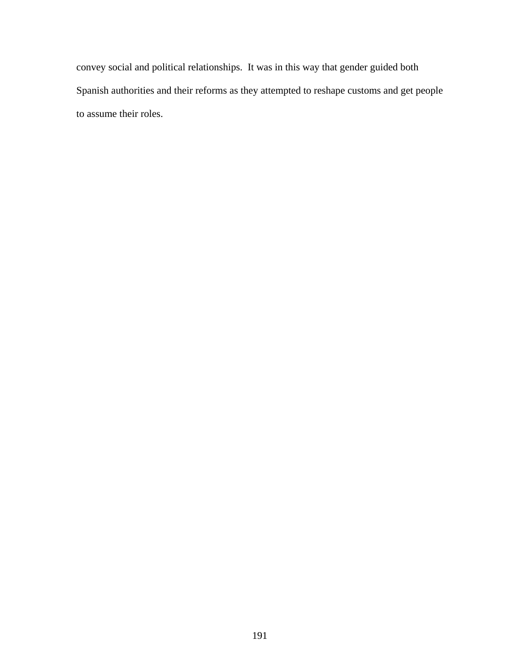convey social and political relationships. It was in this way that gender guided both Spanish authorities and their reforms as they attempted to reshape customs and get people to assume their roles.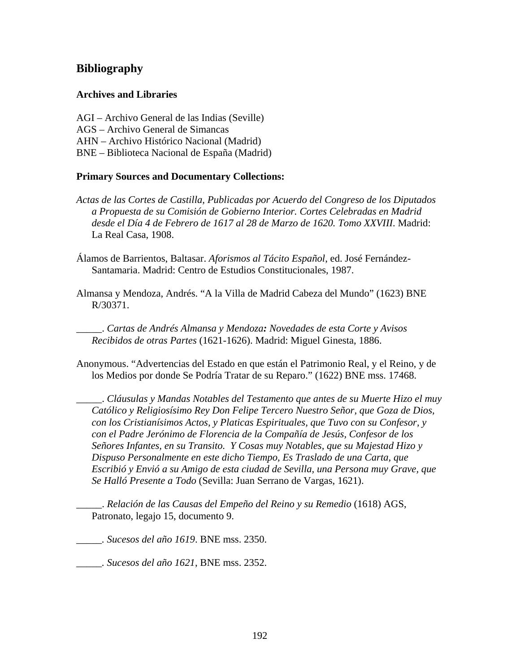# **Bibliography**

# **Archives and Libraries**

AGI – Archivo General de las Indias (Seville) AGS – Archivo General de Simancas AHN – Archivo Histórico Nacional (Madrid) BNE – Biblioteca Nacional de España (Madrid)

## **Primary Sources and Documentary Collections:**

*Actas de las Cortes de Castilla, Publicadas por Acuerdo del Congreso de los Diputados a Propuesta de su Comisión de Gobierno Interior. Cortes Celebradas en Madrid desde el Día 4 de Febrero de 1617 al 28 de Marzo de 1620. Tomo XXVIII*. Madrid: La Real Casa, 1908.

Álamos de Barrientos, Baltasar. *Aforismos al Tácito Español*, ed. José Fernández-Santamaria. Madrid: Centro de Estudios Constitucionales, 1987.

Almansa y Mendoza, Andrés. "A la Villa de Madrid Cabeza del Mundo" (1623) BNE R/30371.

\_\_\_\_\_. *Cartas de Andrés Almansa y Mendoza: Novedades de esta Corte y Avisos Recibidos de otras Partes* (1621-1626). Madrid: Miguel Ginesta, 1886.

Anonymous. "Advertencias del Estado en que están el Patrimonio Real, y el Reino, y de los Medios por donde Se Podría Tratar de su Reparo." (1622) BNE mss. 17468.

\_\_\_\_\_. *Cláusulas y Mandas Notables del Testamento que antes de su Muerte Hizo el muy Católico y Religiosísimo Rey Don Felipe Tercero Nuestro Señor, que Goza de Dios, con los Cristianísimos Actos, y Platicas Espirituales, que Tuvo con su Confesor, y con el Padre Jerónimo de Florencia de la Compañía de Jesús, Confesor de los Señores Infantes, en su Transito. Y Cosas muy Notables, que su Majestad Hizo y Dispuso Personalmente en este dicho Tiempo, Es Traslado de una Carta, que Escribió y Envió a su Amigo de esta ciudad de Sevilla, una Persona muy Grave, que Se Halló Presente a Todo* (Sevilla: Juan Serrano de Vargas, 1621).

\_\_\_\_\_. *Relación de las Causas del Empeño del Reino y su Remedio* (1618) AGS, Patronato, legajo 15, documento 9.

*\_\_\_\_\_. Sucesos del año 1619*. BNE mss. 2350.

*\_\_\_\_\_. Sucesos del año 1621*, BNE mss. 2352.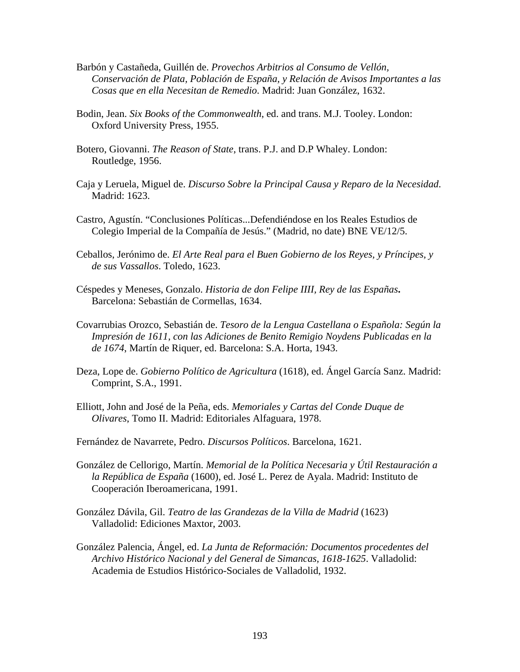- Barbón y Castañeda, Guillén de. *Provechos Arbitrios al Consumo de Vellón, Conservación de Plata, Población de España, y Relación de Avisos Importantes a las Cosas que en ella Necesitan de Remedio*. Madrid: Juan González, 1632.
- Bodin, Jean. *Six Books of the Commonwealth*, ed. and trans. M.J. Tooley. London: Oxford University Press, 1955.
- Botero, Giovanni. *The Reason of State*, trans. P.J. and D.P Whaley. London: Routledge, 1956.
- Caja y Leruela, Miguel de. *Discurso Sobre la Principal Causa y Reparo de la Necesidad*. Madrid: 1623.
- Castro, Agustín. "Conclusiones Políticas...Defendiéndose en los Reales Estudios de Colegio Imperial de la Compañía de Jesús." (Madrid, no date) BNE VE/12/5.
- Ceballos, Jerónimo de. *El Arte Real para el Buen Gobierno de los Reyes, y Príncipes, y de sus Vassallos*. Toledo, 1623.
- Céspedes y Meneses, Gonzalo. *Historia de don Felipe IIII, Rey de las Españas***.**  Barcelona: Sebastián de Cormellas, 1634.
- Covarrubias Orozco, Sebastián de. *Tesoro de la Lengua Castellana o Española: Según la Impresión de 1611, con las Adiciones de Benito Remigio Noydens Publicadas en la de 1674*, Martín de Riquer, ed. Barcelona: S.A. Horta, 1943.
- Deza, Lope de. *Gobierno Político de Agricultura* (1618), ed. Ángel García Sanz. Madrid: Comprint, S.A., 1991.
- Elliott, John and José de la Peña, eds. *Memoriales y Cartas del Conde Duque de Olivares*, Tomo II. Madrid: Editoriales Alfaguara, 1978.
- Fernández de Navarrete, Pedro. *Discursos Políticos*. Barcelona, 1621.
- González de Cellorigo, Martín. *Memorial de la Política Necesaria y Útil Restauración a la República de España* (1600), ed. José L. Perez de Ayala. Madrid: Instituto de Cooperación Iberoamericana, 1991.
- González Dávila, Gil. *Teatro de las Grandezas de la Villa de Madrid* (1623) Valladolid: Ediciones Maxtor, 2003.
- González Palencia, Ángel, ed. *La Junta de Reformación: Documentos procedentes del Archivo Histórico Nacional y del General de Simancas, 1618-1625*. Valladolid: Academia de Estudios Histórico-Sociales de Valladolid, 1932.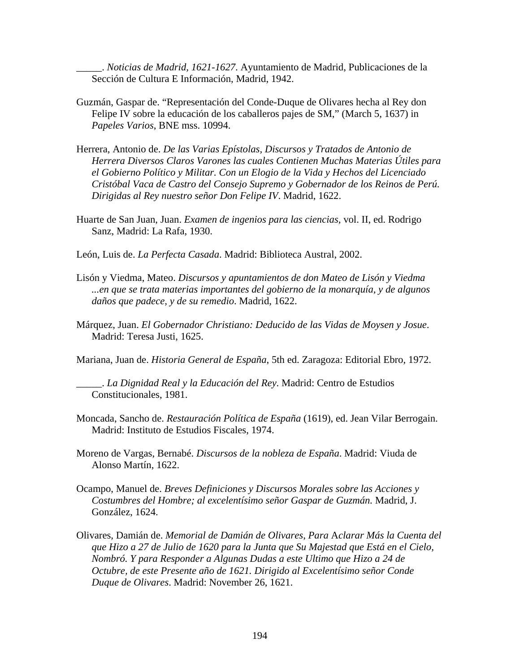\_\_\_\_\_. *Noticias de Madrid, 1621-1627*. Ayuntamiento de Madrid, Publicaciones de la Sección de Cultura E Información, Madrid, 1942.

- Guzmán, Gaspar de. "Representación del Conde-Duque de Olivares hecha al Rey don Felipe IV sobre la educación de los caballeros pajes de SM," (March 5, 1637) in *Papeles Varios*, BNE mss. 10994.
- Herrera, Antonio de. *De las Varias Epístolas, Discursos y Tratados de Antonio de Herrera Diversos Claros Varones las cuales Contienen Muchas Materias Útiles para el Gobierno Político y Militar. Con un Elogio de la Vida y Hechos del Licenciado Cristóbal Vaca de Castro del Consejo Supremo y Gobernador de los Reinos de Perú. Dirigidas al Rey nuestro señor Don Felipe IV*. Madrid, 1622.
- Huarte de San Juan, Juan. *Examen de ingenios para las ciencias,* vol. II, ed. Rodrigo Sanz, Madrid: La Rafa, 1930.
- León, Luis de. *La Perfecta Casada*. Madrid: Biblioteca Austral, 2002.
- Lisón y Viedma, Mateo. *Discursos y apuntamientos de don Mateo de Lisón y Viedma ...en que se trata materias importantes del gobierno de la monarquía, y de algunos daños que padece, y de su remedio*. Madrid, 1622.
- Márquez, Juan. *El Gobernador Christiano: Deducido de las Vidas de Moysen y Josue*. Madrid: Teresa Justi, 1625.
- Mariana, Juan de. *Historia General de España*, 5th ed. Zaragoza: Editorial Ebro, 1972.

\_\_\_\_\_. *La Dignidad Real y la Educación del Rey*. Madrid: Centro de Estudios Constitucionales, 1981.

- Moncada, Sancho de. *Restauración Política de España* (1619), ed. Jean Vilar Berrogain. Madrid: Instituto de Estudios Fiscales, 1974.
- Moreno de Vargas, Bernabé. *Discursos de la nobleza de España*. Madrid: Viuda de Alonso Martín, 1622.
- Ocampo, Manuel de. *Breves Definiciones y Discursos Morales sobre las Acciones y Costumbres del Hombre; al excelentísimo señor Gaspar de Guzmán.* Madrid, J. González, 1624.
- Olivares, Damián de. *Memorial de Damián de Olivares*, *Para* A*clarar Más la Cuenta del que Hizo a 27 de Julio de 1620 para la Junta que Su Majestad que Está en el Cielo, Nombró. Y para Responder a Algunas Dudas a este Ultimo que Hizo a 24 de Octubre, de este Presente año de 1621. Dirigido al Excelentísimo señor Conde Duque de Olivares*. Madrid: November 26, 1621.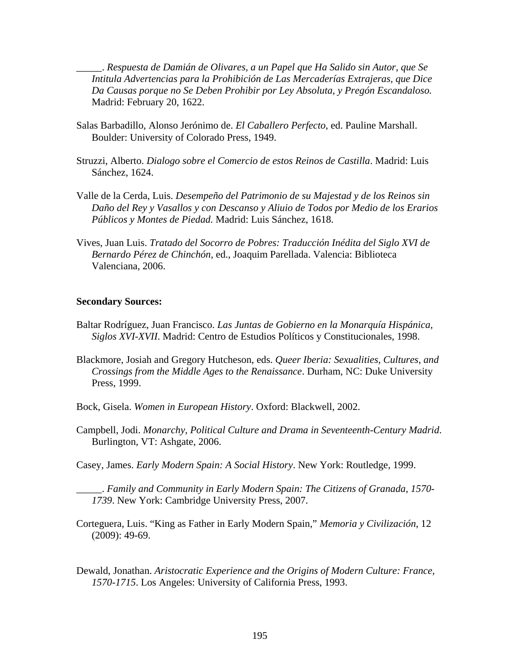\_\_\_\_\_. *Respuesta de Damián de Olivares, a un Papel que Ha Salido sin Autor, que Se Intitula Advertencias para la Prohibición de Las Mercaderías Extrajeras, que Dice Da Causas porque no Se Deben Prohibir por Ley Absoluta, y Pregón Escandaloso.*  Madrid: February 20, 1622.

- Salas Barbadillo, Alonso Jerónimo de. *El Caballero Perfecto*, ed. Pauline Marshall. Boulder: University of Colorado Press, 1949.
- Struzzi, Alberto. *Dialogo sobre el Comercio de estos Reinos de Castilla*. Madrid: Luis Sánchez, 1624.
- Valle de la Cerda, Luis. *Desempeño del Patrimonio de su Majestad y de los Reinos sin Daño del Rey y Vasallos y con Descanso y Aliuio de Todos por Medio de los Erarios Públicos y Montes de Piedad.* Madrid: Luis Sánchez, 1618.
- Vives, Juan Luis. *Tratado del Socorro de Pobres: Traducción Inédita del Siglo XVI de Bernardo Pérez de Chinchón*, ed., Joaquim Parellada. Valencia: Biblioteca Valenciana, 2006.

#### **Secondary Sources:**

- Baltar Rodríguez, Juan Francisco. *Las Juntas de Gobierno en la Monarquía Hispánica, Siglos XVI-XVII*. Madrid: Centro de Estudios Políticos y Constitucionales, 1998.
- Blackmore, Josiah and Gregory Hutcheson, eds. *Queer Iberia: Sexualities, Cultures, and Crossings from the Middle Ages to the Renaissance*. Durham, NC: Duke University Press, 1999.
- Bock, Gisela. *Women in European History*. Oxford: Blackwell, 2002.
- Campbell, Jodi. *Monarchy, Political Culture and Drama in Seventeenth-Century Madrid*. Burlington, VT: Ashgate, 2006.
- Casey, James. *Early Modern Spain: A Social History*. New York: Routledge, 1999.

\_\_\_\_\_. *Family and Community in Early Modern Spain: The Citizens of Granada, 1570- 1739*. New York: Cambridge University Press, 2007.

- Corteguera, Luis. "King as Father in Early Modern Spain," *Memoria y Civilización*, 12 (2009): 49-69.
- Dewald, Jonathan. *Aristocratic Experience and the Origins of Modern Culture: France, 1570-1715*. Los Angeles: University of California Press, 1993.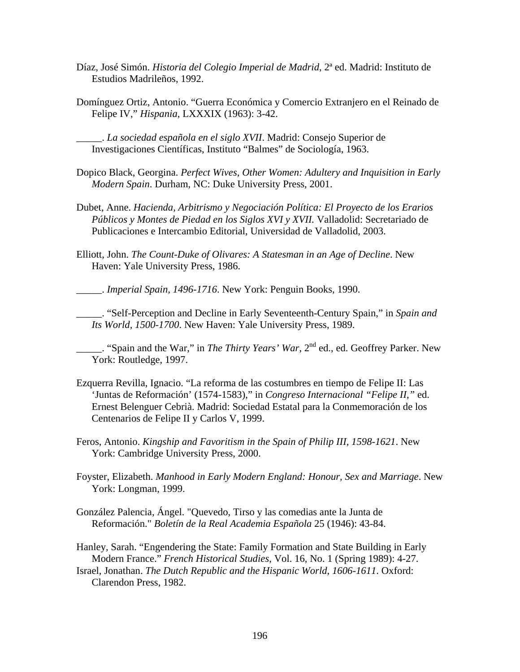- Díaz, José Simón. *Historia del Colegio Imperial de Madrid*, 2ª ed. Madrid: Instituto de Estudios Madrileños, 1992.
- Domínguez Ortiz, Antonio. "Guerra Económica y Comercio Extranjero en el Reinado de Felipe IV," *Hispania*, LXXXIX (1963): 3-42.

\_\_\_\_\_. *La sociedad española en el siglo XVII*. Madrid: Consejo Superior de Investigaciones Científicas, Instituto "Balmes" de Sociología, 1963.

Dopico Black, Georgina. *Perfect Wives, Other Women: Adultery and Inquisition in Early Modern Spain*. Durham, NC: Duke University Press, 2001.

- Dubet, Anne. *Hacienda, Arbitrismo y Negociación Política: El Proyecto de los Erarios Públicos y Montes de Piedad en los Siglos XVI y XVII.* Valladolid: Secretariado de Publicaciones e Intercambio Editorial, Universidad de Valladolid, 2003.
- Elliott, John. *The Count-Duke of Olivares: A Statesman in an Age of Decline*. New Haven: Yale University Press, 1986.

\_\_\_\_\_. *Imperial Spain, 1496-1716*. New York: Penguin Books, 1990.

\_\_\_\_\_. "Self-Perception and Decline in Early Seventeenth-Century Spain," in *Spain and Its World, 1500-1700*. New Haven: Yale University Press, 1989.

\_\_\_\_\_. "Spain and the War," in *The Thirty Years' War*, 2nd ed., ed. Geoffrey Parker. New York: Routledge, 1997.

- Ezquerra Revilla, Ignacio. "La reforma de las costumbres en tiempo de Felipe II: Las 'Juntas de Reformación' (1574-1583)," in *Congreso Internacional "Felipe II*,*"* ed. Ernest Belenguer Cebrià. Madrid: Sociedad Estatal para la Conmemoración de los Centenarios de Felipe II y Carlos V, 1999.
- Feros, Antonio. *Kingship and Favoritism in the Spain of Philip III, 1598-1621*. New York: Cambridge University Press, 2000.
- Foyster, Elizabeth. *Manhood in Early Modern England: Honour, Sex and Marriage*. New York: Longman, 1999.
- González Palencia, Ángel. "Quevedo, Tirso y las comedias ante la Junta de Reformación." *Boletín de la Real Academia Española* 25 (1946): 43-84.
- Hanley, Sarah. "Engendering the State: Family Formation and State Building in Early Modern France." *French Historical Studies*, Vol. 16, No. 1 (Spring 1989): 4-27.
- Israel, Jonathan. *The Dutch Republic and the Hispanic World, 1606-1611*. Oxford: Clarendon Press, 1982.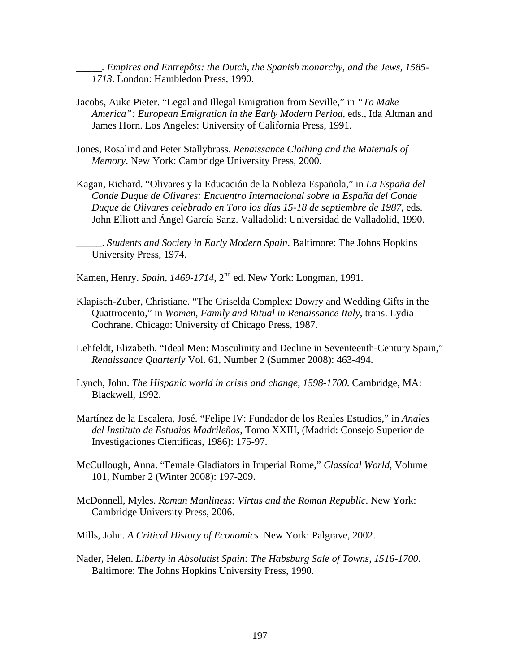*\_\_\_\_\_. Empires and Entrepôts: the Dutch, the Spanish monarchy, and the Jews, 1585- 1713*. London: Hambledon Press, 1990.

- Jacobs, Auke Pieter. "Legal and Illegal Emigration from Seville," in *"To Make America": European Emigration in the Early Modern Period*, eds., Ida Altman and James Horn. Los Angeles: University of California Press, 1991.
- Jones, Rosalind and Peter Stallybrass. *Renaissance Clothing and the Materials of Memory*. New York: Cambridge University Press, 2000.
- Kagan, Richard. "Olivares y la Educación de la Nobleza Española," in *La España del Conde Duque de Olivares: Encuentro Internacional sobre la España del Conde Duque de Olivares celebrado en Toro los días 15-18 de septiembre de 1987*, eds. John Elliott and Ángel García Sanz. Valladolid: Universidad de Valladolid, 1990.

\_\_\_\_\_. *Students and Society in Early Modern Spain*. Baltimore: The Johns Hopkins University Press, 1974.

Kamen, Henry. *Spain, 1469-1714*, 2nd ed. New York: Longman, 1991.

- Klapisch-Zuber, Christiane. "The Griselda Complex: Dowry and Wedding Gifts in the Quattrocento," in *Women, Family and Ritual in Renaissance Italy*, trans. Lydia Cochrane. Chicago: University of Chicago Press, 1987.
- Lehfeldt, Elizabeth. "Ideal Men: Masculinity and Decline in Seventeenth-Century Spain," *Renaissance Quarterly* Vol. 61, Number 2 (Summer 2008): 463-494.
- Lynch, John. *The Hispanic world in crisis and change, 1598-1700*. Cambridge, MA: Blackwell, 1992.
- Martínez de la Escalera, José. "Felipe IV: Fundador de los Reales Estudios," in *Anales del Instituto de Estudios Madrileños*, Tomo XXIII, (Madrid: Consejo Superior de Investigaciones Científicas, 1986): 175-97.
- McCullough, Anna. "Female Gladiators in Imperial Rome," *Classical World*, Volume 101, Number 2 (Winter 2008): 197-209.
- McDonnell, Myles. *Roman Manliness: Virtus and the Roman Republic*. New York: Cambridge University Press, 2006.
- Mills, John. *A Critical History of Economics*. New York: Palgrave, 2002.
- Nader, Helen. *Liberty in Absolutist Spain: The Habsburg Sale of Towns, 1516-1700*. Baltimore: The Johns Hopkins University Press, 1990.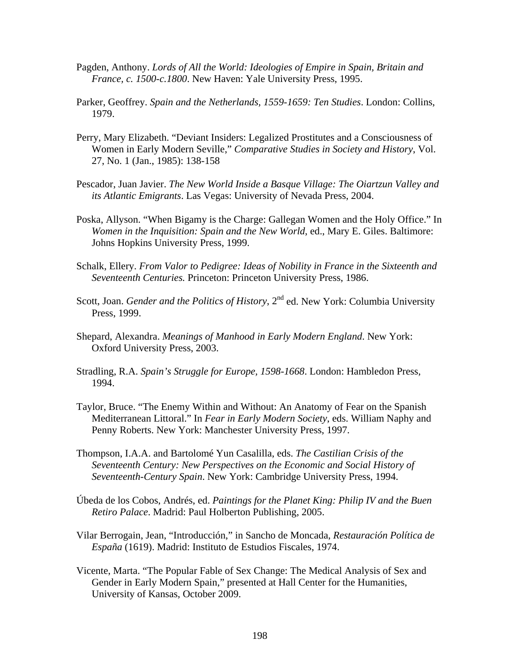- Pagden, Anthony. *Lords of All the World: Ideologies of Empire in Spain, Britain and France, c. 1500-c.1800*. New Haven: Yale University Press, 1995.
- Parker, Geoffrey. *Spain and the Netherlands, 1559-1659: Ten Studies*. London: Collins, 1979.
- Perry, Mary Elizabeth. "Deviant Insiders: Legalized Prostitutes and a Consciousness of Women in Early Modern Seville," *Comparative Studies in Society and History*, Vol. 27, No. 1 (Jan., 1985): 138-158
- Pescador, Juan Javier. *The New World Inside a Basque Village: The Oiartzun Valley and its Atlantic Emigrants*. Las Vegas: University of Nevada Press, 2004.
- Poska, Allyson. "When Bigamy is the Charge: Gallegan Women and the Holy Office." In *Women in the Inquisition: Spain and the New World*, ed., Mary E. Giles. Baltimore: Johns Hopkins University Press, 1999.
- Schalk, Ellery. *From Valor to Pedigree: Ideas of Nobility in France in the Sixteenth and Seventeenth Centuries.* Princeton: Princeton University Press, 1986.
- Scott, Joan. *Gender and the Politics of History*, 2<sup>nd</sup> ed. New York: Columbia University Press, 1999.
- Shepard, Alexandra. *Meanings of Manhood in Early Modern England*. New York: Oxford University Press, 2003.
- Stradling, R.A. *Spain's Struggle for Europe, 1598-1668*. London: Hambledon Press, 1994.
- Taylor, Bruce. "The Enemy Within and Without: An Anatomy of Fear on the Spanish Mediterranean Littoral." In *Fear in Early Modern Society*, eds. William Naphy and Penny Roberts. New York: Manchester University Press, 1997.
- Thompson, I.A.A. and Bartolomé Yun Casalilla, eds. *The Castilian Crisis of the Seventeenth Century: New Perspectives on the Economic and Social History of Seventeenth-Century Spain*. New York: Cambridge University Press, 1994.
- Úbeda de los Cobos, Andrés, ed. *Paintings for the Planet King: Philip IV and the Buen Retiro Palace*. Madrid: Paul Holberton Publishing, 2005.
- Vilar Berrogain, Jean, "Introducción," in Sancho de Moncada, *Restauración Política de España* (1619). Madrid: Instituto de Estudios Fiscales, 1974.
- Vicente, Marta. "The Popular Fable of Sex Change: The Medical Analysis of Sex and Gender in Early Modern Spain," presented at Hall Center for the Humanities, University of Kansas, October 2009.